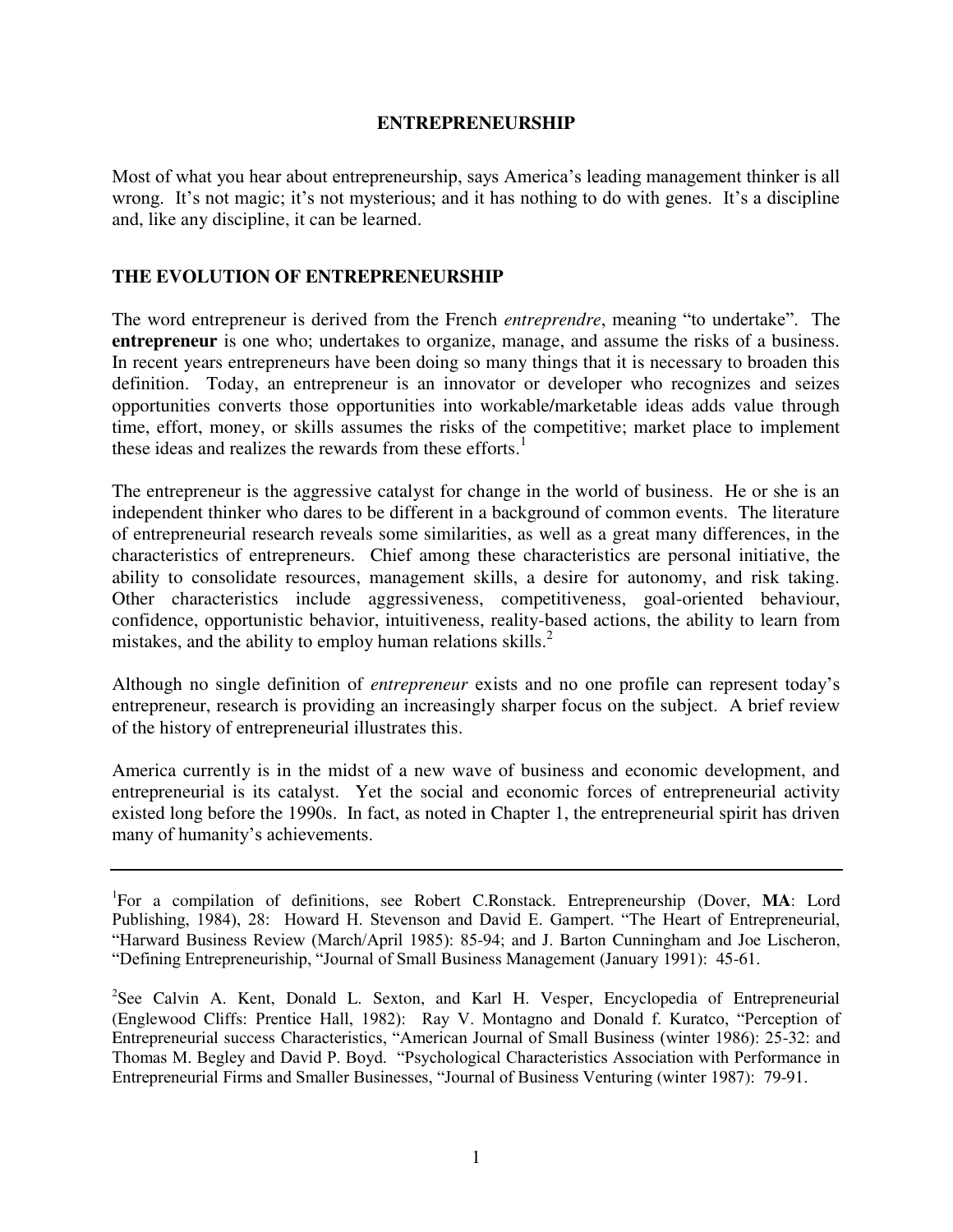#### **ENTREPRENEURSHIP**

Most of what you hear about entrepreneurship, says America's leading management thinker is all wrong. It's not magic; it's not mysterious; and it has nothing to do with genes. It's a discipline and, like any discipline, it can be learned.

#### **THE EVOLUTION OF ENTREPRENEURSHIP**

The word entrepreneur is derived from the French *entreprendre*, meaning "to undertake". The **entrepreneur** is one who; undertakes to organize, manage, and assume the risks of a business. In recent years entrepreneurs have been doing so many things that it is necessary to broaden this definition. Today, an entrepreneur is an innovator or developer who recognizes and seizes opportunities converts those opportunities into workable/marketable ideas adds value through time, effort, money, or skills assumes the risks of the competitive; market place to implement these ideas and realizes the rewards from these efforts.<sup>1</sup>

The entrepreneur is the aggressive catalyst for change in the world of business. He or she is an independent thinker who dares to be different in a background of common events. The literature of entrepreneurial research reveals some similarities, as well as a great many differences, in the characteristics of entrepreneurs. Chief among these characteristics are personal initiative, the ability to consolidate resources, management skills, a desire for autonomy, and risk taking. Other characteristics include aggressiveness, competitiveness, goal-oriented behaviour, confidence, opportunistic behavior, intuitiveness, reality-based actions, the ability to learn from mistakes, and the ability to employ human relations skills.<sup>2</sup>

Although no single definition of *entrepreneur* exists and no one profile can represent today's entrepreneur, research is providing an increasingly sharper focus on the subject. A brief review of the history of entrepreneurial illustrates this.

America currently is in the midst of a new wave of business and economic development, and entrepreneurial is its catalyst. Yet the social and economic forces of entrepreneurial activity existed long before the 1990s. In fact, as noted in Chapter 1, the entrepreneurial spirit has driven many of humanity's achievements.

<sup>1</sup> For a compilation of definitions, see Robert C.Ronstack. Entrepreneurship (Dover, **MA**: Lord Publishing, 1984), 28: Howard H. Stevenson and David E. Gampert. "The Heart of Entrepreneurial, "Harward Business Review (March/April 1985): 85-94; and J. Barton Cunningham and Joe Lischeron, "Defining Entrepreneuriship, "Journal of Small Business Management (January 1991): 45-61.

<sup>&</sup>lt;sup>2</sup>See Calvin A. Kent, Donald L. Sexton, and Karl H. Vesper, Encyclopedia of Entrepreneurial (Englewood Cliffs: Prentice Hall, 1982): Ray V. Montagno and Donald f. Kuratco, "Perception of Entrepreneurial success Characteristics, "American Journal of Small Business (winter 1986): 25-32: and Thomas M. Begley and David P. Boyd. "Psychological Characteristics Association with Performance in Entrepreneurial Firms and Smaller Businesses, "Journal of Business Venturing (winter 1987): 79-91.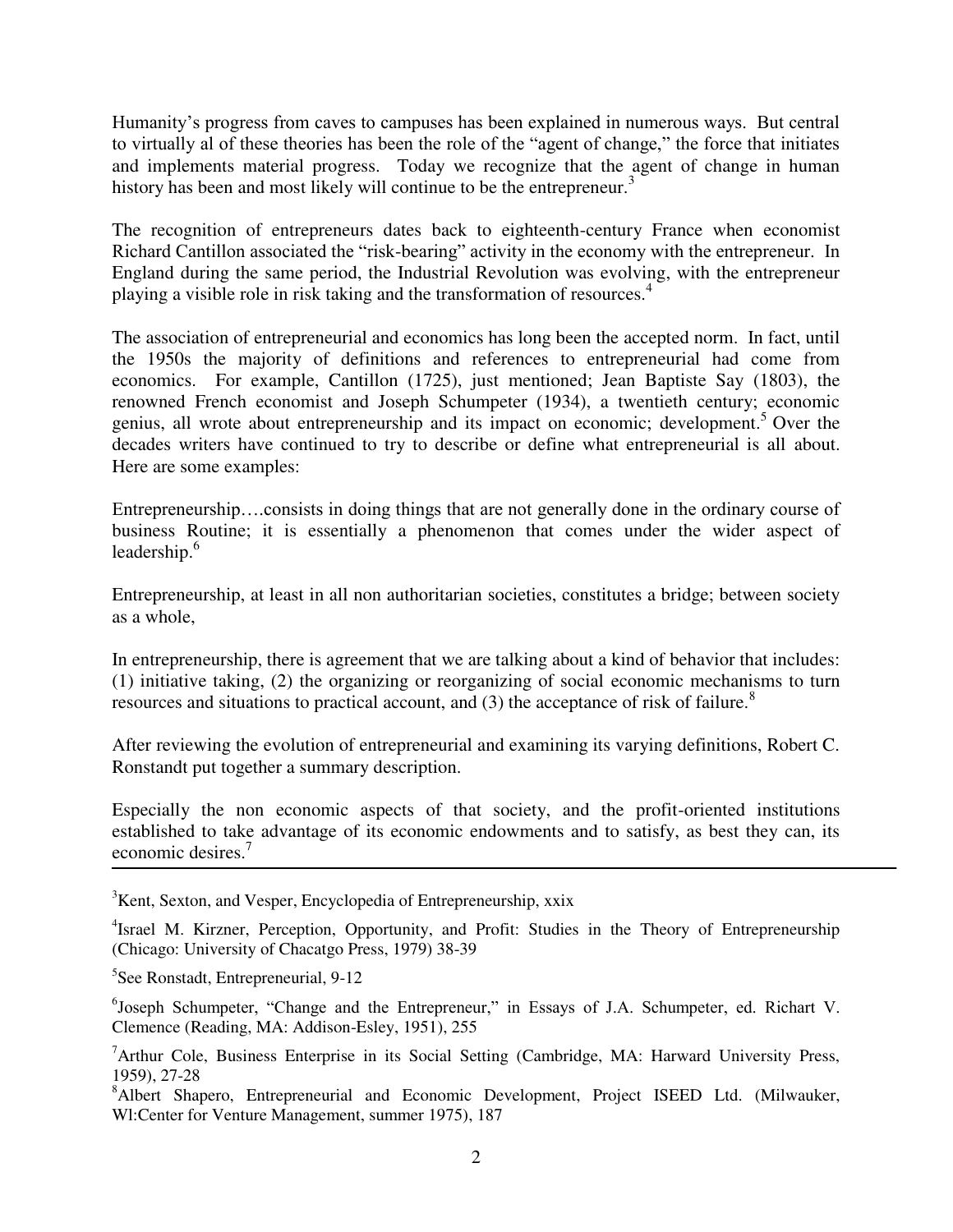Humanity's progress from caves to campuses has been explained in numerous ways. But central to virtually al of these theories has been the role of the "agent of change," the force that initiates and implements material progress. Today we recognize that the agent of change in human history has been and most likely will continue to be the entrepreneur.<sup>3</sup>

The recognition of entrepreneurs dates back to eighteenth-century France when economist Richard Cantillon associated the "risk-bearing" activity in the economy with the entrepreneur. In England during the same period, the Industrial Revolution was evolving, with the entrepreneur playing a visible role in risk taking and the transformation of resources.<sup>4</sup>

The association of entrepreneurial and economics has long been the accepted norm. In fact, until the 1950s the majority of definitions and references to entrepreneurial had come from economics. For example, Cantillon (1725), just mentioned; Jean Baptiste Say (1803), the renowned French economist and Joseph Schumpeter (1934), a twentieth century; economic genius, all wrote about entrepreneurship and its impact on economic; development.<sup>5</sup> Over the decades writers have continued to try to describe or define what entrepreneurial is all about. Here are some examples:

Entrepreneurship….consists in doing things that are not generally done in the ordinary course of business Routine; it is essentially a phenomenon that comes under the wider aspect of leadership.<sup>6</sup>

Entrepreneurship, at least in all non authoritarian societies, constitutes a bridge; between society as a whole,

In entrepreneurship, there is agreement that we are talking about a kind of behavior that includes: (1) initiative taking, (2) the organizing or reorganizing of social economic mechanisms to turn resources and situations to practical account, and  $(3)$  the acceptance of risk of failure.<sup>8</sup>

After reviewing the evolution of entrepreneurial and examining its varying definitions, Robert C. Ronstandt put together a summary description.

Especially the non economic aspects of that society, and the profit-oriented institutions established to take advantage of its economic endowments and to satisfy, as best they can, its economic desires.<sup>7</sup>

<sup>3</sup>Kent, Sexton, and Vesper, Encyclopedia of Entrepreneurship, xxix

<sup>4</sup>Israel M. Kirzner, Perception, Opportunity, and Profit: Studies in the Theory of Entrepreneurship (Chicago: University of Chacatgo Press, 1979) 38-39

5 See Ronstadt, Entrepreneurial, 9-12

6 Joseph Schumpeter, "Change and the Entrepreneur," in Essays of J.A. Schumpeter, ed. Richart V. Clemence (Reading, MA: Addison-Esley, 1951), 255

<sup>7</sup>Arthur Cole, Business Enterprise in its Social Setting (Cambridge, MA: Harward University Press, 1959), 27-28

<sup>8</sup>Albert Shapero, Entrepreneurial and Economic Development, Project ISEED Ltd. (Milwauker, Wl:Center for Venture Management, summer 1975), 187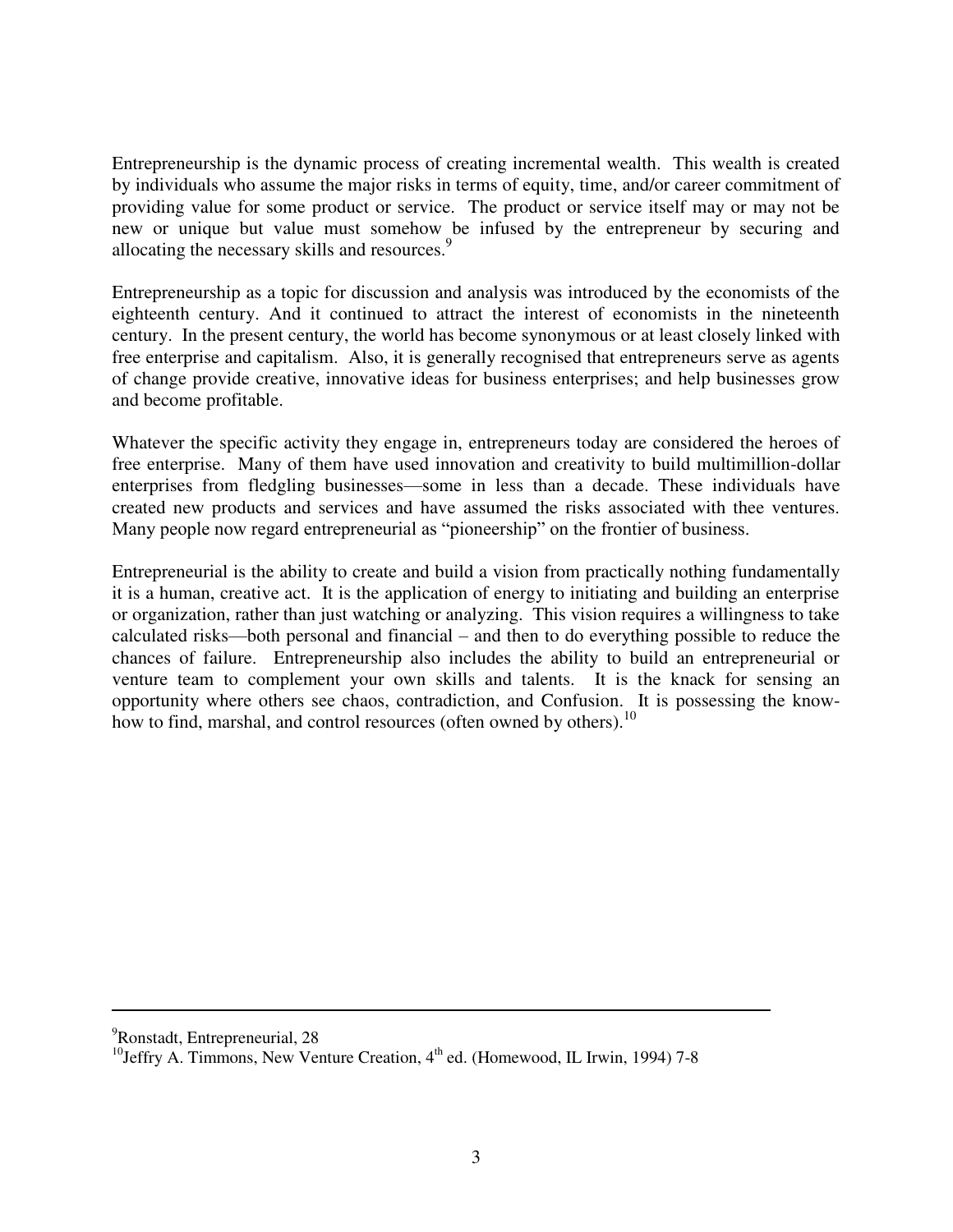Entrepreneurship is the dynamic process of creating incremental wealth. This wealth is created by individuals who assume the major risks in terms of equity, time, and/or career commitment of providing value for some product or service. The product or service itself may or may not be new or unique but value must somehow be infused by the entrepreneur by securing and allocating the necessary skills and resources.<sup>9</sup>

Entrepreneurship as a topic for discussion and analysis was introduced by the economists of the eighteenth century. And it continued to attract the interest of economists in the nineteenth century. In the present century, the world has become synonymous or at least closely linked with free enterprise and capitalism. Also, it is generally recognised that entrepreneurs serve as agents of change provide creative, innovative ideas for business enterprises; and help businesses grow and become profitable.

Whatever the specific activity they engage in, entrepreneurs today are considered the heroes of free enterprise. Many of them have used innovation and creativity to build multimillion-dollar enterprises from fledgling businesses—some in less than a decade. These individuals have created new products and services and have assumed the risks associated with thee ventures. Many people now regard entrepreneurial as "pioneership" on the frontier of business.

Entrepreneurial is the ability to create and build a vision from practically nothing fundamentally it is a human, creative act. It is the application of energy to initiating and building an enterprise or organization, rather than just watching or analyzing. This vision requires a willingness to take calculated risks—both personal and financial – and then to do everything possible to reduce the chances of failure. Entrepreneurship also includes the ability to build an entrepreneurial or venture team to complement your own skills and talents. It is the knack for sensing an opportunity where others see chaos, contradiction, and Confusion. It is possessing the knowhow to find, marshal, and control resources (often owned by others).<sup>10</sup>

I <sup>9</sup>Ronstadt, Entrepreneurial, 28

<sup>&</sup>lt;sup>10</sup>Jeffry A. Timmons, New Venture Creation,  $4<sup>th</sup>$  ed. (Homewood, IL Irwin, 1994) 7-8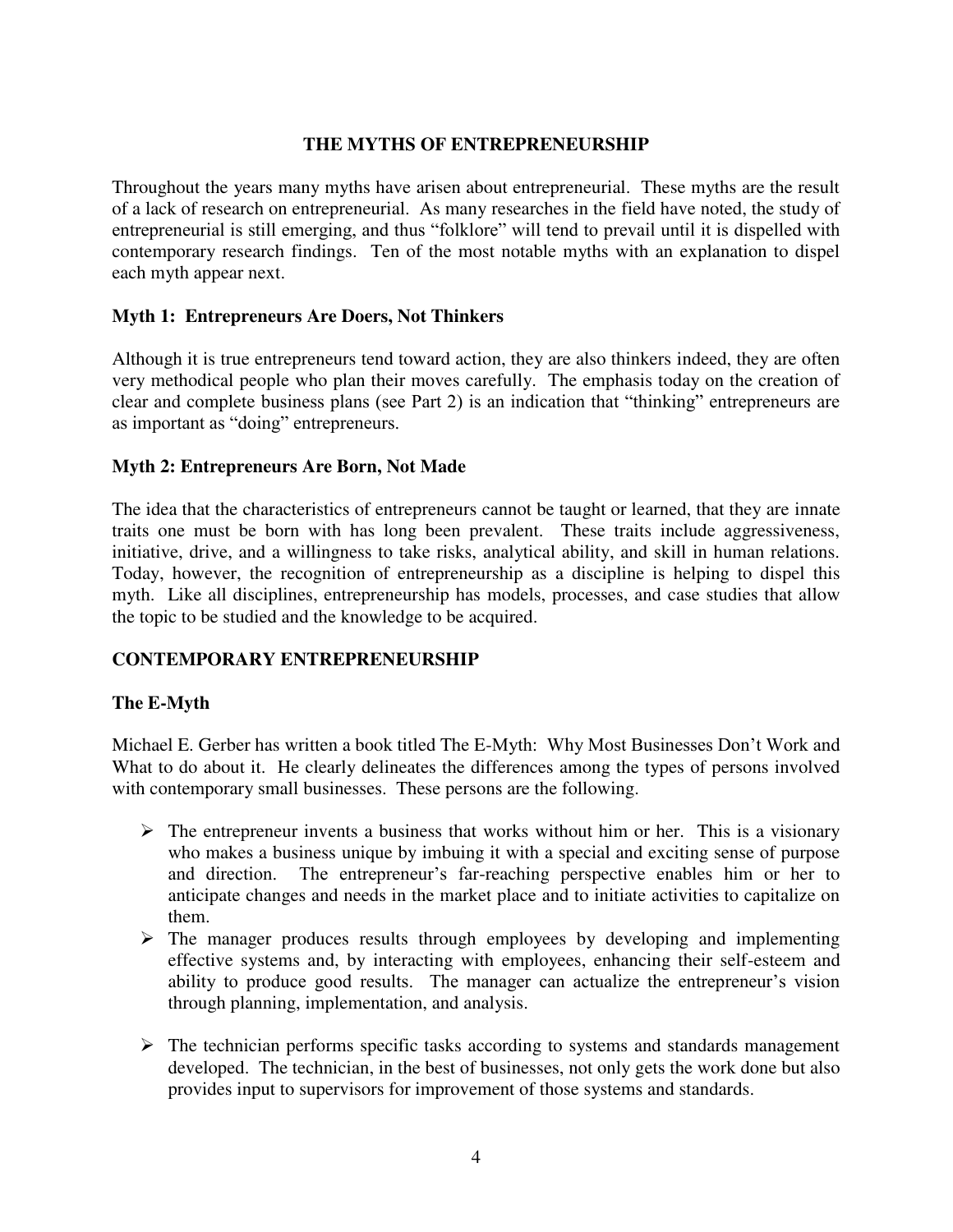# **THE MYTHS OF ENTREPRENEURSHIP**

Throughout the years many myths have arisen about entrepreneurial. These myths are the result of a lack of research on entrepreneurial. As many researches in the field have noted, the study of entrepreneurial is still emerging, and thus "folklore" will tend to prevail until it is dispelled with contemporary research findings. Ten of the most notable myths with an explanation to dispel each myth appear next.

# **Myth 1: Entrepreneurs Are Doers, Not Thinkers**

Although it is true entrepreneurs tend toward action, they are also thinkers indeed, they are often very methodical people who plan their moves carefully. The emphasis today on the creation of clear and complete business plans (see Part 2) is an indication that "thinking" entrepreneurs are as important as "doing" entrepreneurs.

# **Myth 2: Entrepreneurs Are Born, Not Made**

The idea that the characteristics of entrepreneurs cannot be taught or learned, that they are innate traits one must be born with has long been prevalent. These traits include aggressiveness, initiative, drive, and a willingness to take risks, analytical ability, and skill in human relations. Today, however, the recognition of entrepreneurship as a discipline is helping to dispel this myth. Like all disciplines, entrepreneurship has models, processes, and case studies that allow the topic to be studied and the knowledge to be acquired.

# **CONTEMPORARY ENTREPRENEURSHIP**

# **The E-Myth**

Michael E. Gerber has written a book titled The E-Myth: Why Most Businesses Don't Work and What to do about it. He clearly delineates the differences among the types of persons involved with contemporary small businesses. These persons are the following.

- $\triangleright$  The entrepreneur invents a business that works without him or her. This is a visionary who makes a business unique by imbuing it with a special and exciting sense of purpose and direction. The entrepreneur's far-reaching perspective enables him or her to anticipate changes and needs in the market place and to initiate activities to capitalize on them.
- $\triangleright$  The manager produces results through employees by developing and implementing effective systems and, by interacting with employees, enhancing their self-esteem and ability to produce good results. The manager can actualize the entrepreneur's vision through planning, implementation, and analysis.
- $\triangleright$  The technician performs specific tasks according to systems and standards management developed. The technician, in the best of businesses, not only gets the work done but also provides input to supervisors for improvement of those systems and standards.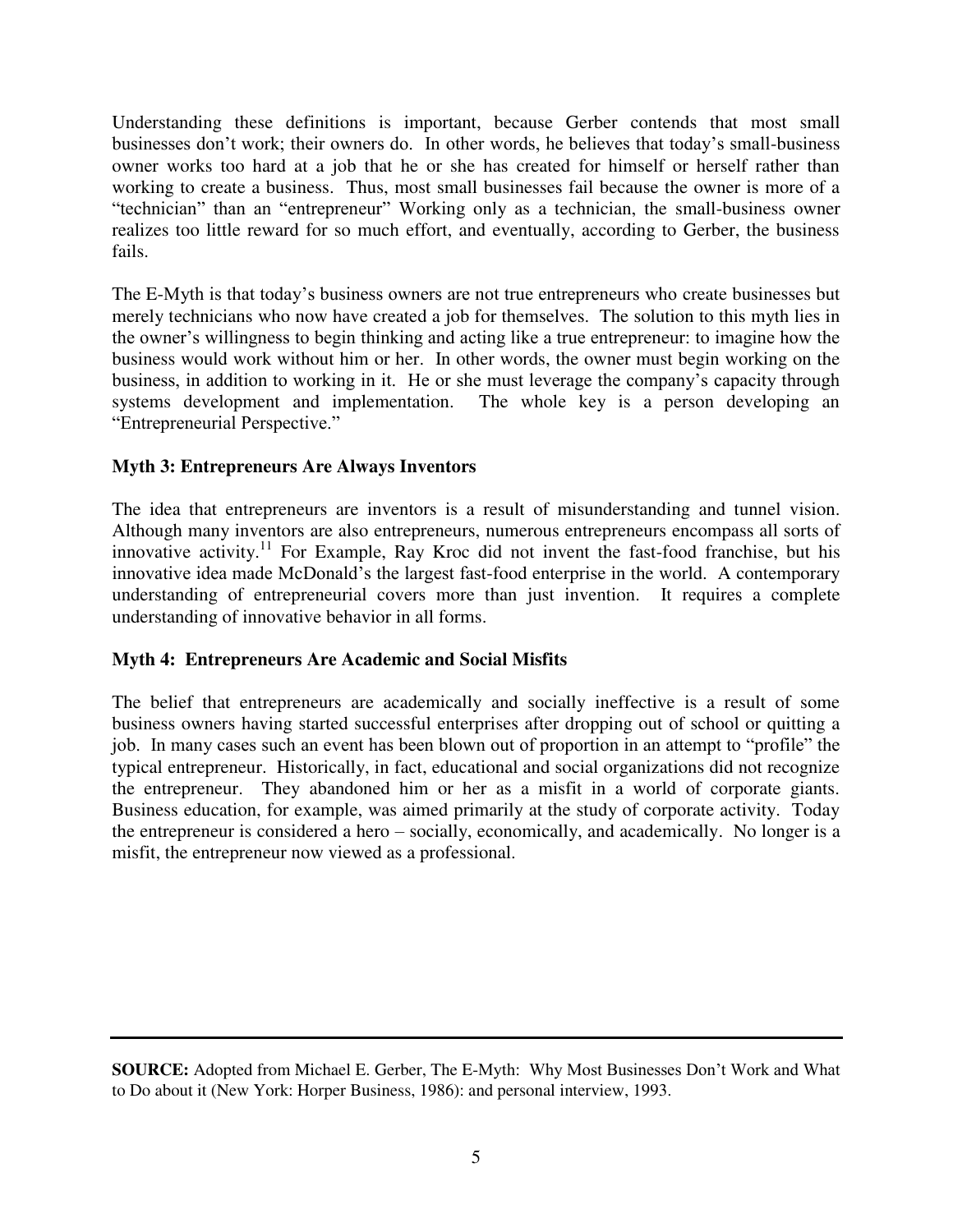Understanding these definitions is important, because Gerber contends that most small businesses don't work; their owners do. In other words, he believes that today's small-business owner works too hard at a job that he or she has created for himself or herself rather than working to create a business. Thus, most small businesses fail because the owner is more of a "technician" than an "entrepreneur" Working only as a technician, the small-business owner realizes too little reward for so much effort, and eventually, according to Gerber, the business fails.

The E-Myth is that today's business owners are not true entrepreneurs who create businesses but merely technicians who now have created a job for themselves. The solution to this myth lies in the owner's willingness to begin thinking and acting like a true entrepreneur: to imagine how the business would work without him or her. In other words, the owner must begin working on the business, in addition to working in it. He or she must leverage the company's capacity through systems development and implementation. The whole key is a person developing an "Entrepreneurial Perspective."

# **Myth 3: Entrepreneurs Are Always Inventors**

The idea that entrepreneurs are inventors is a result of misunderstanding and tunnel vision. Although many inventors are also entrepreneurs, numerous entrepreneurs encompass all sorts of innovative activity.<sup>11</sup> For Example, Ray Kroc did not invent the fast-food franchise, but his innovative idea made McDonald's the largest fast-food enterprise in the world. A contemporary understanding of entrepreneurial covers more than just invention. It requires a complete understanding of innovative behavior in all forms.

# **Myth 4: Entrepreneurs Are Academic and Social Misfits**

The belief that entrepreneurs are academically and socially ineffective is a result of some business owners having started successful enterprises after dropping out of school or quitting a job. In many cases such an event has been blown out of proportion in an attempt to "profile" the typical entrepreneur. Historically, in fact, educational and social organizations did not recognize the entrepreneur. They abandoned him or her as a misfit in a world of corporate giants. Business education, for example, was aimed primarily at the study of corporate activity. Today the entrepreneur is considered a hero – socially, economically, and academically. No longer is a misfit, the entrepreneur now viewed as a professional.

**SOURCE:** Adopted from Michael E. Gerber, The E-Myth: Why Most Businesses Don't Work and What to Do about it (New York: Horper Business, 1986): and personal interview, 1993.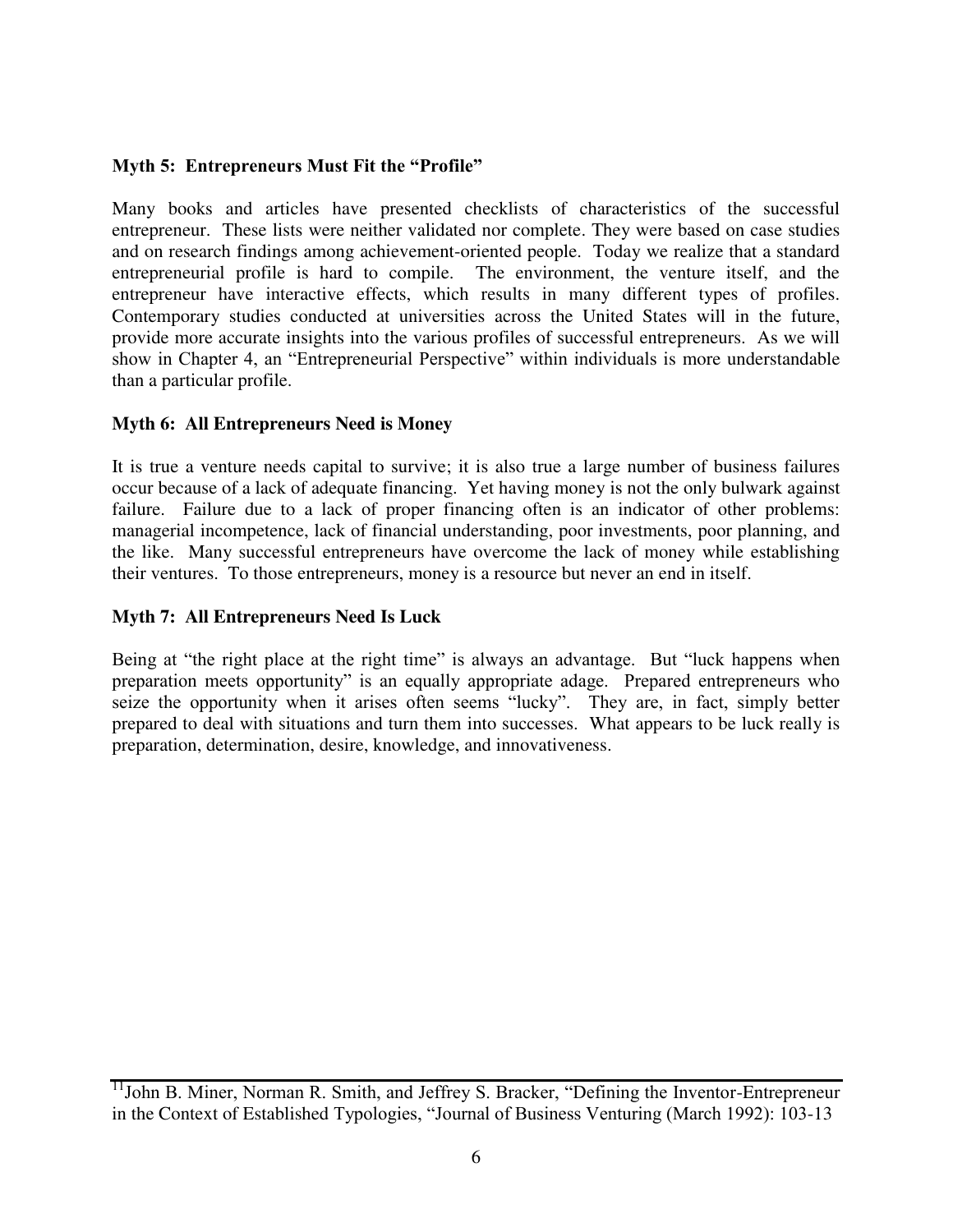# **Myth 5: Entrepreneurs Must Fit the "Profile"**

Many books and articles have presented checklists of characteristics of the successful entrepreneur. These lists were neither validated nor complete. They were based on case studies and on research findings among achievement-oriented people. Today we realize that a standard entrepreneurial profile is hard to compile. The environment, the venture itself, and the entrepreneur have interactive effects, which results in many different types of profiles. Contemporary studies conducted at universities across the United States will in the future, provide more accurate insights into the various profiles of successful entrepreneurs. As we will show in Chapter 4, an "Entrepreneurial Perspective" within individuals is more understandable than a particular profile.

#### **Myth 6: All Entrepreneurs Need is Money**

It is true a venture needs capital to survive; it is also true a large number of business failures occur because of a lack of adequate financing. Yet having money is not the only bulwark against failure. Failure due to a lack of proper financing often is an indicator of other problems: managerial incompetence, lack of financial understanding, poor investments, poor planning, and the like. Many successful entrepreneurs have overcome the lack of money while establishing their ventures. To those entrepreneurs, money is a resource but never an end in itself.

#### **Myth 7: All Entrepreneurs Need Is Luck**

Being at "the right place at the right time" is always an advantage. But "luck happens when preparation meets opportunity" is an equally appropriate adage. Prepared entrepreneurs who seize the opportunity when it arises often seems "lucky". They are, in fact, simply better prepared to deal with situations and turn them into successes. What appears to be luck really is preparation, determination, desire, knowledge, and innovativeness.

 $<sup>11</sup>$ John B. Miner, Norman R. Smith, and Jeffrey S. Bracker, "Defining the Inventor-Entrepreneur</sup> in the Context of Established Typologies, "Journal of Business Venturing (March 1992): 103-13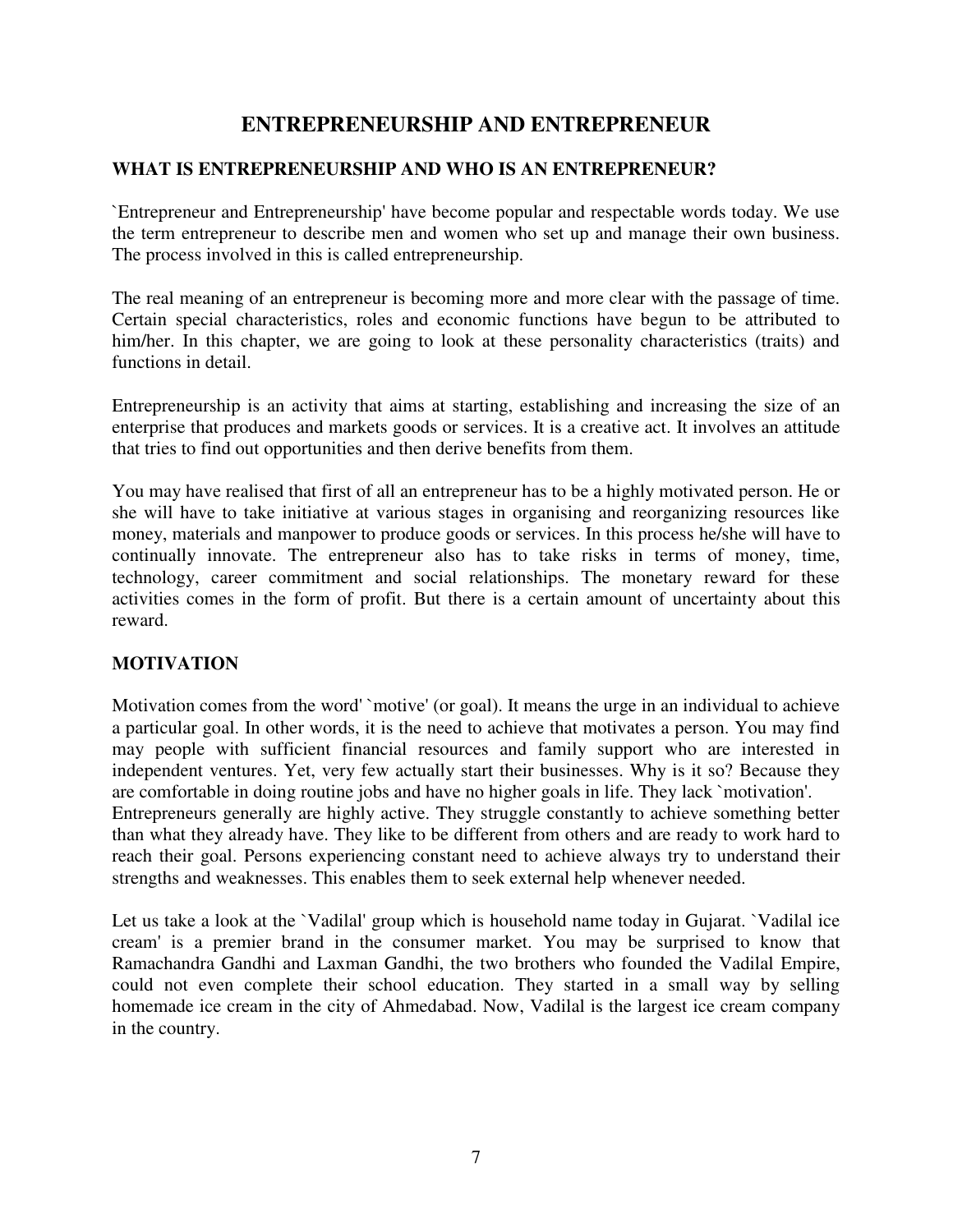# **ENTREPRENEURSHIP AND ENTREPRENEUR**

# **WHAT IS ENTREPRENEURSHIP AND WHO IS AN ENTREPRENEUR?**

`Entrepreneur and Entrepreneurship' have become popular and respectable words today. We use the term entrepreneur to describe men and women who set up and manage their own business. The process involved in this is called entrepreneurship.

The real meaning of an entrepreneur is becoming more and more clear with the passage of time. Certain special characteristics, roles and economic functions have begun to be attributed to him/her. In this chapter, we are going to look at these personality characteristics (traits) and functions in detail.

Entrepreneurship is an activity that aims at starting, establishing and increasing the size of an enterprise that produces and markets goods or services. It is a creative act. It involves an attitude that tries to find out opportunities and then derive benefits from them.

You may have realised that first of all an entrepreneur has to be a highly motivated person. He or she will have to take initiative at various stages in organising and reorganizing resources like money, materials and manpower to produce goods or services. In this process he/she will have to continually innovate. The entrepreneur also has to take risks in terms of money, time, technology, career commitment and social relationships. The monetary reward for these activities comes in the form of profit. But there is a certain amount of uncertainty about this reward.

# **MOTIVATION**

Motivation comes from the word' `motive' (or goal). It means the urge in an individual to achieve a particular goal. In other words, it is the need to achieve that motivates a person. You may find may people with sufficient financial resources and family support who are interested in independent ventures. Yet, very few actually start their businesses. Why is it so? Because they are comfortable in doing routine jobs and have no higher goals in life. They lack `motivation'. Entrepreneurs generally are highly active. They struggle constantly to achieve something better than what they already have. They like to be different from others and are ready to work hard to reach their goal. Persons experiencing constant need to achieve always try to understand their strengths and weaknesses. This enables them to seek external help whenever needed.

Let us take a look at the `Vadilal' group which is household name today in Gujarat. `Vadilal ice cream' is a premier brand in the consumer market. You may be surprised to know that Ramachandra Gandhi and Laxman Gandhi, the two brothers who founded the Vadilal Empire, could not even complete their school education. They started in a small way by selling homemade ice cream in the city of Ahmedabad. Now, Vadilal is the largest ice cream company in the country.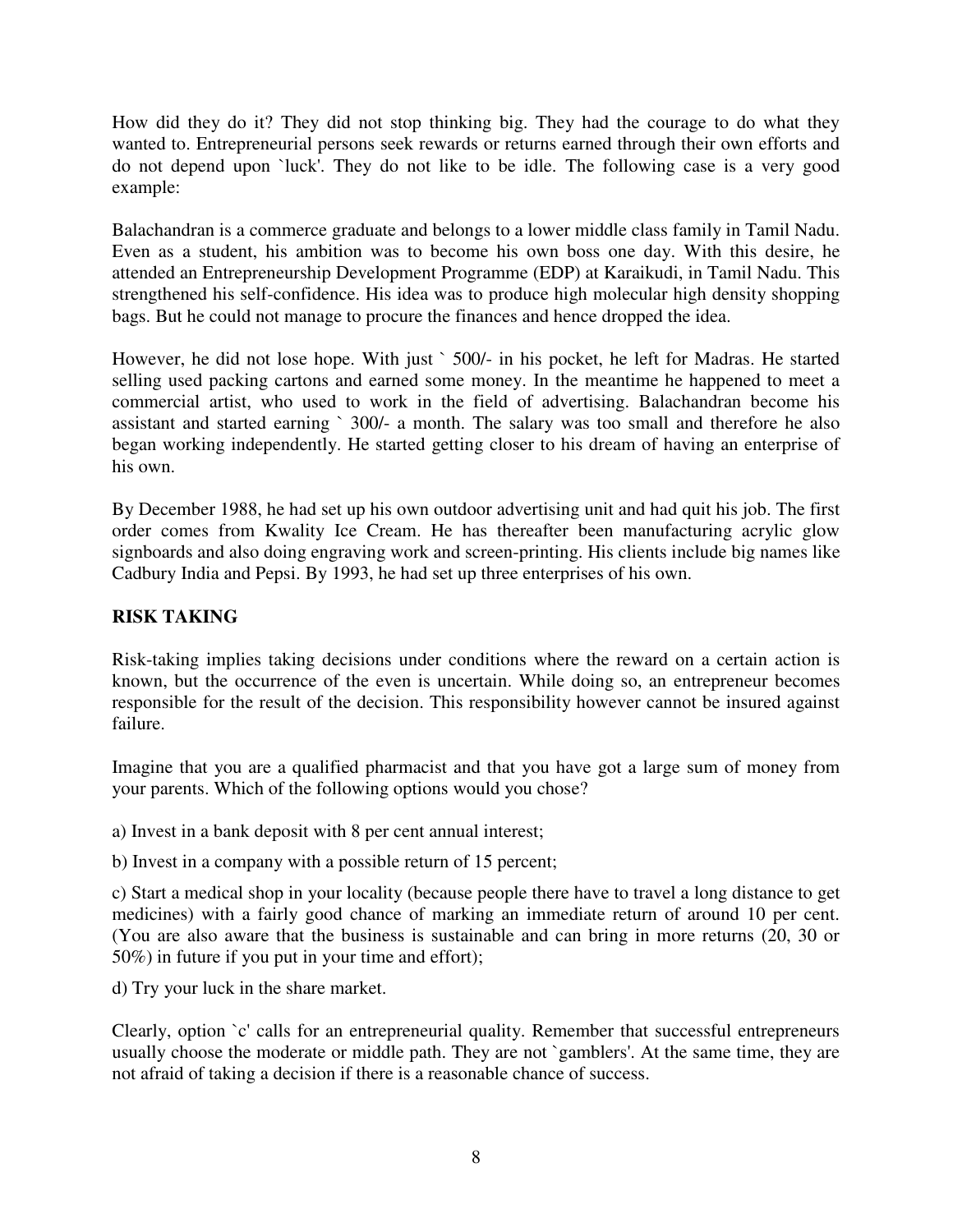How did they do it? They did not stop thinking big. They had the courage to do what they wanted to. Entrepreneurial persons seek rewards or returns earned through their own efforts and do not depend upon `luck'. They do not like to be idle. The following case is a very good example:

Balachandran is a commerce graduate and belongs to a lower middle class family in Tamil Nadu. Even as a student, his ambition was to become his own boss one day. With this desire, he attended an Entrepreneurship Development Programme (EDP) at Karaikudi, in Tamil Nadu. This strengthened his self-confidence. His idea was to produce high molecular high density shopping bags. But he could not manage to procure the finances and hence dropped the idea.

However, he did not lose hope. With just ` 500/- in his pocket, he left for Madras. He started selling used packing cartons and earned some money. In the meantime he happened to meet a commercial artist, who used to work in the field of advertising. Balachandran become his assistant and started earning ` 300/- a month. The salary was too small and therefore he also began working independently. He started getting closer to his dream of having an enterprise of his own.

By December 1988, he had set up his own outdoor advertising unit and had quit his job. The first order comes from Kwality Ice Cream. He has thereafter been manufacturing acrylic glow signboards and also doing engraving work and screen-printing. His clients include big names like Cadbury India and Pepsi. By 1993, he had set up three enterprises of his own.

# **RISK TAKING**

Risk-taking implies taking decisions under conditions where the reward on a certain action is known, but the occurrence of the even is uncertain. While doing so, an entrepreneur becomes responsible for the result of the decision. This responsibility however cannot be insured against failure.

Imagine that you are a qualified pharmacist and that you have got a large sum of money from your parents. Which of the following options would you chose?

a) Invest in a bank deposit with 8 per cent annual interest;

b) Invest in a company with a possible return of 15 percent;

c) Start a medical shop in your locality (because people there have to travel a long distance to get medicines) with a fairly good chance of marking an immediate return of around 10 per cent. (You are also aware that the business is sustainable and can bring in more returns (20, 30 or 50%) in future if you put in your time and effort);

d) Try your luck in the share market.

Clearly, option `c' calls for an entrepreneurial quality. Remember that successful entrepreneurs usually choose the moderate or middle path. They are not `gamblers'. At the same time, they are not afraid of taking a decision if there is a reasonable chance of success.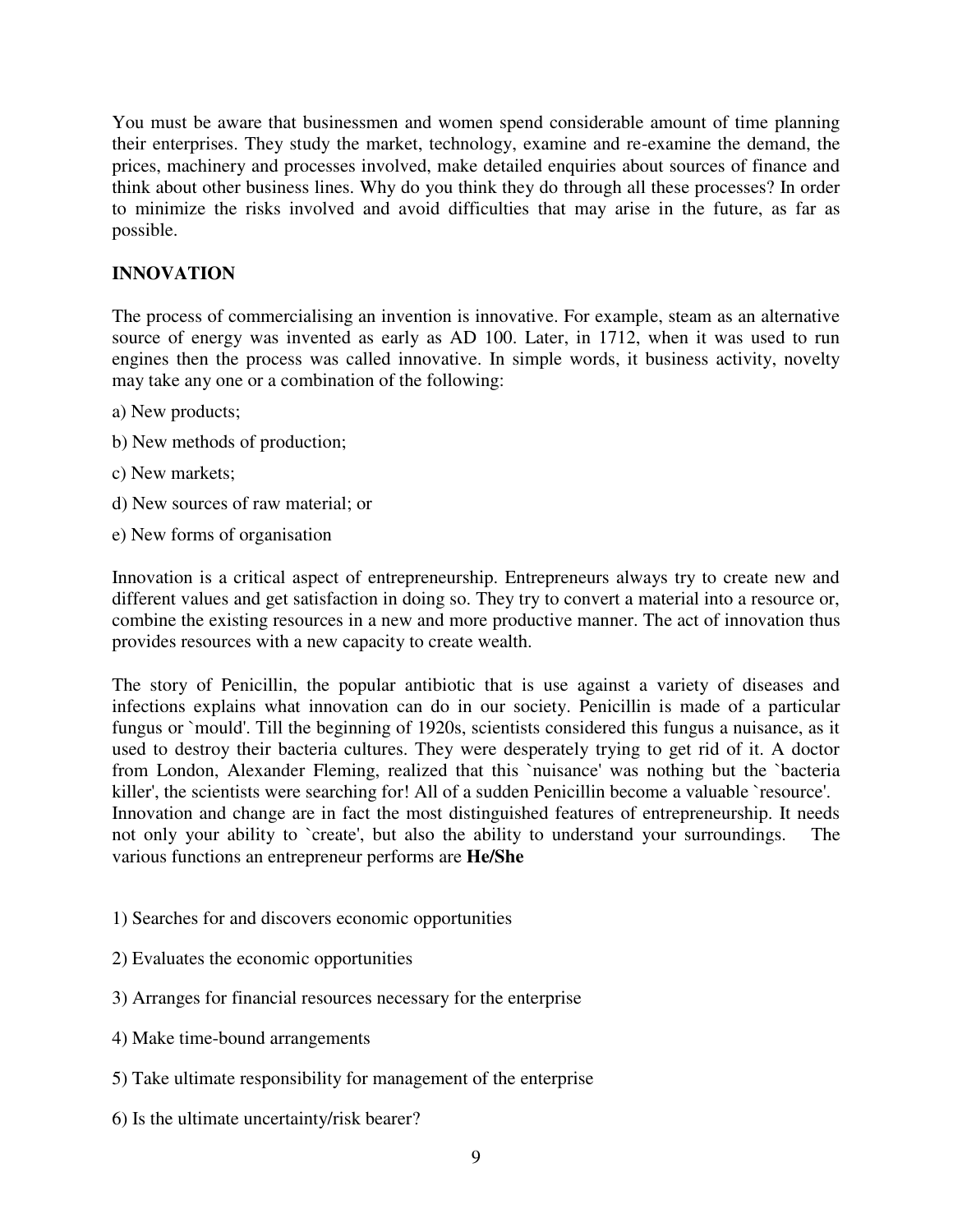You must be aware that businessmen and women spend considerable amount of time planning their enterprises. They study the market, technology, examine and re-examine the demand, the prices, machinery and processes involved, make detailed enquiries about sources of finance and think about other business lines. Why do you think they do through all these processes? In order to minimize the risks involved and avoid difficulties that may arise in the future, as far as possible.

# **INNOVATION**

The process of commercialising an invention is innovative. For example, steam as an alternative source of energy was invented as early as AD 100. Later, in 1712, when it was used to run engines then the process was called innovative. In simple words, it business activity, novelty may take any one or a combination of the following:

- a) New products;
- b) New methods of production;
- c) New markets;
- d) New sources of raw material; or
- e) New forms of organisation

Innovation is a critical aspect of entrepreneurship. Entrepreneurs always try to create new and different values and get satisfaction in doing so. They try to convert a material into a resource or, combine the existing resources in a new and more productive manner. The act of innovation thus provides resources with a new capacity to create wealth.

The story of Penicillin, the popular antibiotic that is use against a variety of diseases and infections explains what innovation can do in our society. Penicillin is made of a particular fungus or `mould'. Till the beginning of 1920s, scientists considered this fungus a nuisance, as it used to destroy their bacteria cultures. They were desperately trying to get rid of it. A doctor from London, Alexander Fleming, realized that this `nuisance' was nothing but the `bacteria killer', the scientists were searching for! All of a sudden Penicillin become a valuable `resource'. Innovation and change are in fact the most distinguished features of entrepreneurship. It needs not only your ability to `create', but also the ability to understand your surroundings. The various functions an entrepreneur performs are **He/She**

- 1) Searches for and discovers economic opportunities
- 2) Evaluates the economic opportunities
- 3) Arranges for financial resources necessary for the enterprise
- 4) Make time-bound arrangements
- 5) Take ultimate responsibility for management of the enterprise
- 6) Is the ultimate uncertainty/risk bearer?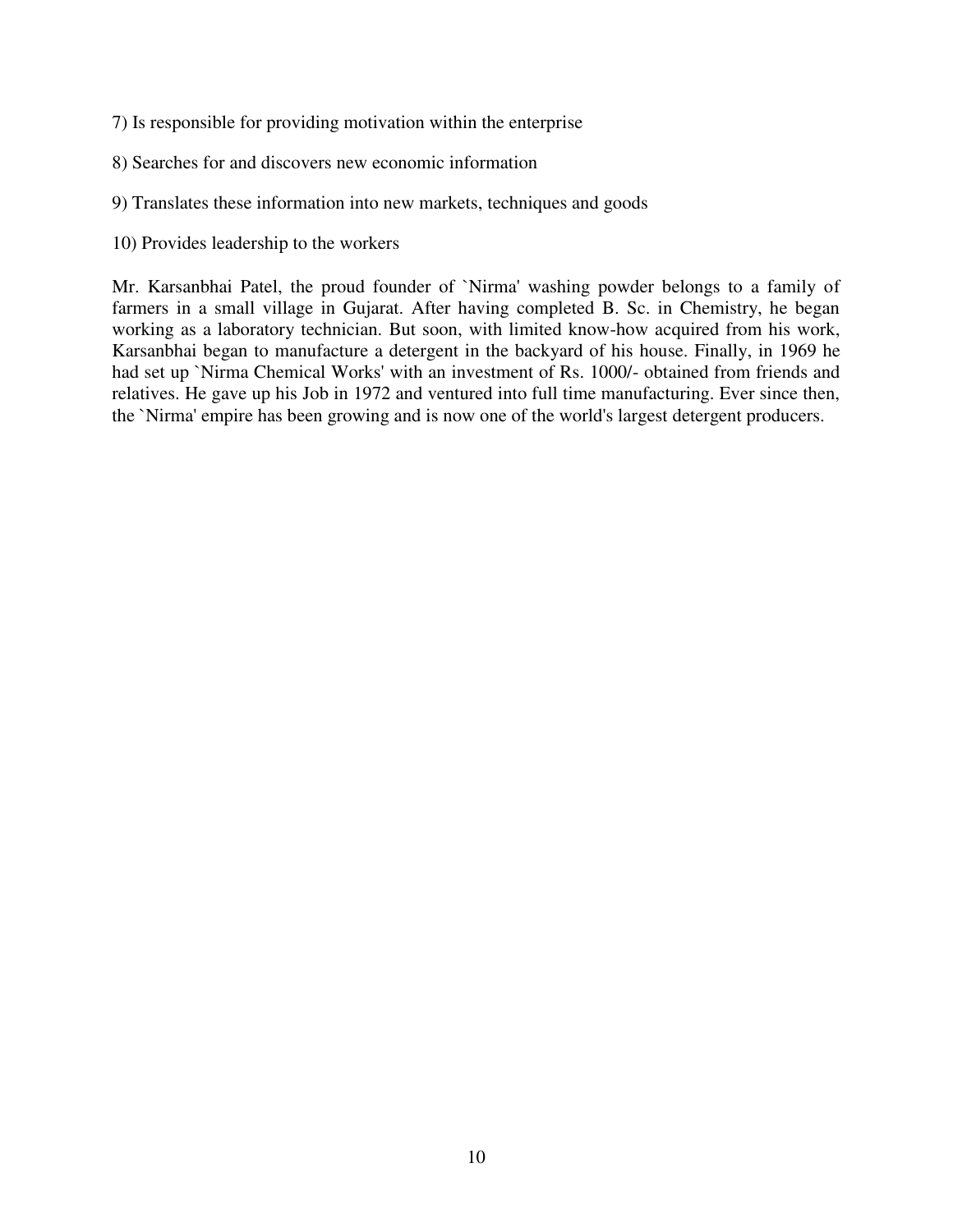7) Is responsible for providing motivation within the enterprise

- 8) Searches for and discovers new economic information
- 9) Translates these information into new markets, techniques and goods
- 10) Provides leadership to the workers

Mr. Karsanbhai Patel, the proud founder of `Nirma' washing powder belongs to a family of farmers in a small village in Gujarat. After having completed B. Sc. in Chemistry, he began working as a laboratory technician. But soon, with limited know-how acquired from his work, Karsanbhai began to manufacture a detergent in the backyard of his house. Finally, in 1969 he had set up `Nirma Chemical Works' with an investment of Rs. 1000/- obtained from friends and relatives. He gave up his Job in 1972 and ventured into full time manufacturing. Ever since then, the `Nirma' empire has been growing and is now one of the world's largest detergent producers.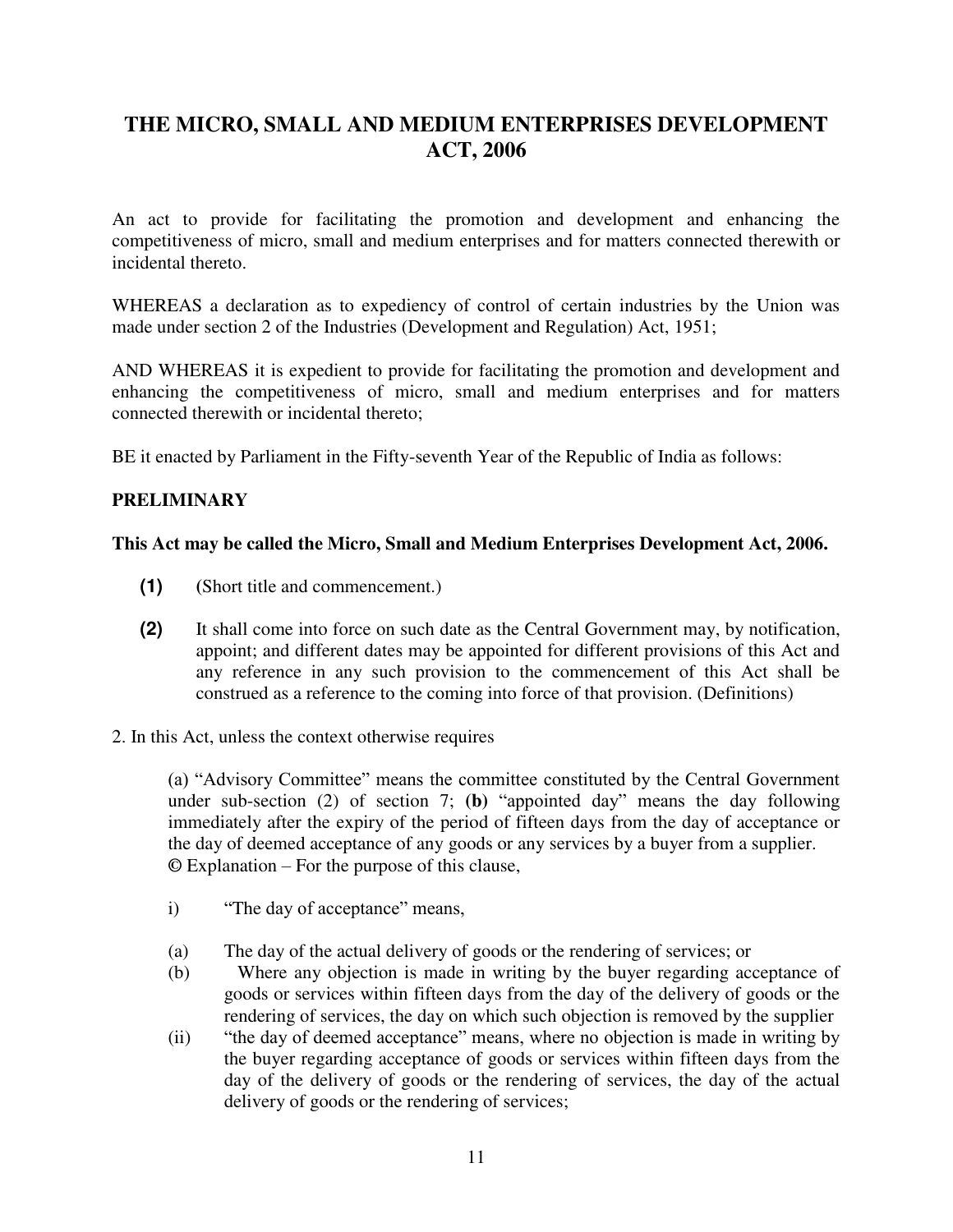# **THE MICRO, SMALL AND MEDIUM ENTERPRISES DEVELOPMENT ACT, 2006**

An act to provide for facilitating the promotion and development and enhancing the competitiveness of micro, small and medium enterprises and for matters connected therewith or incidental thereto.

WHEREAS a declaration as to expediency of control of certain industries by the Union was made under section 2 of the Industries (Development and Regulation) Act, 1951;

AND WHEREAS it is expedient to provide for facilitating the promotion and development and enhancing the competitiveness of micro, small and medium enterprises and for matters connected therewith or incidental thereto;

BE it enacted by Parliament in the Fifty-seventh Year of the Republic of India as follows:

# **PRELIMINARY**

# **This Act may be called the Micro, Small and Medium Enterprises Development Act, 2006.**

- **(1) (**Short title and commencement.)
- **(2)** It shall come into force on such date as the Central Government may, by notification, appoint; and different dates may be appointed for different provisions of this Act and any reference in any such provision to the commencement of this Act shall be construed as a reference to the coming into force of that provision. (Definitions)
- 2. In this Act, unless the context otherwise requires

(a) "Advisory Committee" means the committee constituted by the Central Government under sub-section (2) of section 7; **(b)** "appointed day" means the day following immediately after the expiry of the period of fifteen days from the day of acceptance or the day of deemed acceptance of any goods or any services by a buyer from a supplier. **©** Explanation – For the purpose of this clause,

- i) "The day of acceptance" means,
- (a) The day of the actual delivery of goods or the rendering of services; or
- (b) Where any objection is made in writing by the buyer regarding acceptance of goods or services within fifteen days from the day of the delivery of goods or the rendering of services, the day on which such objection is removed by the supplier
- (ii) "the day of deemed acceptance" means, where no objection is made in writing by the buyer regarding acceptance of goods or services within fifteen days from the day of the delivery of goods or the rendering of services, the day of the actual delivery of goods or the rendering of services;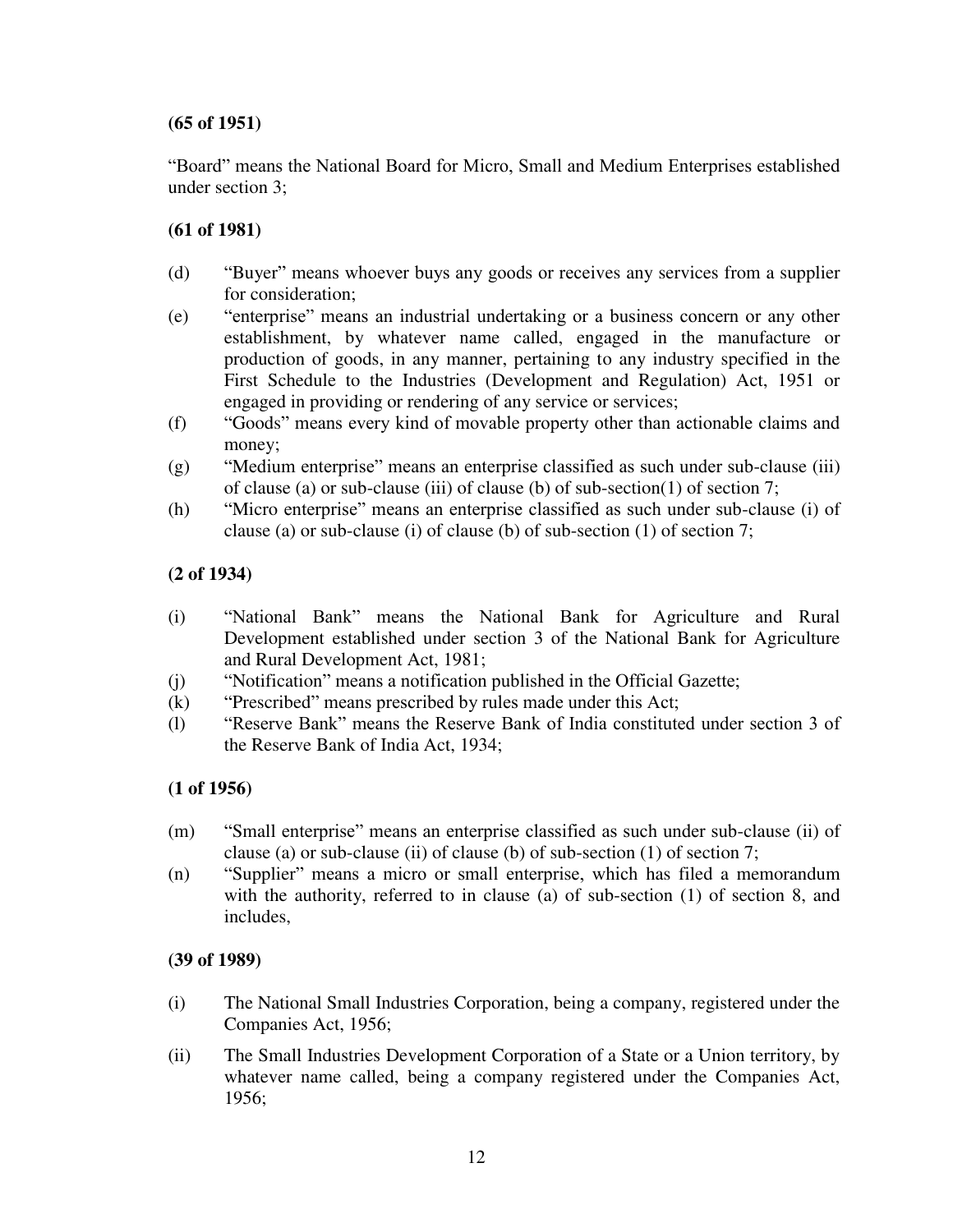# **(65 of 1951)**

"Board" means the National Board for Micro, Small and Medium Enterprises established under section 3;

# **(61 of 1981)**

- (d) "Buyer" means whoever buys any goods or receives any services from a supplier for consideration;
- (e) "enterprise" means an industrial undertaking or a business concern or any other establishment, by whatever name called, engaged in the manufacture or production of goods, in any manner, pertaining to any industry specified in the First Schedule to the Industries (Development and Regulation) Act, 1951 or engaged in providing or rendering of any service or services;
- (f) "Goods" means every kind of movable property other than actionable claims and money;
- (g) "Medium enterprise" means an enterprise classified as such under sub-clause (iii) of clause (a) or sub-clause (iii) of clause (b) of sub-section(1) of section 7;
- (h) "Micro enterprise" means an enterprise classified as such under sub-clause (i) of clause (a) or sub-clause (i) of clause (b) of sub-section (1) of section 7;

# **(2 of 1934)**

- (i) "National Bank" means the National Bank for Agriculture and Rural Development established under section 3 of the National Bank for Agriculture and Rural Development Act, 1981;
- (j) "Notification" means a notification published in the Official Gazette;
- (k) "Prescribed" means prescribed by rules made under this Act;
- (l) "Reserve Bank" means the Reserve Bank of India constituted under section 3 of the Reserve Bank of India Act, 1934;

#### **(1 of 1956)**

- (m) "Small enterprise" means an enterprise classified as such under sub-clause (ii) of clause (a) or sub-clause (ii) of clause (b) of sub-section  $(1)$  of section 7;
- (n) "Supplier" means a micro or small enterprise, which has filed a memorandum with the authority, referred to in clause (a) of sub-section (1) of section 8, and includes,

#### **(39 of 1989)**

- (i) The National Small Industries Corporation, being a company, registered under the Companies Act, 1956;
- (ii) The Small Industries Development Corporation of a State or a Union territory, by whatever name called, being a company registered under the Companies Act, 1956;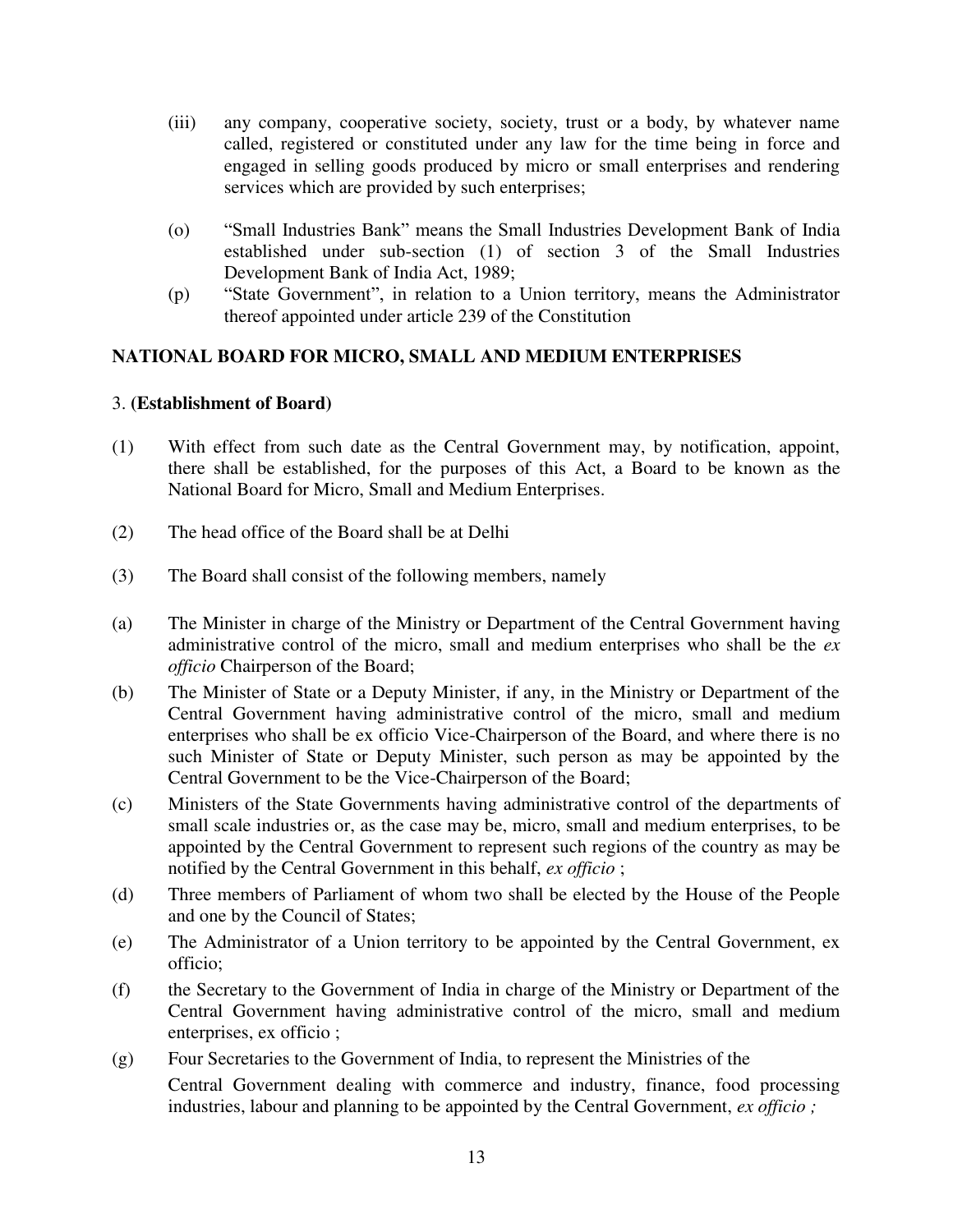- (iii) any company, cooperative society, society, trust or a body, by whatever name called, registered or constituted under any law for the time being in force and engaged in selling goods produced by micro or small enterprises and rendering services which are provided by such enterprises;
- (o) "Small Industries Bank" means the Small Industries Development Bank of India established under sub-section (1) of section 3 of the Small Industries Development Bank of India Act, 1989;
- (p) "State Government", in relation to a Union territory, means the Administrator thereof appointed under article 239 of the Constitution

# **NATIONAL BOARD FOR MICRO, SMALL AND MEDIUM ENTERPRISES**

# 3. **(Establishment of Board)**

- (1) With effect from such date as the Central Government may, by notification, appoint, there shall be established, for the purposes of this Act, a Board to be known as the National Board for Micro, Small and Medium Enterprises.
- (2) The head office of the Board shall be at Delhi
- (3) The Board shall consist of the following members, namely
- (a) The Minister in charge of the Ministry or Department of the Central Government having administrative control of the micro, small and medium enterprises who shall be the *ex officio* Chairperson of the Board;
- (b) The Minister of State or a Deputy Minister, if any, in the Ministry or Department of the Central Government having administrative control of the micro, small and medium enterprises who shall be ex officio Vice-Chairperson of the Board, and where there is no such Minister of State or Deputy Minister, such person as may be appointed by the Central Government to be the Vice-Chairperson of the Board;
- (c) Ministers of the State Governments having administrative control of the departments of small scale industries or, as the case may be, micro, small and medium enterprises, to be appointed by the Central Government to represent such regions of the country as may be notified by the Central Government in this behalf, *ex officio* ;
- (d) Three members of Parliament of whom two shall be elected by the House of the People and one by the Council of States;
- (e) The Administrator of a Union territory to be appointed by the Central Government, ex officio;
- (f) the Secretary to the Government of India in charge of the Ministry or Department of the Central Government having administrative control of the micro, small and medium enterprises, ex officio ;
- (g) Four Secretaries to the Government of India, to represent the Ministries of the Central Government dealing with commerce and industry, finance, food processing industries, labour and planning to be appointed by the Central Government, *ex officio ;*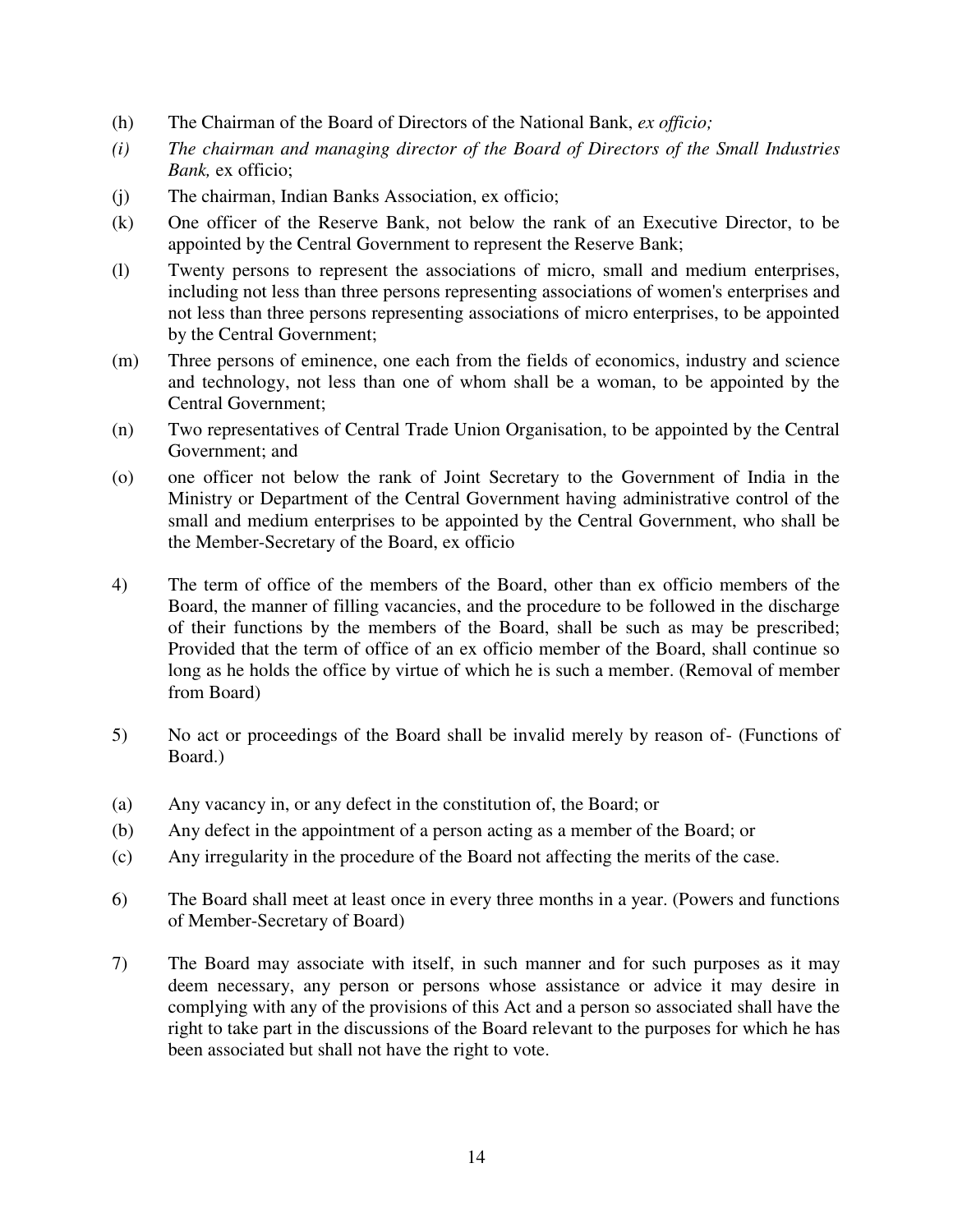- (h) The Chairman of the Board of Directors of the National Bank, *ex officio;*
- *(i) The chairman and managing director of the Board of Directors of the Small Industries Bank,* ex officio;
- (j) The chairman, Indian Banks Association, ex officio;
- (k) One officer of the Reserve Bank, not below the rank of an Executive Director, to be appointed by the Central Government to represent the Reserve Bank;
- (l) Twenty persons to represent the associations of micro, small and medium enterprises, including not less than three persons representing associations of women's enterprises and not less than three persons representing associations of micro enterprises, to be appointed by the Central Government;
- (m) Three persons of eminence, one each from the fields of economics, industry and science and technology, not less than one of whom shall be a woman, to be appointed by the Central Government;
- (n) Two representatives of Central Trade Union Organisation, to be appointed by the Central Government; and
- (o) one officer not below the rank of Joint Secretary to the Government of India in the Ministry or Department of the Central Government having administrative control of the small and medium enterprises to be appointed by the Central Government, who shall be the Member-Secretary of the Board, ex officio
- 4) The term of office of the members of the Board, other than ex officio members of the Board, the manner of filling vacancies, and the procedure to be followed in the discharge of their functions by the members of the Board, shall be such as may be prescribed; Provided that the term of office of an ex officio member of the Board, shall continue so long as he holds the office by virtue of which he is such a member. (Removal of member from Board)
- 5) No act or proceedings of the Board shall be invalid merely by reason of- (Functions of Board.)
- (a) Any vacancy in, or any defect in the constitution of, the Board; or
- (b) Any defect in the appointment of a person acting as a member of the Board; or
- (c) Any irregularity in the procedure of the Board not affecting the merits of the case.
- 6) The Board shall meet at least once in every three months in a year. (Powers and functions of Member-Secretary of Board)
- 7) The Board may associate with itself, in such manner and for such purposes as it may deem necessary, any person or persons whose assistance or advice it may desire in complying with any of the provisions of this Act and a person so associated shall have the right to take part in the discussions of the Board relevant to the purposes for which he has been associated but shall not have the right to vote.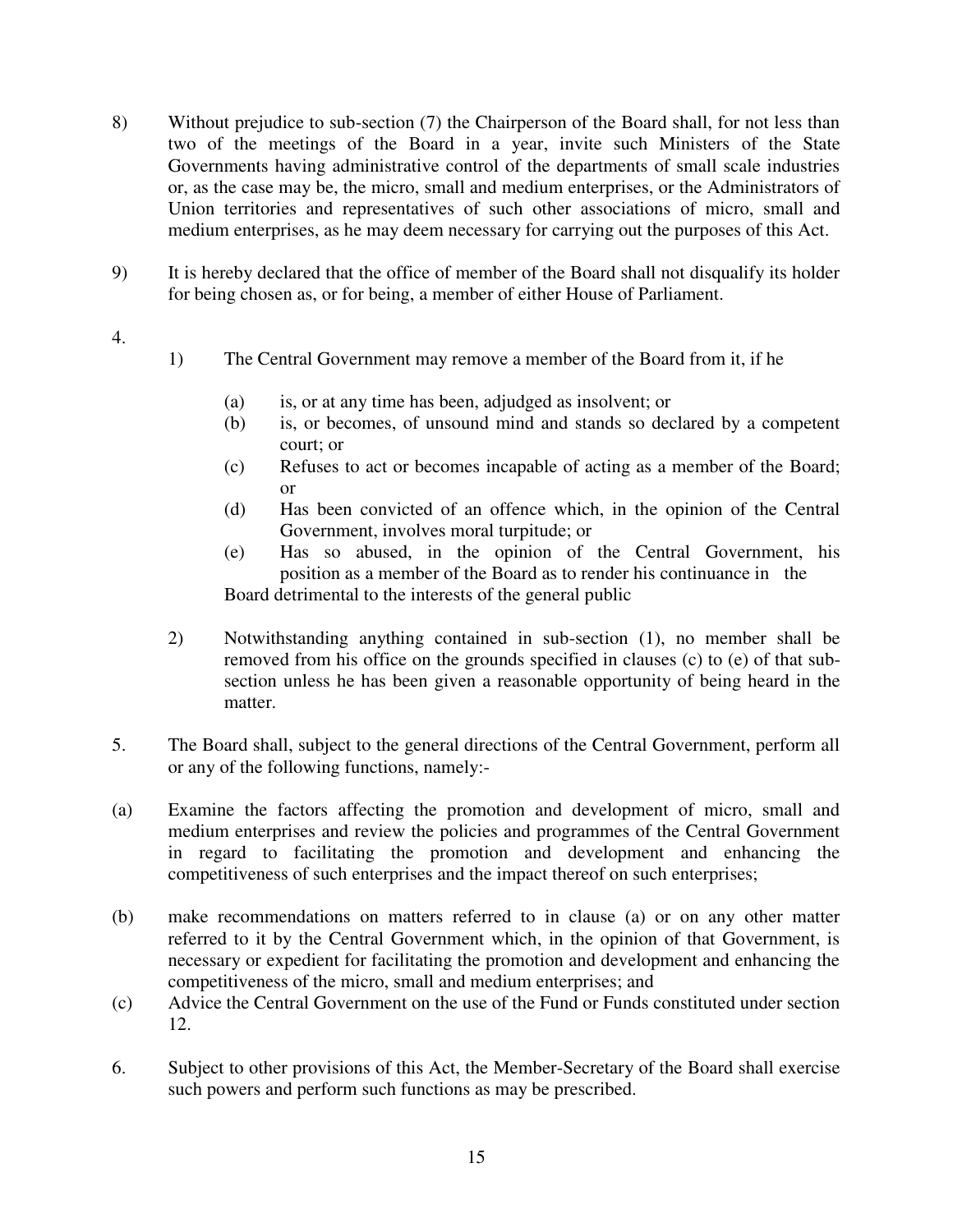- 8) Without prejudice to sub-section (7) the Chairperson of the Board shall, for not less than two of the meetings of the Board in a year, invite such Ministers of the State Governments having administrative control of the departments of small scale industries or, as the case may be, the micro, small and medium enterprises, or the Administrators of Union territories and representatives of such other associations of micro, small and medium enterprises, as he may deem necessary for carrying out the purposes of this Act.
- 9) It is hereby declared that the office of member of the Board shall not disqualify its holder for being chosen as, or for being, a member of either House of Parliament.
- 4.
- 1) The Central Government may remove a member of the Board from it, if he
	- (a) is, or at any time has been, adjudged as insolvent; or
	- (b) is, or becomes, of unsound mind and stands so declared by a competent court; or
	- (c) Refuses to act or becomes incapable of acting as a member of the Board; or
	- (d) Has been convicted of an offence which, in the opinion of the Central Government, involves moral turpitude; or
	- (e) Has so abused, in the opinion of the Central Government, his position as a member of the Board as to render his continuance in the Board detrimental to the interests of the general public
- 2) Notwithstanding anything contained in sub-section (1), no member shall be removed from his office on the grounds specified in clauses (c) to (e) of that subsection unless he has been given a reasonable opportunity of being heard in the matter.
- 5. The Board shall, subject to the general directions of the Central Government, perform all or any of the following functions, namely:-
- (a) Examine the factors affecting the promotion and development of micro, small and medium enterprises and review the policies and programmes of the Central Government in regard to facilitating the promotion and development and enhancing the competitiveness of such enterprises and the impact thereof on such enterprises;
- (b) make recommendations on matters referred to in clause (a) or on any other matter referred to it by the Central Government which, in the opinion of that Government, is necessary or expedient for facilitating the promotion and development and enhancing the competitiveness of the micro, small and medium enterprises; and
- (c) Advice the Central Government on the use of the Fund or Funds constituted under section 12.
- 6. Subject to other provisions of this Act, the Member-Secretary of the Board shall exercise such powers and perform such functions as may be prescribed.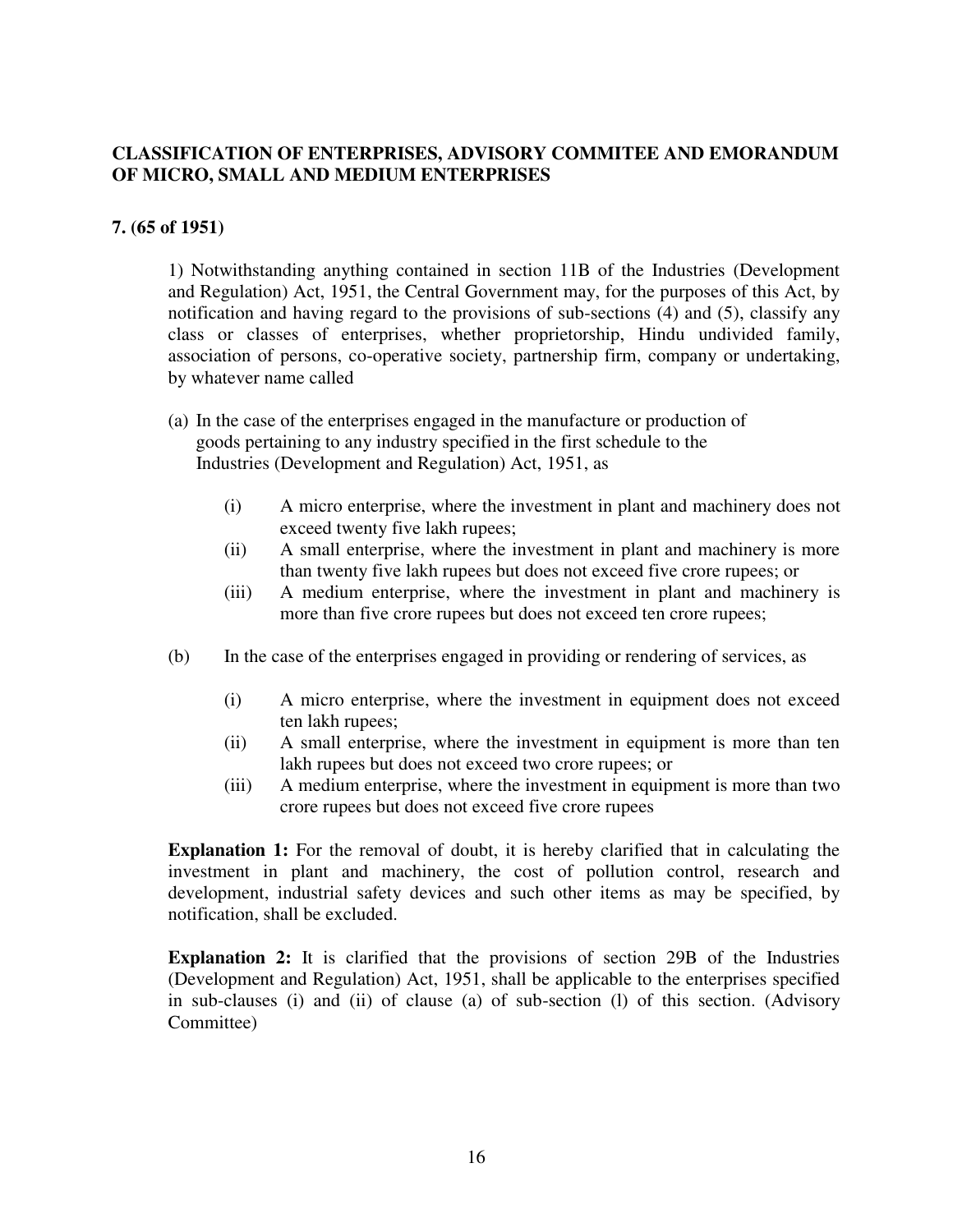# **CLASSIFICATION OF ENTERPRISES, ADVISORY COMMITEE AND EMORANDUM OF MICRO, SMALL AND MEDIUM ENTERPRISES**

#### **7. (65 of 1951)**

1) Notwithstanding anything contained in section 11B of the Industries (Development and Regulation) Act, 1951, the Central Government may, for the purposes of this Act, by notification and having regard to the provisions of sub-sections (4) and (5), classify any class or classes of enterprises, whether proprietorship, Hindu undivided family, association of persons, co-operative society, partnership firm, company or undertaking, by whatever name called

- (a) In the case of the enterprises engaged in the manufacture or production of goods pertaining to any industry specified in the first schedule to the Industries (Development and Regulation) Act, 1951, as
	- (i) A micro enterprise, where the investment in plant and machinery does not exceed twenty five lakh rupees;
	- (ii) A small enterprise, where the investment in plant and machinery is more than twenty five lakh rupees but does not exceed five crore rupees; or
	- (iii) A medium enterprise, where the investment in plant and machinery is more than five crore rupees but does not exceed ten crore rupees;
- (b) In the case of the enterprises engaged in providing or rendering of services, as
	- (i) A micro enterprise, where the investment in equipment does not exceed ten lakh rupees;
	- (ii) A small enterprise, where the investment in equipment is more than ten lakh rupees but does not exceed two crore rupees; or
	- (iii) A medium enterprise, where the investment in equipment is more than two crore rupees but does not exceed five crore rupees

**Explanation 1:** For the removal of doubt, it is hereby clarified that in calculating the investment in plant and machinery, the cost of pollution control, research and development, industrial safety devices and such other items as may be specified, by notification, shall be excluded.

**Explanation 2:** It is clarified that the provisions of section 29B of the Industries (Development and Regulation) Act, 1951, shall be applicable to the enterprises specified in sub-clauses (i) and (ii) of clause (a) of sub-section (l) of this section. (Advisory Committee)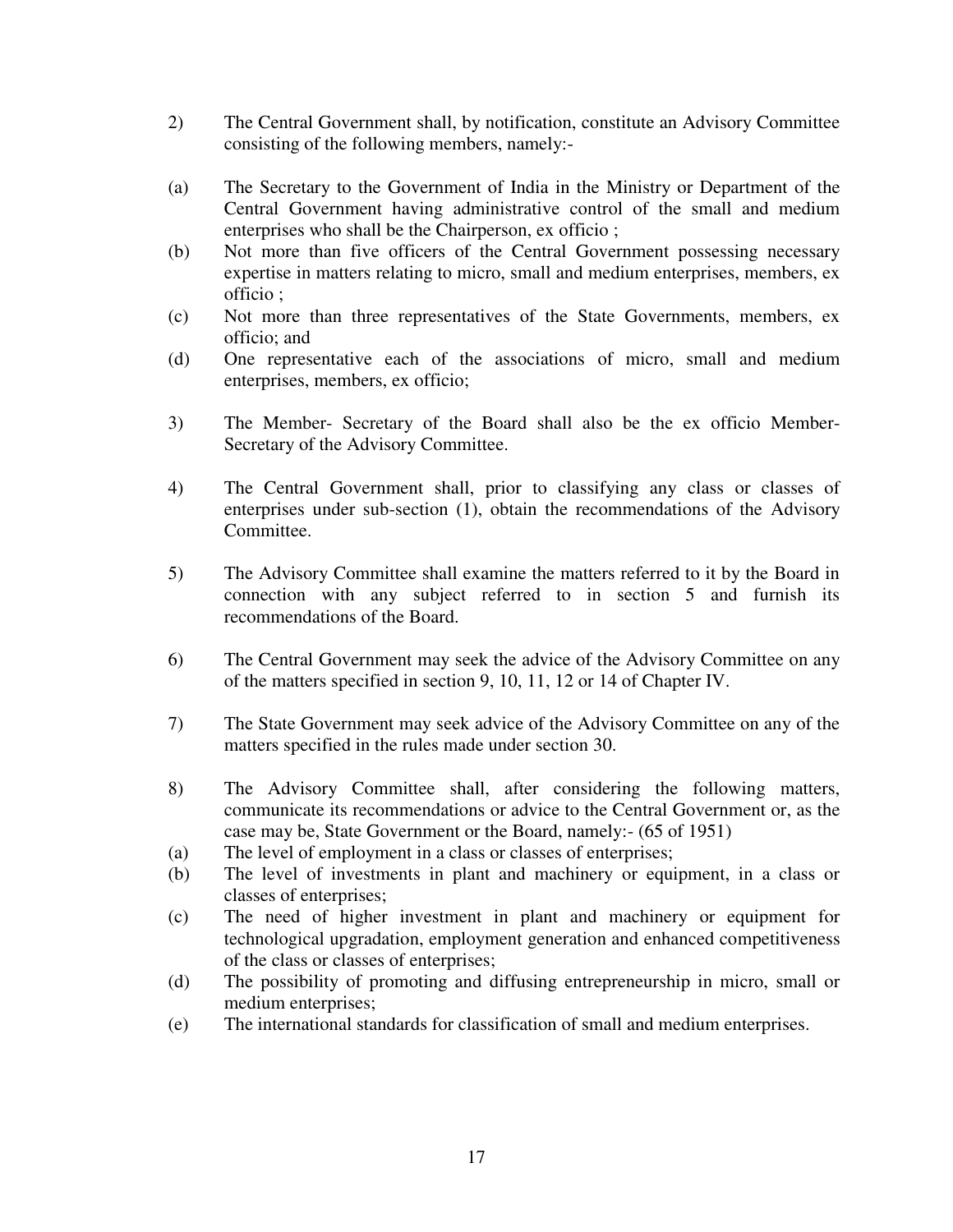- 2) The Central Government shall, by notification, constitute an Advisory Committee consisting of the following members, namely:-
- (a) The Secretary to the Government of India in the Ministry or Department of the Central Government having administrative control of the small and medium enterprises who shall be the Chairperson, ex officio ;
- (b) Not more than five officers of the Central Government possessing necessary expertise in matters relating to micro, small and medium enterprises, members, ex officio ;
- (c) Not more than three representatives of the State Governments, members, ex officio; and
- (d) One representative each of the associations of micro, small and medium enterprises, members, ex officio;
- 3) The Member- Secretary of the Board shall also be the ex officio Member-Secretary of the Advisory Committee.
- 4) The Central Government shall, prior to classifying any class or classes of enterprises under sub-section (1), obtain the recommendations of the Advisory Committee.
- 5) The Advisory Committee shall examine the matters referred to it by the Board in connection with any subject referred to in section 5 and furnish its recommendations of the Board.
- 6) The Central Government may seek the advice of the Advisory Committee on any of the matters specified in section 9, 10, 11, 12 or 14 of Chapter IV.
- 7) The State Government may seek advice of the Advisory Committee on any of the matters specified in the rules made under section 30.
- 8) The Advisory Committee shall, after considering the following matters, communicate its recommendations or advice to the Central Government or, as the case may be, State Government or the Board, namely:- (65 of 1951)
- (a) The level of employment in a class or classes of enterprises;
- (b) The level of investments in plant and machinery or equipment, in a class or classes of enterprises;
- (c) The need of higher investment in plant and machinery or equipment for technological upgradation, employment generation and enhanced competitiveness of the class or classes of enterprises;
- (d) The possibility of promoting and diffusing entrepreneurship in micro, small or medium enterprises;
- (e) The international standards for classification of small and medium enterprises.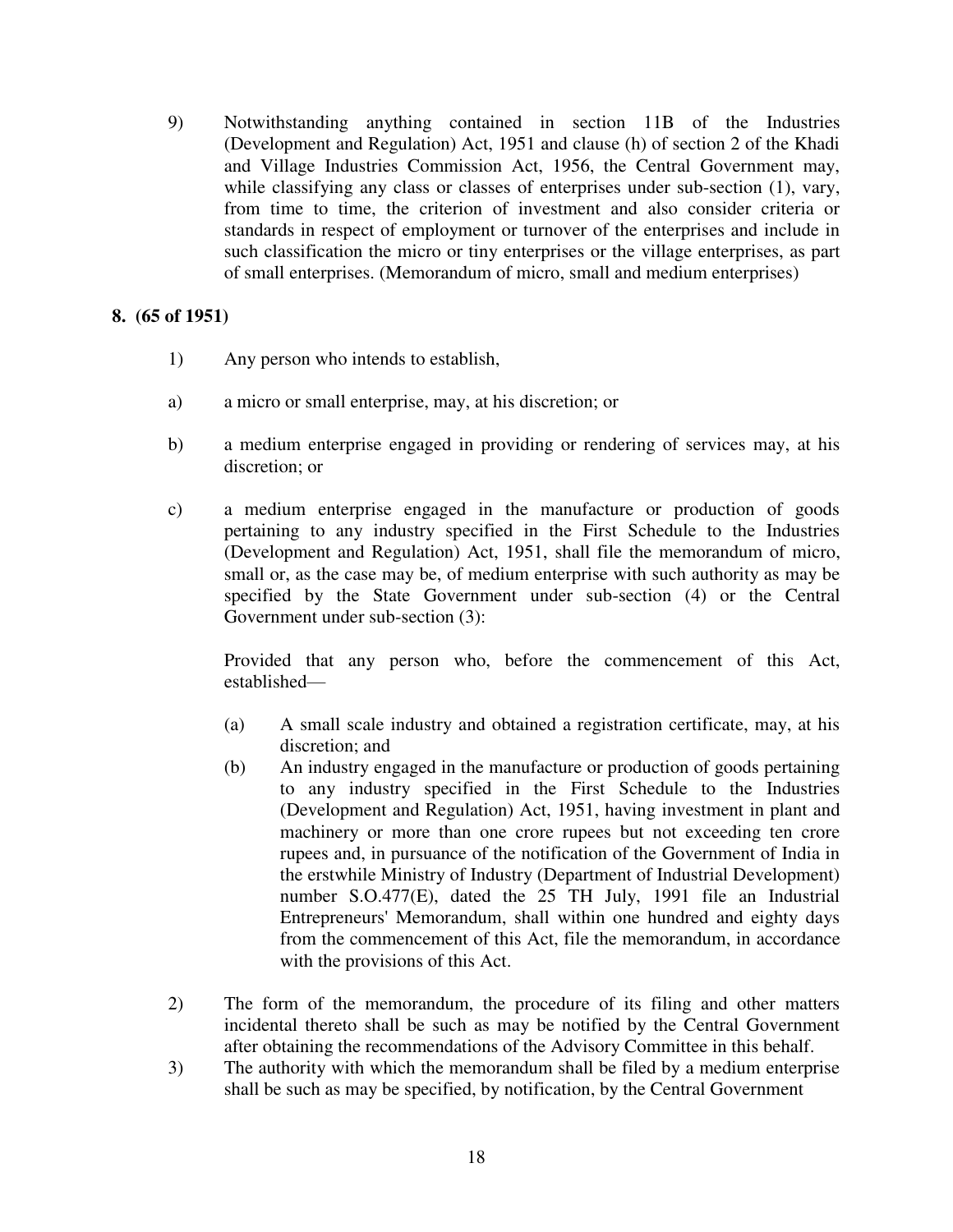9) Notwithstanding anything contained in section 11B of the Industries (Development and Regulation) Act, 1951 and clause (h) of section 2 of the Khadi and Village Industries Commission Act, 1956, the Central Government may, while classifying any class or classes of enterprises under sub-section (1), vary, from time to time, the criterion of investment and also consider criteria or standards in respect of employment or turnover of the enterprises and include in such classification the micro or tiny enterprises or the village enterprises, as part of small enterprises. (Memorandum of micro, small and medium enterprises)

# **8. (65 of 1951)**

- 1) Any person who intends to establish,
- a) a micro or small enterprise, may, at his discretion; or
- b) a medium enterprise engaged in providing or rendering of services may, at his discretion; or
- c) a medium enterprise engaged in the manufacture or production of goods pertaining to any industry specified in the First Schedule to the Industries (Development and Regulation) Act, 1951, shall file the memorandum of micro, small or, as the case may be, of medium enterprise with such authority as may be specified by the State Government under sub-section (4) or the Central Government under sub-section (3):

Provided that any person who, before the commencement of this Act, established—

- (a) A small scale industry and obtained a registration certificate, may, at his discretion; and
- (b) An industry engaged in the manufacture or production of goods pertaining to any industry specified in the First Schedule to the Industries (Development and Regulation) Act, 1951, having investment in plant and machinery or more than one crore rupees but not exceeding ten crore rupees and, in pursuance of the notification of the Government of India in the erstwhile Ministry of Industry (Department of Industrial Development) number S.O.477(E), dated the 25 TH July, 1991 file an Industrial Entrepreneurs' Memorandum, shall within one hundred and eighty days from the commencement of this Act, file the memorandum, in accordance with the provisions of this Act.
- 2) The form of the memorandum, the procedure of its filing and other matters incidental thereto shall be such as may be notified by the Central Government after obtaining the recommendations of the Advisory Committee in this behalf.
- 3) The authority with which the memorandum shall be filed by a medium enterprise shall be such as may be specified, by notification, by the Central Government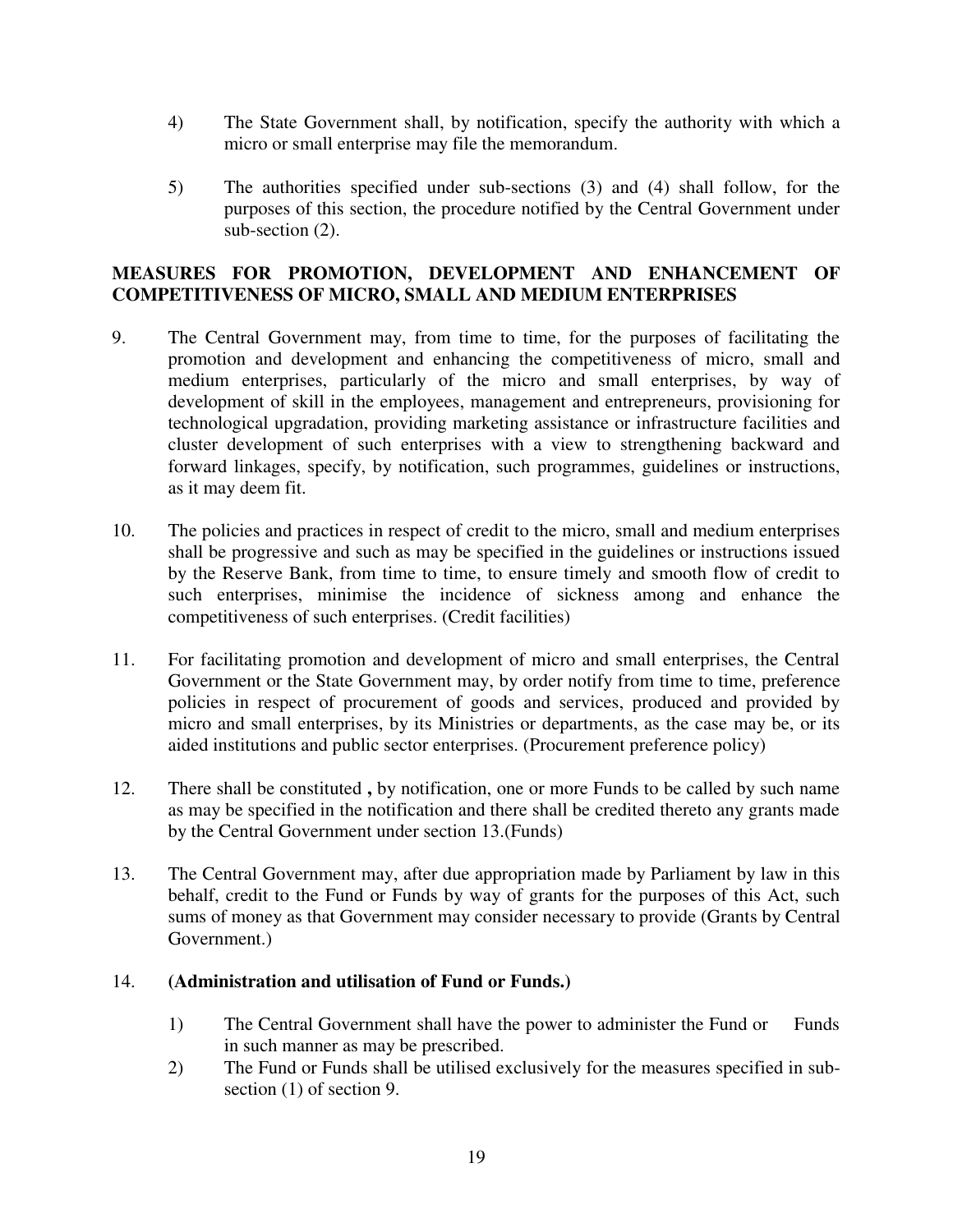- 4) The State Government shall, by notification, specify the authority with which a micro or small enterprise may file the memorandum.
- 5) The authorities specified under sub-sections (3) and (4) shall follow, for the purposes of this section, the procedure notified by the Central Government under sub-section (2).

# **MEASURES FOR PROMOTION, DEVELOPMENT AND ENHANCEMENT OF COMPETITIVENESS OF MICRO, SMALL AND MEDIUM ENTERPRISES**

- 9. The Central Government may, from time to time, for the purposes of facilitating the promotion and development and enhancing the competitiveness of micro, small and medium enterprises, particularly of the micro and small enterprises, by way of development of skill in the employees, management and entrepreneurs, provisioning for technological upgradation, providing marketing assistance or infrastructure facilities and cluster development of such enterprises with a view to strengthening backward and forward linkages, specify, by notification, such programmes, guidelines or instructions, as it may deem fit.
- 10. The policies and practices in respect of credit to the micro, small and medium enterprises shall be progressive and such as may be specified in the guidelines or instructions issued by the Reserve Bank, from time to time, to ensure timely and smooth flow of credit to such enterprises, minimise the incidence of sickness among and enhance the competitiveness of such enterprises. (Credit facilities)
- 11. For facilitating promotion and development of micro and small enterprises, the Central Government or the State Government may, by order notify from time to time, preference policies in respect of procurement of goods and services, produced and provided by micro and small enterprises, by its Ministries or departments, as the case may be, or its aided institutions and public sector enterprises. (Procurement preference policy)
- 12. There shall be constituted **,** by notification, one or more Funds to be called by such name as may be specified in the notification and there shall be credited thereto any grants made by the Central Government under section 13.(Funds)
- 13. The Central Government may, after due appropriation made by Parliament by law in this behalf, credit to the Fund or Funds by way of grants for the purposes of this Act, such sums of money as that Government may consider necessary to provide (Grants by Central Government.)

#### 14. **(Administration and utilisation of Fund or Funds.)**

- 1) The Central Government shall have the power to administer the Fund or Funds in such manner as may be prescribed.
- 2) The Fund or Funds shall be utilised exclusively for the measures specified in subsection (1) of section 9.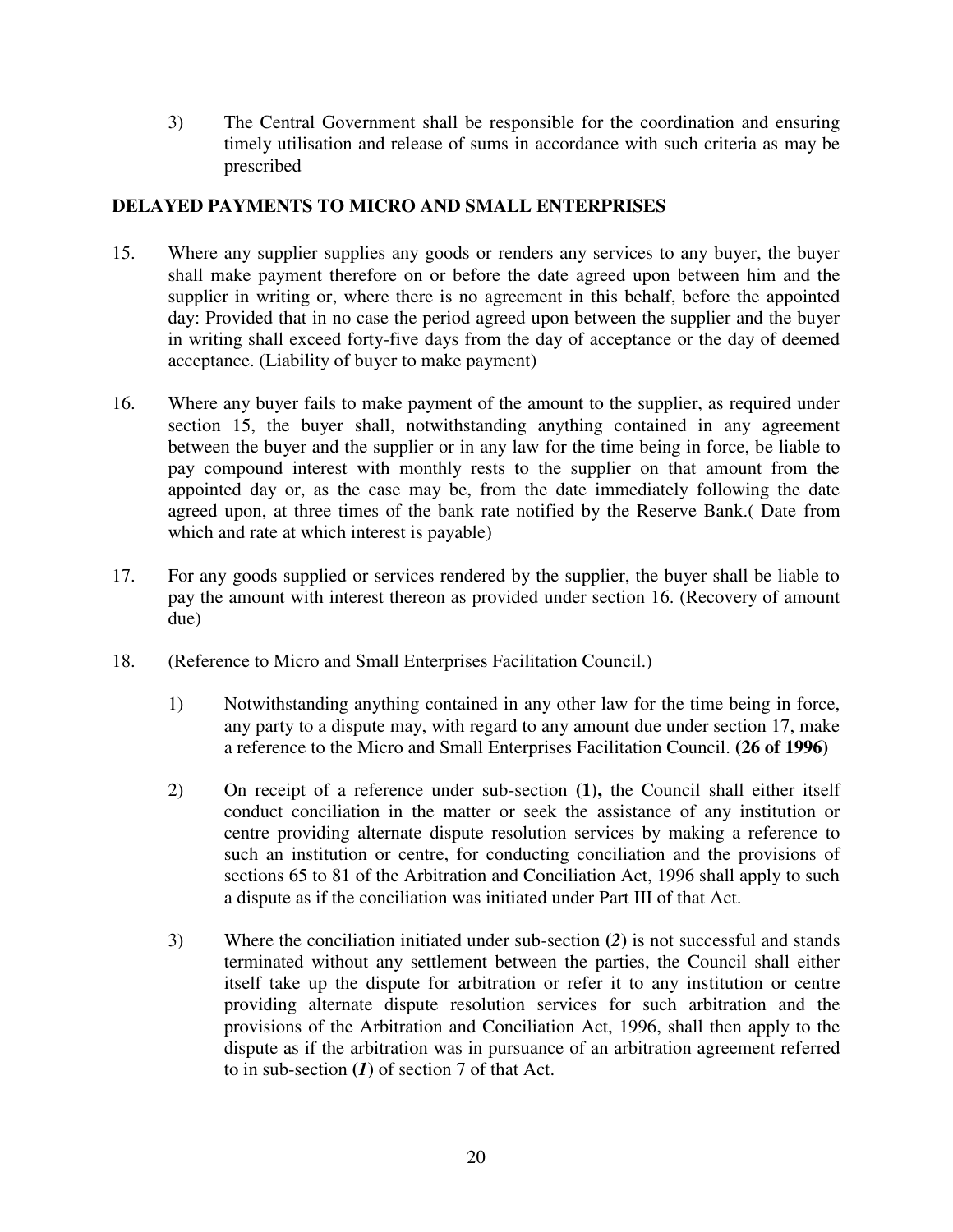3) The Central Government shall be responsible for the coordination and ensuring timely utilisation and release of sums in accordance with such criteria as may be prescribed

# **DELAYED PAYMENTS TO MICRO AND SMALL ENTERPRISES**

- 15. Where any supplier supplies any goods or renders any services to any buyer, the buyer shall make payment therefore on or before the date agreed upon between him and the supplier in writing or, where there is no agreement in this behalf, before the appointed day: Provided that in no case the period agreed upon between the supplier and the buyer in writing shall exceed forty-five days from the day of acceptance or the day of deemed acceptance. (Liability of buyer to make payment)
- 16. Where any buyer fails to make payment of the amount to the supplier, as required under section 15, the buyer shall, notwithstanding anything contained in any agreement between the buyer and the supplier or in any law for the time being in force, be liable to pay compound interest with monthly rests to the supplier on that amount from the appointed day or, as the case may be, from the date immediately following the date agreed upon, at three times of the bank rate notified by the Reserve Bank.( Date from which and rate at which interest is payable)
- 17. For any goods supplied or services rendered by the supplier, the buyer shall be liable to pay the amount with interest thereon as provided under section 16. (Recovery of amount due)
- 18. (Reference to Micro and Small Enterprises Facilitation Council.)
	- 1) Notwithstanding anything contained in any other law for the time being in force, any party to a dispute may, with regard to any amount due under section 17, make a reference to the Micro and Small Enterprises Facilitation Council. **(26 of 1996)**
	- 2) On receipt of a reference under sub-section **(1),** the Council shall either itself conduct conciliation in the matter or seek the assistance of any institution or centre providing alternate dispute resolution services by making a reference to such an institution or centre, for conducting conciliation and the provisions of sections 65 to 81 of the Arbitration and Conciliation Act, 1996 shall apply to such a dispute as if the conciliation was initiated under Part III of that Act.
	- 3) Where the conciliation initiated under sub-section **(***2***)** is not successful and stands terminated without any settlement between the parties, the Council shall either itself take up the dispute for arbitration or refer it to any institution or centre providing alternate dispute resolution services for such arbitration and the provisions of the Arbitration and Conciliation Act, 1996, shall then apply to the dispute as if the arbitration was in pursuance of an arbitration agreement referred to in sub-section  $(I)$  of section 7 of that Act.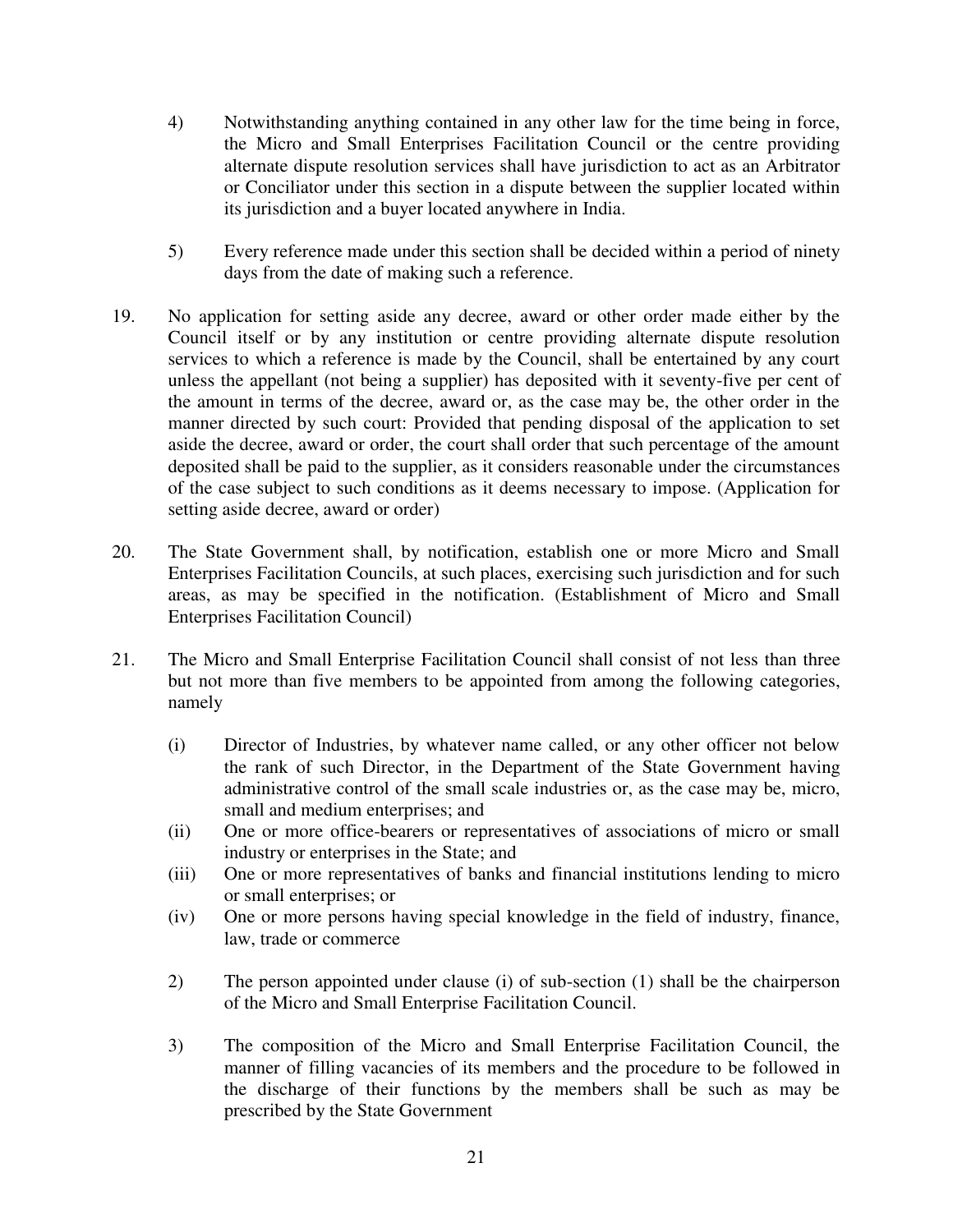- 4) Notwithstanding anything contained in any other law for the time being in force, the Micro and Small Enterprises Facilitation Council or the centre providing alternate dispute resolution services shall have jurisdiction to act as an Arbitrator or Conciliator under this section in a dispute between the supplier located within its jurisdiction and a buyer located anywhere in India.
- 5) Every reference made under this section shall be decided within a period of ninety days from the date of making such a reference.
- 19. No application for setting aside any decree, award or other order made either by the Council itself or by any institution or centre providing alternate dispute resolution services to which a reference is made by the Council, shall be entertained by any court unless the appellant (not being a supplier) has deposited with it seventy-five per cent of the amount in terms of the decree, award or, as the case may be, the other order in the manner directed by such court: Provided that pending disposal of the application to set aside the decree, award or order, the court shall order that such percentage of the amount deposited shall be paid to the supplier, as it considers reasonable under the circumstances of the case subject to such conditions as it deems necessary to impose. (Application for setting aside decree, award or order)
- 20. The State Government shall, by notification, establish one or more Micro and Small Enterprises Facilitation Councils, at such places, exercising such jurisdiction and for such areas, as may be specified in the notification. (Establishment of Micro and Small Enterprises Facilitation Council)
- 21. The Micro and Small Enterprise Facilitation Council shall consist of not less than three but not more than five members to be appointed from among the following categories, namely
	- (i) Director of Industries, by whatever name called, or any other officer not below the rank of such Director, in the Department of the State Government having administrative control of the small scale industries or, as the case may be, micro, small and medium enterprises; and
	- (ii) One or more office-bearers or representatives of associations of micro or small industry or enterprises in the State; and
	- (iii) One or more representatives of banks and financial institutions lending to micro or small enterprises; or
	- (iv) One or more persons having special knowledge in the field of industry, finance, law, trade or commerce
	- 2) The person appointed under clause (i) of sub-section (1) shall be the chairperson of the Micro and Small Enterprise Facilitation Council.
	- 3) The composition of the Micro and Small Enterprise Facilitation Council, the manner of filling vacancies of its members and the procedure to be followed in the discharge of their functions by the members shall be such as may be prescribed by the State Government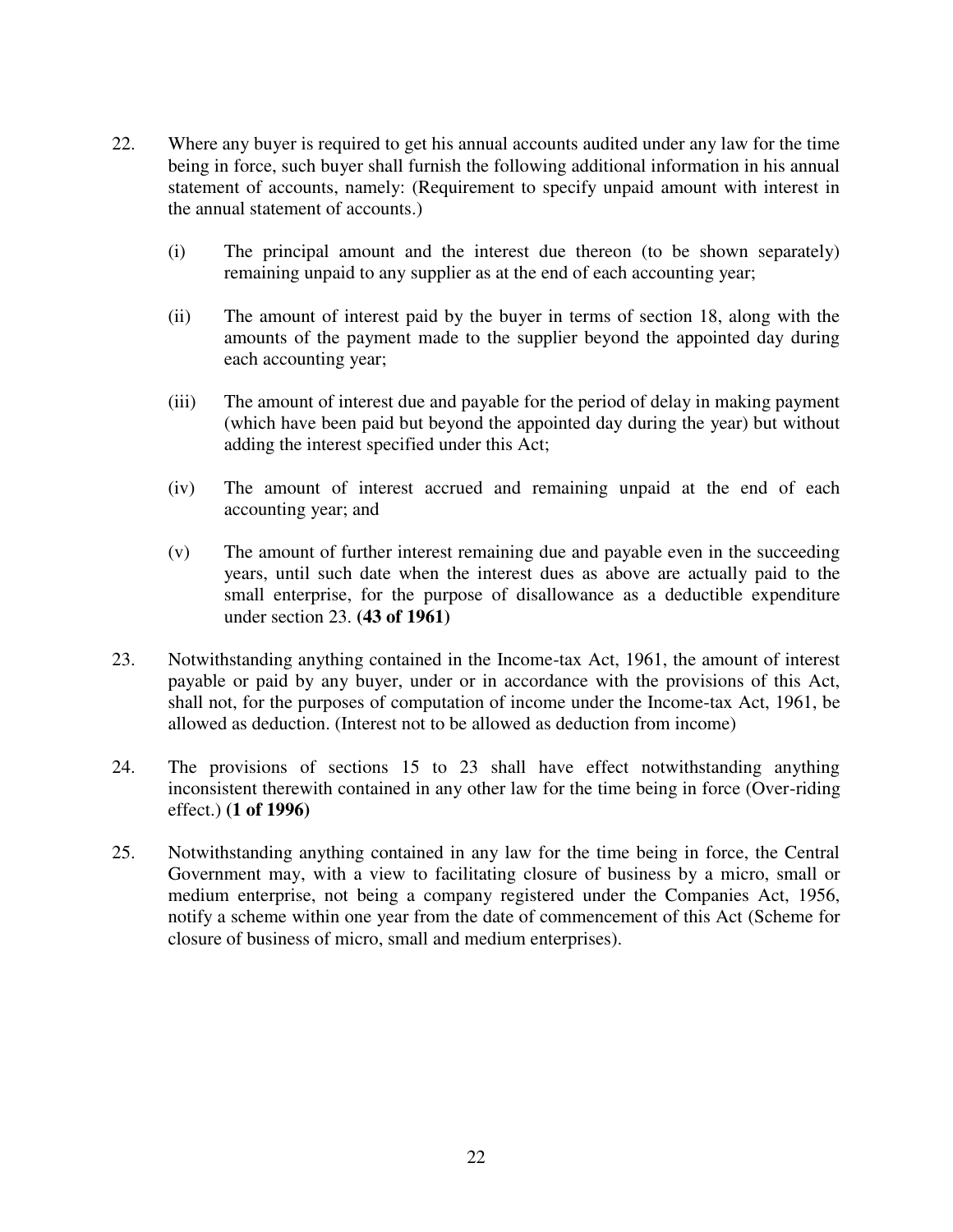- 22. Where any buyer is required to get his annual accounts audited under any law for the time being in force, such buyer shall furnish the following additional information in his annual statement of accounts, namely: (Requirement to specify unpaid amount with interest in the annual statement of accounts.)
	- (i) The principal amount and the interest due thereon (to be shown separately) remaining unpaid to any supplier as at the end of each accounting year;
	- (ii) The amount of interest paid by the buyer in terms of section 18, along with the amounts of the payment made to the supplier beyond the appointed day during each accounting year;
	- (iii) The amount of interest due and payable for the period of delay in making payment (which have been paid but beyond the appointed day during the year) but without adding the interest specified under this Act;
	- (iv) The amount of interest accrued and remaining unpaid at the end of each accounting year; and
	- (v) The amount of further interest remaining due and payable even in the succeeding years, until such date when the interest dues as above are actually paid to the small enterprise, for the purpose of disallowance as a deductible expenditure under section 23. **(43 of 1961)**
- 23. Notwithstanding anything contained in the Income-tax Act, 1961, the amount of interest payable or paid by any buyer, under or in accordance with the provisions of this Act, shall not, for the purposes of computation of income under the Income-tax Act, 1961, be allowed as deduction. (Interest not to be allowed as deduction from income)
- 24. The provisions of sections 15 to 23 shall have effect notwithstanding anything inconsistent therewith contained in any other law for the time being in force (Over-riding effect.) **(1 of 1996)**
- 25. Notwithstanding anything contained in any law for the time being in force, the Central Government may, with a view to facilitating closure of business by a micro, small or medium enterprise, not being a company registered under the Companies Act, 1956, notify a scheme within one year from the date of commencement of this Act (Scheme for closure of business of micro, small and medium enterprises).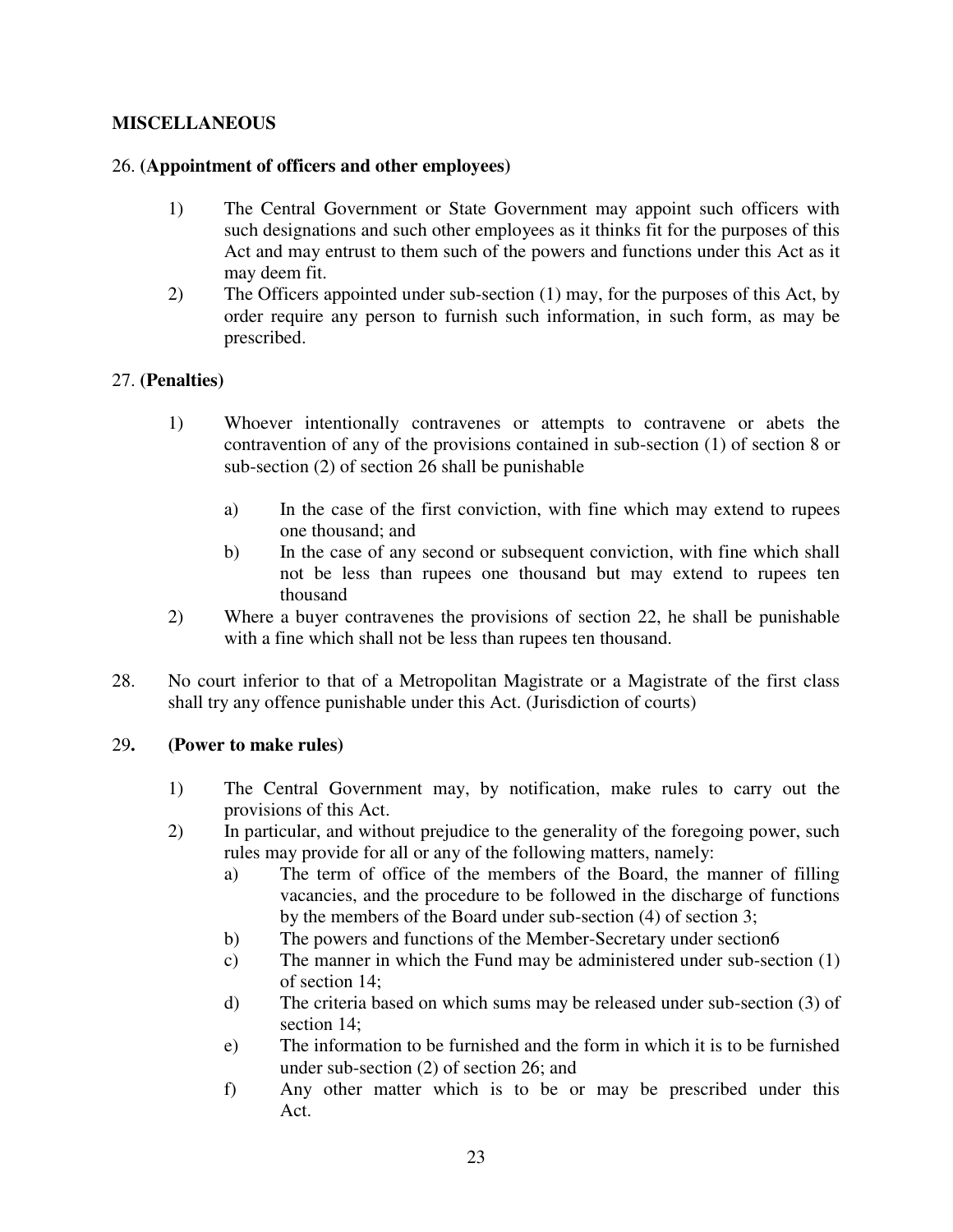# **MISCELLANEOUS**

#### 26. **(Appointment of officers and other employees)**

- 1) The Central Government or State Government may appoint such officers with such designations and such other employees as it thinks fit for the purposes of this Act and may entrust to them such of the powers and functions under this Act as it may deem fit.
- 2) The Officers appointed under sub-section (1) may, for the purposes of this Act, by order require any person to furnish such information, in such form, as may be prescribed.

#### 27. **(Penalties)**

- 1) Whoever intentionally contravenes or attempts to contravene or abets the contravention of any of the provisions contained in sub-section (1) of section 8 or sub-section (2) of section 26 shall be punishable
	- a) In the case of the first conviction, with fine which may extend to rupees one thousand; and
	- b) In the case of any second or subsequent conviction, with fine which shall not be less than rupees one thousand but may extend to rupees ten thousand
- 2) Where a buyer contravenes the provisions of section 22, he shall be punishable with a fine which shall not be less than rupees ten thousand.
- 28. No court inferior to that of a Metropolitan Magistrate or a Magistrate of the first class shall try any offence punishable under this Act. (Jurisdiction of courts)

#### 29**. (Power to make rules)**

- 1) The Central Government may, by notification, make rules to carry out the provisions of this Act.
- 2) In particular, and without prejudice to the generality of the foregoing power, such rules may provide for all or any of the following matters, namely:
	- a) The term of office of the members of the Board, the manner of filling vacancies, and the procedure to be followed in the discharge of functions by the members of the Board under sub-section (4) of section 3;
	- b) The powers and functions of the Member-Secretary under section6
	- c) The manner in which the Fund may be administered under sub-section (1) of section 14;
	- d) The criteria based on which sums may be released under sub-section (3) of section 14;
	- e) The information to be furnished and the form in which it is to be furnished under sub-section (2) of section 26; and
	- f) Any other matter which is to be or may be prescribed under this Act.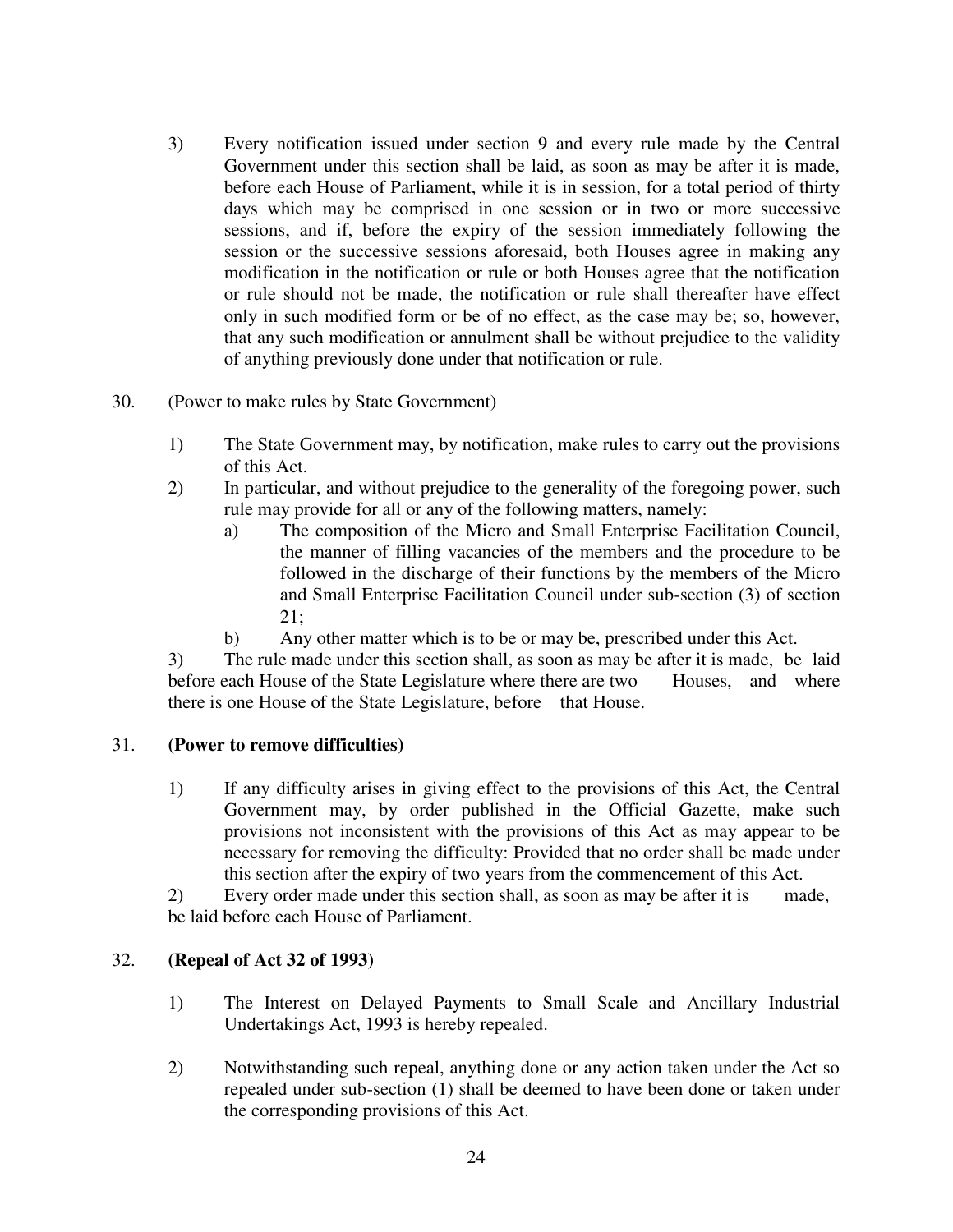- 3) Every notification issued under section 9 and every rule made by the Central Government under this section shall be laid, as soon as may be after it is made, before each House of Parliament, while it is in session, for a total period of thirty days which may be comprised in one session or in two or more successive sessions, and if, before the expiry of the session immediately following the session or the successive sessions aforesaid, both Houses agree in making any modification in the notification or rule or both Houses agree that the notification or rule should not be made, the notification or rule shall thereafter have effect only in such modified form or be of no effect, as the case may be; so, however, that any such modification or annulment shall be without prejudice to the validity of anything previously done under that notification or rule.
- 30. (Power to make rules by State Government)
	- 1) The State Government may, by notification, make rules to carry out the provisions of this Act.
	- 2) In particular, and without prejudice to the generality of the foregoing power, such rule may provide for all or any of the following matters, namely:
		- a) The composition of the Micro and Small Enterprise Facilitation Council, the manner of filling vacancies of the members and the procedure to be followed in the discharge of their functions by the members of the Micro and Small Enterprise Facilitation Council under sub-section (3) of section 21;
		- b) Any other matter which is to be or may be, prescribed under this Act.

3) The rule made under this section shall, as soon as may be after it is made, be laid before each House of the State Legislature where there are two Houses, and where there is one House of the State Legislature, before that House.

#### 31. **(Power to remove difficulties)**

1) If any difficulty arises in giving effect to the provisions of this Act, the Central Government may, by order published in the Official Gazette, make such provisions not inconsistent with the provisions of this Act as may appear to be necessary for removing the difficulty: Provided that no order shall be made under this section after the expiry of two years from the commencement of this Act.

2) Every order made under this section shall, as soon as may be after it is made, be laid before each House of Parliament.

#### 32. **(Repeal of Act 32 of 1993)**

- 1) The Interest on Delayed Payments to Small Scale and Ancillary Industrial Undertakings Act, 1993 is hereby repealed.
- 2) Notwithstanding such repeal, anything done or any action taken under the Act so repealed under sub-section (1) shall be deemed to have been done or taken under the corresponding provisions of this Act.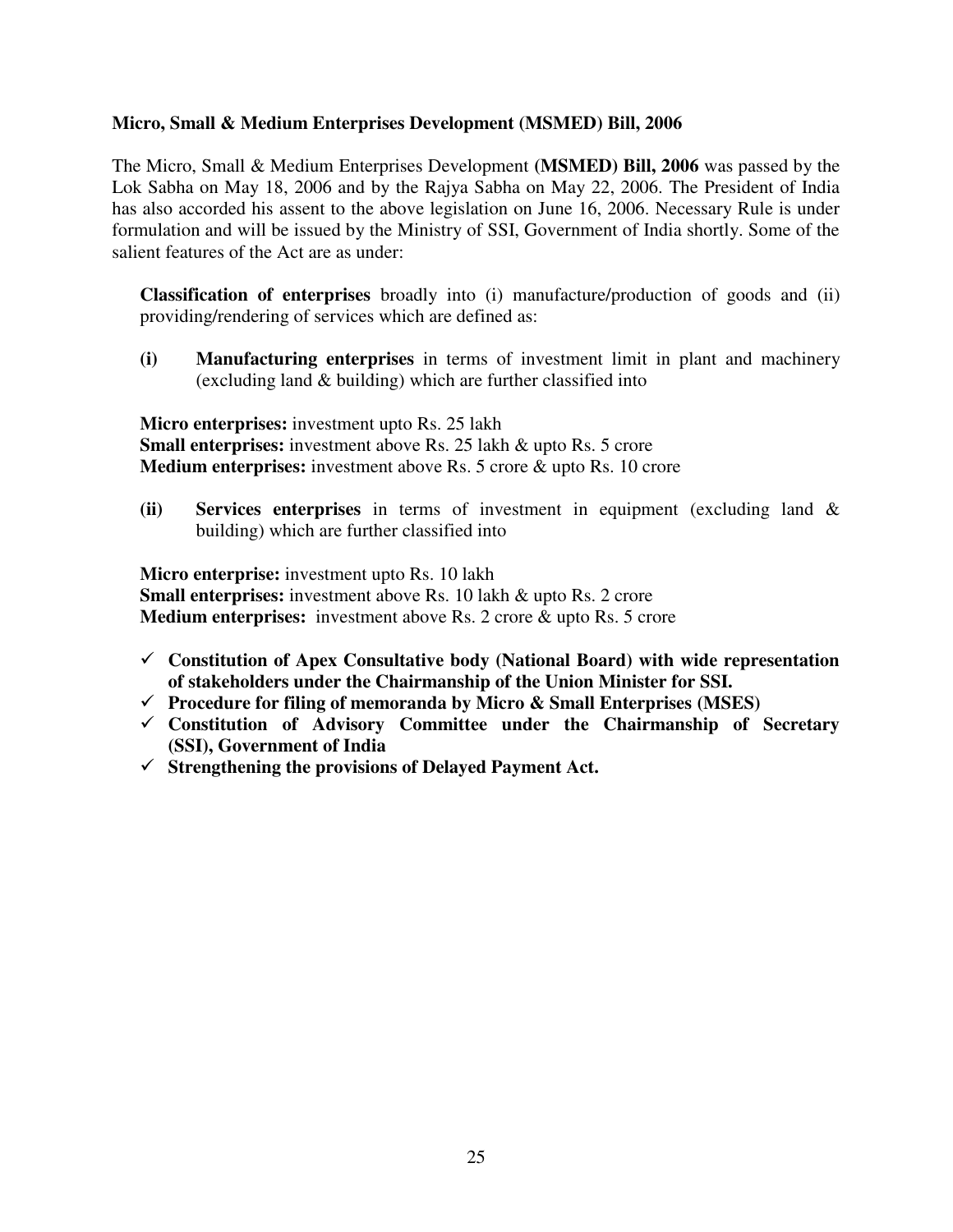#### **Micro, Small & Medium Enterprises Development (MSMED) Bill, 2006**

The Micro, Small & Medium Enterprises Development **(MSMED) Bill, 2006** was passed by the Lok Sabha on May 18, 2006 and by the Rajya Sabha on May 22, 2006. The President of India has also accorded his assent to the above legislation on June 16, 2006. Necessary Rule is under formulation and will be issued by the Ministry of SSI, Government of India shortly. Some of the salient features of the Act are as under:

**Classification of enterprises** broadly into (i) manufacture/production of goods and (ii) providing/rendering of services which are defined as:

**(i) Manufacturing enterprises** in terms of investment limit in plant and machinery (excluding land & building) which are further classified into

**Micro enterprises:** investment upto Rs. 25 lakh **Small enterprises:** investment above Rs. 25 lakh & upto Rs. 5 crore **Medium enterprises:** investment above Rs. 5 crore & upto Rs. 10 crore

**(ii) Services enterprises** in terms of investment in equipment (excluding land & building) which are further classified into

**Micro enterprise:** investment upto Rs. 10 lakh **Small enterprises:** investment above Rs. 10 lakh & upto Rs. 2 crore **Medium enterprises:** investment above Rs. 2 crore & upto Rs. 5 crore

- **Constitution of Apex Consultative body (National Board) with wide representation of stakeholders under the Chairmanship of the Union Minister for SSI.**
- **Procedure for filing of memoranda by Micro & Small Enterprises (MSES)**
- **Constitution of Advisory Committee under the Chairmanship of Secretary (SSI), Government of India**
- **Strengthening the provisions of Delayed Payment Act.**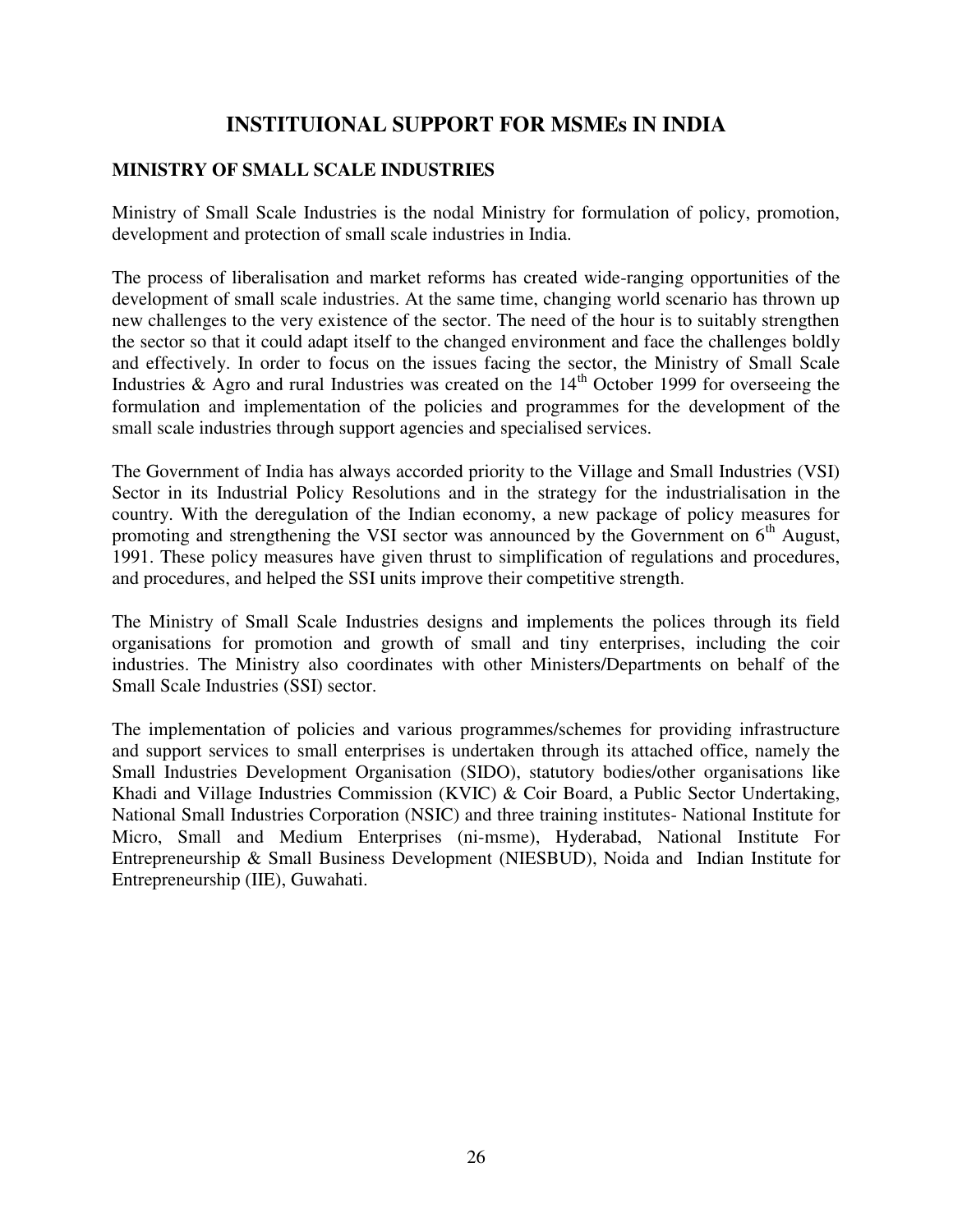# **INSTITUIONAL SUPPORT FOR MSMEs IN INDIA**

# **MINISTRY OF SMALL SCALE INDUSTRIES**

Ministry of Small Scale Industries is the nodal Ministry for formulation of policy, promotion, development and protection of small scale industries in India.

The process of liberalisation and market reforms has created wide-ranging opportunities of the development of small scale industries. At the same time, changing world scenario has thrown up new challenges to the very existence of the sector. The need of the hour is to suitably strengthen the sector so that it could adapt itself to the changed environment and face the challenges boldly and effectively. In order to focus on the issues facing the sector, the Ministry of Small Scale Industries & Agro and rural Industries was created on the  $14<sup>th</sup>$  October 1999 for overseeing the formulation and implementation of the policies and programmes for the development of the small scale industries through support agencies and specialised services.

The Government of India has always accorded priority to the Village and Small Industries (VSI) Sector in its Industrial Policy Resolutions and in the strategy for the industrialisation in the country. With the deregulation of the Indian economy, a new package of policy measures for promoting and strengthening the VSI sector was announced by the Government on  $6<sup>th</sup>$  August, 1991. These policy measures have given thrust to simplification of regulations and procedures, and procedures, and helped the SSI units improve their competitive strength.

The Ministry of Small Scale Industries designs and implements the polices through its field organisations for promotion and growth of small and tiny enterprises, including the coir industries. The Ministry also coordinates with other Ministers/Departments on behalf of the Small Scale Industries (SSI) sector.

The implementation of policies and various programmes/schemes for providing infrastructure and support services to small enterprises is undertaken through its attached office, namely the Small Industries Development Organisation (SIDO), statutory bodies/other organisations like Khadi and Village Industries Commission (KVIC) & Coir Board, a Public Sector Undertaking, National Small Industries Corporation (NSIC) and three training institutes- National Institute for Micro, Small and Medium Enterprises (ni-msme), Hyderabad, National [Institute For](http://niesbud.nic.in/)  Entrepreneurship [& Small Business Development \(NIESBUD\),](http://niesbud.nic.in/) Noida and Indian Institute for Entrepreneurship (IIE), Guwahati.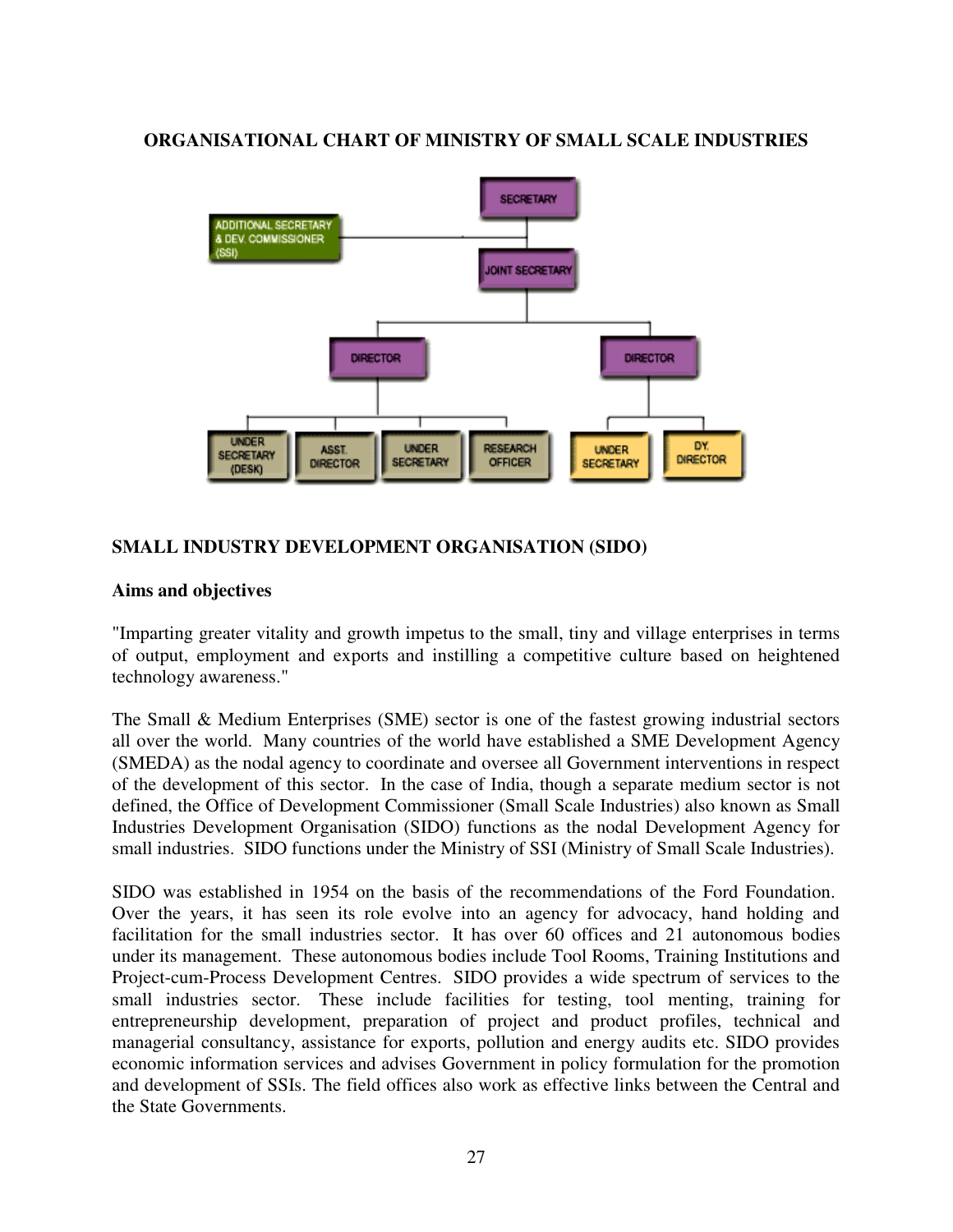# **ORGANISATIONAL CHART OF MINISTRY OF SMALL SCALE INDUSTRIES**



# **SMALL INDUSTRY DEVELOPMENT ORGANISATION (SIDO)**

#### **Aims and objectives**

"Imparting greater vitality and growth impetus to the small, tiny and village enterprises in terms of output, employment and exports and instilling a competitive culture based on heightened technology awareness."

The Small & Medium Enterprises (SME) sector is one of the fastest growing industrial sectors all over the world. Many countries of the world have established a SME Development Agency (SMEDA) as the nodal agency to coordinate and oversee all Government interventions in respect of the development of this sector. In the case of India, though a separate medium sector is not defined, the Office of Development Commissioner (Small Scale Industries) also known as Small Industries Development Organisation (SIDO) functions as the nodal Development Agency for small industries. SIDO functions under the Ministry of SSI (Ministry of Small Scale Industries).

SIDO was established in 1954 on the basis of the recommendations of the Ford Foundation. Over the years, it has seen its role evolve into an agency for advocacy, hand holding and facilitation for the small industries sector. It has over 60 offices and 21 autonomous bodies under its management. These autonomous bodies include Tool Rooms, Training Institutions and Project-cum-Process Development Centres. SIDO provides a wide spectrum of services to the small industries sector. These include facilities for testing, tool menting, training for entrepreneurship development, preparation of project and product profiles, technical and managerial consultancy, assistance for exports, pollution and energy audits etc. SIDO provides economic information services and advises Government in policy formulation for the promotion and development of SSIs. The field offices also work as effective links between the Central and the State Governments.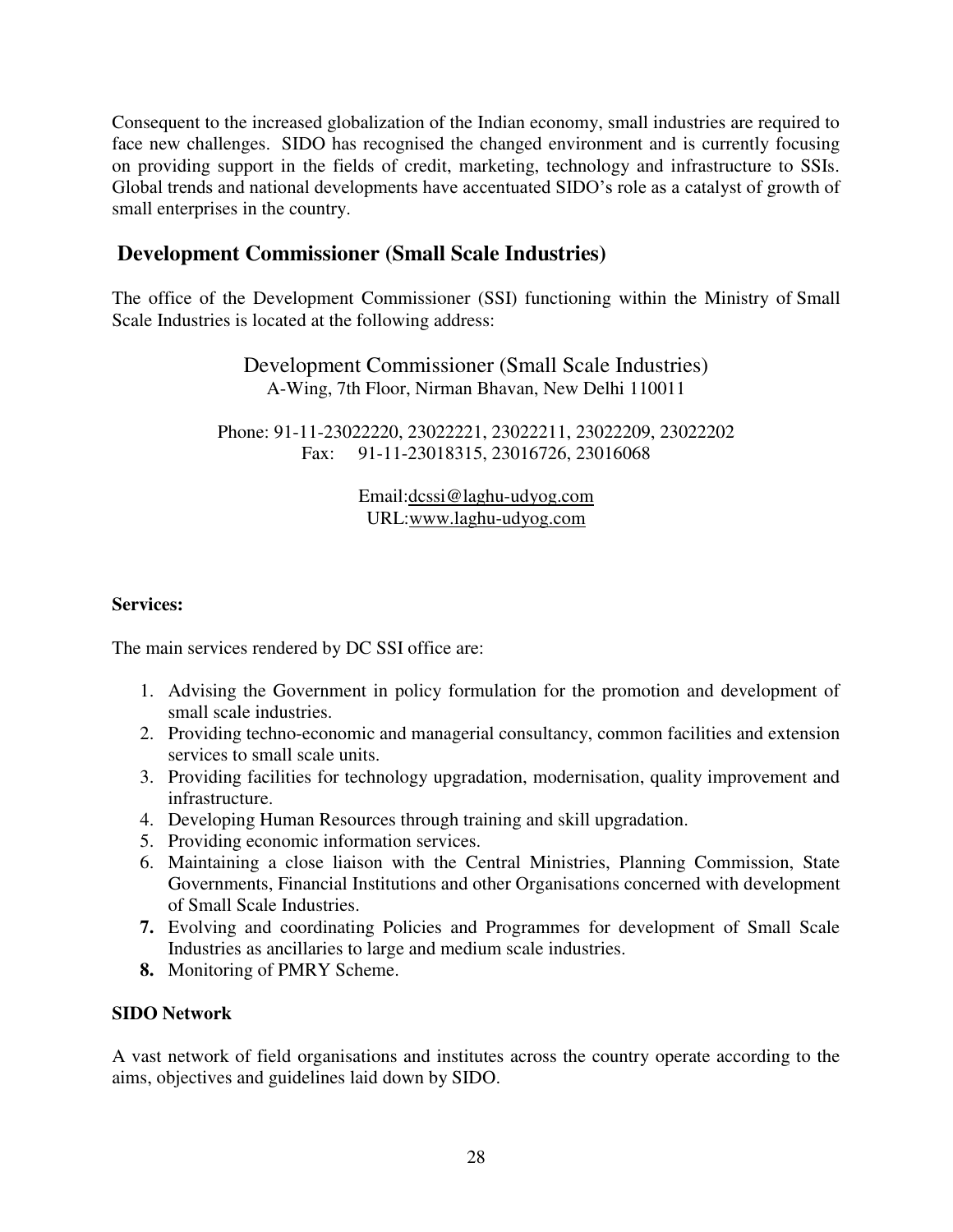Consequent to the increased globalization of the Indian economy, small industries are required to face new challenges. SIDO has recognised the changed environment and is currently focusing on providing support in the fields of credit, marketing, technology and infrastructure to SSIs. Global trends and national developments have accentuated SIDO's role as a catalyst of growth of small enterprises in the country.

# **Development Commissioner (Small Scale Industries)**

The office of the Development Commissioner (SSI) functioning within the Ministry of Small Scale Industries is located at the following address:

> Development Commissioner (Small Scale Industries) A-Wing, 7th Floor, Nirman Bhavan, New Delhi 110011

Phone: 91-11-23022220, 23022221, 23022211, 23022209, 23022202 Fax: 91-11-23018315, 23016726, 23016068

> Email[:dcssi@laghu-udyog.com](mailto:dcssi@laghu-udyog.com)  URL[:www.laghu-udyog.com](http://www.laghu-udyog.com/)

# **Services:**

The main services rendered by DC SSI office are:

- 1. Advising the Government in policy formulation for the promotion and development of small scale industries.
- 2. Providing techno-economic and managerial consultancy, common facilities and extension services to small scale units.
- 3. Providing facilities for technology upgradation, modernisation, quality improvement and infrastructure.
- 4. Developing Human Resources through training and skill upgradation.
- 5. Providing economic information services.
- 6. Maintaining a close liaison with the Central Ministries, Planning Commission, State Governments, Financial Institutions and other Organisations concerned with development of Small Scale Industries.
- **7.** Evolving and coordinating Policies and Programmes for development of Small Scale Industries as ancillaries to large and medium scale industries.
- **8.** Monitoring of PMRY Scheme.

# **SIDO Network**

A vast network of field organisations and institutes across the country operate according to the aims, objectives and guidelines laid down by SIDO.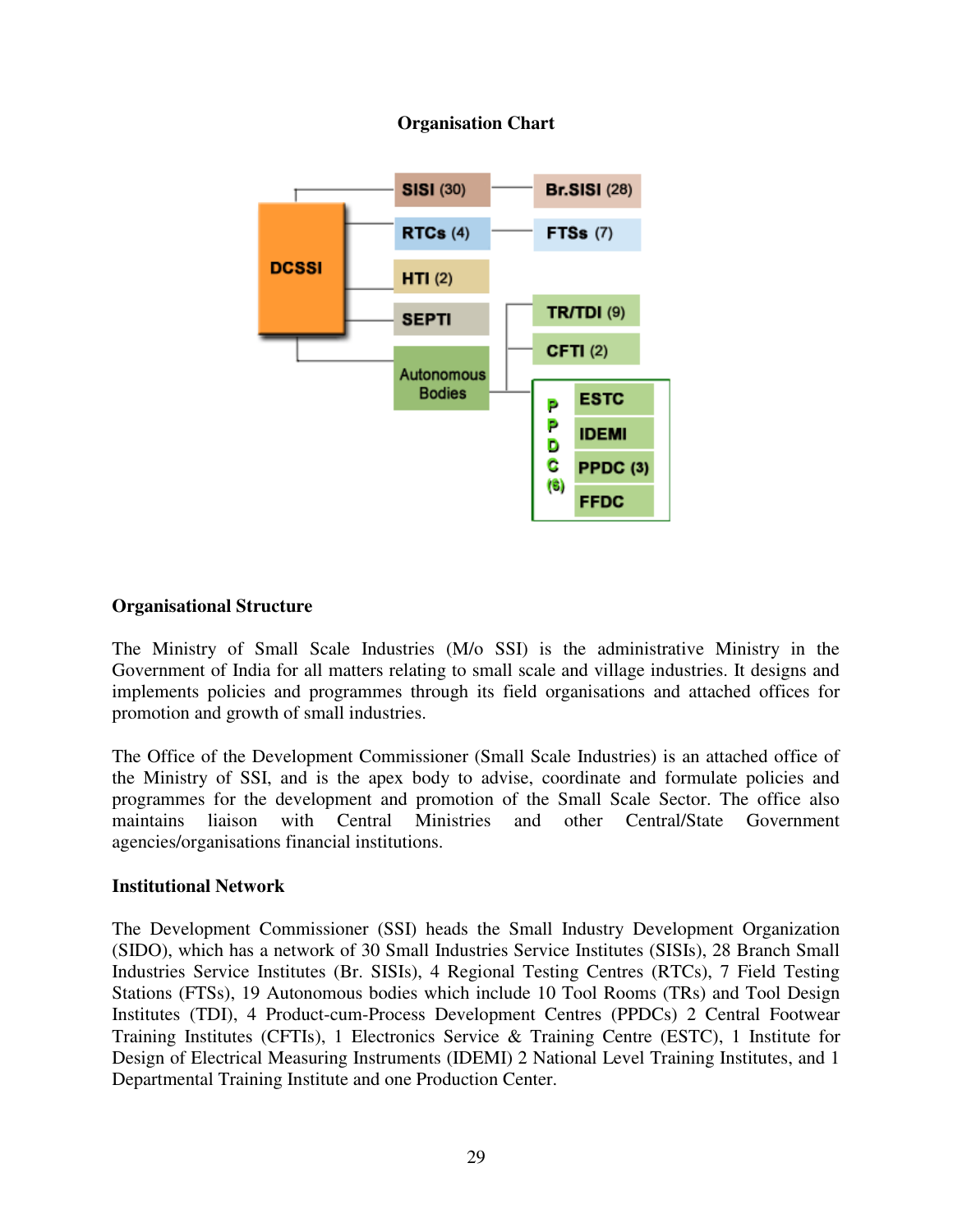# **Organisation Chart**



#### **Organisational Structure**

The Ministry of Small Scale Industries (M/o SSI) is the administrative Ministry in the Government of India for all matters relating to small scale and village industries. It designs and implements policies and programmes through its field organisations and attached offices for promotion and growth of small industries.

The Office of the Development Commissioner (Small Scale Industries) is an attached office of the Ministry of SSI, and is the apex body to advise, coordinate and formulate policies and programmes for the development and promotion of the Small Scale Sector. The office also maintains liaison with Central Ministries and other Central/State Government agencies/organisations financial institutions.

#### **Institutional Network**

The Development Commissioner (SSI) heads the Small Industry Development Organization (SIDO), which has a network of 30 Small Industries Service Institutes (SISIs), 28 Branch Small Industries Service Institutes (Br. SISIs), 4 Regional Testing Centres (RTCs), 7 Field Testing Stations (FTSs), 19 Autonomous bodies which include 10 Tool Rooms (TRs) and Tool Design Institutes (TDI), 4 Product-cum-Process Development Centres (PPDCs) 2 Central Footwear Training Institutes (CFTIs), 1 Electronics Service & Training Centre (ESTC), 1 Institute for Design of Electrical Measuring Instruments (IDEMI) 2 National Level Training Institutes, and 1 Departmental Training Institute and one Production Center.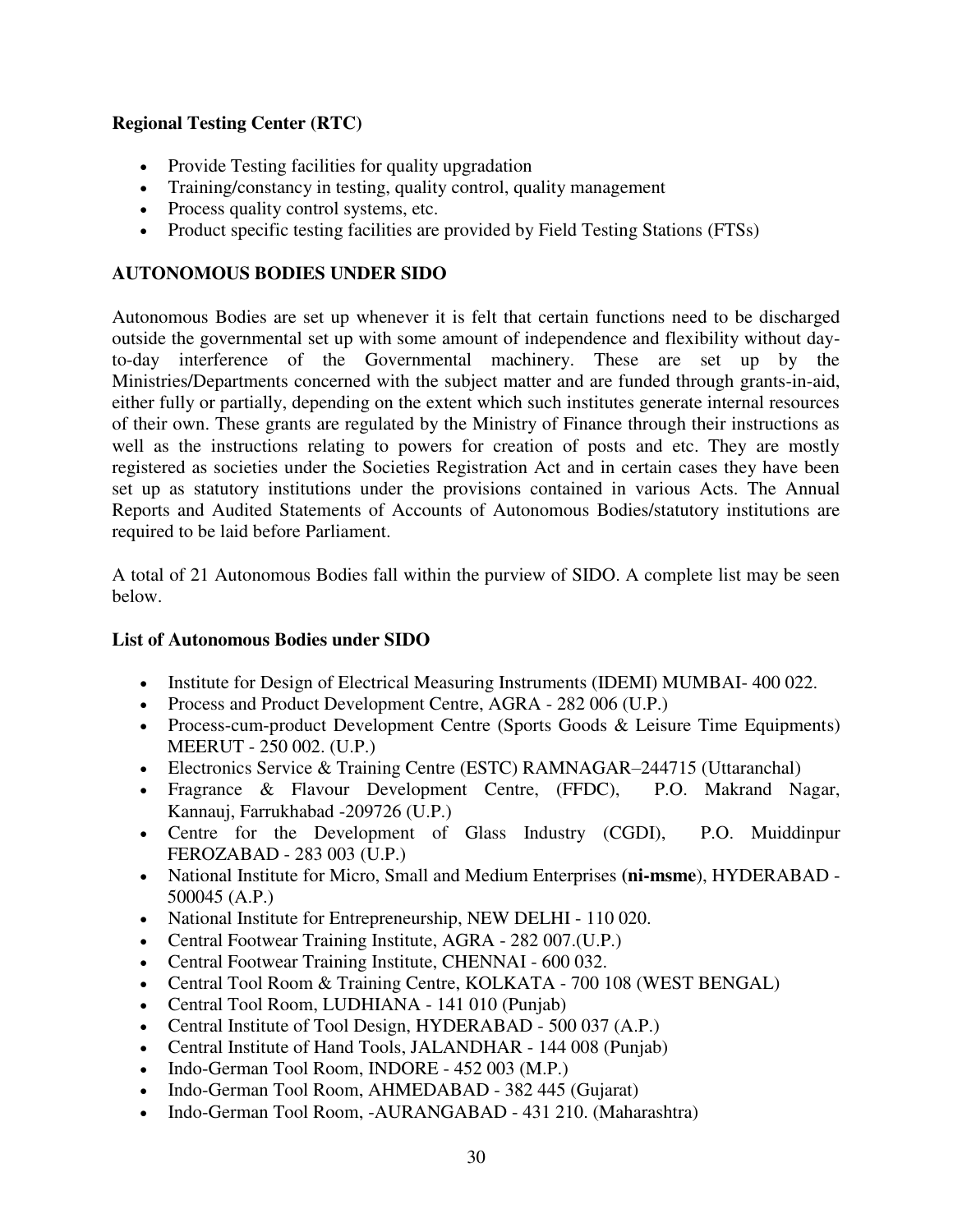# **Regional Testing Center (RTC)**

- Provide Testing facilities for quality upgradation
- Training/constancy in testing, quality control, quality management
- Process quality control systems, etc.
- Product specific testing facilities are provided by Field Testing Stations (FTSs)

# **AUTONOMOUS BODIES UNDER SIDO**

Autonomous Bodies are set up whenever it is felt that certain functions need to be discharged outside the governmental set up with some amount of independence and flexibility without dayto-day interference of the Governmental machinery. These are set up by the Ministries/Departments concerned with the subject matter and are funded through grants-in-aid, either fully or partially, depending on the extent which such institutes generate internal resources of their own. These grants are regulated by the Ministry of Finance through their instructions as well as the instructions relating to powers for creation of posts and etc. They are mostly registered as societies under the Societies Registration Act and in certain cases they have been set up as statutory institutions under the provisions contained in various Acts. The Annual Reports and Audited Statements of Accounts of Autonomous Bodies/statutory institutions are required to be laid before Parliament.

A total of 21 Autonomous Bodies fall within the purview of SIDO. A complete list may be seen below.

# **List of Autonomous Bodies under SIDO**

- Institute for Design of Electrical Measuring Instruments (IDEMI) MUMBAI-400 022.
- Process and Product Development Centre, AGRA 282 006 (U.P.)
- Process-cum-product Development Centre (Sports Goods & Leisure Time Equipments) MEERUT - 250 002. (U.P.)
- Electronics Service & Training Centre (ESTC) RAMNAGAR–244715 (Uttaranchal)
- Fragrance & Flavour Development Centre, (FFDC), P.O. Makrand Nagar, Kannauj, Farrukhabad -209726 (U.P.)
- Centre for the Development of Glass Industry (CGDI), P.O. Muiddinpur FEROZABAD - 283 003 (U.P.)
- National Institute for Micro, Small and Medium Enterprises **(ni-msme**), HYDERABAD 500045 (A.P.)
- National Institute for Entrepreneurship, NEW DELHI 110 020.
- Central Footwear Training Institute, AGRA 282 007.(U.P.)
- Central Footwear Training Institute, CHENNAI 600 032.
- Central Tool Room & Training Centre, KOLKATA 700 108 (WEST BENGAL)
- Central Tool Room, LUDHIANA 141 010 (Punjab)
- Central Institute of Tool Design, HYDERABAD 500 037 (A.P.)
- Central Institute of Hand Tools, JALANDHAR 144 008 (Punjab)
- Indo-German Tool Room, INDORE 452 003 (M.P.)
- Indo-German Tool Room, AHMEDABAD 382 445 (Gujarat)
- Indo-German Tool Room, -AURANGABAD 431 210. (Maharashtra)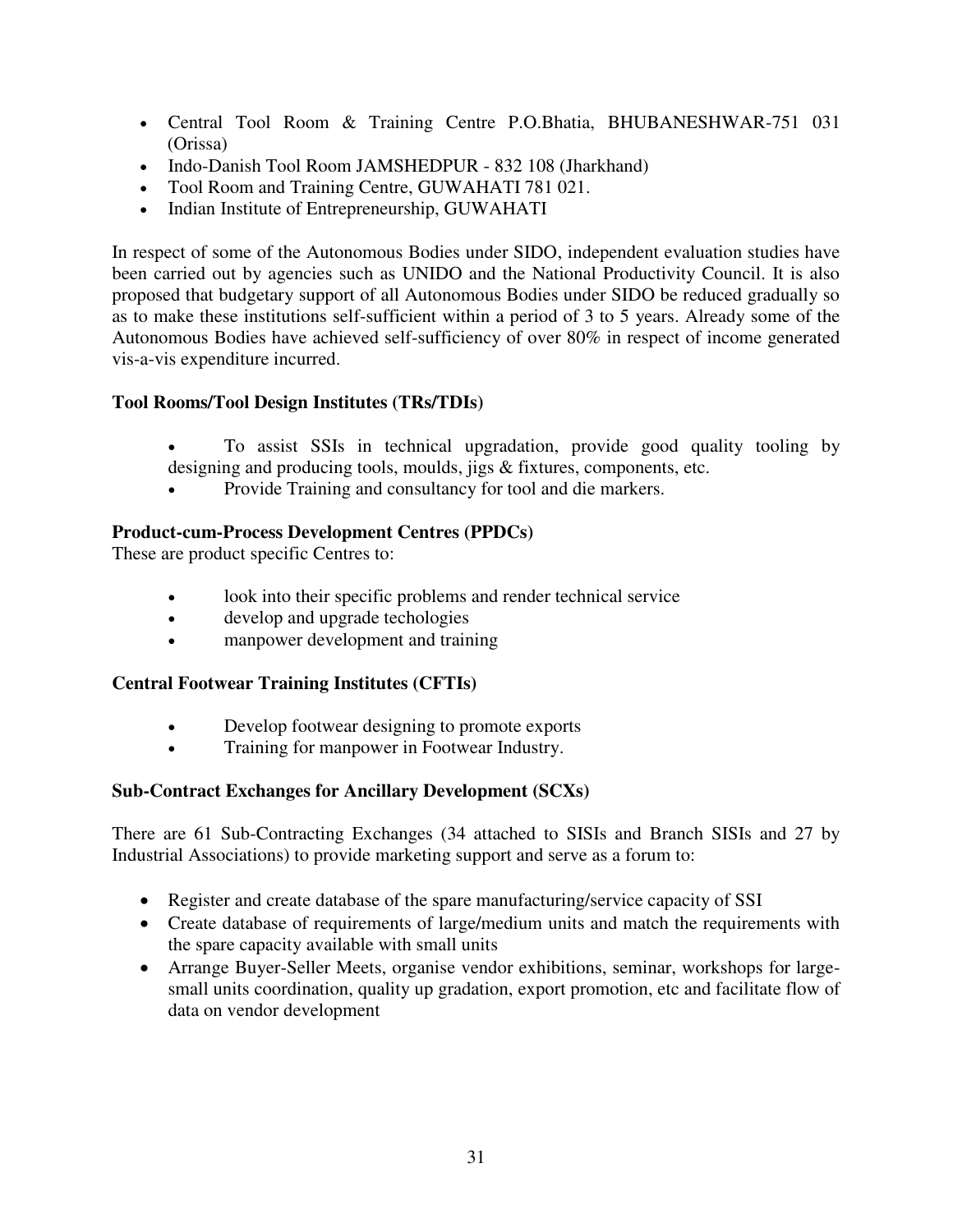- Central Tool Room & Training Centre P.O.Bhatia, BHUBANESHWAR-751 031 (Orissa)
- Indo-Danish Tool Room JAMSHEDPUR 832 108 (Jharkhand)
- Tool Room and Training Centre, GUWAHATI 781 021.
- Indian Institute of Entrepreneurship, GUWAHATI

In respect of some of the Autonomous Bodies under SIDO, independent evaluation studies have been carried out by agencies such as UNIDO and the National Productivity Council. It is also proposed that budgetary support of all Autonomous Bodies under SIDO be reduced gradually so as to make these institutions self-sufficient within a period of 3 to 5 years. Already some of the Autonomous Bodies have achieved self-sufficiency of over 80% in respect of income generated vis-a-vis expenditure incurred.

# **Tool Rooms/Tool Design Institutes (TRs/TDIs)**

- To assist SSIs in technical upgradation, provide good quality tooling by designing and producing tools, moulds, jigs & fixtures, components, etc.
- Provide Training and consultancy for tool and die markers.

# **Product-cum-Process Development Centres (PPDCs)**

These are product specific Centres to:

- look into their specific problems and render technical service
- develop and upgrade techologies
- manpower development and training

# **Central Footwear Training Institutes (CFTIs)**

- Develop footwear designing to promote exports
- Training for manpower in Footwear Industry.

# **Sub-Contract Exchanges for Ancillary Development (SCXs)**

There are 61 Sub-Contracting Exchanges (34 attached to SISIs and Branch SISIs and 27 by Industrial Associations) to provide marketing support and serve as a forum to:

- Register and create database of the spare manufacturing/service capacity of SSI
- Create database of requirements of large/medium units and match the requirements with the spare capacity available with small units
- Arrange Buyer-Seller Meets, organise vendor exhibitions, seminar, workshops for largesmall units coordination, quality up gradation, export promotion, etc and facilitate flow of data on vendor development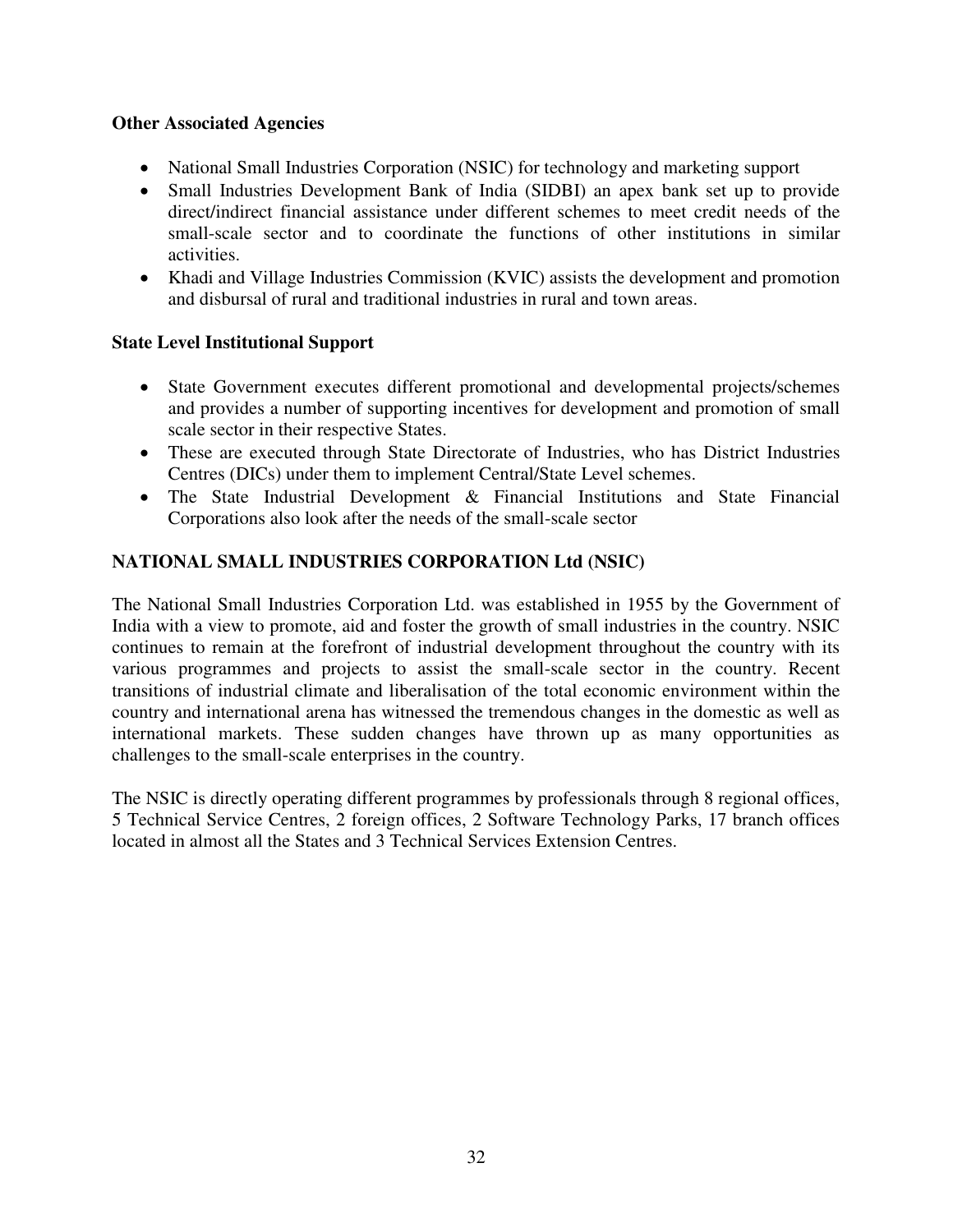# **Other Associated Agencies**

- National Small Industries Corporation (NSIC) for technology and marketing support
- Small Industries Development Bank of India (SIDBI) an apex bank set up to provide direct/indirect financial assistance under different schemes to meet credit needs of the small-scale sector and to coordinate the functions of other institutions in similar activities.
- Khadi and Village Industries Commission (KVIC) assists the development and promotion and disbursal of rural and traditional industries in rural and town areas.

# **State Level Institutional Support**

- State Government executes different promotional and developmental projects/schemes and provides a number of supporting incentives for development and promotion of small scale sector in their respective States.
- These are executed through State Directorate of Industries, who has District Industries Centres (DICs) under them to implement Central/State Level schemes.
- The State Industrial Development & Financial Institutions and State Financial Corporations also look after the needs of the small-scale sector

# **NATIONAL SMALL INDUSTRIES CORPORATION Ltd (NSIC)**

The National Small Industries Corporation Ltd. was established in 1955 by the Government of India with a view to promote, aid and foster the growth of small industries in the country. NSIC continues to remain at the forefront of industrial development throughout the country with its various programmes and projects to assist the small-scale sector in the country. Recent transitions of industrial climate and liberalisation of the total economic environment within the country and international arena has witnessed the tremendous changes in the domestic as well as international markets. These sudden changes have thrown up as many opportunities as challenges to the small-scale enterprises in the country.

The NSIC is directly operating different programmes by professionals through 8 regional offices, 5 Technical Service Centres, 2 foreign offices, 2 Software Technology Parks, 17 branch offices located in almost all the States and 3 Technical Services Extension Centres.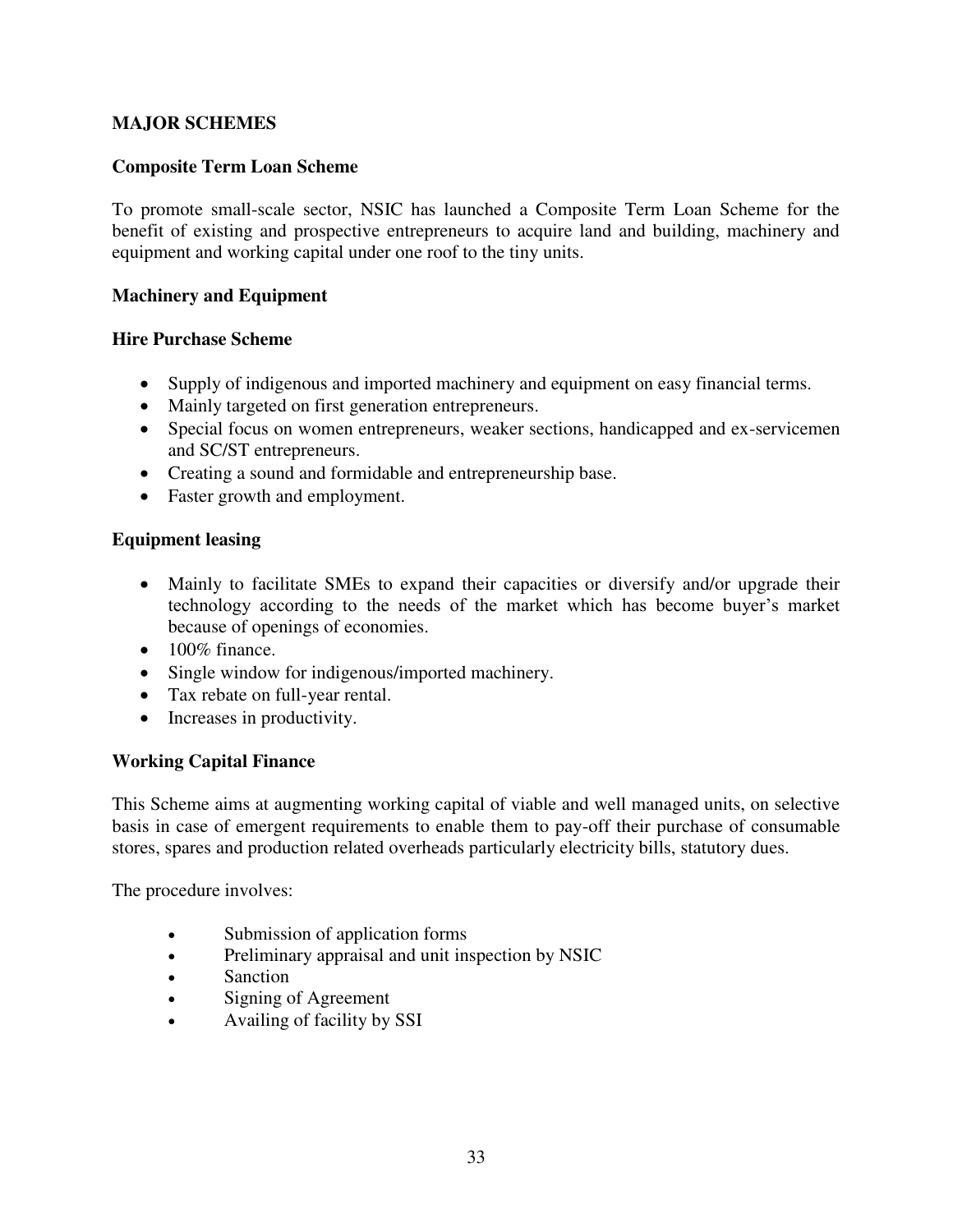# **MAJOR SCHEMES**

# **Composite Term Loan Scheme**

To promote small-scale sector, NSIC has launched a Composite Term Loan Scheme for the benefit of existing and prospective entrepreneurs to acquire land and building, machinery and equipment and working capital under one roof to the tiny units.

#### **Machinery and Equipment**

#### **Hire Purchase Scheme**

- Supply of indigenous and imported machinery and equipment on easy financial terms.
- Mainly targeted on first generation entrepreneurs.
- Special focus on women entrepreneurs, weaker sections, handicapped and ex-servicemen and SC/ST entrepreneurs.
- Creating a sound and formidable and entrepreneurship base.
- Faster growth and employment.

#### **Equipment leasing**

- Mainly to facilitate SMEs to expand their capacities or diversify and/or upgrade their technology according to the needs of the market which has become buyer's market because of openings of economies.
- $\bullet$  100% finance.
- Single window for indigenous/imported machinery.
- Tax rebate on full-year rental.
- Increases in productivity.

#### **Working Capital Finance**

This Scheme aims at augmenting working capital of viable and well managed units, on selective basis in case of emergent requirements to enable them to pay-off their purchase of consumable stores, spares and production related overheads particularly electricity bills, statutory dues.

The procedure involves:

- Submission of application forms
- Preliminary appraisal and unit inspection by NSIC
- Sanction
- Signing of Agreement
- Availing of facility by SSI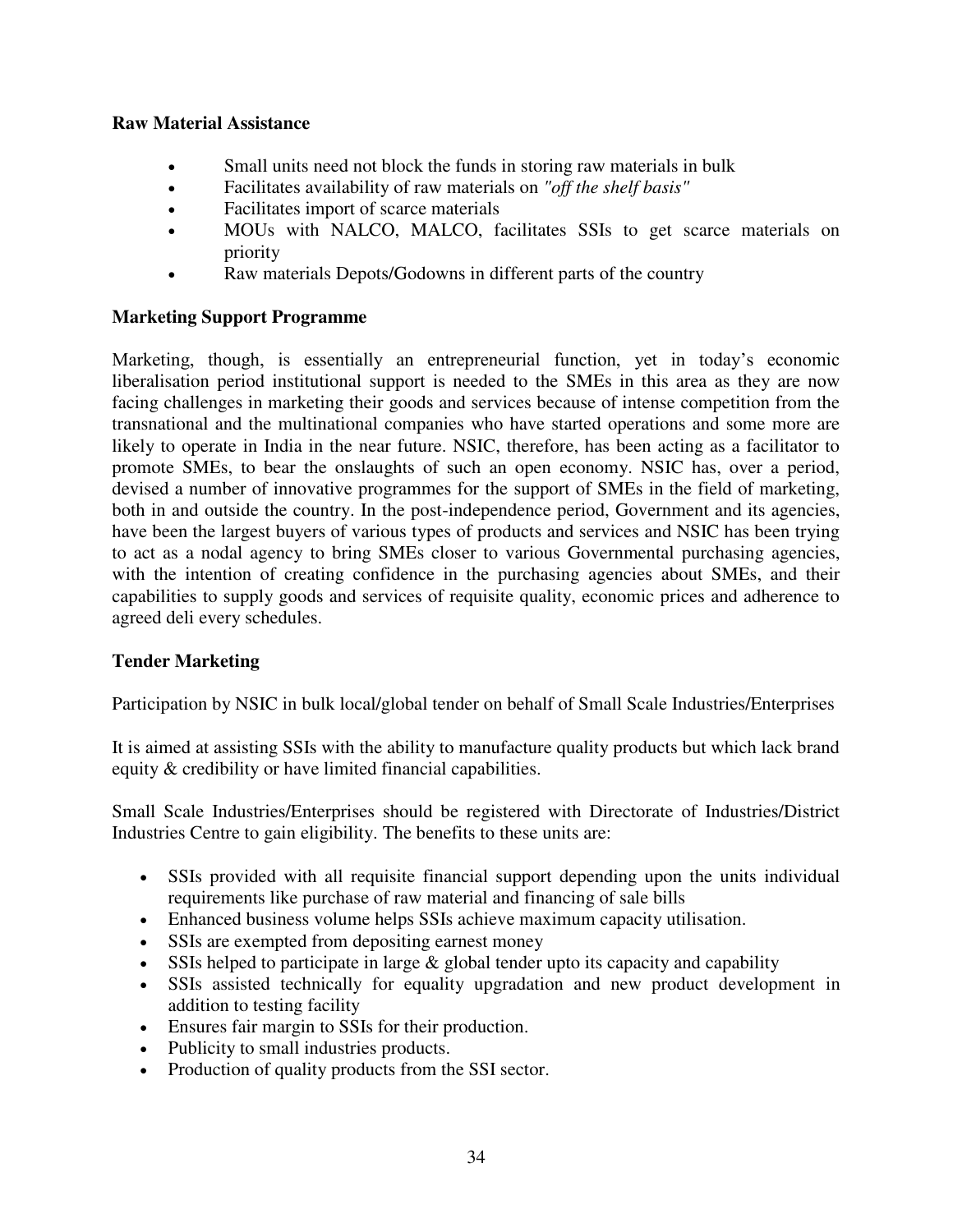# **Raw Material Assistance**

- Small units need not block the funds in storing raw materials in bulk
- Facilitates availability of raw materials on *"off the shelf basis"*
- Facilitates import of scarce materials
- MOUs with NALCO, MALCO, facilitates SSIs to get scarce materials on priority
- Raw materials Depots/Godowns in different parts of the country

# **Marketing Support Programme**

Marketing, though, is essentially an entrepreneurial function, yet in today's economic liberalisation period institutional support is needed to the SMEs in this area as they are now facing challenges in marketing their goods and services because of intense competition from the transnational and the multinational companies who have started operations and some more are likely to operate in India in the near future. NSIC, therefore, has been acting as a facilitator to promote SMEs, to bear the onslaughts of such an open economy. NSIC has, over a period, devised a number of innovative programmes for the support of SMEs in the field of marketing, both in and outside the country. In the post-independence period, Government and its agencies, have been the largest buyers of various types of products and services and NSIC has been trying to act as a nodal agency to bring SMEs closer to various Governmental purchasing agencies, with the intention of creating confidence in the purchasing agencies about SMEs, and their capabilities to supply goods and services of requisite quality, economic prices and adherence to agreed deli every schedules.

# **Tender Marketing**

Participation by NSIC in bulk local/global tender on behalf of Small Scale Industries/Enterprises

It is aimed at assisting SSIs with the ability to manufacture quality products but which lack brand equity & credibility or have limited financial capabilities.

Small Scale Industries/Enterprises should be registered with Directorate of Industries/District Industries Centre to gain eligibility. The benefits to these units are:

- SSIs provided with all requisite financial support depending upon the units individual requirements like purchase of raw material and financing of sale bills
- Enhanced business volume helps SSIs achieve maximum capacity utilisation.
- SSIs are exempted from depositing earnest money
- SSIs helped to participate in large & global tender upto its capacity and capability
- SSIs assisted technically for equality upgradation and new product development in addition to testing facility
- Ensures fair margin to SSIs for their production.
- Publicity to small industries products.
- Production of quality products from the SSI sector.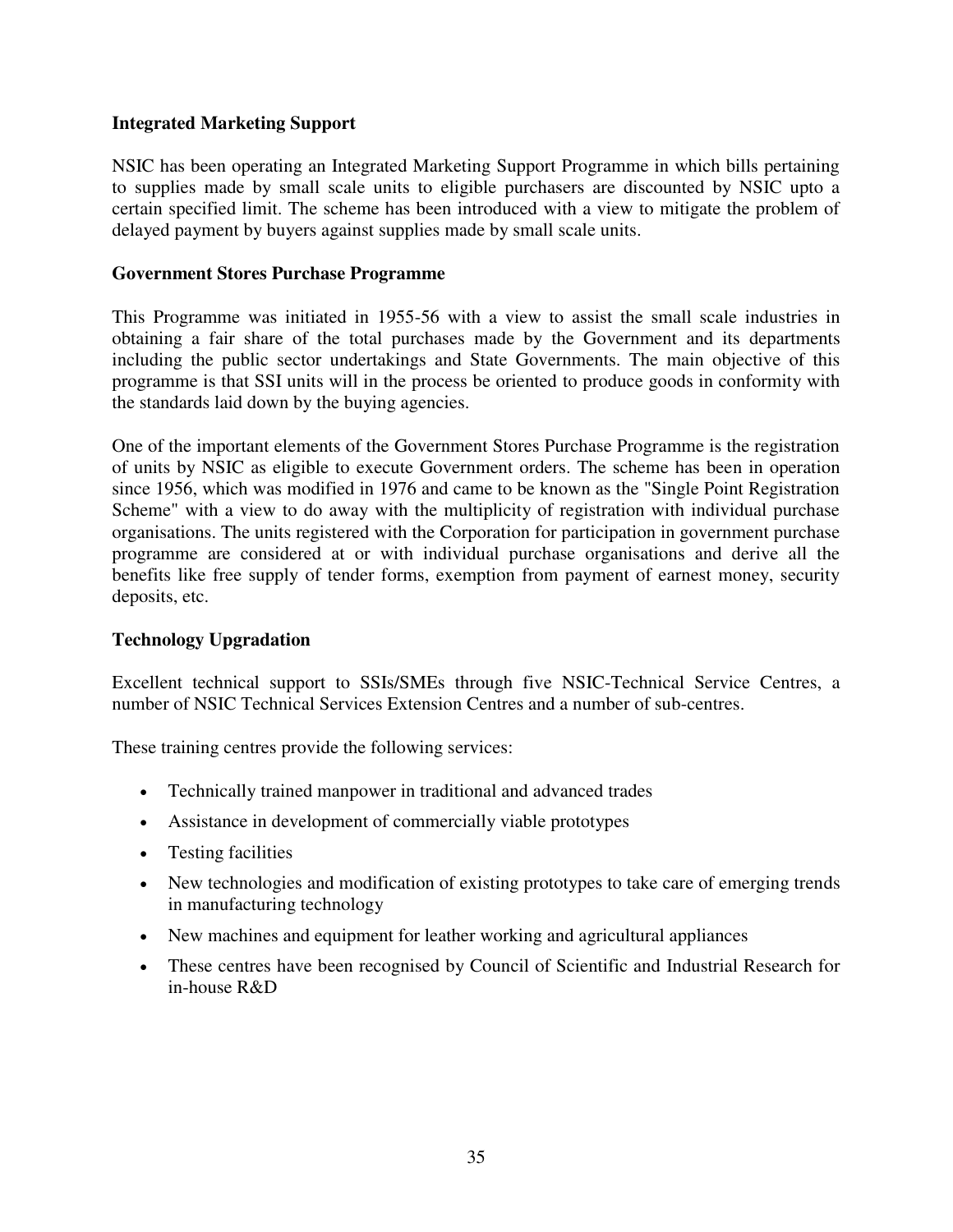# **Integrated Marketing Support**

NSIC has been operating an Integrated Marketing Support Programme in which bills pertaining to supplies made by small scale units to eligible purchasers are discounted by NSIC upto a certain specified limit. The scheme has been introduced with a view to mitigate the problem of delayed payment by buyers against supplies made by small scale units.

#### **Government Stores Purchase Programme**

This Programme was initiated in 1955-56 with a view to assist the small scale industries in obtaining a fair share of the total purchases made by the Government and its departments including the public sector undertakings and State Governments. The main objective of this programme is that SSI units will in the process be oriented to produce goods in conformity with the standards laid down by the buying agencies.

One of the important elements of the Government Stores Purchase Programme is the registration of units by NSIC as eligible to execute Government orders. The scheme has been in operation since 1956, which was modified in 1976 and came to be known as the "Single Point Registration Scheme" with a view to do away with the multiplicity of registration with individual purchase organisations. The units registered with the Corporation for participation in government purchase programme are considered at or with individual purchase organisations and derive all the benefits like free supply of tender forms, exemption from payment of earnest money, security deposits, etc.

#### **Technology Upgradation**

Excellent technical support to SSIs/SMEs through five NSIC-Technical Service Centres, a number of NSIC Technical Services Extension Centres and a number of sub-centres.

These training centres provide the following services:

- Technically trained manpower in traditional and advanced trades
- Assistance in development of commercially viable prototypes
- Testing facilities
- New technologies and modification of existing prototypes to take care of emerging trends in manufacturing technology
- New machines and equipment for leather working and agricultural appliances
- These centres have been recognised by Council of Scientific and Industrial Research for in-house R&D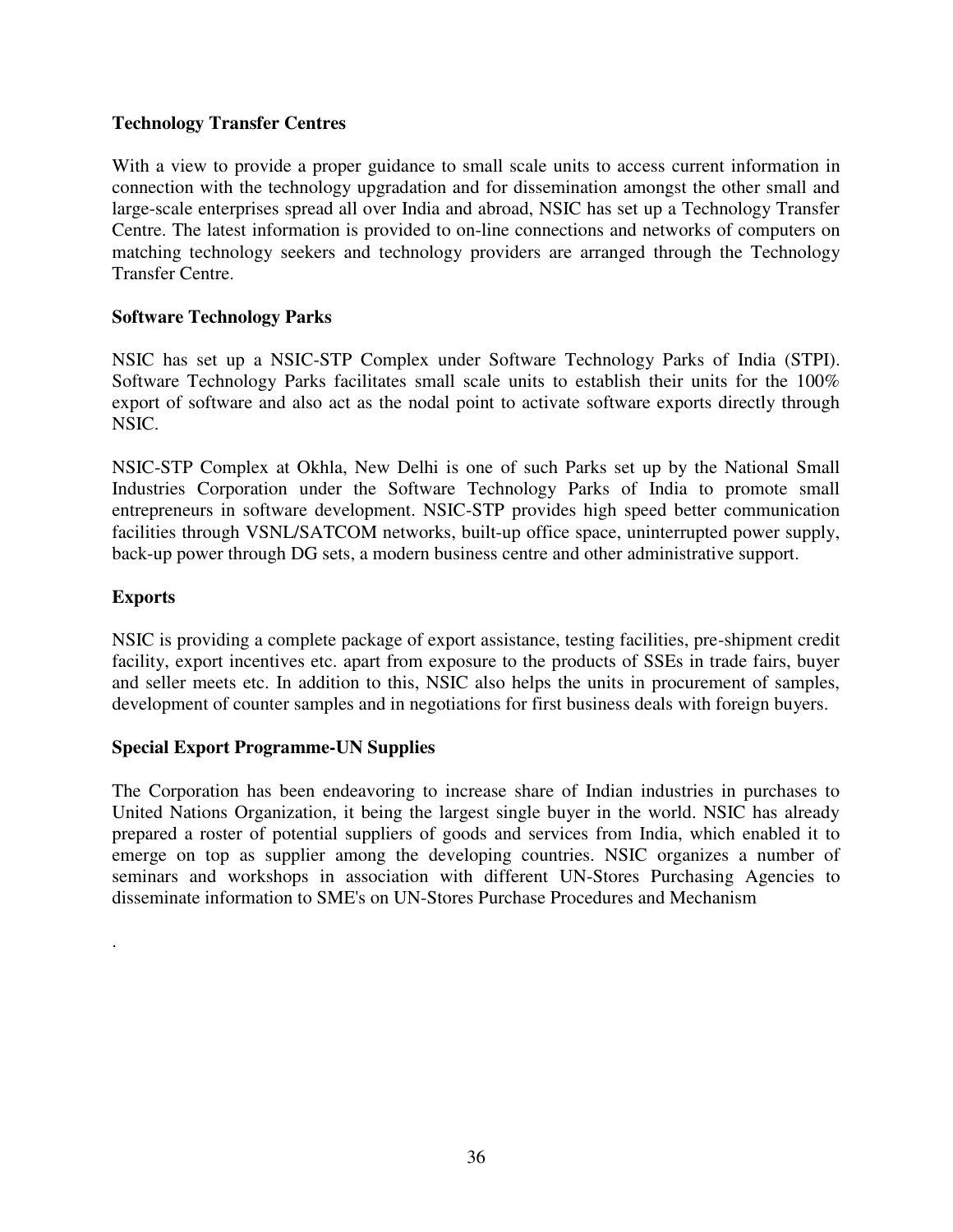# **Technology Transfer Centres**

With a view to provide a proper guidance to small scale units to access current information in connection with the technology upgradation and for dissemination amongst the other small and large-scale enterprises spread all over India and abroad, NSIC has set up a Technology Transfer Centre. The latest information is provided to on-line connections and networks of computers on matching technology seekers and technology providers are arranged through the Technology Transfer Centre.

#### **Software Technology Parks**

NSIC has set up a NSIC-STP Complex under Software Technology Parks of India (STPI). Software Technology Parks facilitates small scale units to establish their units for the 100% export of software and also act as the nodal point to activate software exports directly through NSIC.

NSIC-STP Complex at Okhla, New Delhi is one of such Parks set up by the National Small Industries Corporation under the Software Technology Parks of India to promote small entrepreneurs in software development. NSIC-STP provides high speed better communication facilities through VSNL/SATCOM networks, built-up office space, uninterrupted power supply, back-up power through DG sets, a modern business centre and other administrative support.

# **Exports**

.

NSIC is providing a complete package of export assistance, testing facilities, pre-shipment credit facility, export incentives etc. apart from exposure to the products of SSEs in trade fairs, buyer and seller meets etc. In addition to this, NSIC also helps the units in procurement of samples, development of counter samples and in negotiations for first business deals with foreign buyers.

#### **Special Export Programme-UN Supplies**

The Corporation has been endeavoring to increase share of Indian industries in purchases to United Nations Organization, it being the largest single buyer in the world. NSIC has already prepared a roster of potential suppliers of goods and services from India, which enabled it to emerge on top as supplier among the developing countries. NSIC organizes a number of seminars and workshops in association with different UN-Stores Purchasing Agencies to disseminate information to SME's on UN-Stores Purchase Procedures and Mechanism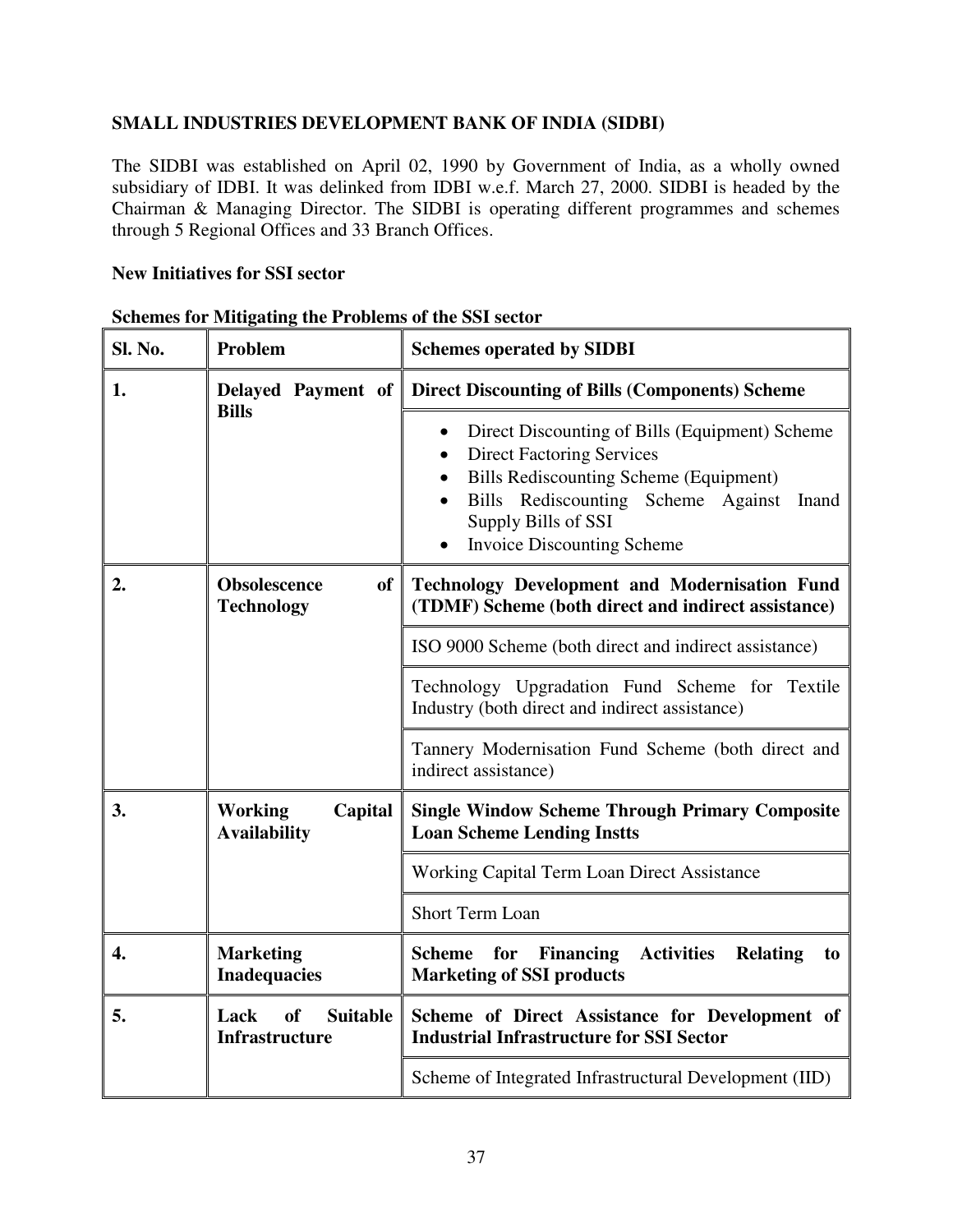## **SMALL INDUSTRIES DEVELOPMENT BANK OF INDIA (SIDBI)**

The SIDBI was established on April 02, 1990 by Government of India, as a wholly owned subsidiary of IDBI. It was delinked from IDBI w.e.f. March 27, 2000. SIDBI is headed by the Chairman & Managing Director. The SIDBI is operating different programmes and schemes through 5 Regional Offices and 33 Branch Offices.

#### **New Initiatives for SSI sector**

| Sl. No.      | Problem                                                | <b>Schemes operated by SIDBI</b>                                                                                                                                                                                                                     |  |  |
|--------------|--------------------------------------------------------|------------------------------------------------------------------------------------------------------------------------------------------------------------------------------------------------------------------------------------------------------|--|--|
| 1.           | Delayed Payment of                                     | <b>Direct Discounting of Bills (Components) Scheme</b>                                                                                                                                                                                               |  |  |
| <b>Bills</b> |                                                        | Direct Discounting of Bills (Equipment) Scheme<br>$\bullet$<br><b>Direct Factoring Services</b><br>Bills Rediscounting Scheme (Equipment)<br>Bills Rediscounting Scheme Against<br>Inand<br>Supply Bills of SSI<br><b>Invoice Discounting Scheme</b> |  |  |
| 2.           | <b>Obsolescence</b><br>of<br><b>Technology</b>         | <b>Technology Development and Modernisation Fund</b><br>(TDMF) Scheme (both direct and indirect assistance)                                                                                                                                          |  |  |
|              |                                                        | ISO 9000 Scheme (both direct and indirect assistance)                                                                                                                                                                                                |  |  |
|              |                                                        | Technology Upgradation Fund Scheme for Textile<br>Industry (both direct and indirect assistance)<br>Tannery Modernisation Fund Scheme (both direct and<br>indirect assistance)                                                                       |  |  |
|              |                                                        |                                                                                                                                                                                                                                                      |  |  |
| 3.           | <b>Working</b><br>Capital<br><b>Availability</b>       | <b>Single Window Scheme Through Primary Composite</b><br><b>Loan Scheme Lending Instts</b>                                                                                                                                                           |  |  |
|              |                                                        | Working Capital Term Loan Direct Assistance                                                                                                                                                                                                          |  |  |
|              |                                                        | <b>Short Term Loan</b>                                                                                                                                                                                                                               |  |  |
| 4.           | <b>Marketing</b><br><b>Inadequacies</b>                | <b>Activities</b><br><b>Scheme</b><br>for Financing<br><b>Relating</b><br>to<br><b>Marketing of SSI products</b>                                                                                                                                     |  |  |
| 5.           | Lack<br>of<br><b>Suitable</b><br><b>Infrastructure</b> | Scheme of Direct Assistance for Development of<br><b>Industrial Infrastructure for SSI Sector</b><br>Scheme of Integrated Infrastructural Development (IID)                                                                                          |  |  |
|              |                                                        |                                                                                                                                                                                                                                                      |  |  |

#### **Schemes for Mitigating the Problems of the SSI sector**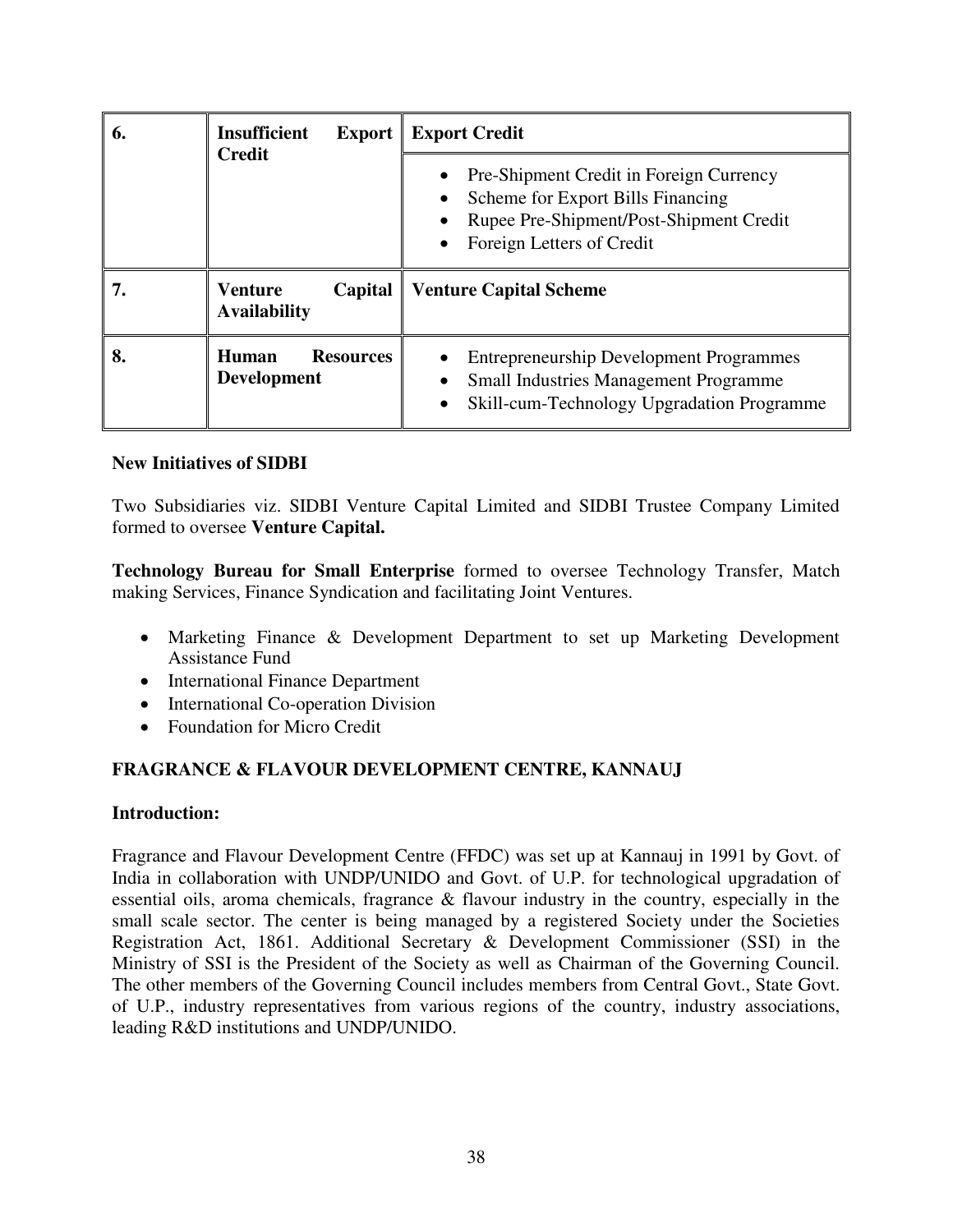| b. | <b>Insufficient</b><br><b>Export</b>                   | <b>Export Credit</b>                                                                                                                                      |  |
|----|--------------------------------------------------------|-----------------------------------------------------------------------------------------------------------------------------------------------------------|--|
|    | <b>Credit</b>                                          | Pre-Shipment Credit in Foreign Currency<br>Scheme for Export Bills Financing<br>Rupee Pre-Shipment/Post-Shipment Credit<br>Foreign Letters of Credit      |  |
|    | <b>Venture</b><br>Capital<br><b>Availability</b>       | <b>Venture Capital Scheme</b>                                                                                                                             |  |
| 8. | <b>Human</b><br><b>Resources</b><br><b>Development</b> | <b>Entrepreneurship Development Programmes</b><br><b>Small Industries Management Programme</b><br>Skill-cum-Technology Upgradation Programme<br>$\bullet$ |  |

### **New Initiatives of SIDBI**

Two Subsidiaries viz. SIDBI Venture Capital Limited and SIDBI Trustee Company Limited formed to oversee **Venture Capital.**

**Technology Bureau for Small Enterprise** formed to oversee Technology Transfer, Match making Services, Finance Syndication and facilitating Joint Ventures.

- Marketing Finance & Development Department to set up Marketing Development Assistance Fund
- International Finance Department
- International Co-operation Division
- Foundation for Micro Credit

## **FRAGRANCE & FLAVOUR DEVELOPMENT CENTRE, KANNAUJ**

### **Introduction:**

Fragrance and Flavour Development Centre (FFDC) was set up at Kannauj in 1991 by Govt. of India in collaboration with UNDP/UNIDO and Govt. of U.P. for technological upgradation of essential oils, aroma chemicals, fragrance & flavour industry in the country, especially in the small scale sector. The center is being managed by a registered Society under the Societies Registration Act, 1861. Additional Secretary & Development Commissioner (SSI) in the Ministry of SSI is the President of the Society as well as Chairman of the Governing Council. The other members of the Governing Council includes members from Central Govt., State Govt. of U.P., industry representatives from various regions of the country, industry associations, leading R&D institutions and UNDP/UNIDO.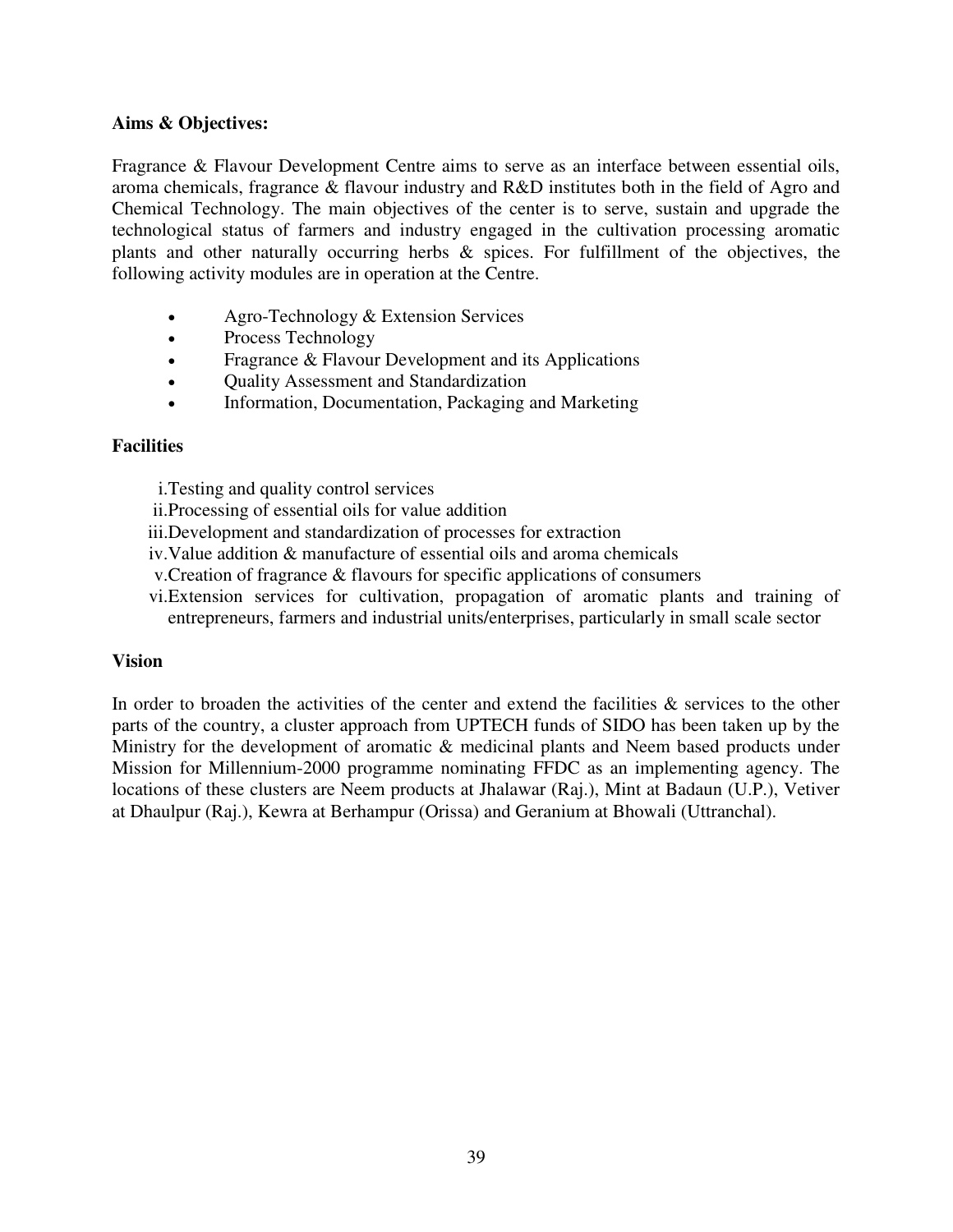### **Aims & Objectives:**

Fragrance & Flavour Development Centre aims to serve as an interface between essential oils, aroma chemicals, fragrance & flavour industry and R&D institutes both in the field of Agro and Chemical Technology. The main objectives of the center is to serve, sustain and upgrade the technological status of farmers and industry engaged in the cultivation processing aromatic plants and other naturally occurring herbs & spices. For fulfillment of the objectives, the following activity modules are in operation at the Centre.

- Agro-Technology & Extension Services
- Process Technology
- Fragrance & Flavour Development and its Applications
- Quality Assessment and Standardization
- Information, Documentation, Packaging and Marketing

### **Facilities**

- i.Testing and quality control services
- ii.Processing of essential oils for value addition
- iii.Development and standardization of processes for extraction
- iv.Value addition & manufacture of essential oils and aroma chemicals
- v.Creation of fragrance & flavours for specific applications of consumers
- vi.Extension services for cultivation, propagation of aromatic plants and training of entrepreneurs, farmers and industrial units/enterprises, particularly in small scale sector

### **Vision**

In order to broaden the activities of the center and extend the facilities & services to the other parts of the country, a cluster approach from UPTECH funds of SIDO has been taken up by the Ministry for the development of aromatic & medicinal plants and Neem based products under Mission for Millennium-2000 programme nominating FFDC as an implementing agency. The locations of these clusters are Neem products at Jhalawar (Raj.), Mint at Badaun (U.P.), Vetiver at Dhaulpur (Raj.), Kewra at Berhampur (Orissa) and Geranium at Bhowali (Uttranchal).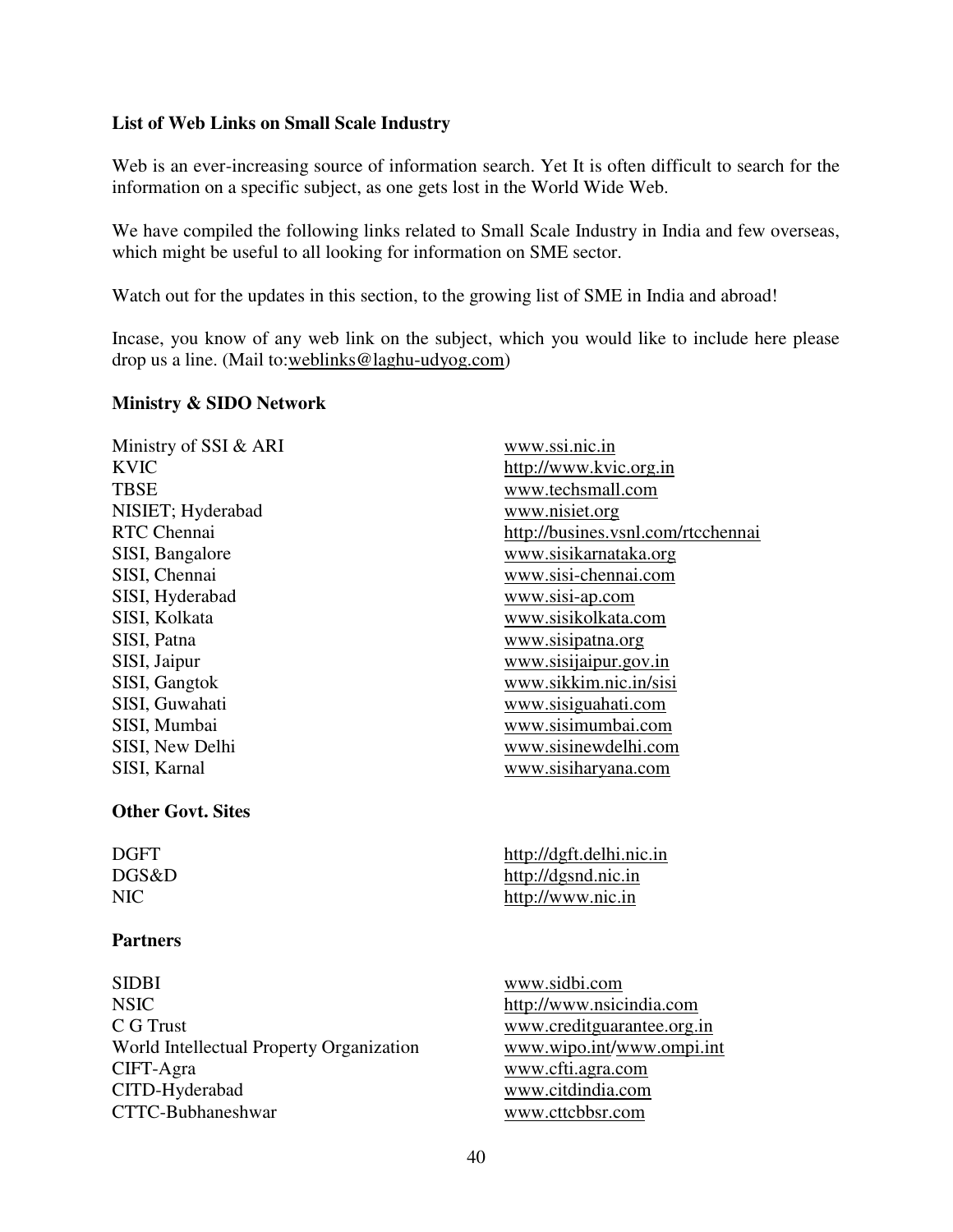### **List of Web Links on Small Scale Industry**

Web is an ever-increasing source of information search. Yet It is often difficult to search for the information on a specific subject, as one gets lost in the World Wide Web.

We have compiled the following links related to Small Scale Industry in India and few overseas, which might be useful to all looking for information on SME sector.

Watch out for the updates in this section, to the growing list of SME in India and abroad!

Incase, you know of any web link on the subject, which you would like to include here please drop us a line. (Mail to[:weblinks@laghu-udyog.com\)](mailto:weblinks@laghu-udyog.com)

### **Ministry & SIDO Network**

Ministry of SSI & ARI www.ssi.nic.in TBSE [www.techsmall.com](http://www.smallindustryindia.com/frame.htm?http://www.techsmall.com)  NISIET; Hyderabad [www.nisiet.org](http://www.nisiet.org/)  SISI, Hyderabad [www.sisi-ap.com](http://www.sisi-ap.com/)  SISI, Kolkata [www.sisikolkata.com](http://www.sisikolkata.com/)  SISI, Patna [www.sisipatna.org](http://www.sisipatna.org/)  SISI, Guwahati [www.sisiguahati.com](http://www.sisiguahati.com/)  SISI, Karnal [www.sisiharyana.com](http://www.sisiharyana.com/) 

### **Other Govt. Sites**

#### **Partners**

SIDBI [www.sidbi.com](http://www.smallindustryindia.com/frame.htm?http://www.sidbi.com)  NSIC [http://www.nsicindia.com](http://www.smallindustryindia.com/frame.htm?http://www.nsicindia.com)  C G Trust www.creditguarantee.org.in World Intellectual Property Organization [www.wipo.int/](http://www.smallindustryindia.com/frame.htm?http://www.wipo.int)www.ompi.int CIFT-Agra [www.cfti.agra.com](http://www.cfti.agra.com/)  CITD-Hyderabad [www.citdindia.com](http://www.citdindia.com/) 

KVIC http://www.kvic.org.in RTC Chennai [http://busines.vsnl.com/rtcchennai](http://www.smallindustryindia.com/frame.htm?http://busines.vsnl.com/rtcchennai)  SISI, Bangalore [www.sisikarnataka.org](http://www.smallindustryindia.com/frame.htm?http://www.sisikarnataka.org)  SISI, Chennai [www.sisi-chennai.com](http://www.sisi-chennai.com/)  SISI, Jaipur www.sisijaipur.gov.in SISI, Gangtok [www.sikkim.nic.in/sisi](http://www.sikkim.nic.in/sisi)  SISI, Mumbai [www.sisimumbai.com](http://www.sisimumbai.com/)  SISI, New Delhi [www.sisinewdelhi.com](http://www.sisinewdelhi.com/) 

DGFT http://dgft.delhi.nic.in DGS&D [http://dgsnd.nic.in](http://www.smallindustryindia.com/frame.htm?http://dgsnd.nic.in)  NIC http://www.nic.in

www.cttcbbsr.com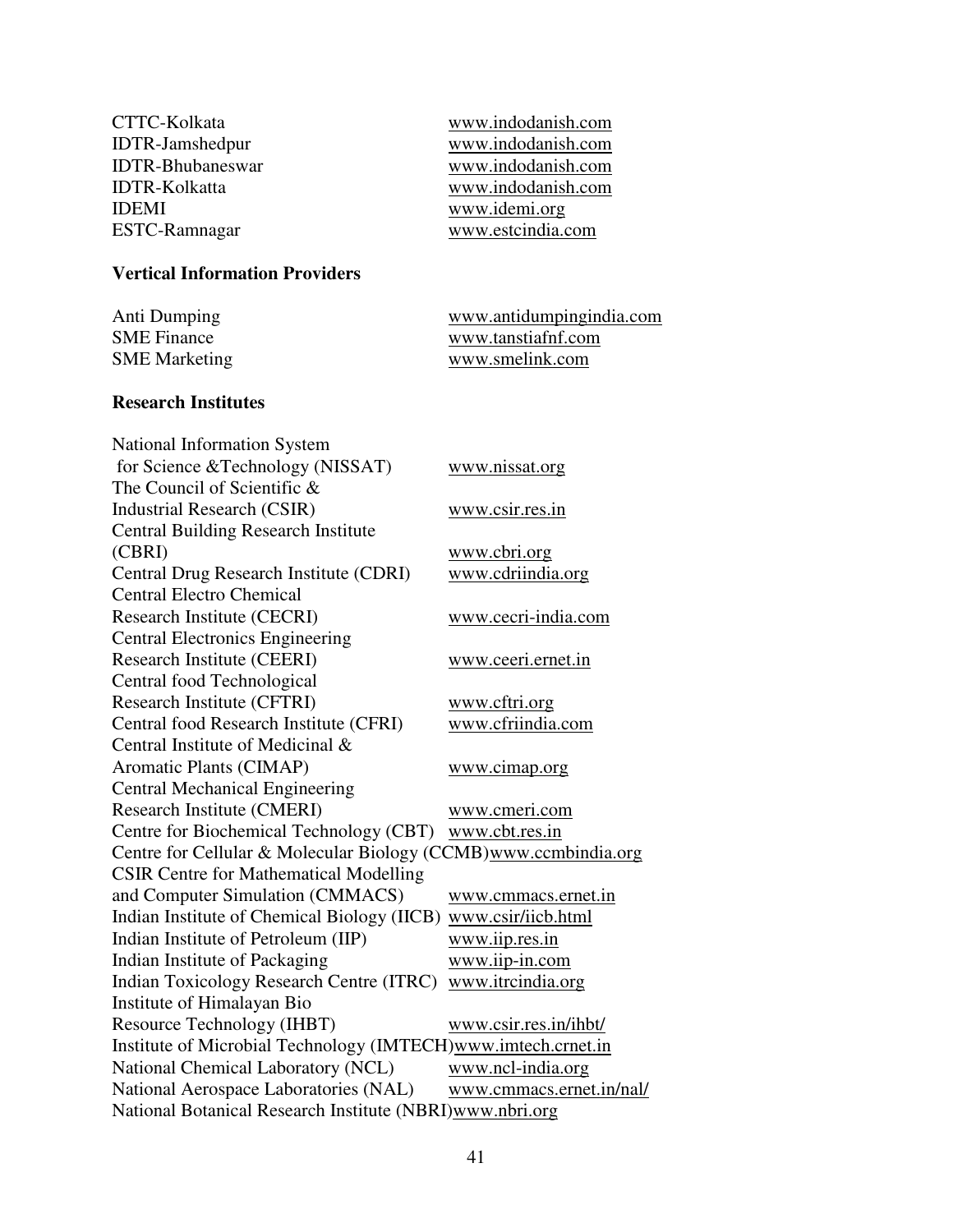IDEMI<br>ESTC-Ramnagar www.idemi.org<br>www.estcindia.co

CTTC-Kolkata www.indodanish.com<br>
IDTR-Jamshedpur www.indodanish.com IDTR-Jamshedpur [www.indodanish.com](http://www.indodanish.com/)  www.indodanish.com IDTR-Kolkatta [www.indodanish.com](http://www.indodanish.com/)  www.estcindia.com

### **Vertical Information Providers**

| Anti Dumping         | www.antidumpingindia.com |
|----------------------|--------------------------|
| <b>SME</b> Finance   | www.tanstiafnf.com       |
| <b>SME Marketing</b> | www.smelink.com          |

## **Research Institutes**

| National Information System                                     |                          |  |  |  |
|-----------------------------------------------------------------|--------------------------|--|--|--|
| for Science &Technology (NISSAT)                                | www.nissat.org           |  |  |  |
| The Council of Scientific &                                     |                          |  |  |  |
| <b>Industrial Research (CSIR)</b>                               | www.csir.res.in          |  |  |  |
| <b>Central Building Research Institute</b>                      |                          |  |  |  |
| (CBRI)                                                          | www.cbri.org             |  |  |  |
| Central Drug Research Institute (CDRI)                          | www.cdriindia.org        |  |  |  |
| <b>Central Electro Chemical</b>                                 |                          |  |  |  |
| Research Institute (CECRI)                                      | www.cecri-india.com      |  |  |  |
| <b>Central Electronics Engineering</b>                          |                          |  |  |  |
| Research Institute (CEERI)                                      | www.ceeri.ernet.in       |  |  |  |
| Central food Technological                                      |                          |  |  |  |
| Research Institute (CFTRI)                                      | www.cftri.org            |  |  |  |
| Central food Research Institute (CFRI)                          | www.cfriindia.com        |  |  |  |
| Central Institute of Medicinal &                                |                          |  |  |  |
| Aromatic Plants (CIMAP)                                         | www.cimap.org            |  |  |  |
| <b>Central Mechanical Engineering</b>                           |                          |  |  |  |
| Research Institute (CMERI)                                      | www.cmeri.com            |  |  |  |
| Centre for Biochemical Technology (CBT)                         | www.cbt.res.in           |  |  |  |
| Centre for Cellular & Molecular Biology (CCMB)www.ccmbindia.org |                          |  |  |  |
| <b>CSIR Centre for Mathematical Modelling</b>                   |                          |  |  |  |
| and Computer Simulation (CMMACS)                                | www.cmmacs.ernet.in      |  |  |  |
| Indian Institute of Chemical Biology (IICB)                     | www.csir/iicb.html       |  |  |  |
| Indian Institute of Petroleum (IIP)                             | www.iip.res.in           |  |  |  |
| Indian Institute of Packaging                                   | www.iip-in.com           |  |  |  |
| Indian Toxicology Research Centre (ITRC)                        | www.itrcindia.org        |  |  |  |
| Institute of Himalayan Bio                                      |                          |  |  |  |
| Resource Technology (IHBT)                                      | www.csir.res.in/ihbt/    |  |  |  |
| Institute of Microbial Technology (IMTECH)www.imtech.crnet.in   |                          |  |  |  |
| National Chemical Laboratory (NCL)                              | www.ncl-india.org        |  |  |  |
| National Aerospace Laboratories (NAL)                           | www.cmmacs.ernet.in/nal/ |  |  |  |
| National Botanical Research Institute (NBRI)www.nbri.org        |                          |  |  |  |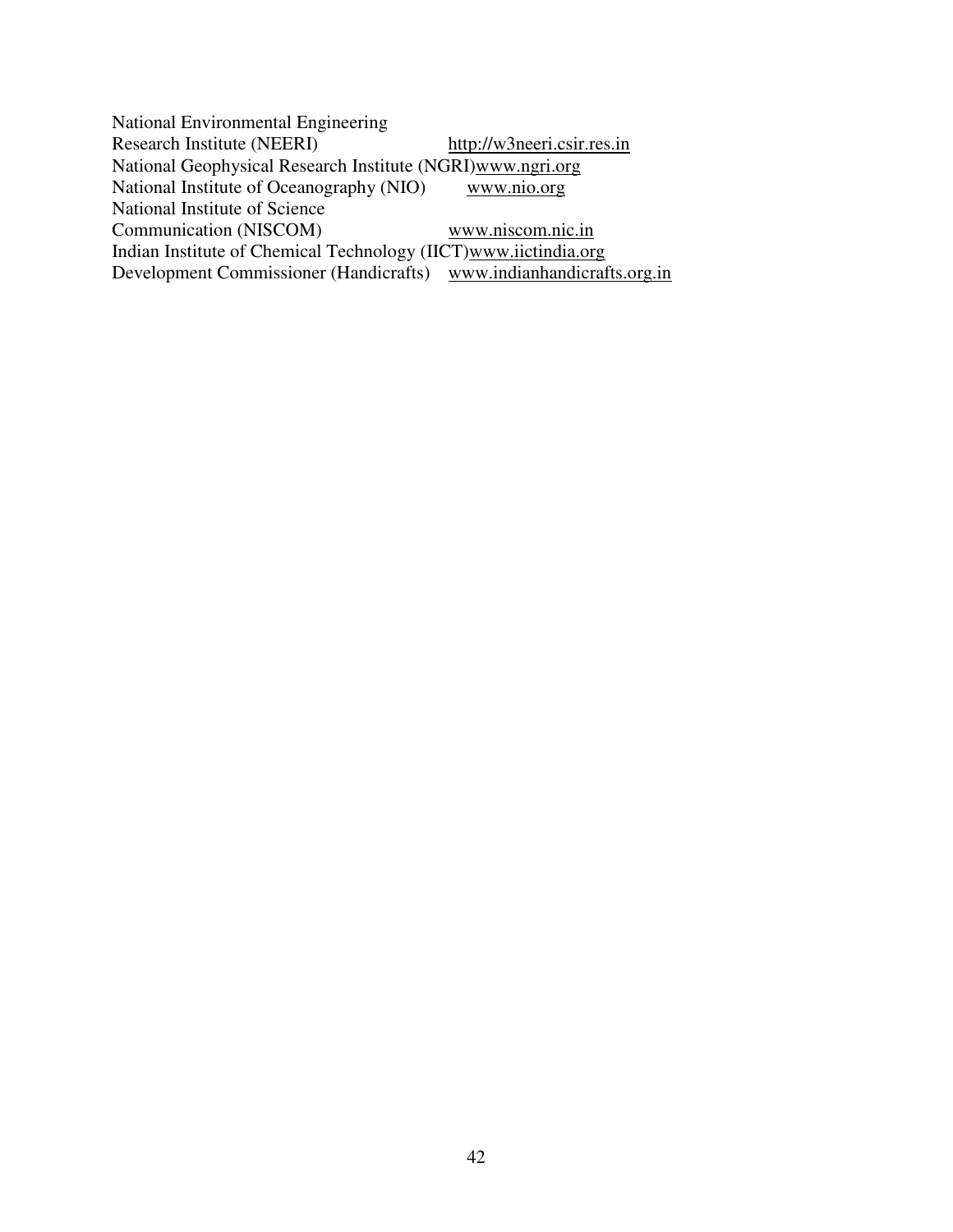National Environmental Engineering Research Institute (NEERI) http://w3neeri.csir.res.in National Geophysical Research Institute (NGRI[\)www.ngri.org](http://www.smallindustryindia.com/frame.htm?http://www.ngri.org)  National Institute of Oceanography (NIO) [www.nio.org](http://www.smallindustryindia.com/frame.htm?http://www.nio.org)  National Institute of Science Communication (NISCOM) [www.niscom.nic.in](http://www.smallindustryindia.com/frame.htm?http://niscom.nic.in)  Indian Institute of Chemical Technology (IICT[\)www.iictindia.org](http://www.smallindustryindia.com/frame.htm?http://www.iictindia.org)  Development Commissioner (Handicrafts) [www.indianhandicrafts.org.in](http://www.smallindustryindia.com/frame.htm?http://www.indianhandicrafts.org.in)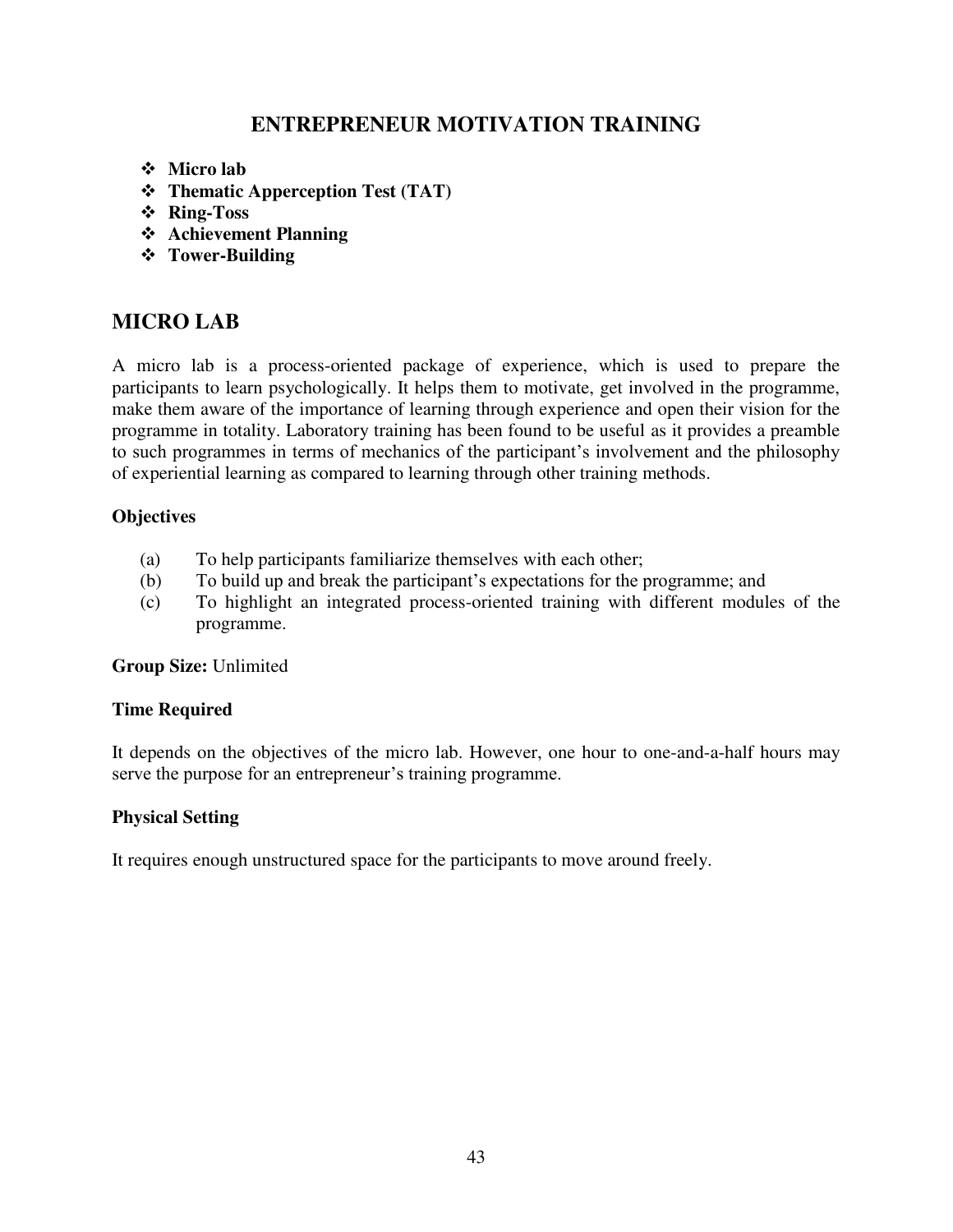## **ENTREPRENEUR MOTIVATION TRAINING**

- **Micro lab**
- **Thematic Apperception Test (TAT)**
- **Ring-Toss**
- **Achievement Planning**
- **Tower-Building**

## **MICRO LAB**

A micro lab is a process-oriented package of experience, which is used to prepare the participants to learn psychologically. It helps them to motivate, get involved in the programme, make them aware of the importance of learning through experience and open their vision for the programme in totality. Laboratory training has been found to be useful as it provides a preamble to such programmes in terms of mechanics of the participant's involvement and the philosophy of experiential learning as compared to learning through other training methods.

### **Objectives**

- (a) To help participants familiarize themselves with each other;
- (b) To build up and break the participant's expectations for the programme; and
- (c) To highlight an integrated process-oriented training with different modules of the programme.

### **Group Size:** Unlimited

### **Time Required**

It depends on the objectives of the micro lab. However, one hour to one-and-a-half hours may serve the purpose for an entrepreneur's training programme.

### **Physical Setting**

It requires enough unstructured space for the participants to move around freely.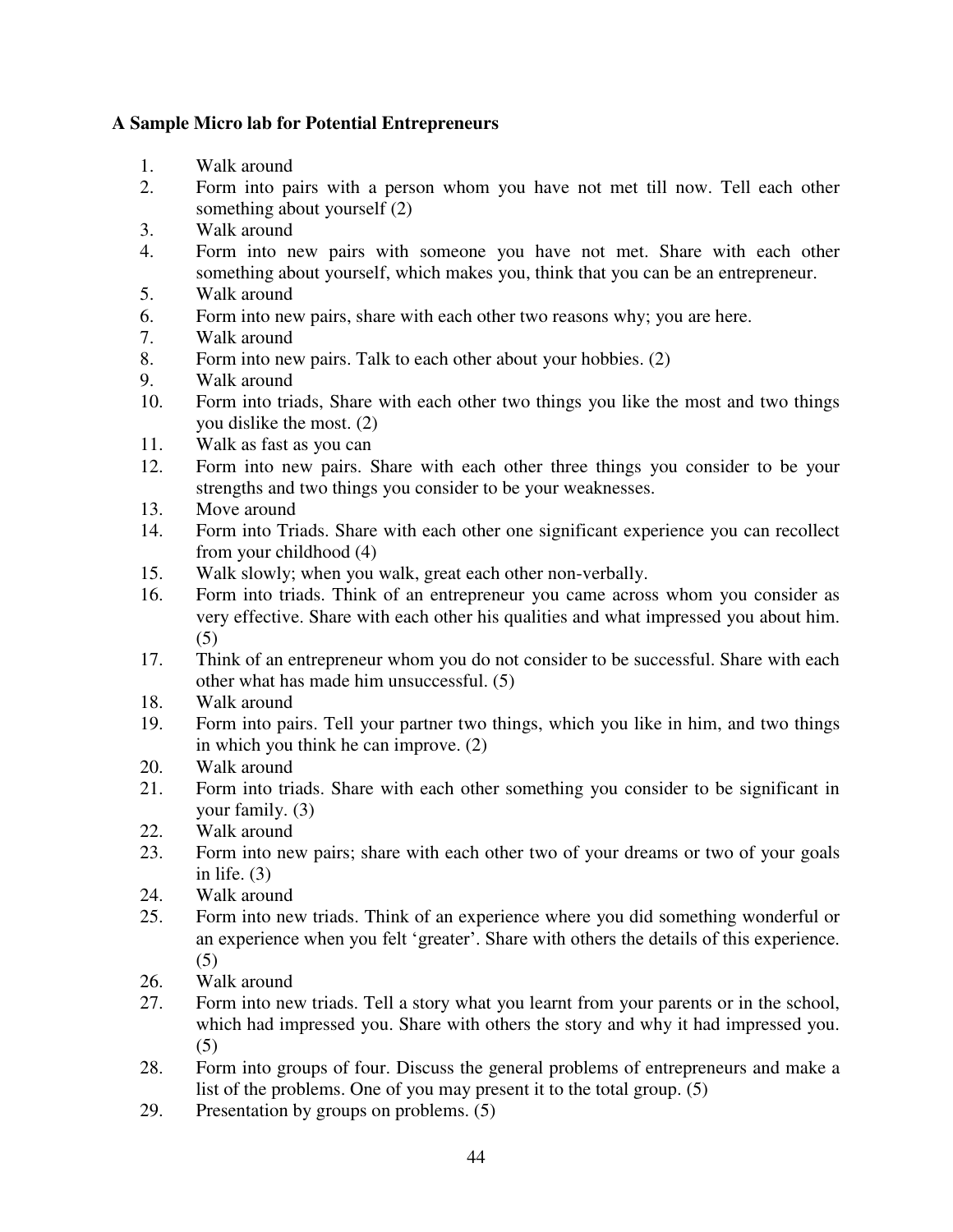## **A Sample Micro lab for Potential Entrepreneurs**

- 1. Walk around
- 2. Form into pairs with a person whom you have not met till now. Tell each other something about yourself (2)
- 3. Walk around
- 4. Form into new pairs with someone you have not met. Share with each other something about yourself, which makes you, think that you can be an entrepreneur.
- 5. Walk around
- 6. Form into new pairs, share with each other two reasons why; you are here.
- 7. Walk around
- 8. Form into new pairs. Talk to each other about your hobbies. (2)
- 9. Walk around
- 10. Form into triads, Share with each other two things you like the most and two things you dislike the most. (2)
- 11. Walk as fast as you can
- 12. Form into new pairs. Share with each other three things you consider to be your strengths and two things you consider to be your weaknesses.
- 13. Move around
- 14. Form into Triads. Share with each other one significant experience you can recollect from your childhood (4)
- 15. Walk slowly; when you walk, great each other non-verbally.
- 16. Form into triads. Think of an entrepreneur you came across whom you consider as very effective. Share with each other his qualities and what impressed you about him. (5)
- 17. Think of an entrepreneur whom you do not consider to be successful. Share with each other what has made him unsuccessful. (5)
- 18. Walk around
- 19. Form into pairs. Tell your partner two things, which you like in him, and two things in which you think he can improve. (2)
- 20. Walk around
- 21. Form into triads. Share with each other something you consider to be significant in your family. (3)
- 22. Walk around
- 23. Form into new pairs; share with each other two of your dreams or two of your goals in life.  $(3)$
- 24. Walk around
- 25. Form into new triads. Think of an experience where you did something wonderful or an experience when you felt 'greater'. Share with others the details of this experience. (5)
- 26. Walk around
- 27. Form into new triads. Tell a story what you learnt from your parents or in the school, which had impressed you. Share with others the story and why it had impressed you. (5)
- 28. Form into groups of four. Discuss the general problems of entrepreneurs and make a list of the problems. One of you may present it to the total group. (5)
- 29. Presentation by groups on problems. (5)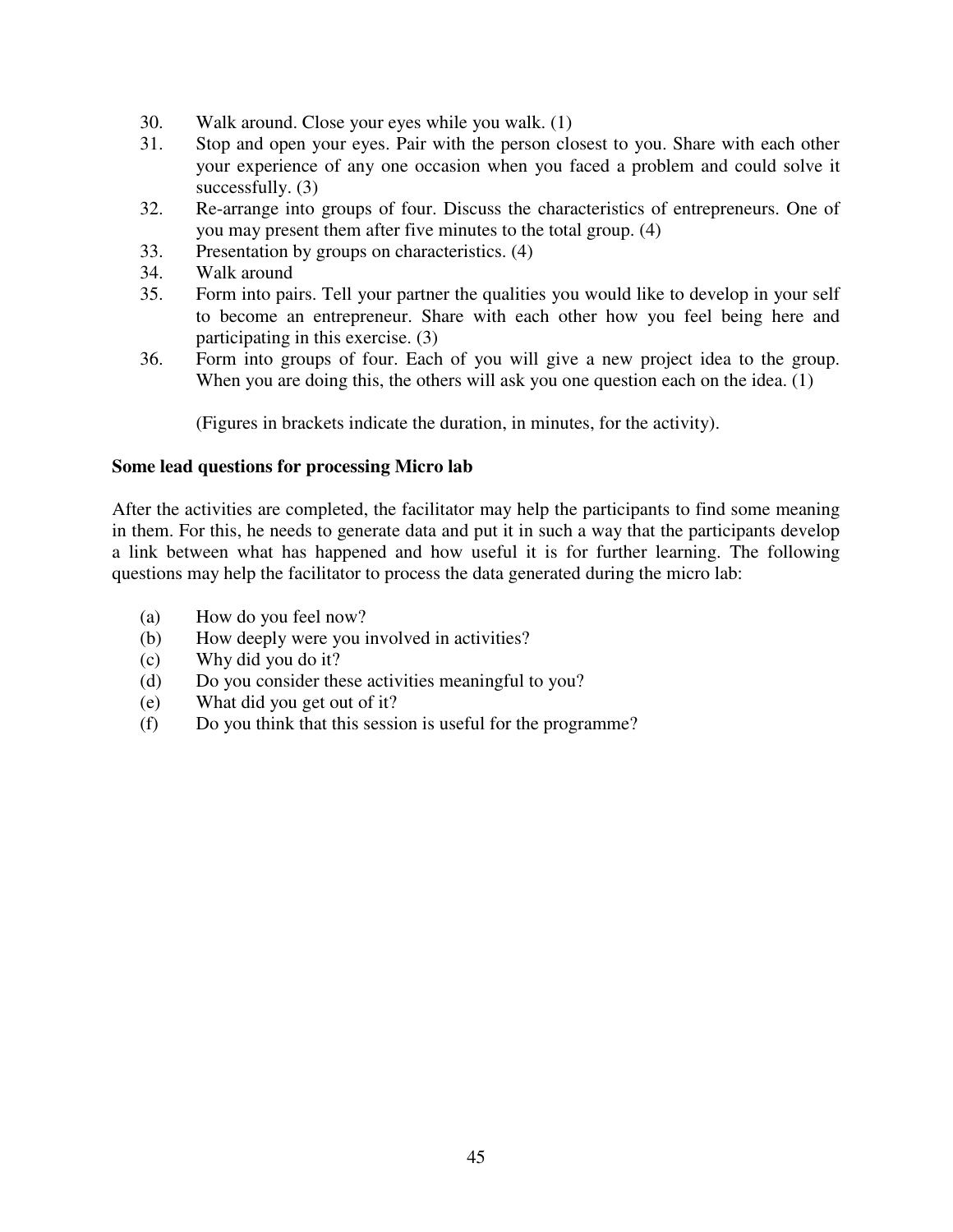- 30. Walk around. Close your eyes while you walk. (1)
- 31. Stop and open your eyes. Pair with the person closest to you. Share with each other your experience of any one occasion when you faced a problem and could solve it successfully. (3)
- 32. Re-arrange into groups of four. Discuss the characteristics of entrepreneurs. One of you may present them after five minutes to the total group. (4)
- 33. Presentation by groups on characteristics. (4)
- 34. Walk around
- 35. Form into pairs. Tell your partner the qualities you would like to develop in your self to become an entrepreneur. Share with each other how you feel being here and participating in this exercise. (3)
- 36. Form into groups of four. Each of you will give a new project idea to the group. When you are doing this, the others will ask you one question each on the idea. (1)

(Figures in brackets indicate the duration, in minutes, for the activity).

### **Some lead questions for processing Micro lab**

After the activities are completed, the facilitator may help the participants to find some meaning in them. For this, he needs to generate data and put it in such a way that the participants develop a link between what has happened and how useful it is for further learning. The following questions may help the facilitator to process the data generated during the micro lab:

- (a) How do you feel now?
- (b) How deeply were you involved in activities?
- (c) Why did you do it?
- (d) Do you consider these activities meaningful to you?
- (e) What did you get out of it?
- (f) Do you think that this session is useful for the programme?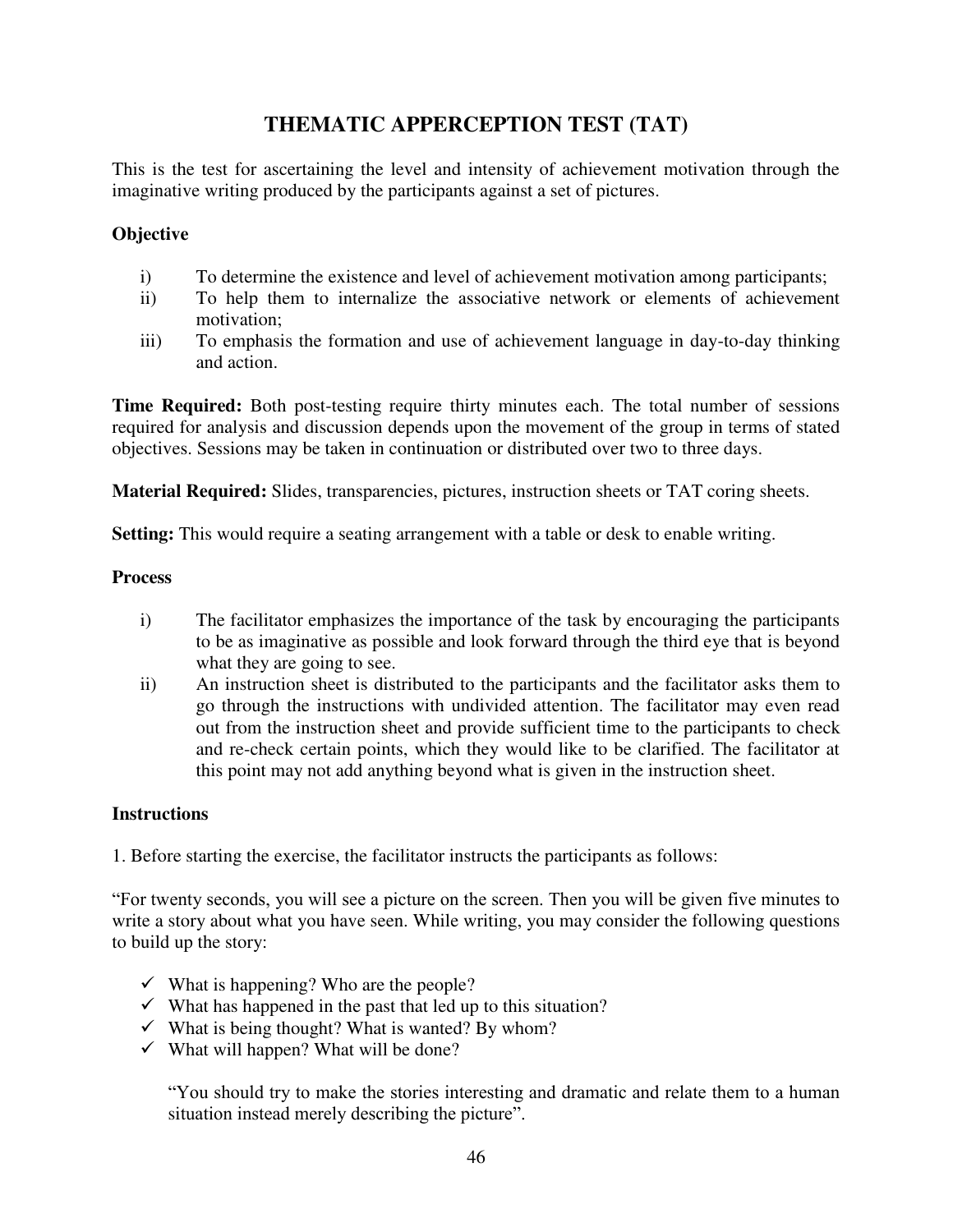## **THEMATIC APPERCEPTION TEST (TAT)**

This is the test for ascertaining the level and intensity of achievement motivation through the imaginative writing produced by the participants against a set of pictures.

## **Objective**

- i) To determine the existence and level of achievement motivation among participants;
- ii) To help them to internalize the associative network or elements of achievement motivation;
- iii) To emphasis the formation and use of achievement language in day-to-day thinking and action.

**Time Required:** Both post-testing require thirty minutes each. The total number of sessions required for analysis and discussion depends upon the movement of the group in terms of stated objectives. Sessions may be taken in continuation or distributed over two to three days.

**Material Required:** Slides, transparencies, pictures, instruction sheets or TAT coring sheets.

**Setting:** This would require a seating arrangement with a table or desk to enable writing.

### **Process**

- i) The facilitator emphasizes the importance of the task by encouraging the participants to be as imaginative as possible and look forward through the third eye that is beyond what they are going to see.
- ii) An instruction sheet is distributed to the participants and the facilitator asks them to go through the instructions with undivided attention. The facilitator may even read out from the instruction sheet and provide sufficient time to the participants to check and re-check certain points, which they would like to be clarified. The facilitator at this point may not add anything beyond what is given in the instruction sheet.

## **Instructions**

1. Before starting the exercise, the facilitator instructs the participants as follows:

"For twenty seconds, you will see a picture on the screen. Then you will be given five minutes to write a story about what you have seen. While writing, you may consider the following questions to build up the story:

- $\checkmark$  What is happening? Who are the people?
- $\checkmark$  What has happened in the past that led up to this situation?
- $\checkmark$  What is being thought? What is wanted? By whom?
- $\checkmark$  What will happen? What will be done?

"You should try to make the stories interesting and dramatic and relate them to a human situation instead merely describing the picture".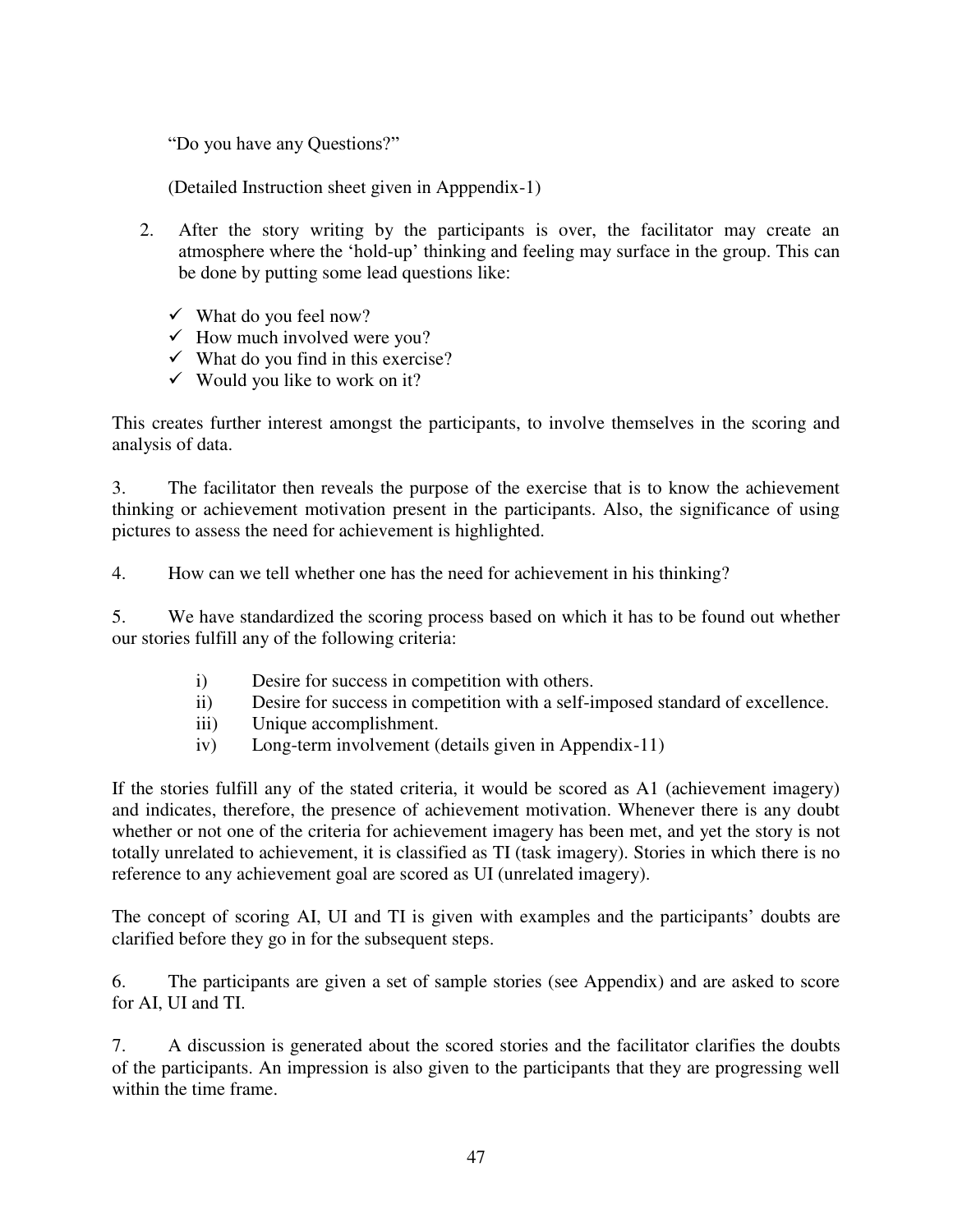"Do you have any Questions?"

(Detailed Instruction sheet given in Apppendix-1)

- 2. After the story writing by the participants is over, the facilitator may create an atmosphere where the 'hold-up' thinking and feeling may surface in the group. This can be done by putting some lead questions like:
	- $\checkmark$  What do you feel now?
	- $\checkmark$  How much involved were you?
	- $\checkmark$  What do you find in this exercise?
	- $\checkmark$  Would you like to work on it?

This creates further interest amongst the participants, to involve themselves in the scoring and analysis of data.

3. The facilitator then reveals the purpose of the exercise that is to know the achievement thinking or achievement motivation present in the participants. Also, the significance of using pictures to assess the need for achievement is highlighted.

4. How can we tell whether one has the need for achievement in his thinking?

5. We have standardized the scoring process based on which it has to be found out whether our stories fulfill any of the following criteria:

- i) Desire for success in competition with others.
- ii) Desire for success in competition with a self-imposed standard of excellence.
- iii) Unique accomplishment.
- iv) Long-term involvement (details given in Appendix-11)

If the stories fulfill any of the stated criteria, it would be scored as A1 (achievement imagery) and indicates, therefore, the presence of achievement motivation. Whenever there is any doubt whether or not one of the criteria for achievement imagery has been met, and yet the story is not totally unrelated to achievement, it is classified as TI (task imagery). Stories in which there is no reference to any achievement goal are scored as UI (unrelated imagery).

The concept of scoring AI, UI and TI is given with examples and the participants' doubts are clarified before they go in for the subsequent steps.

6. The participants are given a set of sample stories (see Appendix) and are asked to score for AI, UI and TI.

7. A discussion is generated about the scored stories and the facilitator clarifies the doubts of the participants. An impression is also given to the participants that they are progressing well within the time frame.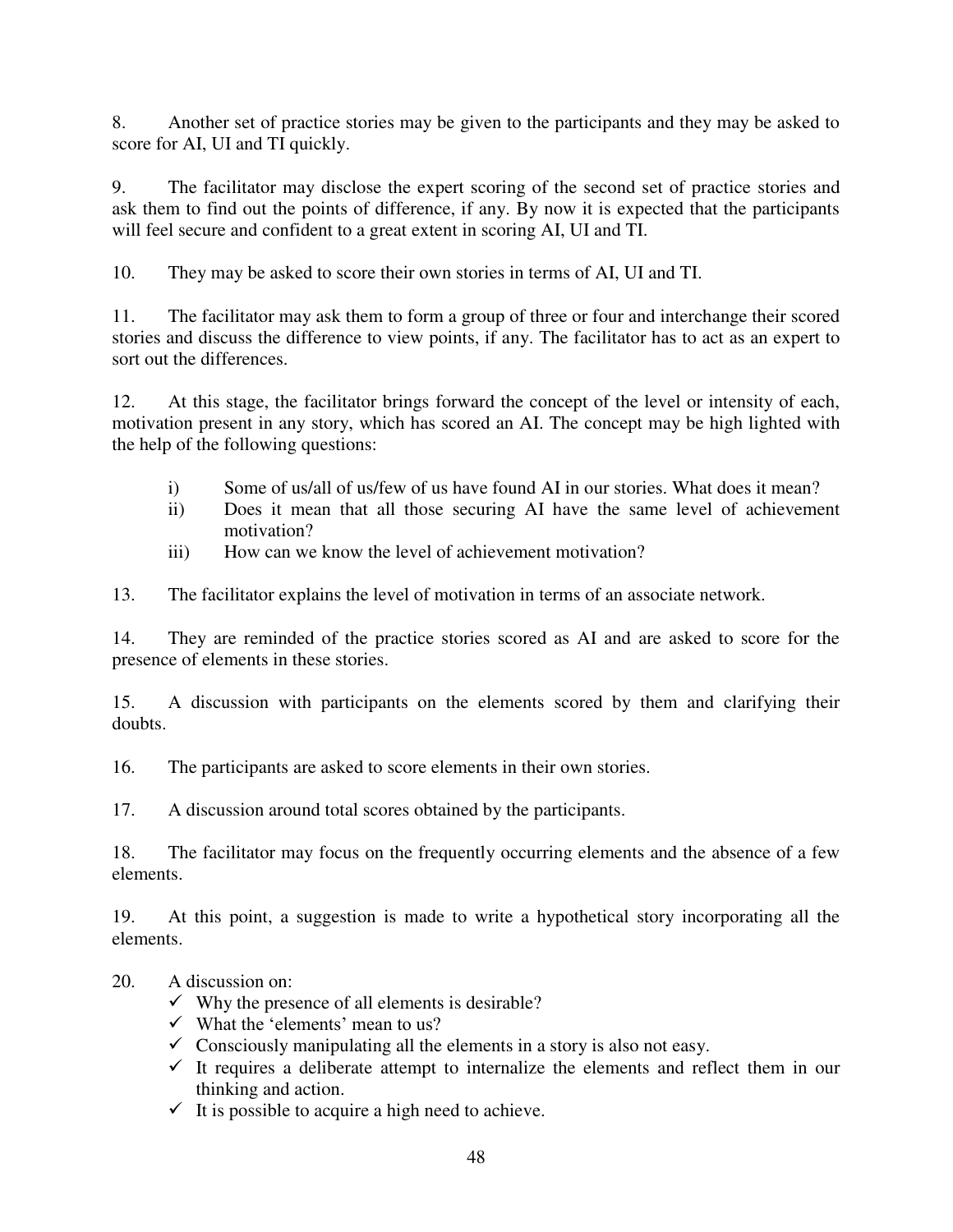8. Another set of practice stories may be given to the participants and they may be asked to score for AI, UI and TI quickly.

9. The facilitator may disclose the expert scoring of the second set of practice stories and ask them to find out the points of difference, if any. By now it is expected that the participants will feel secure and confident to a great extent in scoring AI, UI and TI.

10. They may be asked to score their own stories in terms of AI, UI and TI.

11. The facilitator may ask them to form a group of three or four and interchange their scored stories and discuss the difference to view points, if any. The facilitator has to act as an expert to sort out the differences.

12. At this stage, the facilitator brings forward the concept of the level or intensity of each, motivation present in any story, which has scored an AI. The concept may be high lighted with the help of the following questions:

- i) Some of us/all of us/few of us have found AI in our stories. What does it mean?
- ii) Does it mean that all those securing AI have the same level of achievement motivation?
- iii) How can we know the level of achievement motivation?

13. The facilitator explains the level of motivation in terms of an associate network.

14. They are reminded of the practice stories scored as AI and are asked to score for the presence of elements in these stories.

15. A discussion with participants on the elements scored by them and clarifying their doubts.

16. The participants are asked to score elements in their own stories.

17. A discussion around total scores obtained by the participants.

18. The facilitator may focus on the frequently occurring elements and the absence of a few elements.

19. At this point, a suggestion is made to write a hypothetical story incorporating all the elements.

## 20. A discussion on:

- $\checkmark$  Why the presence of all elements is desirable?
- $\checkmark$  What the 'elements' mean to us?
- $\checkmark$  Consciously manipulating all the elements in a story is also not easy.
- $\checkmark$  It requires a deliberate attempt to internalize the elements and reflect them in our thinking and action.
- $\checkmark$  It is possible to acquire a high need to achieve.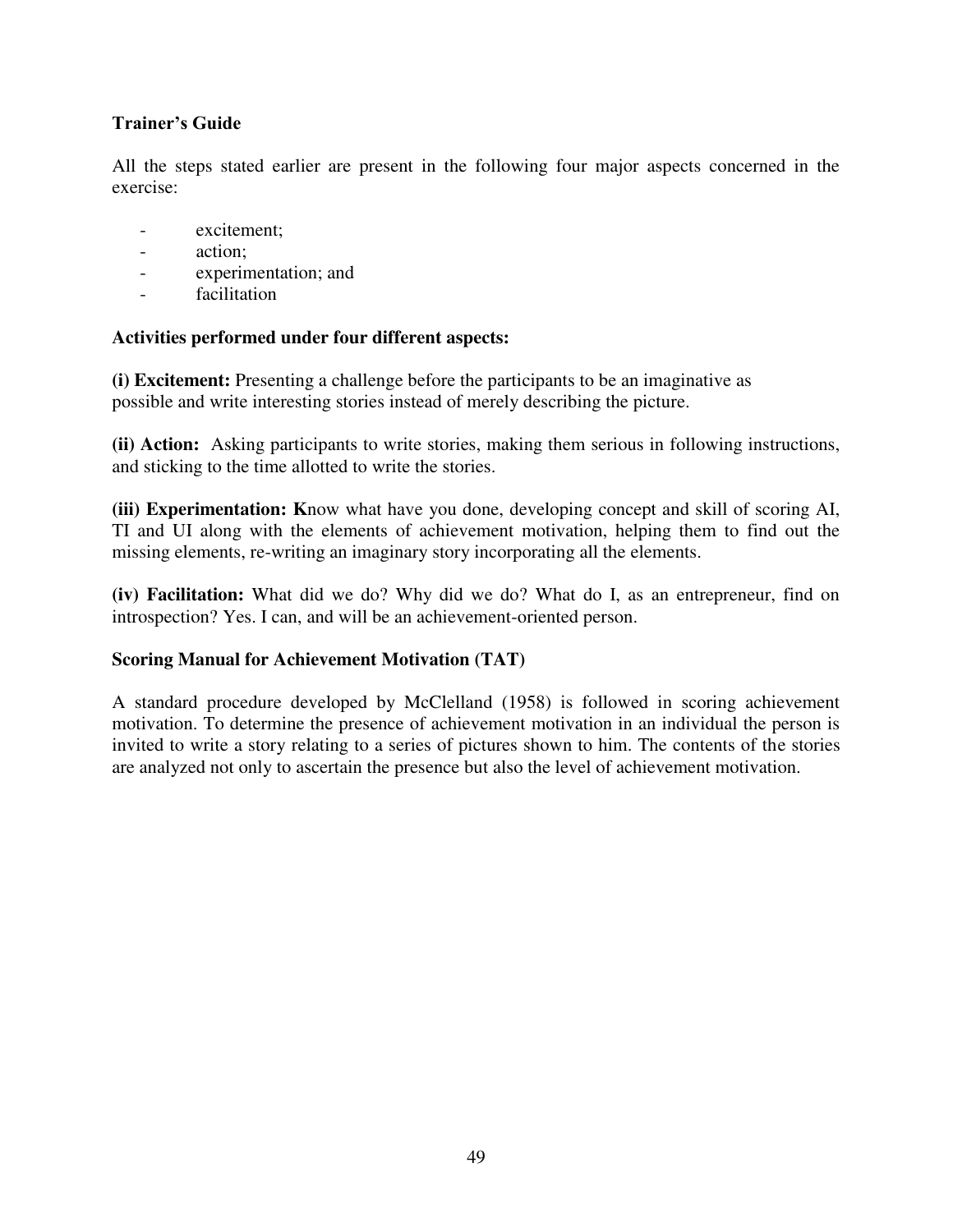## **Trainer's Guide**

All the steps stated earlier are present in the following four major aspects concerned in the exercise:

- excitement:
- action;
- experimentation; and
- facilitation

## **Activities performed under four different aspects:**

**(i) Excitement:** Presenting a challenge before the participants to be an imaginative as possible and write interesting stories instead of merely describing the picture.

**(ii) Action:** Asking participants to write stories, making them serious in following instructions, and sticking to the time allotted to write the stories.

**(iii) Experimentation: K**now what have you done, developing concept and skill of scoring AI, TI and UI along with the elements of achievement motivation, helping them to find out the missing elements, re-writing an imaginary story incorporating all the elements.

**(iv) Facilitation:** What did we do? Why did we do? What do I, as an entrepreneur, find on introspection? Yes. I can, and will be an achievement-oriented person.

## **Scoring Manual for Achievement Motivation (TAT)**

A standard procedure developed by McClelland (1958) is followed in scoring achievement motivation. To determine the presence of achievement motivation in an individual the person is invited to write a story relating to a series of pictures shown to him. The contents of the stories are analyzed not only to ascertain the presence but also the level of achievement motivation.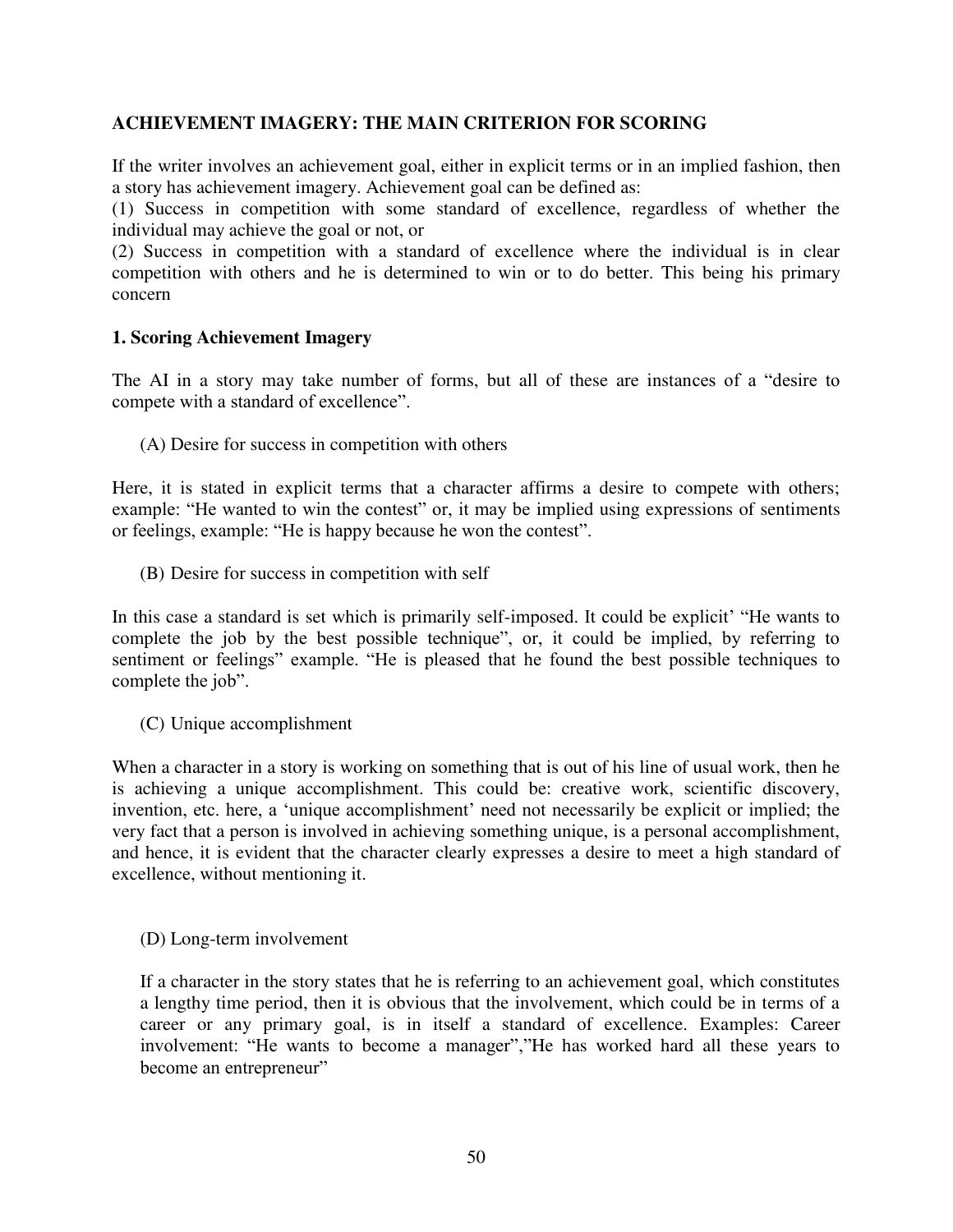### **ACHIEVEMENT IMAGERY: THE MAIN CRITERION FOR SCORING**

If the writer involves an achievement goal, either in explicit terms or in an implied fashion, then a story has achievement imagery. Achievement goal can be defined as:

(1) Success in competition with some standard of excellence, regardless of whether the individual may achieve the goal or not, or

(2) Success in competition with a standard of excellence where the individual is in clear competition with others and he is determined to win or to do better. This being his primary concern

### **1. Scoring Achievement Imagery**

The AI in a story may take number of forms, but all of these are instances of a "desire to compete with a standard of excellence".

(A) Desire for success in competition with others

Here, it is stated in explicit terms that a character affirms a desire to compete with others; example: "He wanted to win the contest" or, it may be implied using expressions of sentiments or feelings, example: "He is happy because he won the contest".

(B) Desire for success in competition with self

In this case a standard is set which is primarily self-imposed. It could be explicit' "He wants to complete the job by the best possible technique", or, it could be implied, by referring to sentiment or feelings" example. "He is pleased that he found the best possible techniques to complete the job".

(C) Unique accomplishment

When a character in a story is working on something that is out of his line of usual work, then he is achieving a unique accomplishment. This could be: creative work, scientific discovery, invention, etc. here, a 'unique accomplishment' need not necessarily be explicit or implied; the very fact that a person is involved in achieving something unique, is a personal accomplishment, and hence, it is evident that the character clearly expresses a desire to meet a high standard of excellence, without mentioning it.

(D) Long-term involvement

If a character in the story states that he is referring to an achievement goal, which constitutes a lengthy time period, then it is obvious that the involvement, which could be in terms of a career or any primary goal, is in itself a standard of excellence. Examples: Career involvement: "He wants to become a manager","He has worked hard all these years to become an entrepreneur"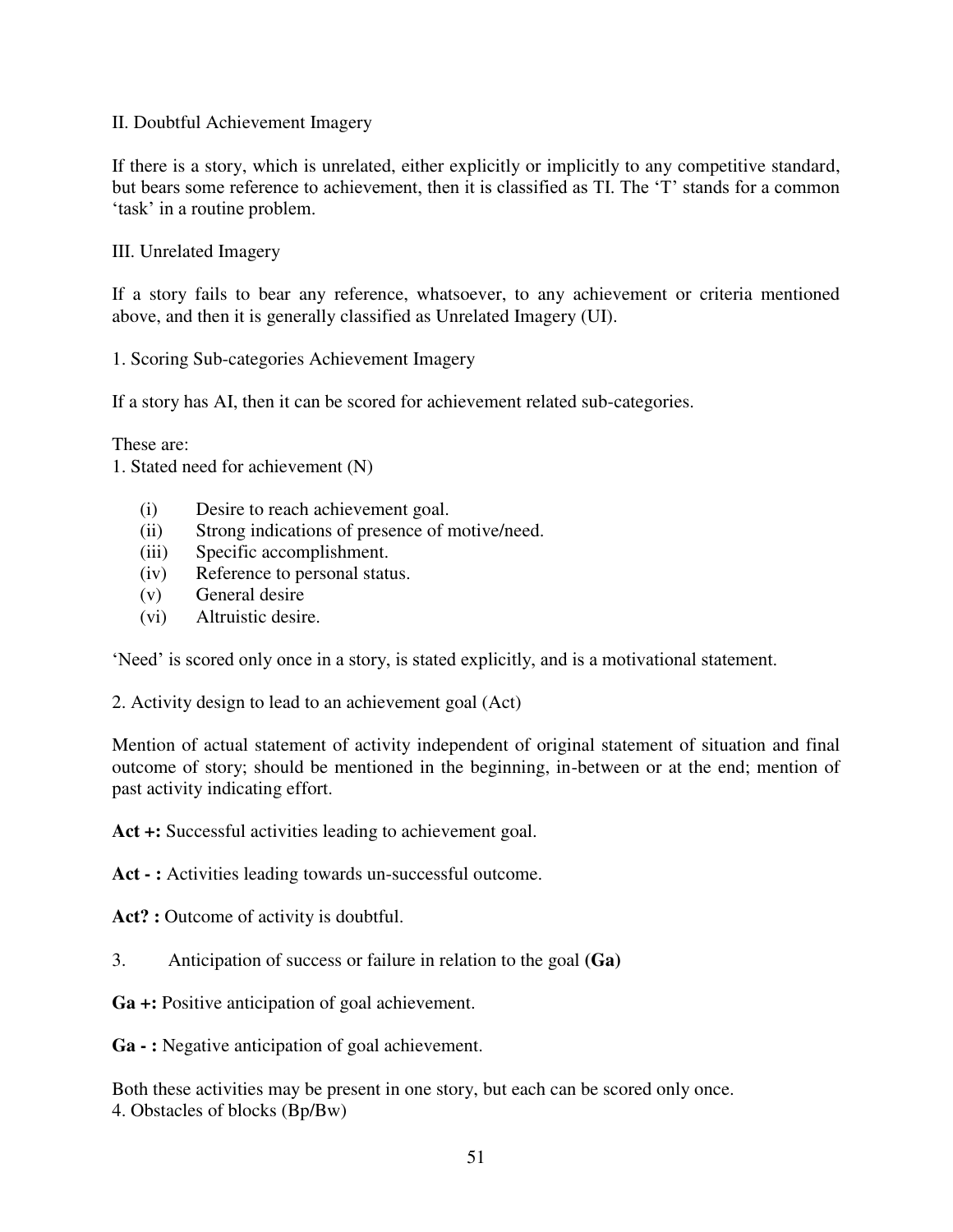#### II. Doubtful Achievement Imagery

If there is a story, which is unrelated, either explicitly or implicitly to any competitive standard, but bears some reference to achievement, then it is classified as TI. The 'T' stands for a common 'task' in a routine problem.

III. Unrelated Imagery

If a story fails to bear any reference, whatsoever, to any achievement or criteria mentioned above, and then it is generally classified as Unrelated Imagery (UI).

1. Scoring Sub-categories Achievement Imagery

If a story has AI, then it can be scored for achievement related sub-categories.

These are:

1. Stated need for achievement (N)

- (i) Desire to reach achievement goal.
- (ii) Strong indications of presence of motive/need.
- (iii) Specific accomplishment.
- (iv) Reference to personal status.
- (v) General desire
- (vi) Altruistic desire.

'Need' is scored only once in a story, is stated explicitly, and is a motivational statement.

2. Activity design to lead to an achievement goal (Act)

Mention of actual statement of activity independent of original statement of situation and final outcome of story; should be mentioned in the beginning, in-between or at the end; mention of past activity indicating effort.

**Act +:** Successful activities leading to achievement goal.

**Act - :** Activities leading towards un-successful outcome.

**Act? :** Outcome of activity is doubtful.

3. Anticipation of success or failure in relation to the goal **(Ga)** 

**Ga +:** Positive anticipation of goal achievement.

**Ga - :** Negative anticipation of goal achievement.

Both these activities may be present in one story, but each can be scored only once. 4. Obstacles of blocks (Bp/Bw)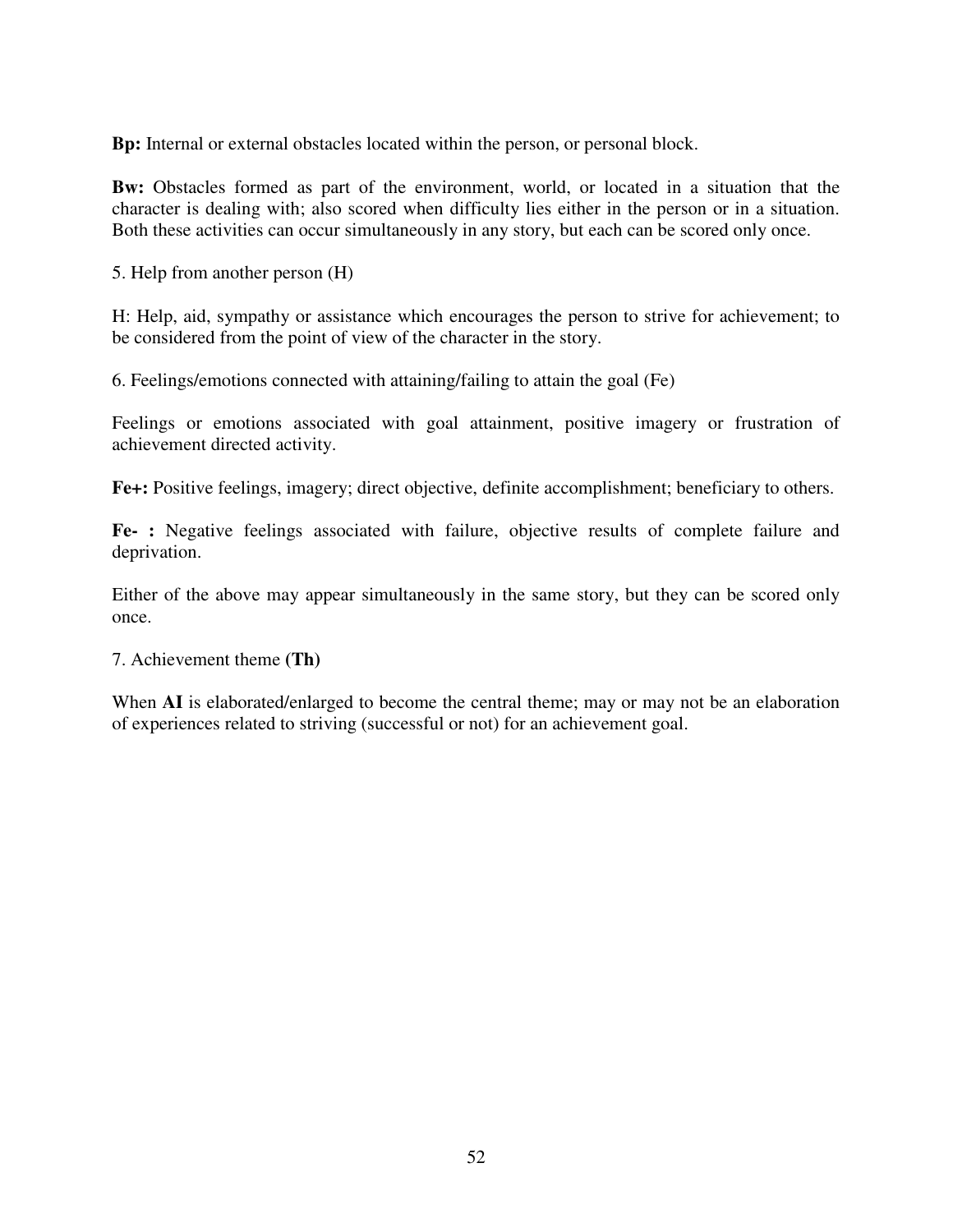**Bp:** Internal or external obstacles located within the person, or personal block.

**Bw:** Obstacles formed as part of the environment, world, or located in a situation that the character is dealing with; also scored when difficulty lies either in the person or in a situation. Both these activities can occur simultaneously in any story, but each can be scored only once.

5. Help from another person (H)

H: Help, aid, sympathy or assistance which encourages the person to strive for achievement; to be considered from the point of view of the character in the story.

6. Feelings/emotions connected with attaining/failing to attain the goal (Fe)

Feelings or emotions associated with goal attainment, positive imagery or frustration of achievement directed activity.

**Fe+:** Positive feelings, imagery; direct objective, definite accomplishment; beneficiary to others.

**Fe- :** Negative feelings associated with failure, objective results of complete failure and deprivation.

Either of the above may appear simultaneously in the same story, but they can be scored only once.

### 7. Achievement theme **(Th)**

When **AI** is elaborated/enlarged to become the central theme; may or may not be an elaboration of experiences related to striving (successful or not) for an achievement goal.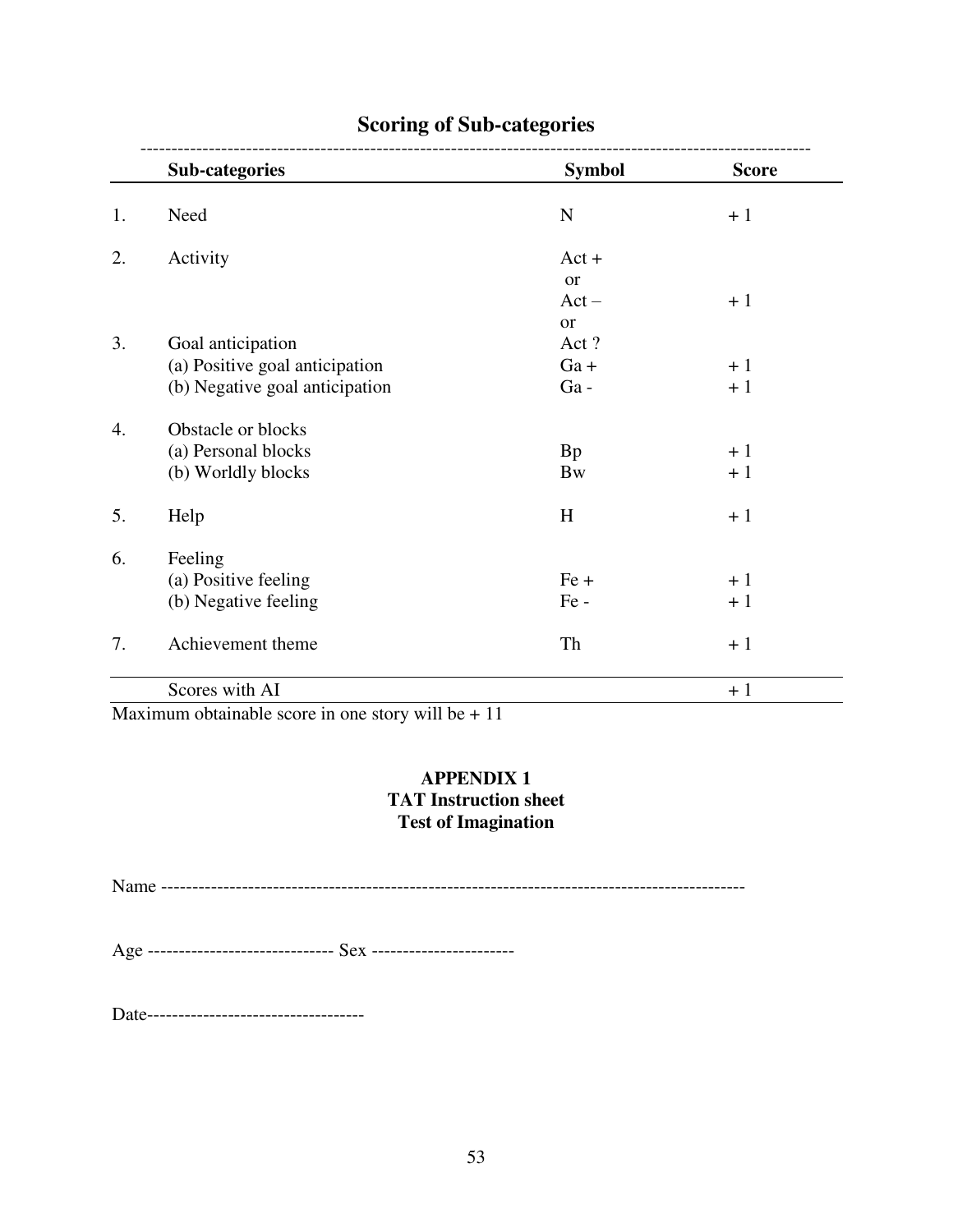|    | <b>Sub-categories</b>          | <b>Symbol</b> | <b>Score</b> |
|----|--------------------------------|---------------|--------------|
| 1. | Need                           | $\mathbf N$   | $+1$         |
| 2. | Activity                       | $Act +$       |              |
|    |                                | <b>or</b>     |              |
|    |                                | $Act -$       | $+1$         |
|    |                                | <b>or</b>     |              |
| 3. | Goal anticipation              | Act?          |              |
|    | (a) Positive goal anticipation | $Ga +$        | $+1$         |
|    | (b) Negative goal anticipation | Ga-           | $+1$         |
| 4. | Obstacle or blocks             |               |              |
|    | (a) Personal blocks            | <b>Bp</b>     | $+1$         |
|    | (b) Worldly blocks             | <b>Bw</b>     | $+1$         |
| 5. | Help                           | H             | $+1$         |
| 6. | Feeling                        |               |              |
|    | (a) Positive feeling           | $Fe +$        | $+1$         |
|    | (b) Negative feeling           | Fe-           | $+1$         |
| 7. | Achievement theme              | Th            | $+1$         |
|    | Scores with AI                 |               | $+1$         |

# **Scoring of Sub-categories**

Maximum obtainable score in one story will be + 11

## **APPENDIX 1 TAT Instruction sheet Test of Imagination**

Name ----------------------------------------------------------------------------------------------

Age ------------------------------ Sex -----------------------

Date-----------------------------------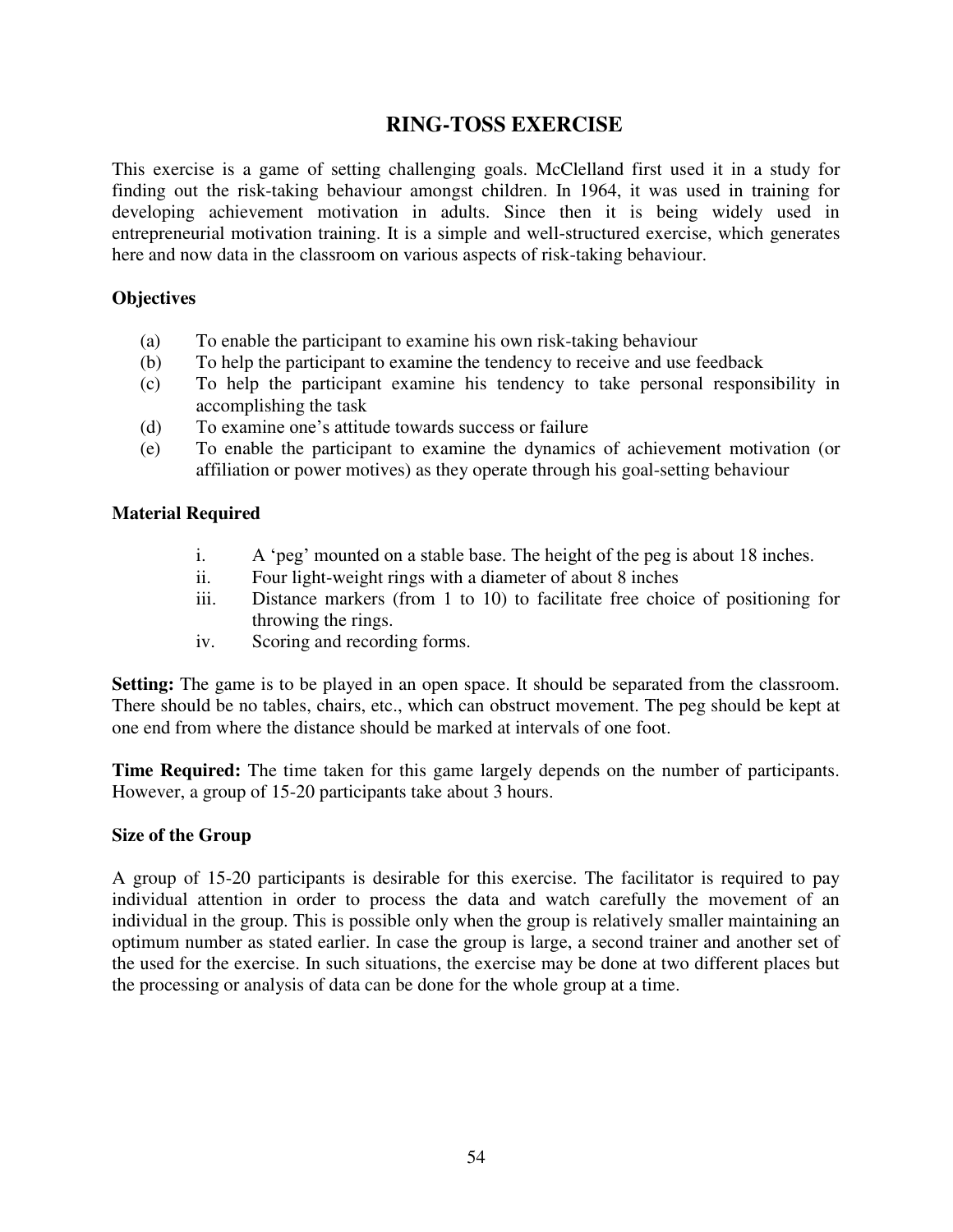## **RING-TOSS EXERCISE**

This exercise is a game of setting challenging goals. McClelland first used it in a study for finding out the risk-taking behaviour amongst children. In 1964, it was used in training for developing achievement motivation in adults. Since then it is being widely used in entrepreneurial motivation training. It is a simple and well-structured exercise, which generates here and now data in the classroom on various aspects of risk-taking behaviour.

### **Objectives**

- (a) To enable the participant to examine his own risk-taking behaviour
- (b) To help the participant to examine the tendency to receive and use feedback
- (c) To help the participant examine his tendency to take personal responsibility in accomplishing the task
- (d) To examine one's attitude towards success or failure
- (e) To enable the participant to examine the dynamics of achievement motivation (or affiliation or power motives) as they operate through his goal-setting behaviour

### **Material Required**

- i. A 'peg' mounted on a stable base. The height of the peg is about 18 inches.
- ii. Four light-weight rings with a diameter of about 8 inches
- iii. Distance markers (from 1 to 10) to facilitate free choice of positioning for throwing the rings.
- iv. Scoring and recording forms.

**Setting:** The game is to be played in an open space. It should be separated from the classroom. There should be no tables, chairs, etc., which can obstruct movement. The peg should be kept at one end from where the distance should be marked at intervals of one foot.

**Time Required:** The time taken for this game largely depends on the number of participants. However, a group of 15-20 participants take about 3 hours.

### **Size of the Group**

A group of 15-20 participants is desirable for this exercise. The facilitator is required to pay individual attention in order to process the data and watch carefully the movement of an individual in the group. This is possible only when the group is relatively smaller maintaining an optimum number as stated earlier. In case the group is large, a second trainer and another set of the used for the exercise. In such situations, the exercise may be done at two different places but the processing or analysis of data can be done for the whole group at a time.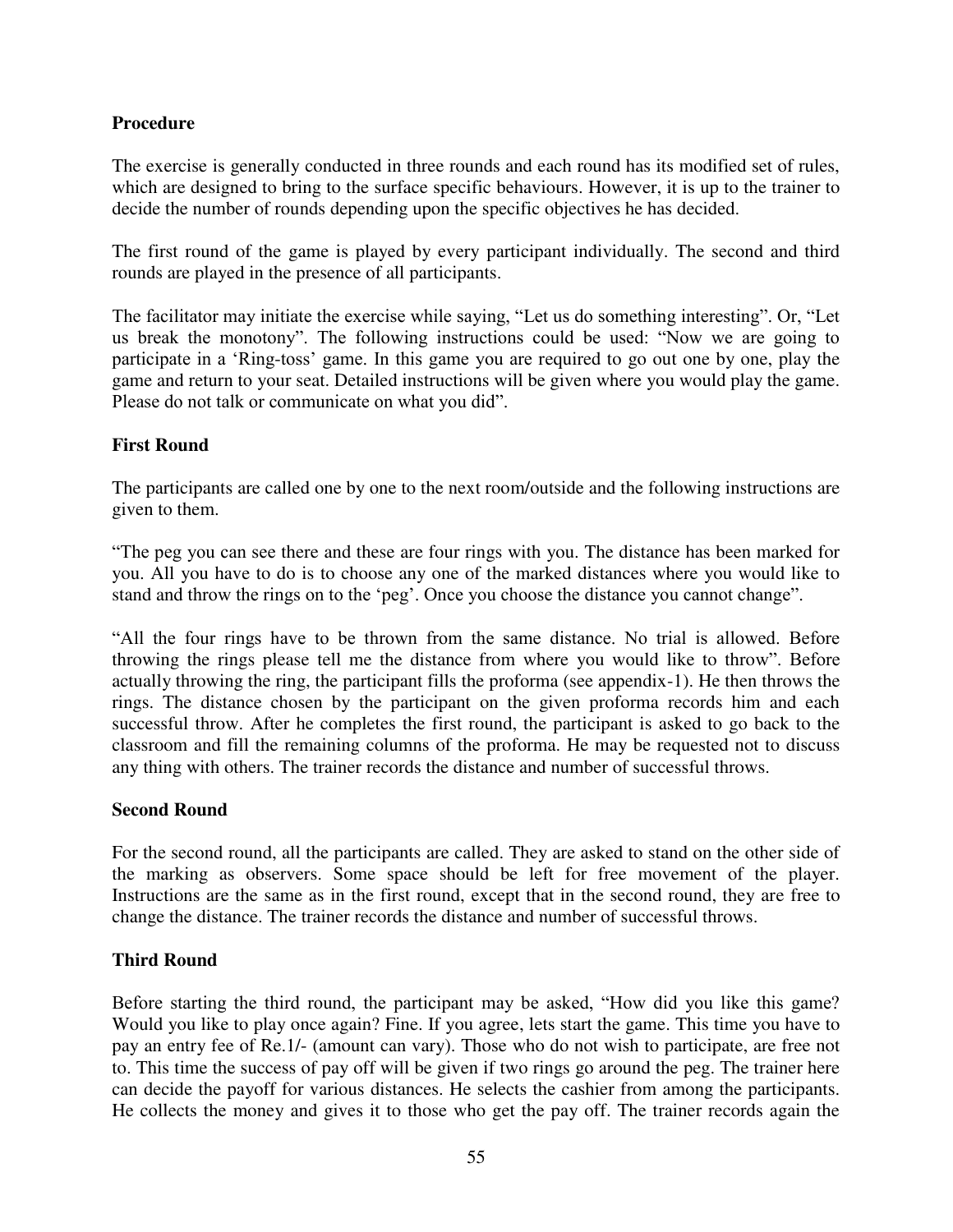## **Procedure**

The exercise is generally conducted in three rounds and each round has its modified set of rules, which are designed to bring to the surface specific behaviours. However, it is up to the trainer to decide the number of rounds depending upon the specific objectives he has decided.

The first round of the game is played by every participant individually. The second and third rounds are played in the presence of all participants.

The facilitator may initiate the exercise while saying, "Let us do something interesting". Or, "Let us break the monotony". The following instructions could be used: "Now we are going to participate in a 'Ring-toss' game. In this game you are required to go out one by one, play the game and return to your seat. Detailed instructions will be given where you would play the game. Please do not talk or communicate on what you did".

## **First Round**

The participants are called one by one to the next room/outside and the following instructions are given to them.

"The peg you can see there and these are four rings with you. The distance has been marked for you. All you have to do is to choose any one of the marked distances where you would like to stand and throw the rings on to the 'peg'. Once you choose the distance you cannot change".

"All the four rings have to be thrown from the same distance. No trial is allowed. Before throwing the rings please tell me the distance from where you would like to throw". Before actually throwing the ring, the participant fills the proforma (see appendix-1). He then throws the rings. The distance chosen by the participant on the given proforma records him and each successful throw. After he completes the first round, the participant is asked to go back to the classroom and fill the remaining columns of the proforma. He may be requested not to discuss any thing with others. The trainer records the distance and number of successful throws.

## **Second Round**

For the second round, all the participants are called. They are asked to stand on the other side of the marking as observers. Some space should be left for free movement of the player. Instructions are the same as in the first round, except that in the second round, they are free to change the distance. The trainer records the distance and number of successful throws.

## **Third Round**

Before starting the third round, the participant may be asked, "How did you like this game? Would you like to play once again? Fine. If you agree, lets start the game. This time you have to pay an entry fee of Re.1/- (amount can vary). Those who do not wish to participate, are free not to. This time the success of pay off will be given if two rings go around the peg. The trainer here can decide the payoff for various distances. He selects the cashier from among the participants. He collects the money and gives it to those who get the pay off. The trainer records again the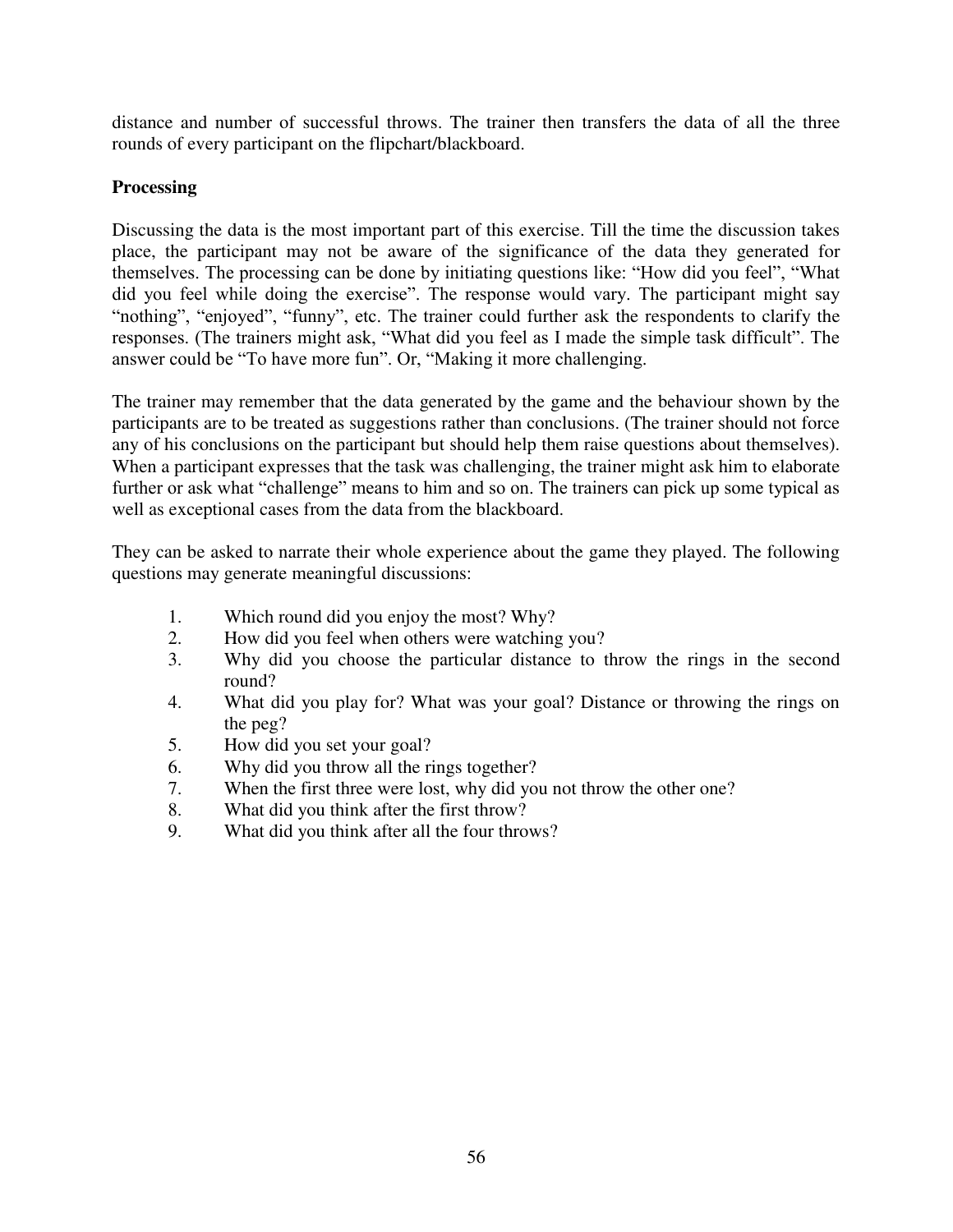distance and number of successful throws. The trainer then transfers the data of all the three rounds of every participant on the flipchart/blackboard.

## **Processing**

Discussing the data is the most important part of this exercise. Till the time the discussion takes place, the participant may not be aware of the significance of the data they generated for themselves. The processing can be done by initiating questions like: "How did you feel", "What did you feel while doing the exercise". The response would vary. The participant might say "nothing", "enjoyed", "funny", etc. The trainer could further ask the respondents to clarify the responses. (The trainers might ask, "What did you feel as I made the simple task difficult". The answer could be "To have more fun". Or, "Making it more challenging.

The trainer may remember that the data generated by the game and the behaviour shown by the participants are to be treated as suggestions rather than conclusions. (The trainer should not force any of his conclusions on the participant but should help them raise questions about themselves). When a participant expresses that the task was challenging, the trainer might ask him to elaborate further or ask what "challenge" means to him and so on. The trainers can pick up some typical as well as exceptional cases from the data from the blackboard.

They can be asked to narrate their whole experience about the game they played. The following questions may generate meaningful discussions:

- 1. Which round did you enjoy the most? Why?
- 2. How did you feel when others were watching you?
- 3. Why did you choose the particular distance to throw the rings in the second round?
- 4. What did you play for? What was your goal? Distance or throwing the rings on the peg?
- 5. How did you set your goal?
- 6. Why did you throw all the rings together?
- 7. When the first three were lost, why did you not throw the other one?
- 8. What did you think after the first throw?
- 9. What did you think after all the four throws?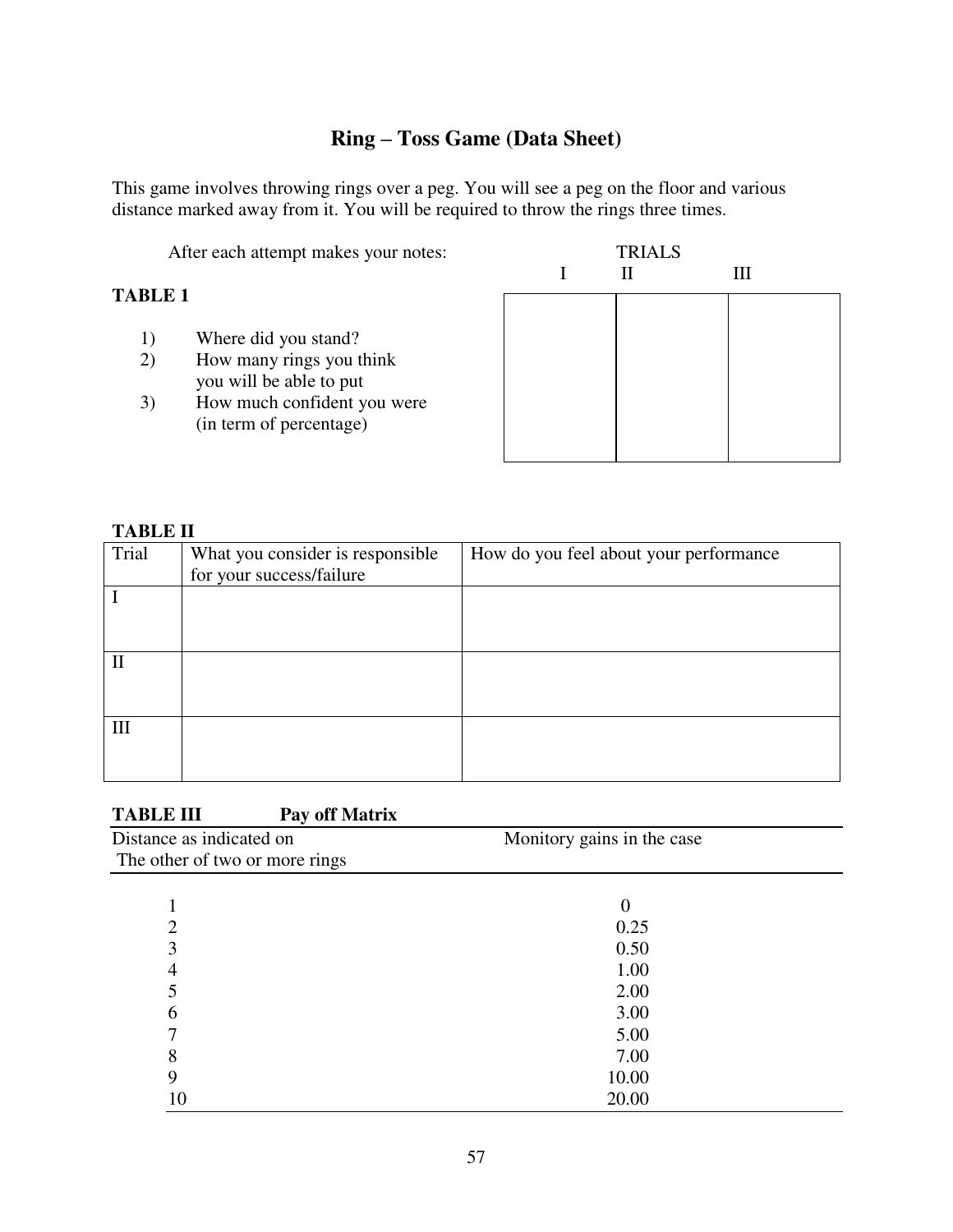## **Ring – Toss Game (Data Sheet)**

This game involves throwing rings over a peg. You will see a peg on the floor and various distance marked away from it. You will be required to throw the rings three times.

After each attempt makes your notes: TRIALS

## **TABLE 1**

- 1) Where did you stand?
- 2) How many rings you think you will be able to put
- 3) How much confident you were (in term of percentage)



### **TABLE II**

| Trial        | What you consider is responsible<br>for your success/failure | How do you feel about your performance |
|--------------|--------------------------------------------------------------|----------------------------------------|
|              |                                                              |                                        |
|              |                                                              |                                        |
|              |                                                              |                                        |
|              |                                                              |                                        |
| $\mathbf{I}$ |                                                              |                                        |
|              |                                                              |                                        |
|              |                                                              |                                        |
|              |                                                              |                                        |
| Ш            |                                                              |                                        |
|              |                                                              |                                        |
|              |                                                              |                                        |
|              |                                                              |                                        |

## **TABLE III Pay off Matrix**

| Distance as indicated on       | Monitory gains in the case |
|--------------------------------|----------------------------|
| The other of two or more rings |                            |
|                                |                            |

| 2  | 0.25  |
|----|-------|
| 3  | 0.50  |
| 4  | 1.00  |
|    | 2.00  |
| O  | 3.00  |
|    | 5.00  |
| 8  | 7.00  |
| Q  | 10.00 |
| 10 | 20.00 |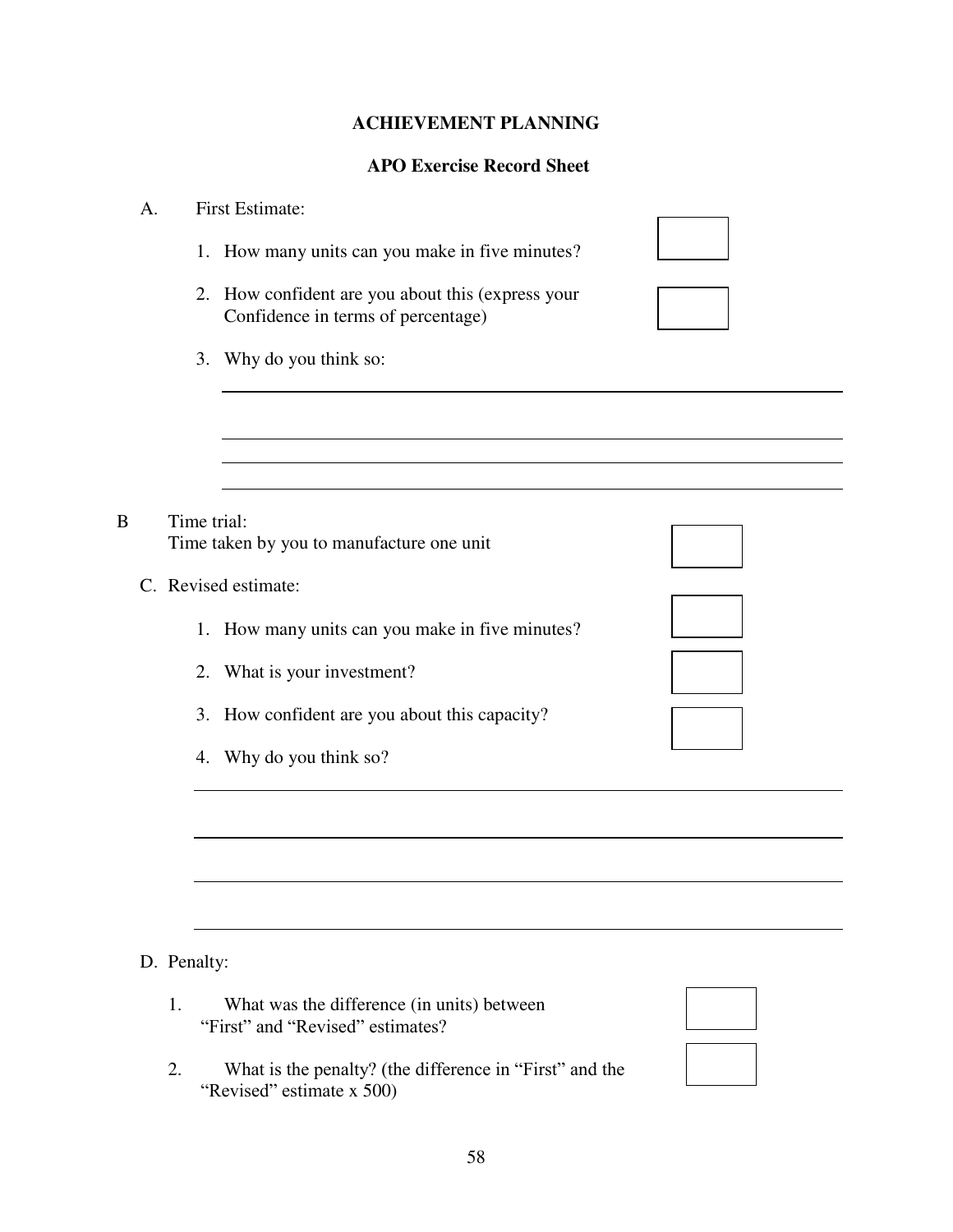## **ACHIEVEMENT PLANNING**

## **APO Exercise Record Sheet**

|   | A. |             | First Estimate:                                                                         |  |
|---|----|-------------|-----------------------------------------------------------------------------------------|--|
|   |    |             | 1. How many units can you make in five minutes?                                         |  |
|   |    |             | 2. How confident are you about this (express your<br>Confidence in terms of percentage) |  |
|   |    |             | 3. Why do you think so:                                                                 |  |
|   |    |             |                                                                                         |  |
|   |    |             |                                                                                         |  |
| B |    | Time trial: | Time taken by you to manufacture one unit                                               |  |
|   |    |             | C. Revised estimate:                                                                    |  |
|   |    |             | 1. How many units can you make in five minutes?                                         |  |
|   |    |             | 2. What is your investment?                                                             |  |
|   |    |             | 3. How confident are you about this capacity?                                           |  |
|   |    | 4.          | Why do you think so?                                                                    |  |
|   |    |             |                                                                                         |  |
|   |    |             |                                                                                         |  |
|   |    |             |                                                                                         |  |
|   |    | D. Penalty: |                                                                                         |  |
|   |    | 1.          | What was the difference (in units) between<br>"First" and "Revised" estimates?          |  |
|   |    | 2.          | What is the penalty? (the difference in "First" and the                                 |  |

"Revised" estimate x 500)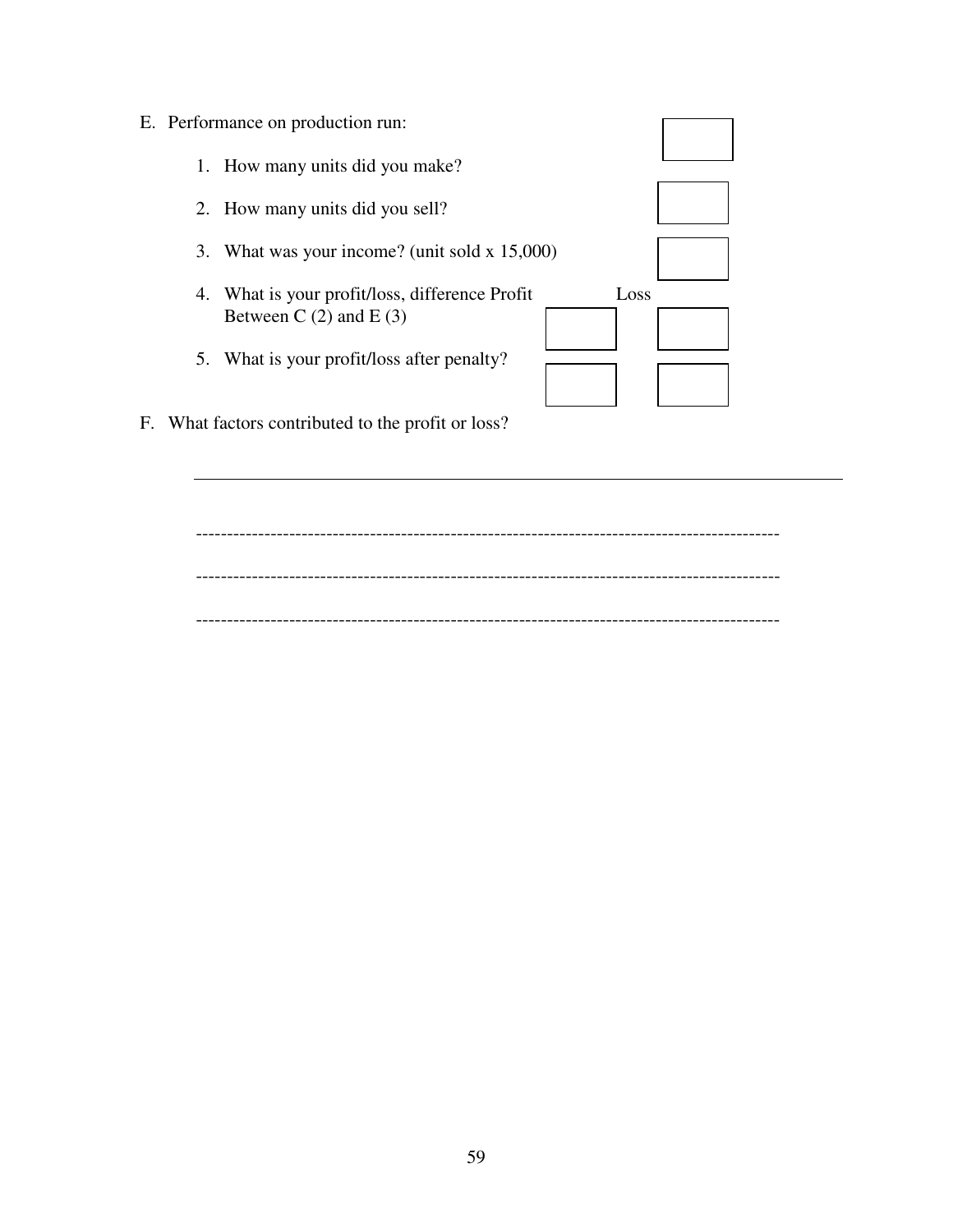- E. Performance on production run:
	- 1. How many units did you make?
	- 2. How many units did you sell?
	- 3. What was your income? (unit sold x 15,000)
	- 4. What is your profit/loss, difference Profit Loss Between C  $(2)$  and E  $(3)$
	- 5. What is your profit/loss after penalty?
- F. What factors contributed to the profit or loss?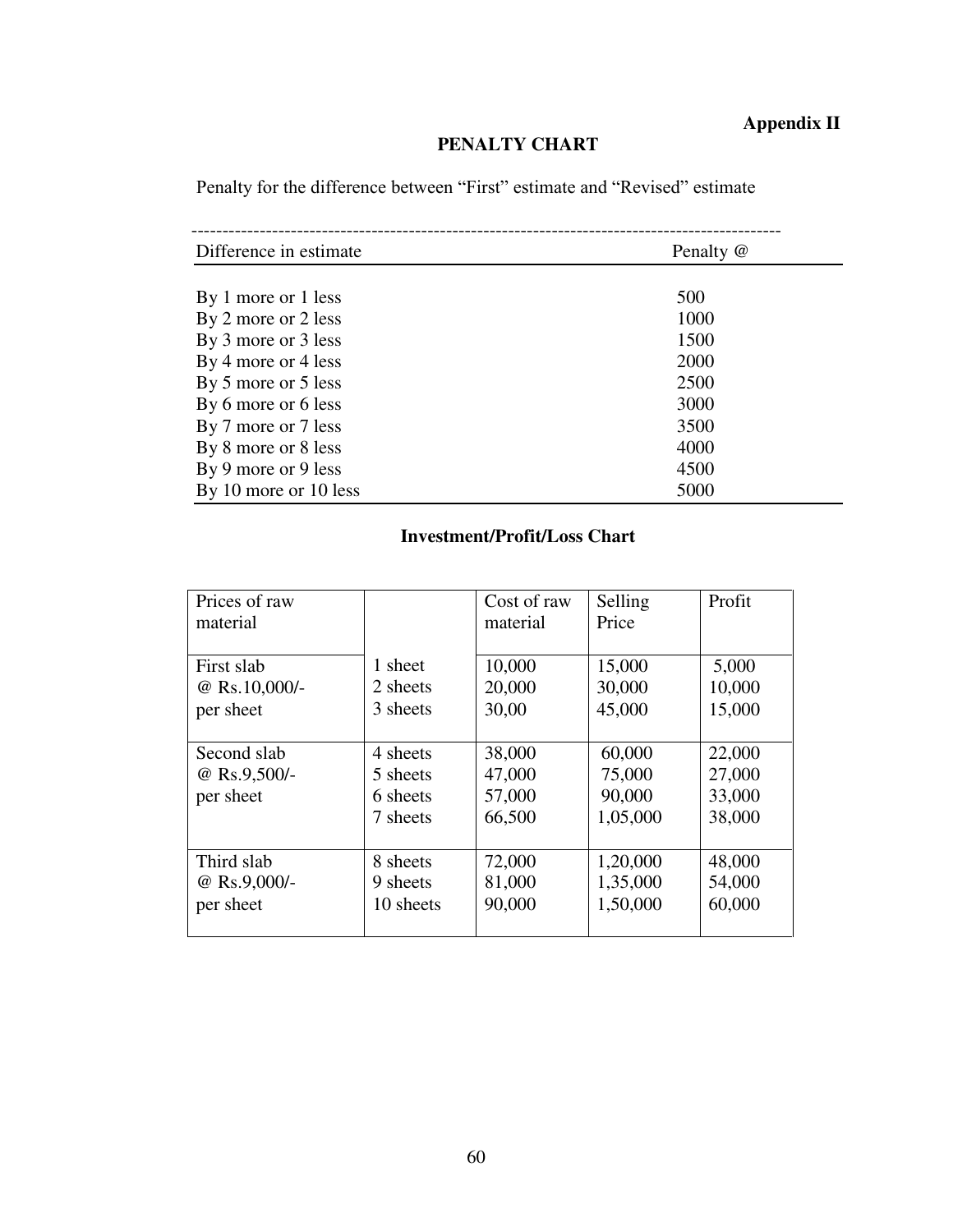## **PENALTY CHART**

Penalty for the difference between "First" estimate and "Revised" estimate

| Difference in estimate | Penalty @ |
|------------------------|-----------|
| By 1 more or 1 less    | 500       |
| By 2 more or 2 less    | 1000      |
| By 3 more or 3 less    | 1500      |
| By 4 more or 4 less    | 2000      |
| By 5 more or 5 less    | 2500      |
| By 6 more or 6 less    | 3000      |
| By 7 more or 7 less    | 3500      |
| By 8 more or 8 less    | 4000      |
| By 9 more or 9 less    | 4500      |
| By 10 more or 10 less  | 5000      |

## **Investment/Profit/Loss Chart**

| Prices of raw<br>material |           | Cost of raw<br>material | Selling<br>Price | Profit |
|---------------------------|-----------|-------------------------|------------------|--------|
|                           |           |                         |                  |        |
| First slab                | 1 sheet   | 10,000                  | 15,000           | 5,000  |
| @ Rs.10,000/-             | 2 sheets  | 20,000                  | 30,000           | 10,000 |
| per sheet                 | 3 sheets  | 30,00                   | 45,000           | 15,000 |
|                           |           |                         |                  |        |
| Second slab               | 4 sheets  | 38,000                  | 60,000           | 22,000 |
| @ Rs.9,500/-              | 5 sheets  | 47,000                  | 75,000           | 27,000 |
| per sheet                 | 6 sheets  | 57,000                  | 90,000           | 33,000 |
|                           | 7 sheets  | 66,500                  | 1,05,000         | 38,000 |
|                           |           |                         |                  |        |
| Third slab                | 8 sheets  | 72,000                  | 1,20,000         | 48,000 |
| @ Rs.9,000/-              | 9 sheets  | 81,000                  | 1,35,000         | 54,000 |
| per sheet                 | 10 sheets | 90,000                  | 1,50,000         | 60,000 |
|                           |           |                         |                  |        |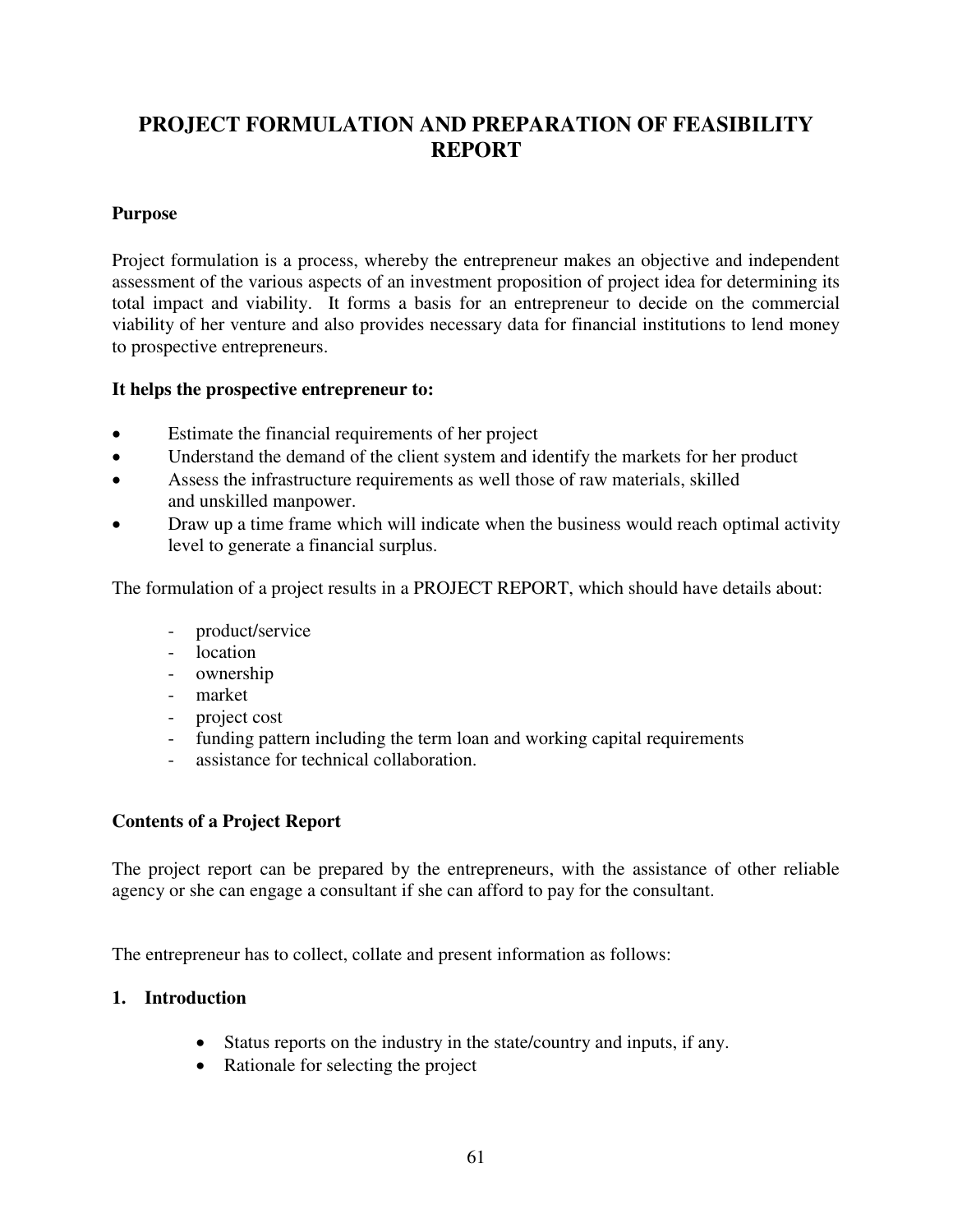# **PROJECT FORMULATION AND PREPARATION OF FEASIBILITY REPORT**

## **Purpose**

Project formulation is a process, whereby the entrepreneur makes an objective and independent assessment of the various aspects of an investment proposition of project idea for determining its total impact and viability. It forms a basis for an entrepreneur to decide on the commercial viability of her venture and also provides necessary data for financial institutions to lend money to prospective entrepreneurs.

### **It helps the prospective entrepreneur to:**

- Estimate the financial requirements of her project
- Understand the demand of the client system and identify the markets for her product
- Assess the infrastructure requirements as well those of raw materials, skilled and unskilled manpower.
- Draw up a time frame which will indicate when the business would reach optimal activity level to generate a financial surplus.

The formulation of a project results in a PROJECT REPORT, which should have details about:

- product/service
- location
- ownership
- market
- project cost
- funding pattern including the term loan and working capital requirements
- assistance for technical collaboration.

### **Contents of a Project Report**

The project report can be prepared by the entrepreneurs, with the assistance of other reliable agency or she can engage a consultant if she can afford to pay for the consultant.

The entrepreneur has to collect, collate and present information as follows:

### **1. Introduction**

- Status reports on the industry in the state/country and inputs, if any.
- Rationale for selecting the project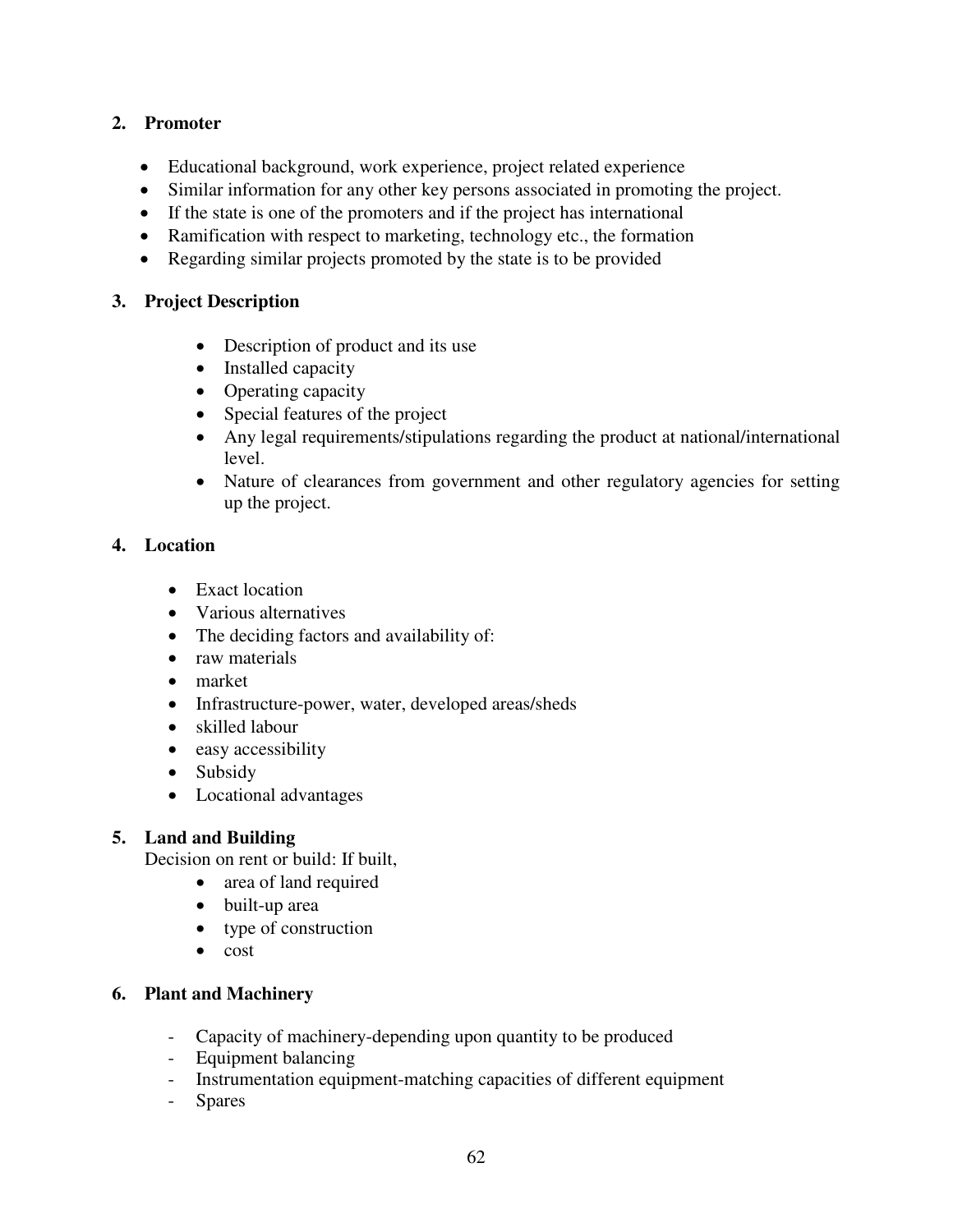## **2. Promoter**

- Educational background, work experience, project related experience
- Similar information for any other key persons associated in promoting the project.
- If the state is one of the promoters and if the project has international
- Ramification with respect to marketing, technology etc., the formation
- Regarding similar projects promoted by the state is to be provided

## **3. Project Description**

- Description of product and its use
- Installed capacity
- Operating capacity
- Special features of the project
- Any legal requirements/stipulations regarding the product at national/international level.
- Nature of clearances from government and other regulatory agencies for setting up the project.

## **4. Location**

- Exact location
- Various alternatives
- The deciding factors and availability of:
- raw materials
- market
- Infrastructure-power, water, developed areas/sheds
- skilled labour
- easy accessibility
- Subsidy
- Locational advantages

## **5. Land and Building**

Decision on rent or build: If built,

- area of land required
- built-up area
- type of construction
- $\bullet$  cost

## **6. Plant and Machinery**

- Capacity of machinery-depending upon quantity to be produced
- Equipment balancing
- Instrumentation equipment-matching capacities of different equipment
- Spares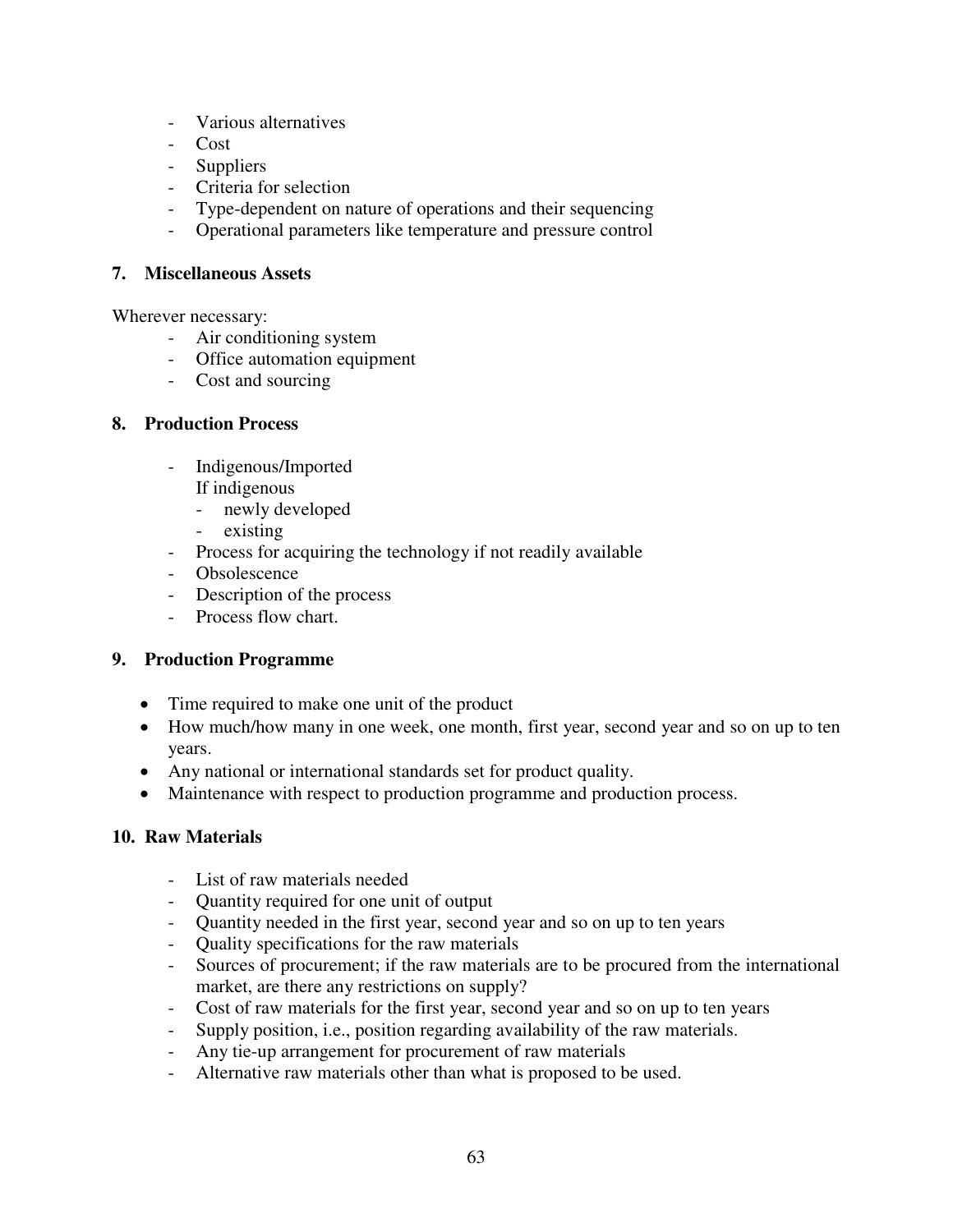- Various alternatives
- Cost
- Suppliers
- Criteria for selection
- Type-dependent on nature of operations and their sequencing
- Operational parameters like temperature and pressure control

### **7. Miscellaneous Assets**

Wherever necessary:

- Air conditioning system
- Office automation equipment
- Cost and sourcing

### **8. Production Process**

- Indigenous/Imported
	- If indigenous
	- newly developed
	- existing
- Process for acquiring the technology if not readily available
- Obsolescence
- Description of the process
- Process flow chart.

### **9. Production Programme**

- Time required to make one unit of the product
- How much/how many in one week, one month, first year, second year and so on up to ten years.
- Any national or international standards set for product quality.
- Maintenance with respect to production programme and production process.

### **10. Raw Materials**

- List of raw materials needed
- Quantity required for one unit of output
- Quantity needed in the first year, second year and so on up to ten years
- Quality specifications for the raw materials
- Sources of procurement; if the raw materials are to be procured from the international market, are there any restrictions on supply?
- Cost of raw materials for the first year, second year and so on up to ten years
- Supply position, i.e., position regarding availability of the raw materials.
- Any tie-up arrangement for procurement of raw materials
- Alternative raw materials other than what is proposed to be used.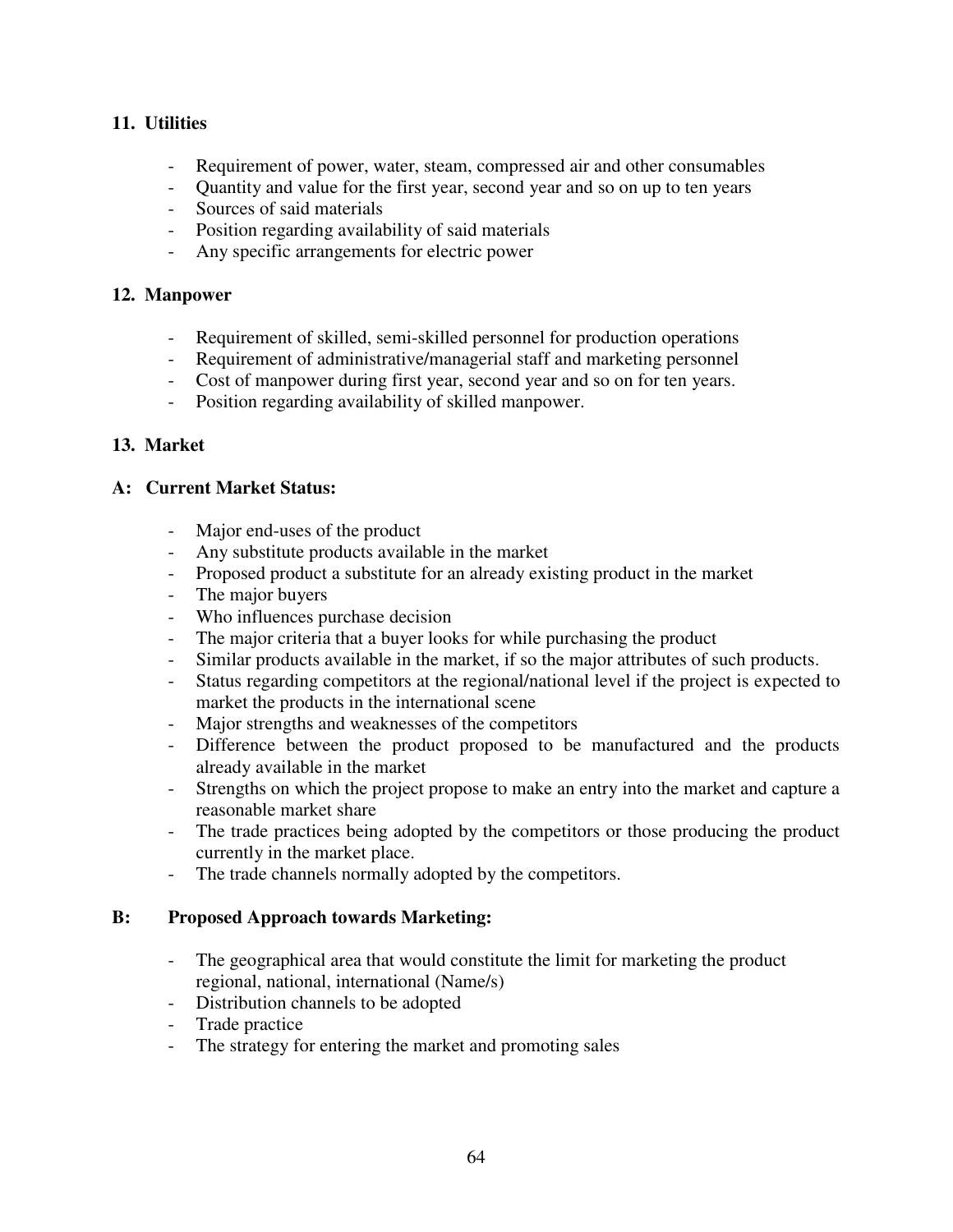## **11. Utilities**

- Requirement of power, water, steam, compressed air and other consumables
- Quantity and value for the first year, second year and so on up to ten years
- Sources of said materials
- Position regarding availability of said materials
- Any specific arrangements for electric power

### **12. Manpower**

- Requirement of skilled, semi-skilled personnel for production operations
- Requirement of administrative/managerial staff and marketing personnel
- Cost of manpower during first year, second year and so on for ten years.
- Position regarding availability of skilled manpower.

### **13. Market**

### **A: Current Market Status:**

- Major end-uses of the product
- Any substitute products available in the market
- Proposed product a substitute for an already existing product in the market
- The major buyers
- Who influences purchase decision
- The major criteria that a buyer looks for while purchasing the product
- Similar products available in the market, if so the major attributes of such products.
- Status regarding competitors at the regional/national level if the project is expected to market the products in the international scene
- Major strengths and weaknesses of the competitors
- Difference between the product proposed to be manufactured and the products already available in the market
- Strengths on which the project propose to make an entry into the market and capture a reasonable market share
- The trade practices being adopted by the competitors or those producing the product currently in the market place.
- The trade channels normally adopted by the competitors.

### **B: Proposed Approach towards Marketing:**

- The geographical area that would constitute the limit for marketing the product regional, national, international (Name/s)
- Distribution channels to be adopted
- Trade practice
- The strategy for entering the market and promoting sales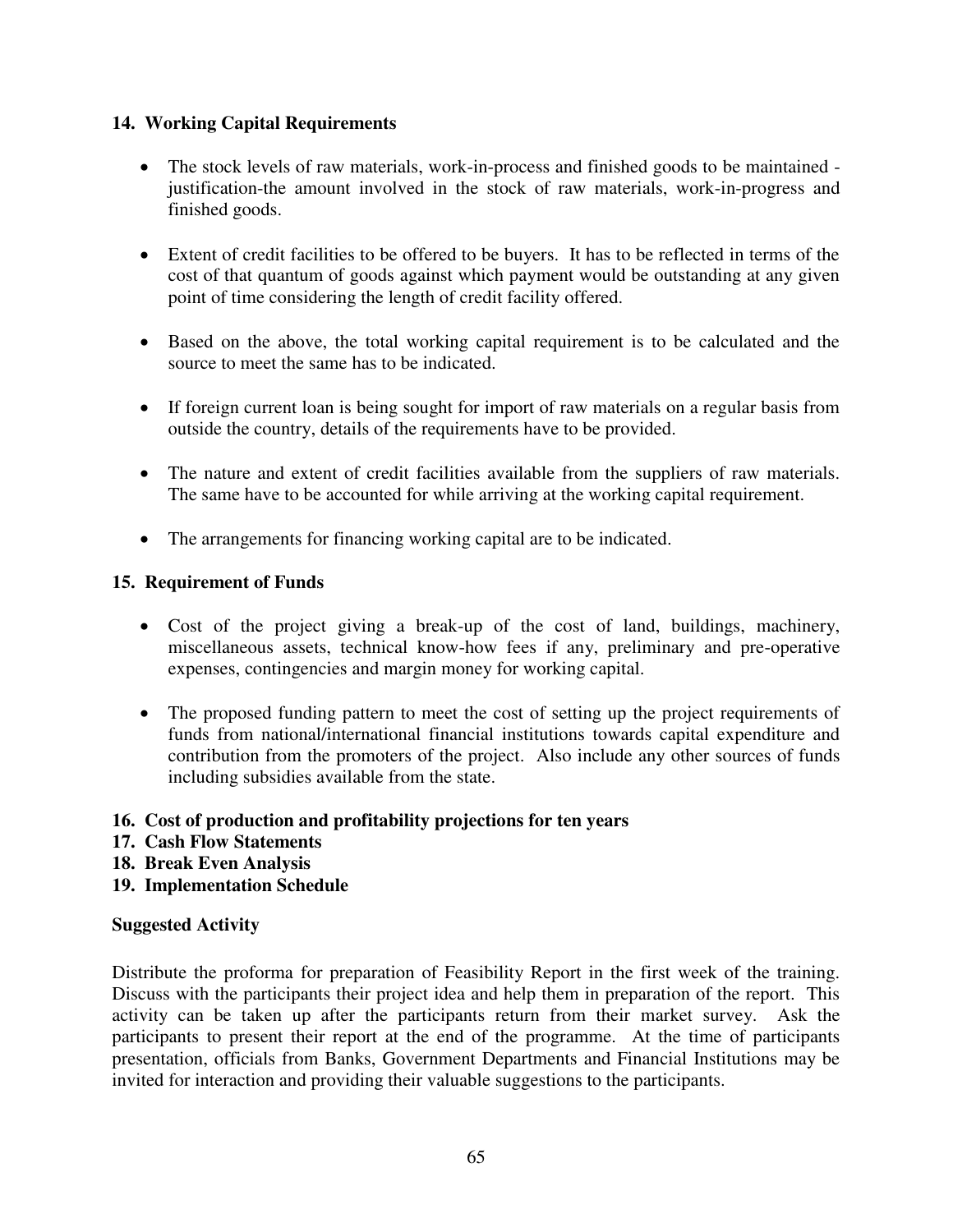### **14. Working Capital Requirements**

- The stock levels of raw materials, work-in-process and finished goods to be maintained justification-the amount involved in the stock of raw materials, work-in-progress and finished goods.
- Extent of credit facilities to be offered to be buyers. It has to be reflected in terms of the cost of that quantum of goods against which payment would be outstanding at any given point of time considering the length of credit facility offered.
- Based on the above, the total working capital requirement is to be calculated and the source to meet the same has to be indicated.
- If foreign current loan is being sought for import of raw materials on a regular basis from outside the country, details of the requirements have to be provided.
- The nature and extent of credit facilities available from the suppliers of raw materials. The same have to be accounted for while arriving at the working capital requirement.
- The arrangements for financing working capital are to be indicated.

## **15. Requirement of Funds**

- Cost of the project giving a break-up of the cost of land, buildings, machinery, miscellaneous assets, technical know-how fees if any, preliminary and pre-operative expenses, contingencies and margin money for working capital.
- The proposed funding pattern to meet the cost of setting up the project requirements of funds from national/international financial institutions towards capital expenditure and contribution from the promoters of the project. Also include any other sources of funds including subsidies available from the state.
- **16. Cost of production and profitability projections for ten years**
- **17. Cash Flow Statements**
- **18. Break Even Analysis**
- **19. Implementation Schedule**

## **Suggested Activity**

Distribute the proforma for preparation of Feasibility Report in the first week of the training. Discuss with the participants their project idea and help them in preparation of the report. This activity can be taken up after the participants return from their market survey. Ask the participants to present their report at the end of the programme. At the time of participants presentation, officials from Banks, Government Departments and Financial Institutions may be invited for interaction and providing their valuable suggestions to the participants.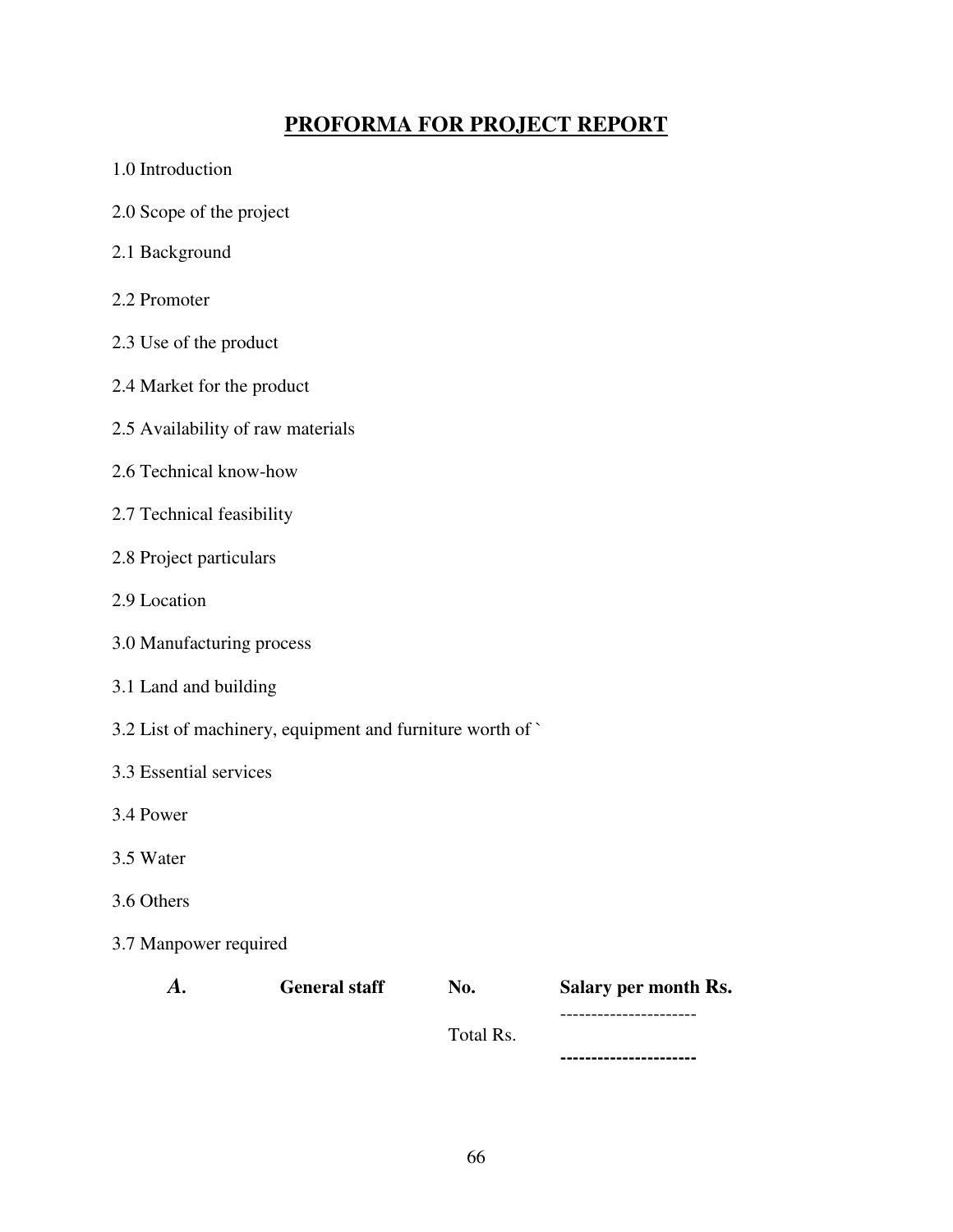# **PROFORMA FOR PROJECT REPORT**

- 1.0 Introduction
- 2.0 Scope of the project
- 2.1 Background
- 2.2 Promoter
- 2.3 Use of the product
- 2.4 Market for the product
- 2.5 Availability of raw materials
- 2.6 Technical know-how
- 2.7 Technical feasibility
- 2.8 Project particulars
- 2.9 Location
- 3.0 Manufacturing process
- 3.1 Land and building
- 3.2 List of machinery, equipment and furniture worth of `
- 3.3 Essential services
- 3.4 Power
- 3.5 Water
- 3.6 Others
- 3.7 Manpower required

| А. | <b>General staff</b> | $\bf{N0.}$ | Salary per month Rs. |
|----|----------------------|------------|----------------------|
|    |                      |            |                      |

Total Rs.

 **----------------------**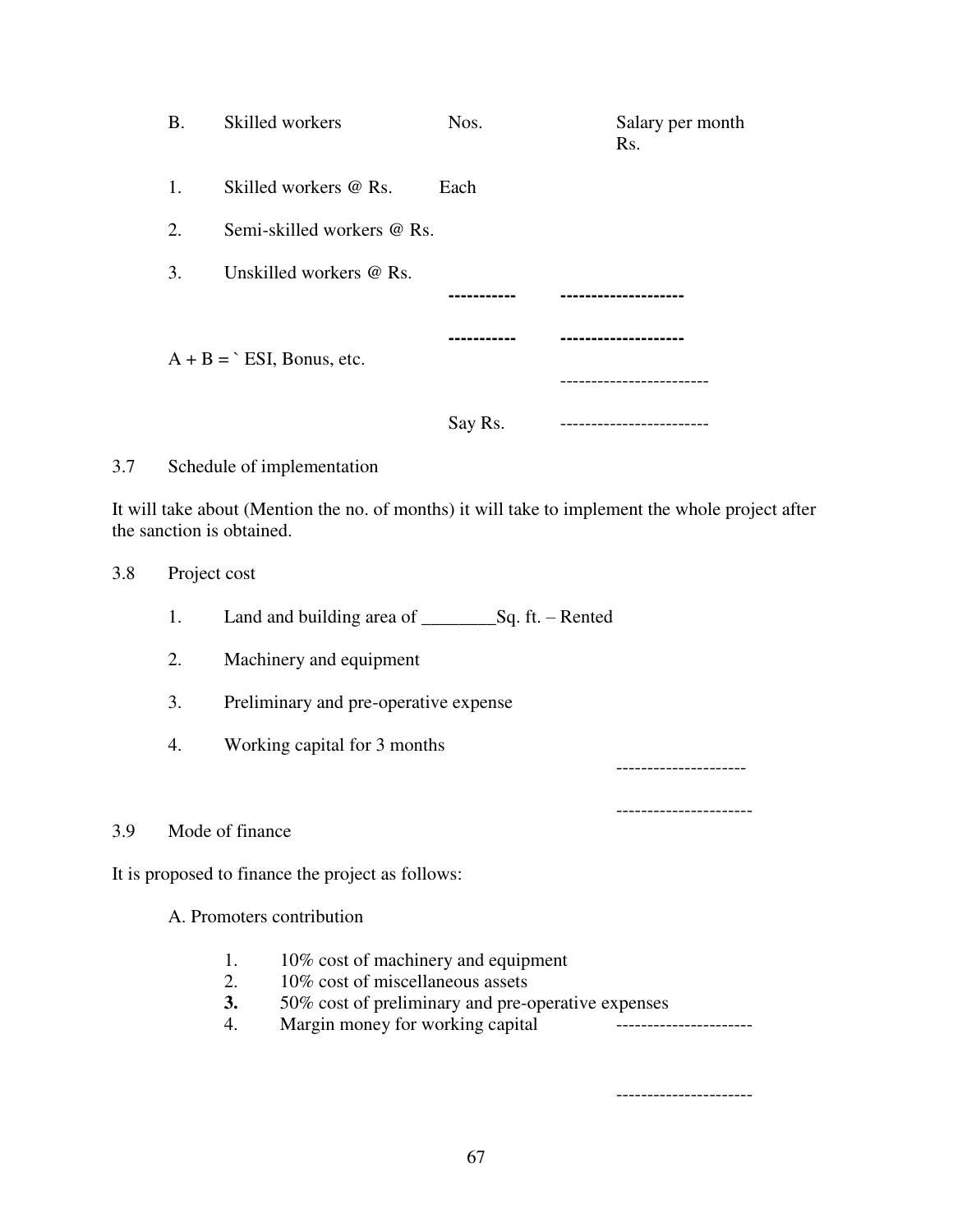| <b>B.</b> | Skilled workers            | Nos.    | Salary per month<br>Rs. |  |
|-----------|----------------------------|---------|-------------------------|--|
| $1_{-}$   | Skilled workers @ Rs.      | Each    |                         |  |
| 2.        | Semi-skilled workers @ Rs. |         |                         |  |
| 3.        | Unskilled workers @ Rs.    |         |                         |  |
|           | $A + B =$ ESI, Bonus, etc. |         |                         |  |
|           |                            | Say Rs. |                         |  |

3.7 Schedule of implementation

It will take about (Mention the no. of months) it will take to implement the whole project after the sanction is obtained.

---------------------

- 3.8 Project cost
	- 1. Land and building area of \_\_\_\_\_\_\_\_Sq. ft. Rented
	- 2. Machinery and equipment
	- 3. Preliminary and pre-operative expense
	- 4. Working capital for 3 months

3.9 Mode of finance Mode of finance

It is proposed to finance the project as follows:

#### A. Promoters contribution

- 1. 10% cost of machinery and equipment
- 2. 10% cost of miscellaneous assets
- **3.** 50% cost of preliminary and pre-operative expenses

----------------------

4. Margin money for working capital ----------------------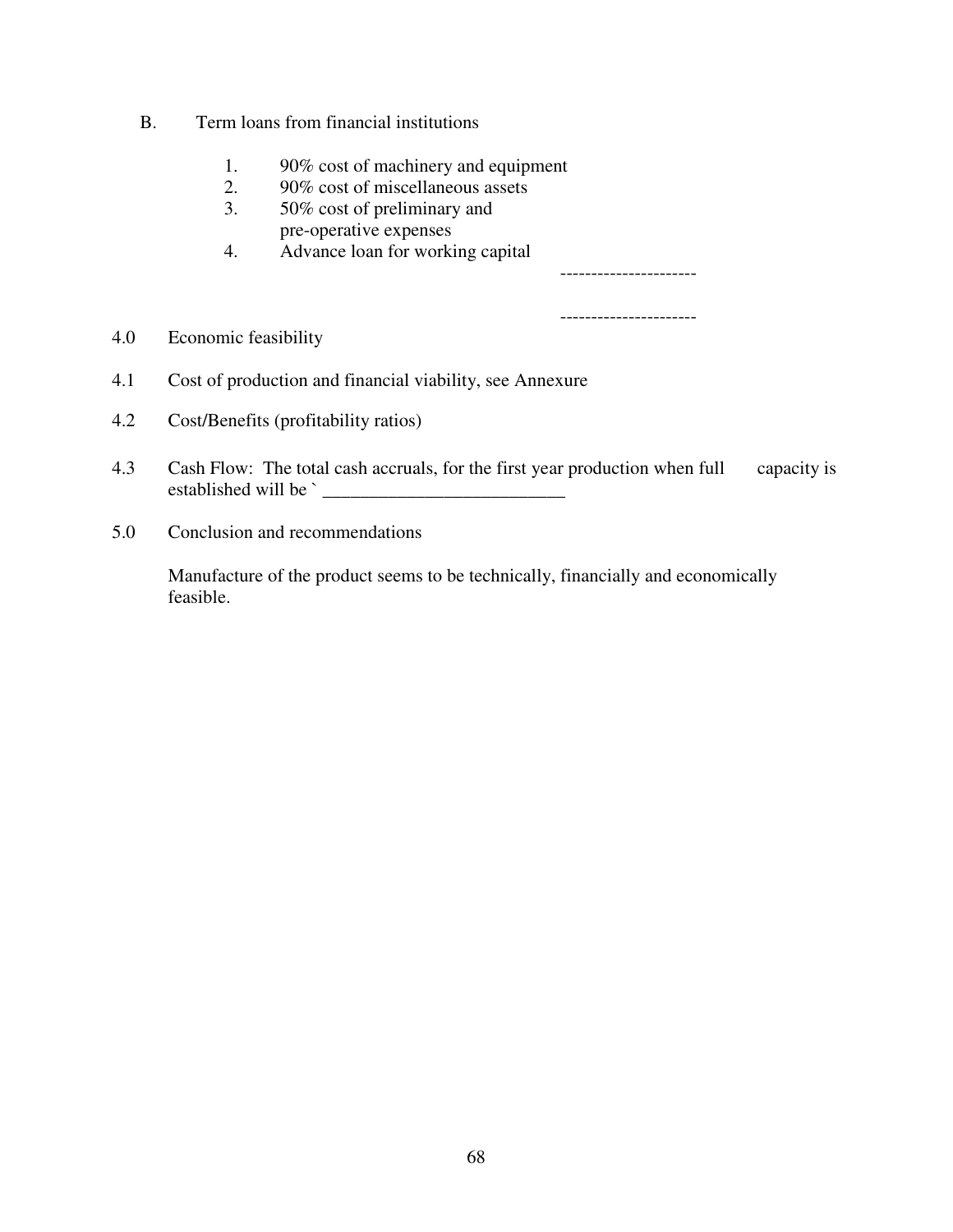- B. Term loans from financial institutions
	- 1. 90% cost of machinery and equipment
	- 2. 90% cost of miscellaneous assets
	- 3. 50% cost of preliminary and pre-operative expenses
	- 4. Advance loan for working capital
- 4.0 Economic feasibility Economic feasibility
- 4.1 Cost of production and financial viability, see Annexure
- 4.2 Cost/Benefits (profitability ratios)
- 4.3 Cash Flow: The total cash accruals, for the first year production when full capacity is established will be ` \_\_\_\_\_\_\_\_\_\_\_\_\_\_\_\_\_\_\_\_\_\_\_\_\_\_

----------------------

5.0 Conclusion and recommendations

Manufacture of the product seems to be technically, financially and economically feasible.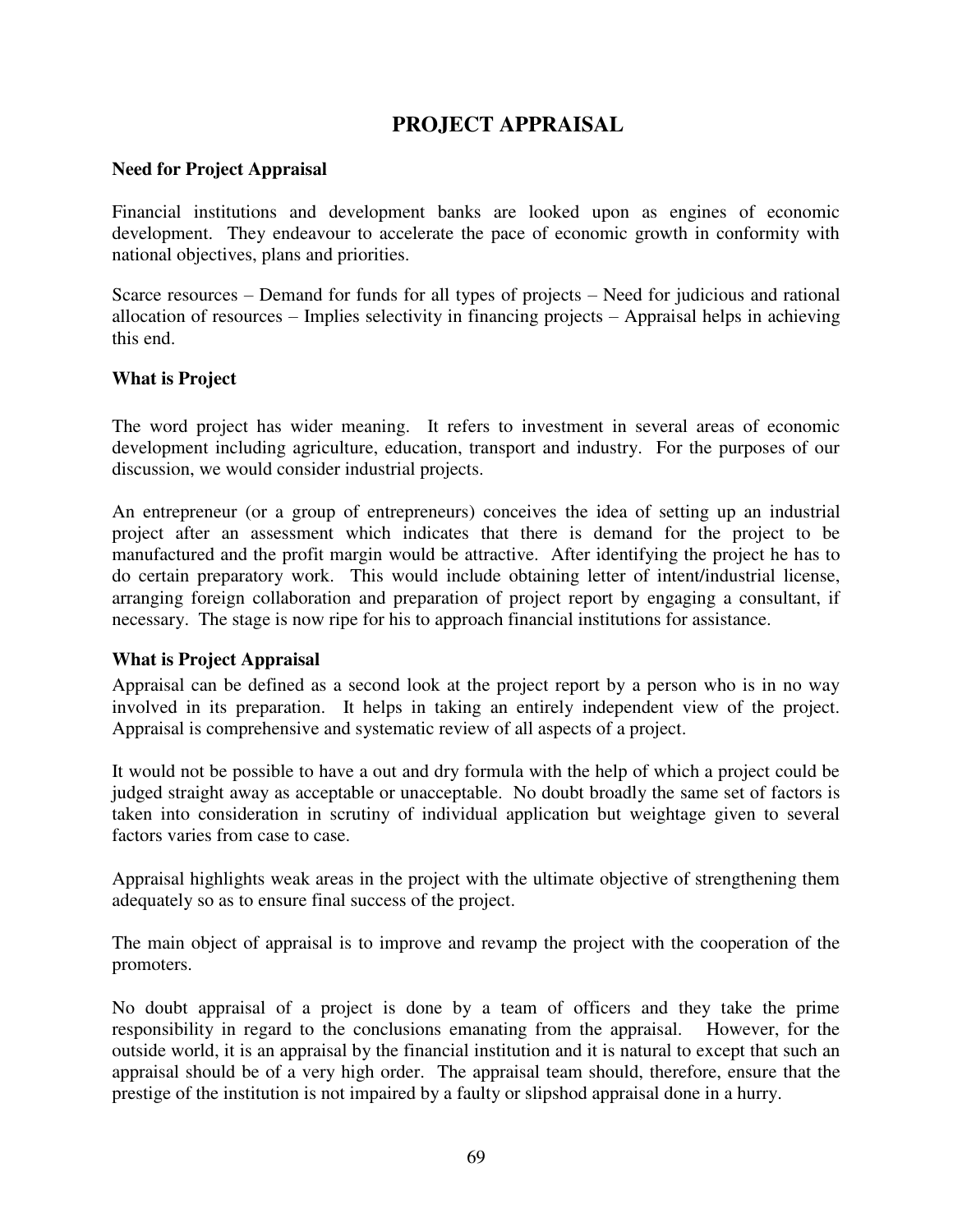## **PROJECT APPRAISAL**

### **Need for Project Appraisal**

Financial institutions and development banks are looked upon as engines of economic development. They endeavour to accelerate the pace of economic growth in conformity with national objectives, plans and priorities.

Scarce resources – Demand for funds for all types of projects – Need for judicious and rational allocation of resources – Implies selectivity in financing projects – Appraisal helps in achieving this end.

### **What is Project**

The word project has wider meaning. It refers to investment in several areas of economic development including agriculture, education, transport and industry. For the purposes of our discussion, we would consider industrial projects.

An entrepreneur (or a group of entrepreneurs) conceives the idea of setting up an industrial project after an assessment which indicates that there is demand for the project to be manufactured and the profit margin would be attractive. After identifying the project he has to do certain preparatory work. This would include obtaining letter of intent/industrial license, arranging foreign collaboration and preparation of project report by engaging a consultant, if necessary. The stage is now ripe for his to approach financial institutions for assistance.

## **What is Project Appraisal**

Appraisal can be defined as a second look at the project report by a person who is in no way involved in its preparation. It helps in taking an entirely independent view of the project. Appraisal is comprehensive and systematic review of all aspects of a project.

It would not be possible to have a out and dry formula with the help of which a project could be judged straight away as acceptable or unacceptable. No doubt broadly the same set of factors is taken into consideration in scrutiny of individual application but weightage given to several factors varies from case to case.

Appraisal highlights weak areas in the project with the ultimate objective of strengthening them adequately so as to ensure final success of the project.

The main object of appraisal is to improve and revamp the project with the cooperation of the promoters.

No doubt appraisal of a project is done by a team of officers and they take the prime responsibility in regard to the conclusions emanating from the appraisal. However, for the outside world, it is an appraisal by the financial institution and it is natural to except that such an appraisal should be of a very high order. The appraisal team should, therefore, ensure that the prestige of the institution is not impaired by a faulty or slipshod appraisal done in a hurry.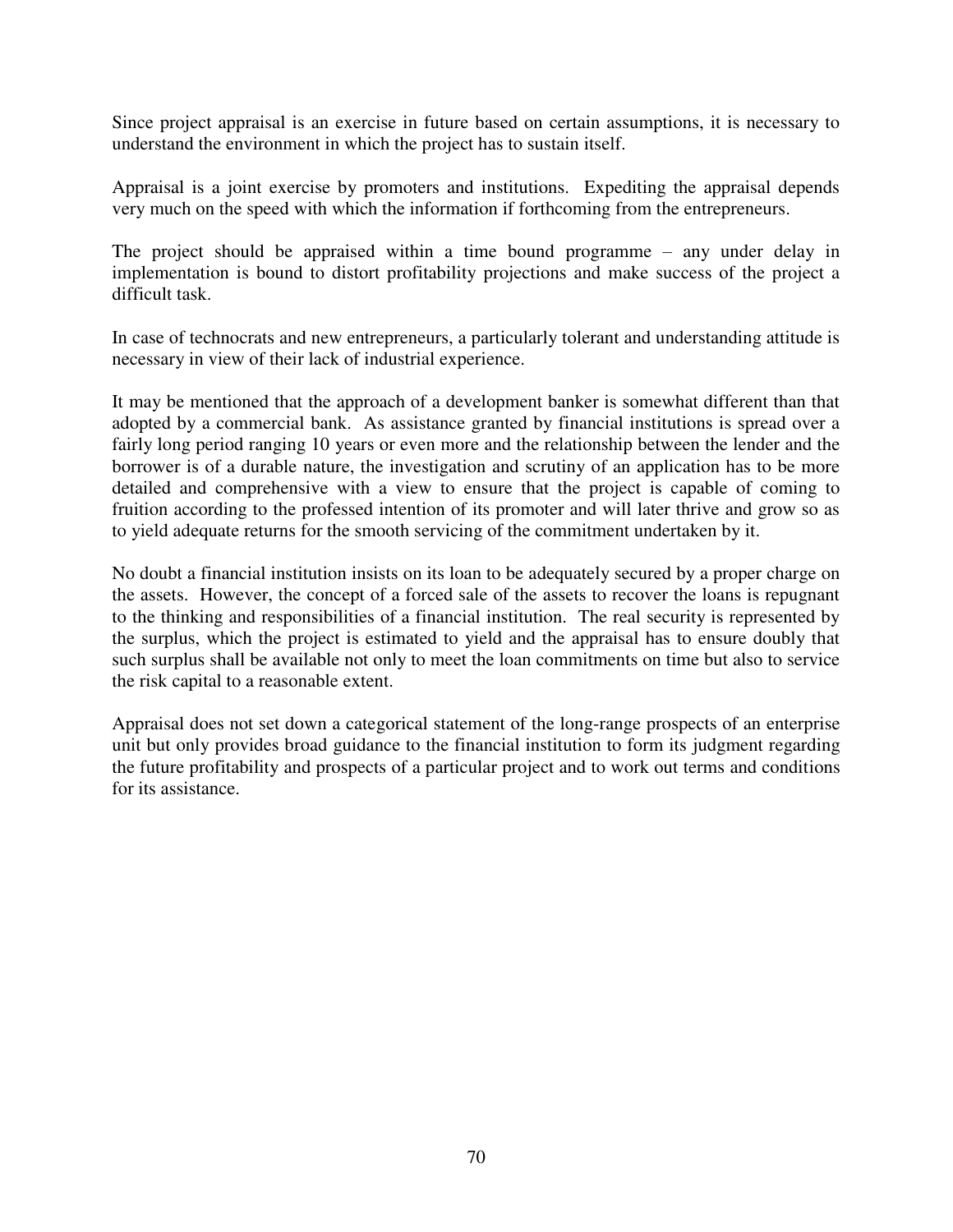Since project appraisal is an exercise in future based on certain assumptions, it is necessary to understand the environment in which the project has to sustain itself.

Appraisal is a joint exercise by promoters and institutions. Expediting the appraisal depends very much on the speed with which the information if forthcoming from the entrepreneurs.

The project should be appraised within a time bound programme – any under delay in implementation is bound to distort profitability projections and make success of the project a difficult task.

In case of technocrats and new entrepreneurs, a particularly tolerant and understanding attitude is necessary in view of their lack of industrial experience.

It may be mentioned that the approach of a development banker is somewhat different than that adopted by a commercial bank. As assistance granted by financial institutions is spread over a fairly long period ranging 10 years or even more and the relationship between the lender and the borrower is of a durable nature, the investigation and scrutiny of an application has to be more detailed and comprehensive with a view to ensure that the project is capable of coming to fruition according to the professed intention of its promoter and will later thrive and grow so as to yield adequate returns for the smooth servicing of the commitment undertaken by it.

No doubt a financial institution insists on its loan to be adequately secured by a proper charge on the assets. However, the concept of a forced sale of the assets to recover the loans is repugnant to the thinking and responsibilities of a financial institution. The real security is represented by the surplus, which the project is estimated to yield and the appraisal has to ensure doubly that such surplus shall be available not only to meet the loan commitments on time but also to service the risk capital to a reasonable extent.

Appraisal does not set down a categorical statement of the long-range prospects of an enterprise unit but only provides broad guidance to the financial institution to form its judgment regarding the future profitability and prospects of a particular project and to work out terms and conditions for its assistance.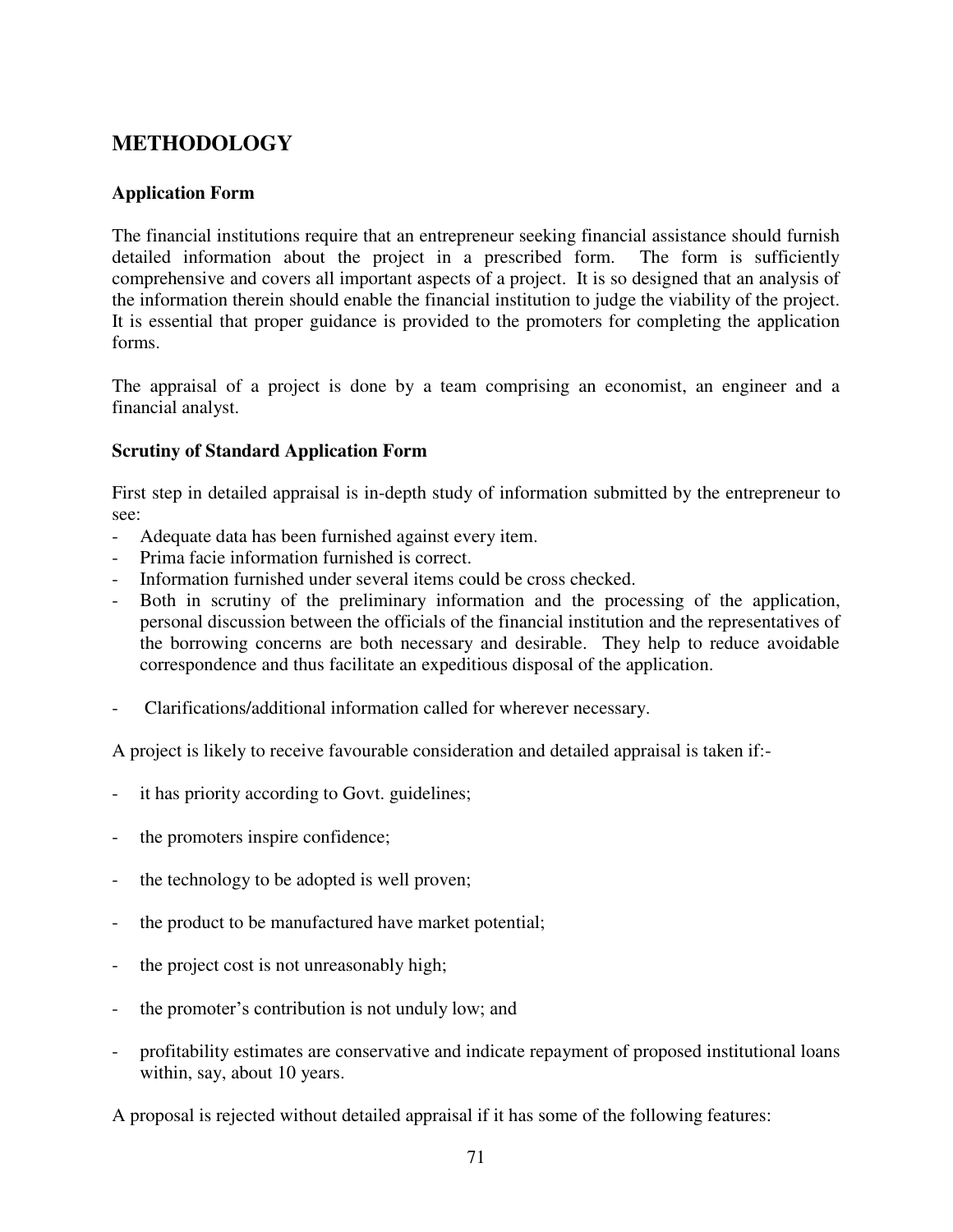## **METHODOLOGY**

### **Application Form**

The financial institutions require that an entrepreneur seeking financial assistance should furnish detailed information about the project in a prescribed form. The form is sufficiently comprehensive and covers all important aspects of a project. It is so designed that an analysis of the information therein should enable the financial institution to judge the viability of the project. It is essential that proper guidance is provided to the promoters for completing the application forms.

The appraisal of a project is done by a team comprising an economist, an engineer and a financial analyst.

### **Scrutiny of Standard Application Form**

First step in detailed appraisal is in-depth study of information submitted by the entrepreneur to see:

- Adequate data has been furnished against every item.
- Prima facie information furnished is correct.
- Information furnished under several items could be cross checked.
- Both in scrutiny of the preliminary information and the processing of the application, personal discussion between the officials of the financial institution and the representatives of the borrowing concerns are both necessary and desirable. They help to reduce avoidable correspondence and thus facilitate an expeditious disposal of the application.
- Clarifications/additional information called for wherever necessary.

A project is likely to receive favourable consideration and detailed appraisal is taken if:-

- it has priority according to Govt. guidelines;
- the promoters inspire confidence;
- the technology to be adopted is well proven;
- the product to be manufactured have market potential;
- the project cost is not unreasonably high;
- the promoter's contribution is not unduly low; and
- profitability estimates are conservative and indicate repayment of proposed institutional loans within, say, about 10 years.

A proposal is rejected without detailed appraisal if it has some of the following features: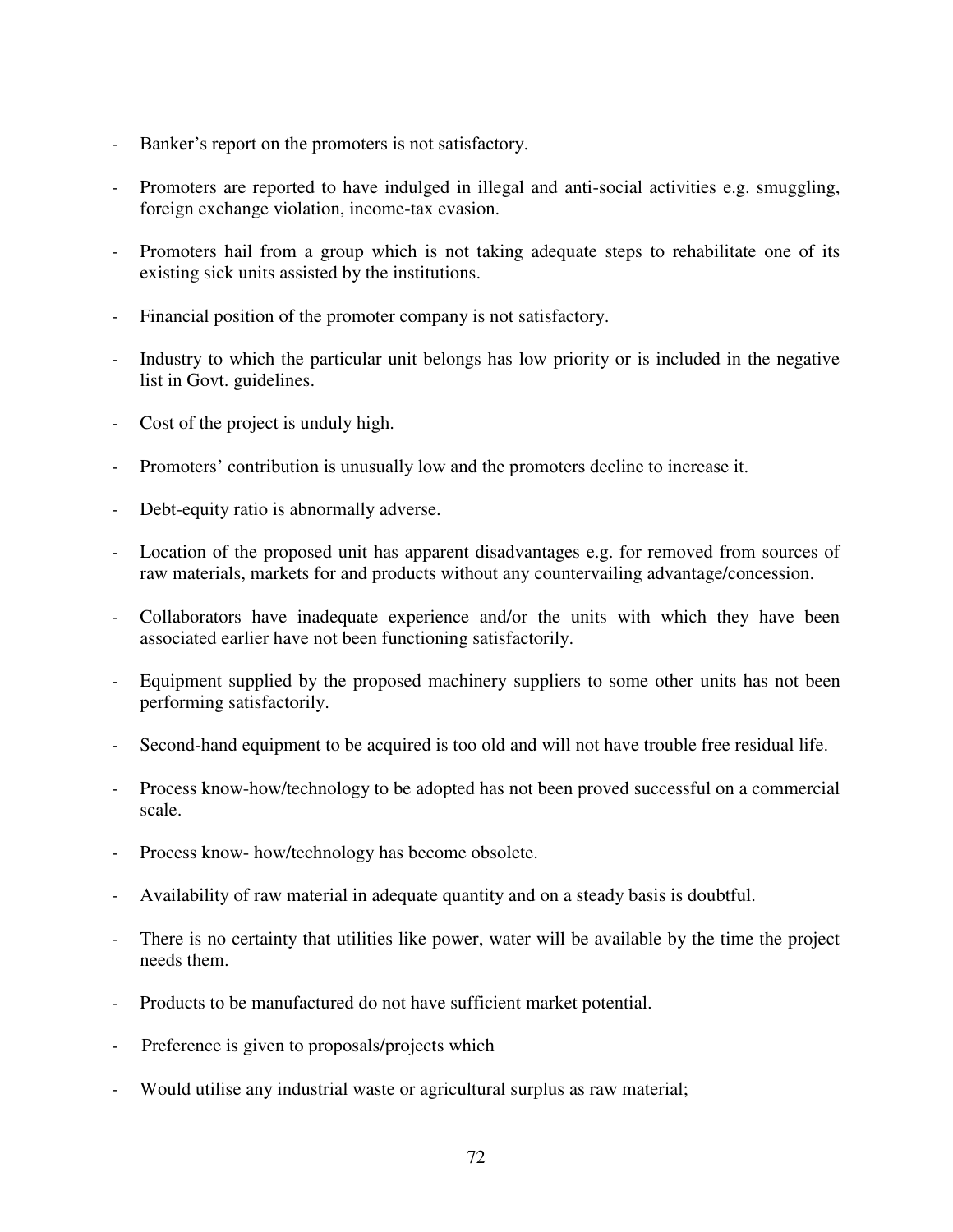- Banker's report on the promoters is not satisfactory.
- Promoters are reported to have indulged in illegal and anti-social activities e.g. smuggling, foreign exchange violation, income-tax evasion.
- Promoters hail from a group which is not taking adequate steps to rehabilitate one of its existing sick units assisted by the institutions.
- Financial position of the promoter company is not satisfactory.
- Industry to which the particular unit belongs has low priority or is included in the negative list in Govt. guidelines.
- Cost of the project is unduly high.
- Promoters' contribution is unusually low and the promoters decline to increase it.
- Debt-equity ratio is abnormally adverse.
- Location of the proposed unit has apparent disadvantages e.g. for removed from sources of raw materials, markets for and products without any countervailing advantage/concession.
- Collaborators have inadequate experience and/or the units with which they have been associated earlier have not been functioning satisfactorily.
- Equipment supplied by the proposed machinery suppliers to some other units has not been performing satisfactorily.
- Second-hand equipment to be acquired is too old and will not have trouble free residual life.
- Process know-how/technology to be adopted has not been proved successful on a commercial scale.
- Process know- how/technology has become obsolete.
- Availability of raw material in adequate quantity and on a steady basis is doubtful.
- There is no certainty that utilities like power, water will be available by the time the project needs them.
- Products to be manufactured do not have sufficient market potential.
- Preference is given to proposals/projects which
- Would utilise any industrial waste or agricultural surplus as raw material;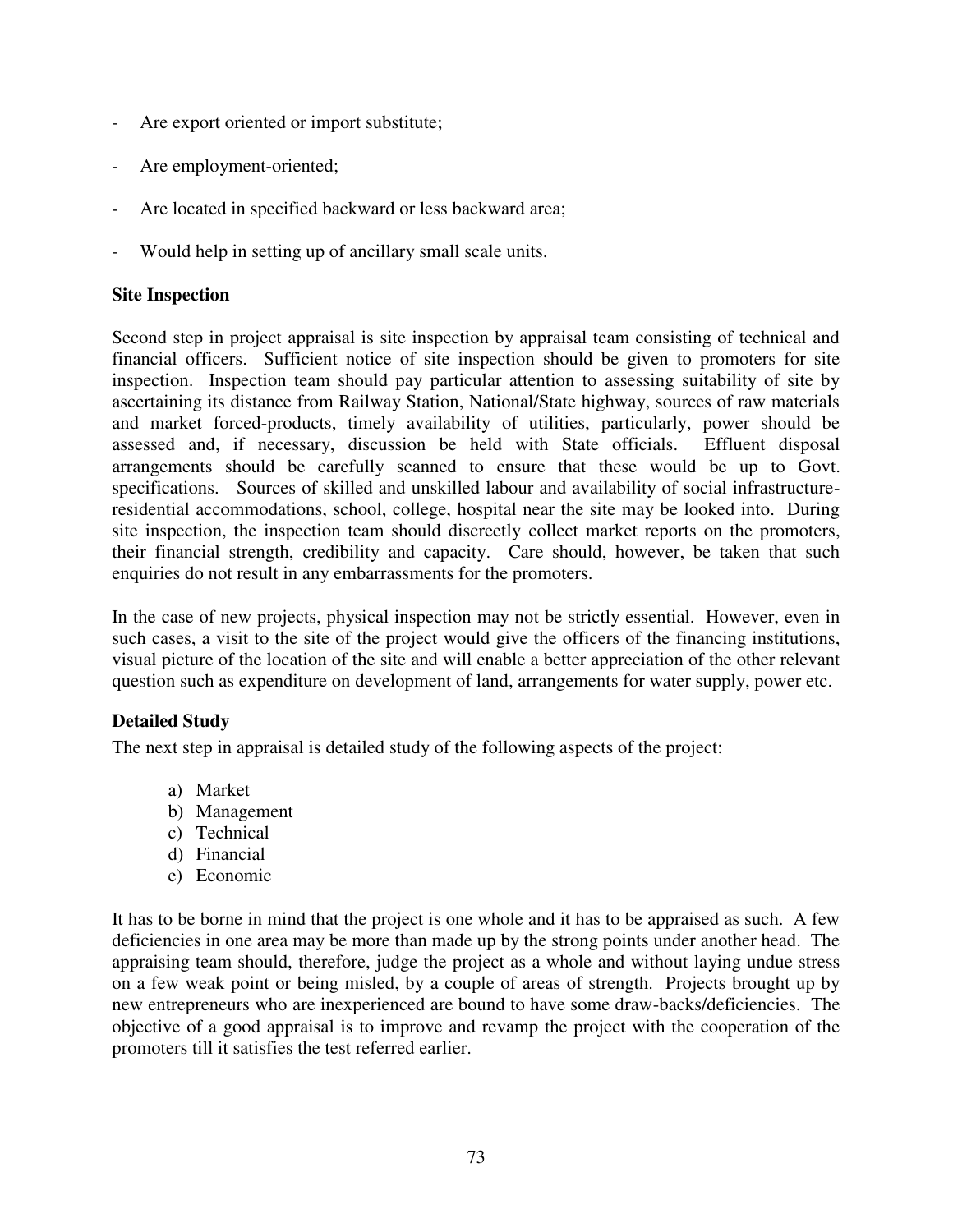- Are export oriented or import substitute;
- Are employment-oriented;
- Are located in specified backward or less backward area;
- Would help in setting up of ancillary small scale units.

# **Site Inspection**

Second step in project appraisal is site inspection by appraisal team consisting of technical and financial officers. Sufficient notice of site inspection should be given to promoters for site inspection. Inspection team should pay particular attention to assessing suitability of site by ascertaining its distance from Railway Station, National/State highway, sources of raw materials and market forced-products, timely availability of utilities, particularly, power should be assessed and, if necessary, discussion be held with State officials. Effluent disposal arrangements should be carefully scanned to ensure that these would be up to Govt. specifications. Sources of skilled and unskilled labour and availability of social infrastructureresidential accommodations, school, college, hospital near the site may be looked into. During site inspection, the inspection team should discreetly collect market reports on the promoters, their financial strength, credibility and capacity. Care should, however, be taken that such enquiries do not result in any embarrassments for the promoters.

In the case of new projects, physical inspection may not be strictly essential. However, even in such cases, a visit to the site of the project would give the officers of the financing institutions, visual picture of the location of the site and will enable a better appreciation of the other relevant question such as expenditure on development of land, arrangements for water supply, power etc.

# **Detailed Study**

The next step in appraisal is detailed study of the following aspects of the project:

- a) Market
- b) Management
- c) Technical
- d) Financial
- e) Economic

It has to be borne in mind that the project is one whole and it has to be appraised as such. A few deficiencies in one area may be more than made up by the strong points under another head. The appraising team should, therefore, judge the project as a whole and without laying undue stress on a few weak point or being misled, by a couple of areas of strength. Projects brought up by new entrepreneurs who are inexperienced are bound to have some draw-backs/deficiencies. The objective of a good appraisal is to improve and revamp the project with the cooperation of the promoters till it satisfies the test referred earlier.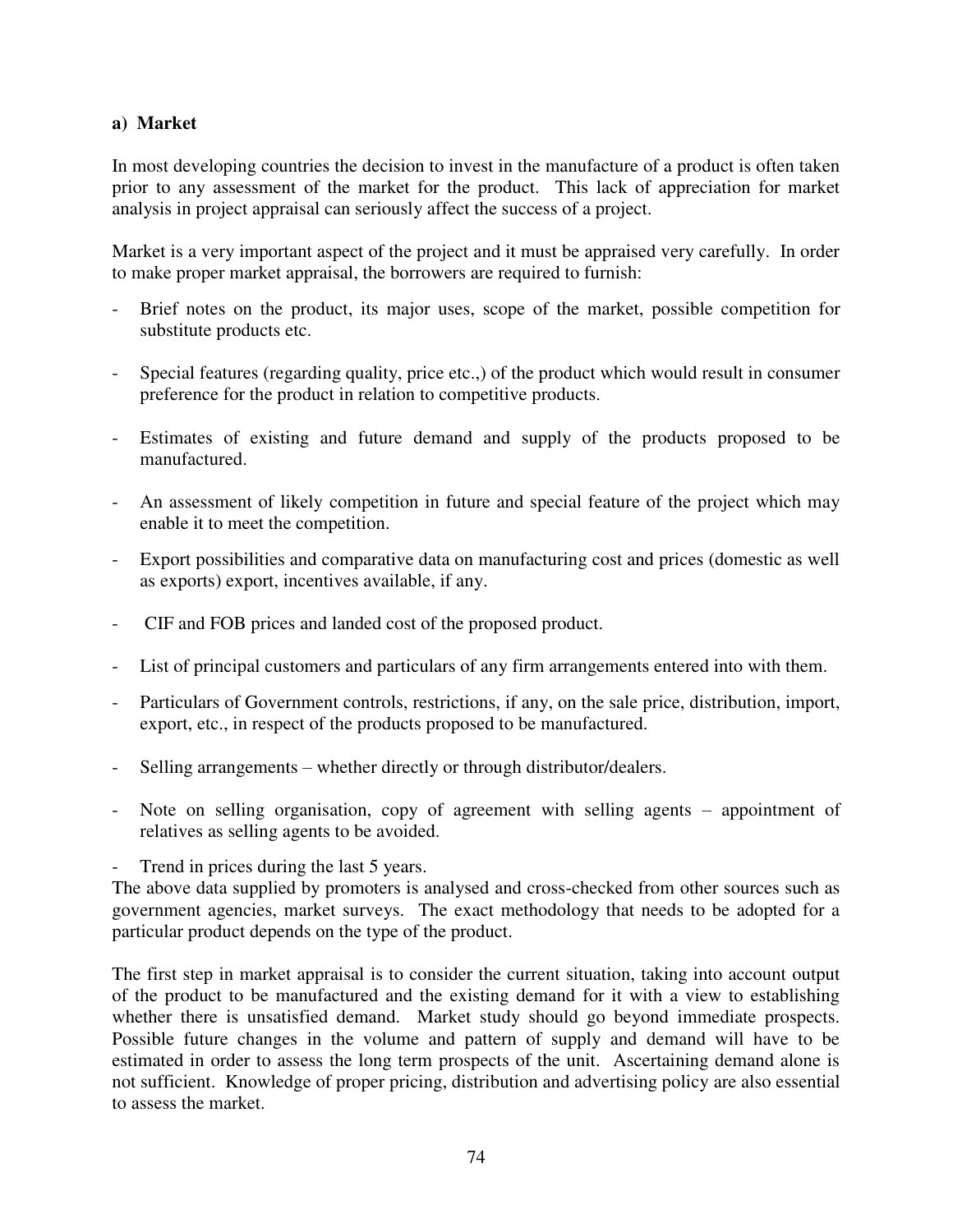## **a) Market**

In most developing countries the decision to invest in the manufacture of a product is often taken prior to any assessment of the market for the product. This lack of appreciation for market analysis in project appraisal can seriously affect the success of a project.

Market is a very important aspect of the project and it must be appraised very carefully. In order to make proper market appraisal, the borrowers are required to furnish:

- Brief notes on the product, its major uses, scope of the market, possible competition for substitute products etc.
- Special features (regarding quality, price etc.,) of the product which would result in consumer preference for the product in relation to competitive products.
- Estimates of existing and future demand and supply of the products proposed to be manufactured.
- An assessment of likely competition in future and special feature of the project which may enable it to meet the competition.
- Export possibilities and comparative data on manufacturing cost and prices (domestic as well as exports) export, incentives available, if any.
- CIF and FOB prices and landed cost of the proposed product.
- List of principal customers and particulars of any firm arrangements entered into with them.
- Particulars of Government controls, restrictions, if any, on the sale price, distribution, import, export, etc., in respect of the products proposed to be manufactured.
- Selling arrangements whether directly or through distributor/dealers.
- Note on selling organisation, copy of agreement with selling agents appointment of relatives as selling agents to be avoided.
- Trend in prices during the last 5 years.

The above data supplied by promoters is analysed and cross-checked from other sources such as government agencies, market surveys. The exact methodology that needs to be adopted for a particular product depends on the type of the product.

The first step in market appraisal is to consider the current situation, taking into account output of the product to be manufactured and the existing demand for it with a view to establishing whether there is unsatisfied demand. Market study should go beyond immediate prospects. Possible future changes in the volume and pattern of supply and demand will have to be estimated in order to assess the long term prospects of the unit. Ascertaining demand alone is not sufficient. Knowledge of proper pricing, distribution and advertising policy are also essential to assess the market.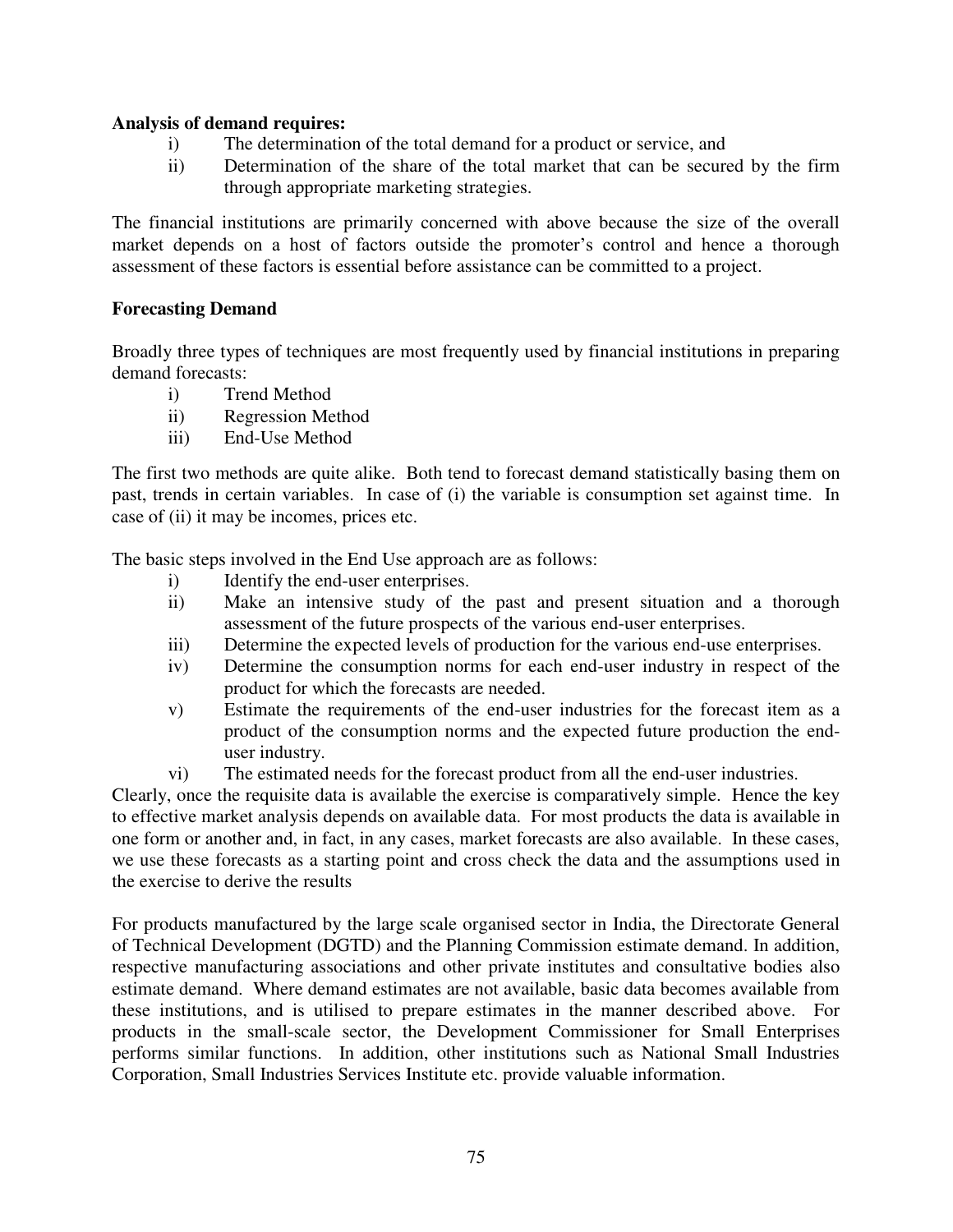## **Analysis of demand requires:**

- i) The determination of the total demand for a product or service, and
- ii) Determination of the share of the total market that can be secured by the firm through appropriate marketing strategies.

The financial institutions are primarily concerned with above because the size of the overall market depends on a host of factors outside the promoter's control and hence a thorough assessment of these factors is essential before assistance can be committed to a project.

## **Forecasting Demand**

Broadly three types of techniques are most frequently used by financial institutions in preparing demand forecasts:

- i) Trend Method
- ii) Regression Method
- iii) End-Use Method

The first two methods are quite alike. Both tend to forecast demand statistically basing them on past, trends in certain variables. In case of (i) the variable is consumption set against time. In case of (ii) it may be incomes, prices etc.

The basic steps involved in the End Use approach are as follows:

- i) Identify the end-user enterprises.
- ii) Make an intensive study of the past and present situation and a thorough assessment of the future prospects of the various end-user enterprises.
- iii) Determine the expected levels of production for the various end-use enterprises.
- iv) Determine the consumption norms for each end-user industry in respect of the product for which the forecasts are needed.
- v) Estimate the requirements of the end-user industries for the forecast item as a product of the consumption norms and the expected future production the enduser industry.
- vi) The estimated needs for the forecast product from all the end-user industries.

Clearly, once the requisite data is available the exercise is comparatively simple. Hence the key to effective market analysis depends on available data. For most products the data is available in one form or another and, in fact, in any cases, market forecasts are also available. In these cases, we use these forecasts as a starting point and cross check the data and the assumptions used in the exercise to derive the results

For products manufactured by the large scale organised sector in India, the Directorate General of Technical Development (DGTD) and the Planning Commission estimate demand. In addition, respective manufacturing associations and other private institutes and consultative bodies also estimate demand. Where demand estimates are not available, basic data becomes available from these institutions, and is utilised to prepare estimates in the manner described above. For products in the small-scale sector, the Development Commissioner for Small Enterprises performs similar functions. In addition, other institutions such as National Small Industries Corporation, Small Industries Services Institute etc. provide valuable information.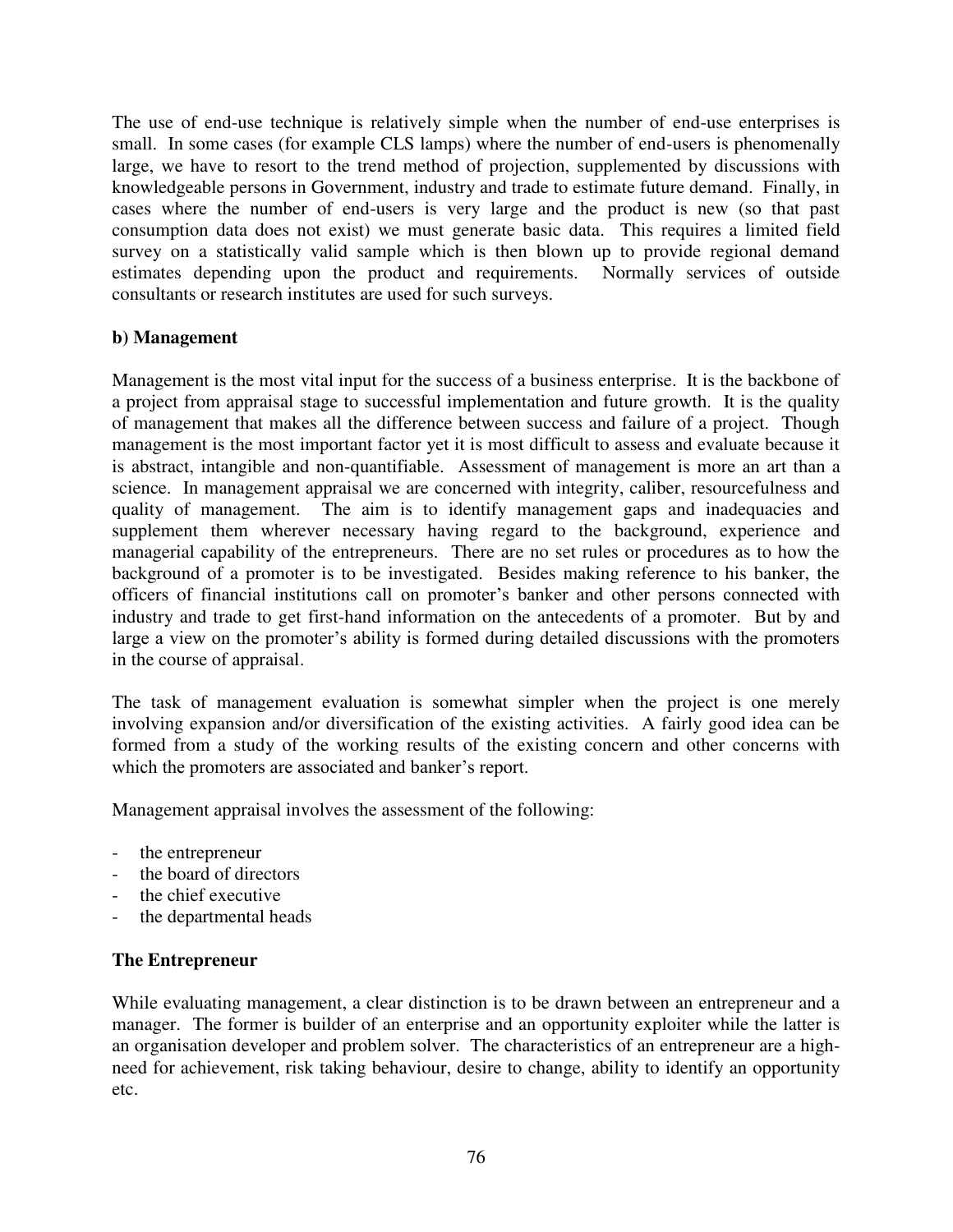The use of end-use technique is relatively simple when the number of end-use enterprises is small. In some cases (for example CLS lamps) where the number of end-users is phenomenally large, we have to resort to the trend method of projection, supplemented by discussions with knowledgeable persons in Government, industry and trade to estimate future demand. Finally, in cases where the number of end-users is very large and the product is new (so that past consumption data does not exist) we must generate basic data. This requires a limited field survey on a statistically valid sample which is then blown up to provide regional demand estimates depending upon the product and requirements. Normally services of outside consultants or research institutes are used for such surveys.

## **b) Management**

Management is the most vital input for the success of a business enterprise. It is the backbone of a project from appraisal stage to successful implementation and future growth. It is the quality of management that makes all the difference between success and failure of a project. Though management is the most important factor yet it is most difficult to assess and evaluate because it is abstract, intangible and non-quantifiable. Assessment of management is more an art than a science. In management appraisal we are concerned with integrity, caliber, resourcefulness and quality of management. The aim is to identify management gaps and inadequacies and supplement them wherever necessary having regard to the background, experience and managerial capability of the entrepreneurs. There are no set rules or procedures as to how the background of a promoter is to be investigated. Besides making reference to his banker, the officers of financial institutions call on promoter's banker and other persons connected with industry and trade to get first-hand information on the antecedents of a promoter. But by and large a view on the promoter's ability is formed during detailed discussions with the promoters in the course of appraisal.

The task of management evaluation is somewhat simpler when the project is one merely involving expansion and/or diversification of the existing activities. A fairly good idea can be formed from a study of the working results of the existing concern and other concerns with which the promoters are associated and banker's report.

Management appraisal involves the assessment of the following:

- the entrepreneur
- the board of directors
- the chief executive
- the departmental heads

## **The Entrepreneur**

While evaluating management, a clear distinction is to be drawn between an entrepreneur and a manager. The former is builder of an enterprise and an opportunity exploiter while the latter is an organisation developer and problem solver. The characteristics of an entrepreneur are a highneed for achievement, risk taking behaviour, desire to change, ability to identify an opportunity etc.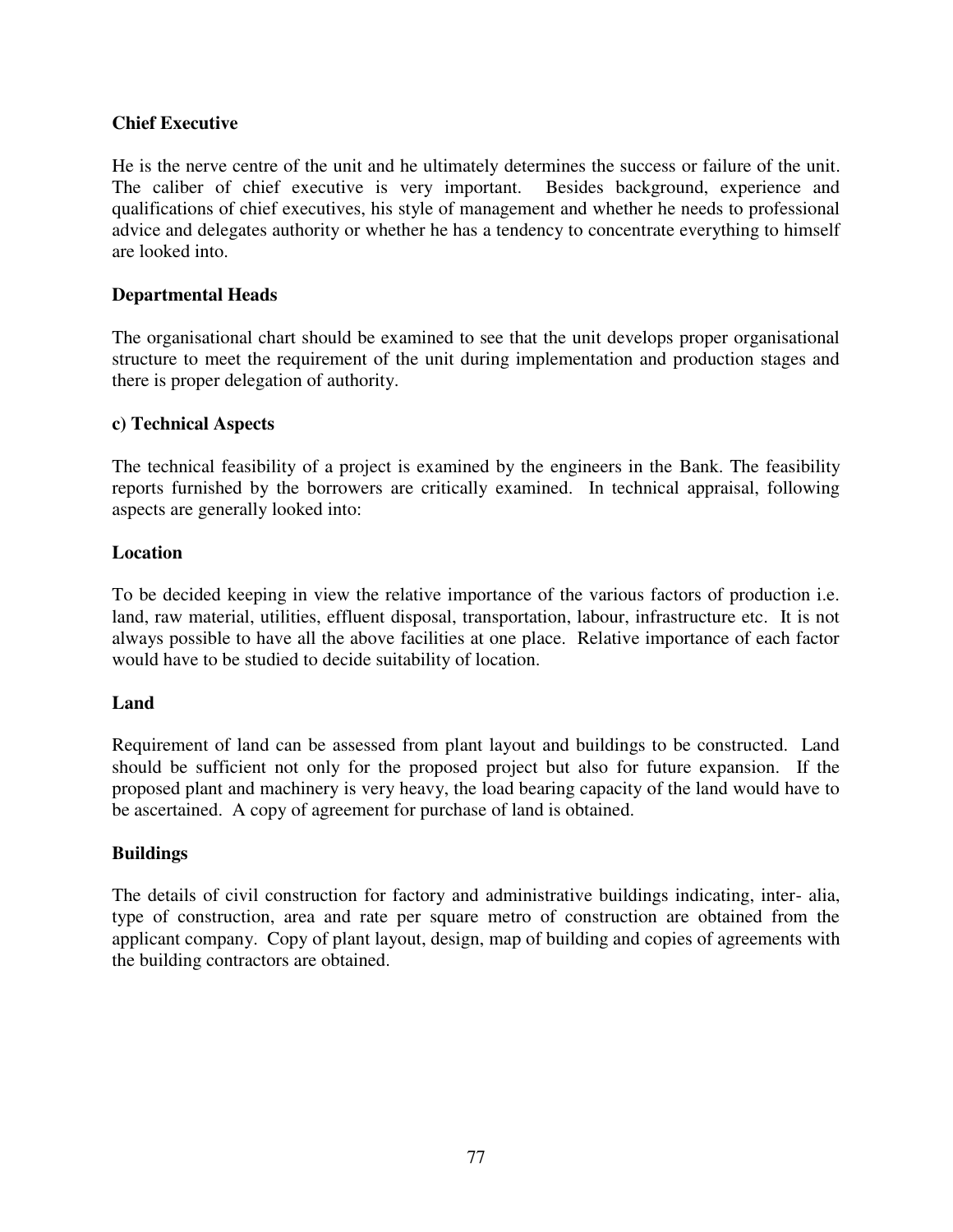## **Chief Executive**

He is the nerve centre of the unit and he ultimately determines the success or failure of the unit. The caliber of chief executive is very important. Besides background, experience and qualifications of chief executives, his style of management and whether he needs to professional advice and delegates authority or whether he has a tendency to concentrate everything to himself are looked into.

## **Departmental Heads**

The organisational chart should be examined to see that the unit develops proper organisational structure to meet the requirement of the unit during implementation and production stages and there is proper delegation of authority.

## **c) Technical Aspects**

The technical feasibility of a project is examined by the engineers in the Bank. The feasibility reports furnished by the borrowers are critically examined. In technical appraisal, following aspects are generally looked into:

## **Location**

To be decided keeping in view the relative importance of the various factors of production i.e. land, raw material, utilities, effluent disposal, transportation, labour, infrastructure etc. It is not always possible to have all the above facilities at one place. Relative importance of each factor would have to be studied to decide suitability of location.

## **Land**

Requirement of land can be assessed from plant layout and buildings to be constructed. Land should be sufficient not only for the proposed project but also for future expansion. If the proposed plant and machinery is very heavy, the load bearing capacity of the land would have to be ascertained. A copy of agreement for purchase of land is obtained.

## **Buildings**

The details of civil construction for factory and administrative buildings indicating, inter- alia, type of construction, area and rate per square metro of construction are obtained from the applicant company. Copy of plant layout, design, map of building and copies of agreements with the building contractors are obtained.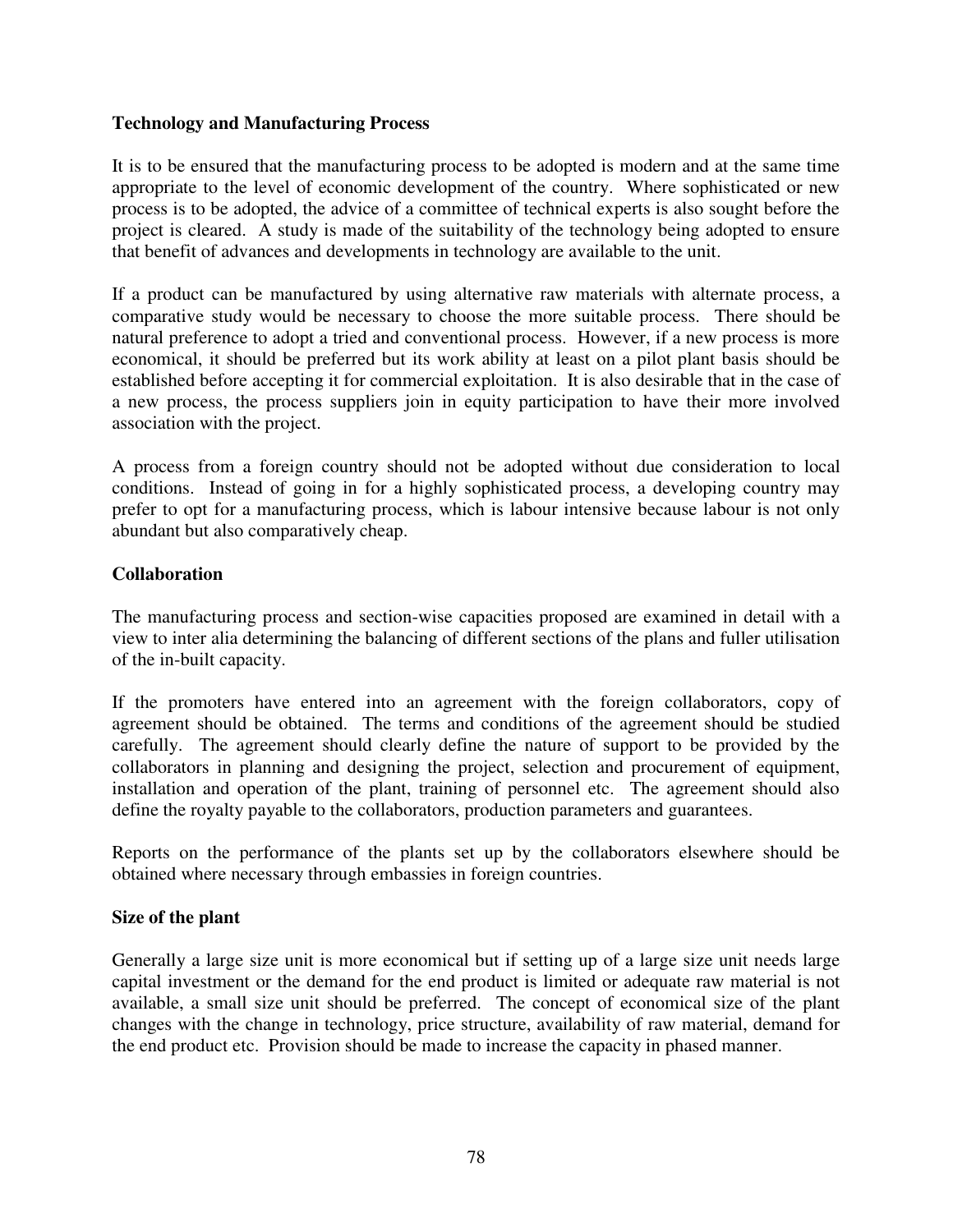## **Technology and Manufacturing Process**

It is to be ensured that the manufacturing process to be adopted is modern and at the same time appropriate to the level of economic development of the country. Where sophisticated or new process is to be adopted, the advice of a committee of technical experts is also sought before the project is cleared. A study is made of the suitability of the technology being adopted to ensure that benefit of advances and developments in technology are available to the unit.

If a product can be manufactured by using alternative raw materials with alternate process, a comparative study would be necessary to choose the more suitable process. There should be natural preference to adopt a tried and conventional process. However, if a new process is more economical, it should be preferred but its work ability at least on a pilot plant basis should be established before accepting it for commercial exploitation. It is also desirable that in the case of a new process, the process suppliers join in equity participation to have their more involved association with the project.

A process from a foreign country should not be adopted without due consideration to local conditions. Instead of going in for a highly sophisticated process, a developing country may prefer to opt for a manufacturing process, which is labour intensive because labour is not only abundant but also comparatively cheap.

# **Collaboration**

The manufacturing process and section-wise capacities proposed are examined in detail with a view to inter alia determining the balancing of different sections of the plans and fuller utilisation of the in-built capacity.

If the promoters have entered into an agreement with the foreign collaborators, copy of agreement should be obtained. The terms and conditions of the agreement should be studied carefully. The agreement should clearly define the nature of support to be provided by the collaborators in planning and designing the project, selection and procurement of equipment, installation and operation of the plant, training of personnel etc. The agreement should also define the royalty payable to the collaborators, production parameters and guarantees.

Reports on the performance of the plants set up by the collaborators elsewhere should be obtained where necessary through embassies in foreign countries.

## **Size of the plant**

Generally a large size unit is more economical but if setting up of a large size unit needs large capital investment or the demand for the end product is limited or adequate raw material is not available, a small size unit should be preferred. The concept of economical size of the plant changes with the change in technology, price structure, availability of raw material, demand for the end product etc. Provision should be made to increase the capacity in phased manner.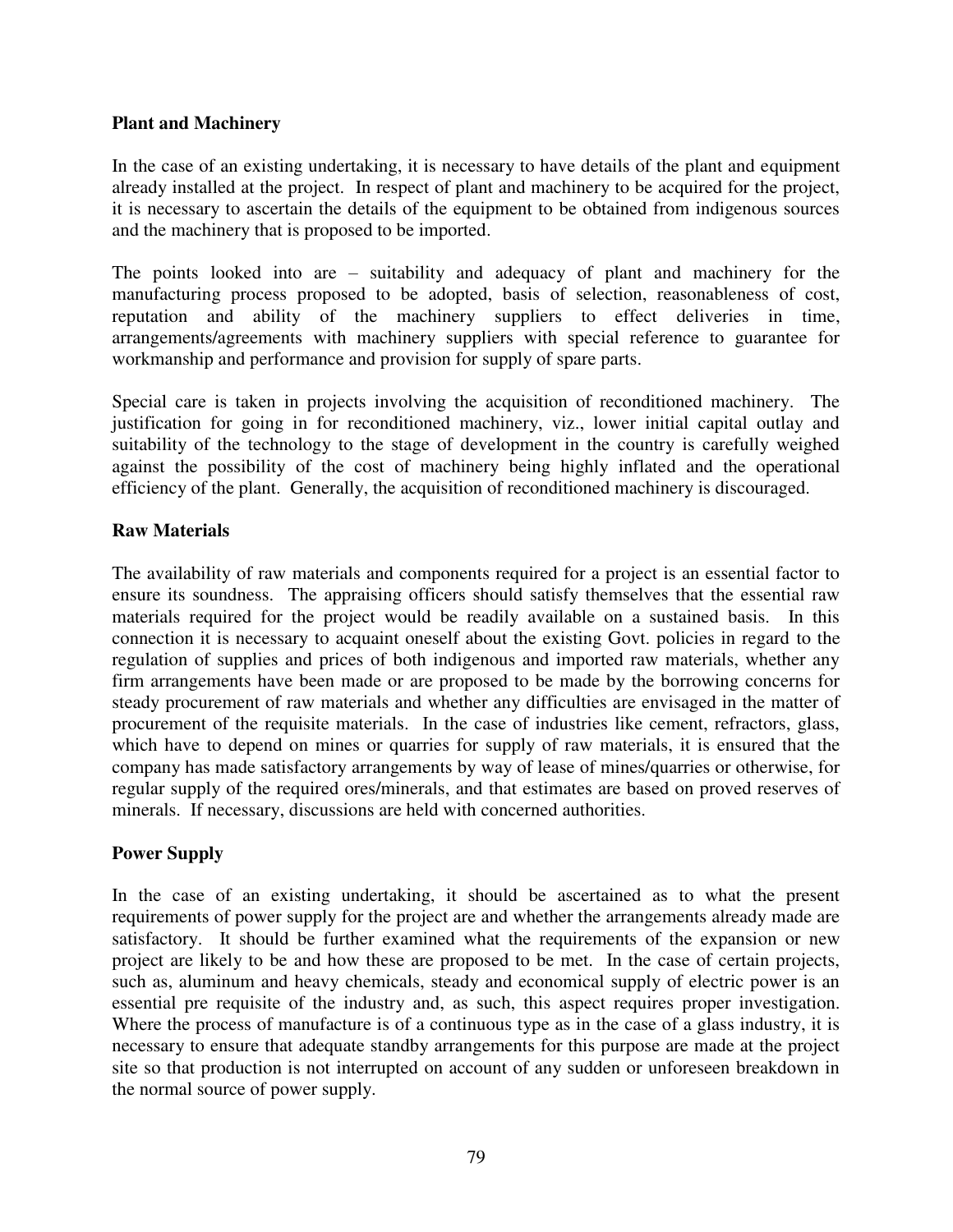## **Plant and Machinery**

In the case of an existing undertaking, it is necessary to have details of the plant and equipment already installed at the project. In respect of plant and machinery to be acquired for the project, it is necessary to ascertain the details of the equipment to be obtained from indigenous sources and the machinery that is proposed to be imported.

The points looked into are – suitability and adequacy of plant and machinery for the manufacturing process proposed to be adopted, basis of selection, reasonableness of cost, reputation and ability of the machinery suppliers to effect deliveries in time, arrangements/agreements with machinery suppliers with special reference to guarantee for workmanship and performance and provision for supply of spare parts.

Special care is taken in projects involving the acquisition of reconditioned machinery. The justification for going in for reconditioned machinery, viz., lower initial capital outlay and suitability of the technology to the stage of development in the country is carefully weighed against the possibility of the cost of machinery being highly inflated and the operational efficiency of the plant. Generally, the acquisition of reconditioned machinery is discouraged.

# **Raw Materials**

The availability of raw materials and components required for a project is an essential factor to ensure its soundness. The appraising officers should satisfy themselves that the essential raw materials required for the project would be readily available on a sustained basis. In this connection it is necessary to acquaint oneself about the existing Govt. policies in regard to the regulation of supplies and prices of both indigenous and imported raw materials, whether any firm arrangements have been made or are proposed to be made by the borrowing concerns for steady procurement of raw materials and whether any difficulties are envisaged in the matter of procurement of the requisite materials. In the case of industries like cement, refractors, glass, which have to depend on mines or quarries for supply of raw materials, it is ensured that the company has made satisfactory arrangements by way of lease of mines/quarries or otherwise, for regular supply of the required ores/minerals, and that estimates are based on proved reserves of minerals. If necessary, discussions are held with concerned authorities.

# **Power Supply**

In the case of an existing undertaking, it should be ascertained as to what the present requirements of power supply for the project are and whether the arrangements already made are satisfactory. It should be further examined what the requirements of the expansion or new project are likely to be and how these are proposed to be met. In the case of certain projects, such as, aluminum and heavy chemicals, steady and economical supply of electric power is an essential pre requisite of the industry and, as such, this aspect requires proper investigation. Where the process of manufacture is of a continuous type as in the case of a glass industry, it is necessary to ensure that adequate standby arrangements for this purpose are made at the project site so that production is not interrupted on account of any sudden or unforeseen breakdown in the normal source of power supply.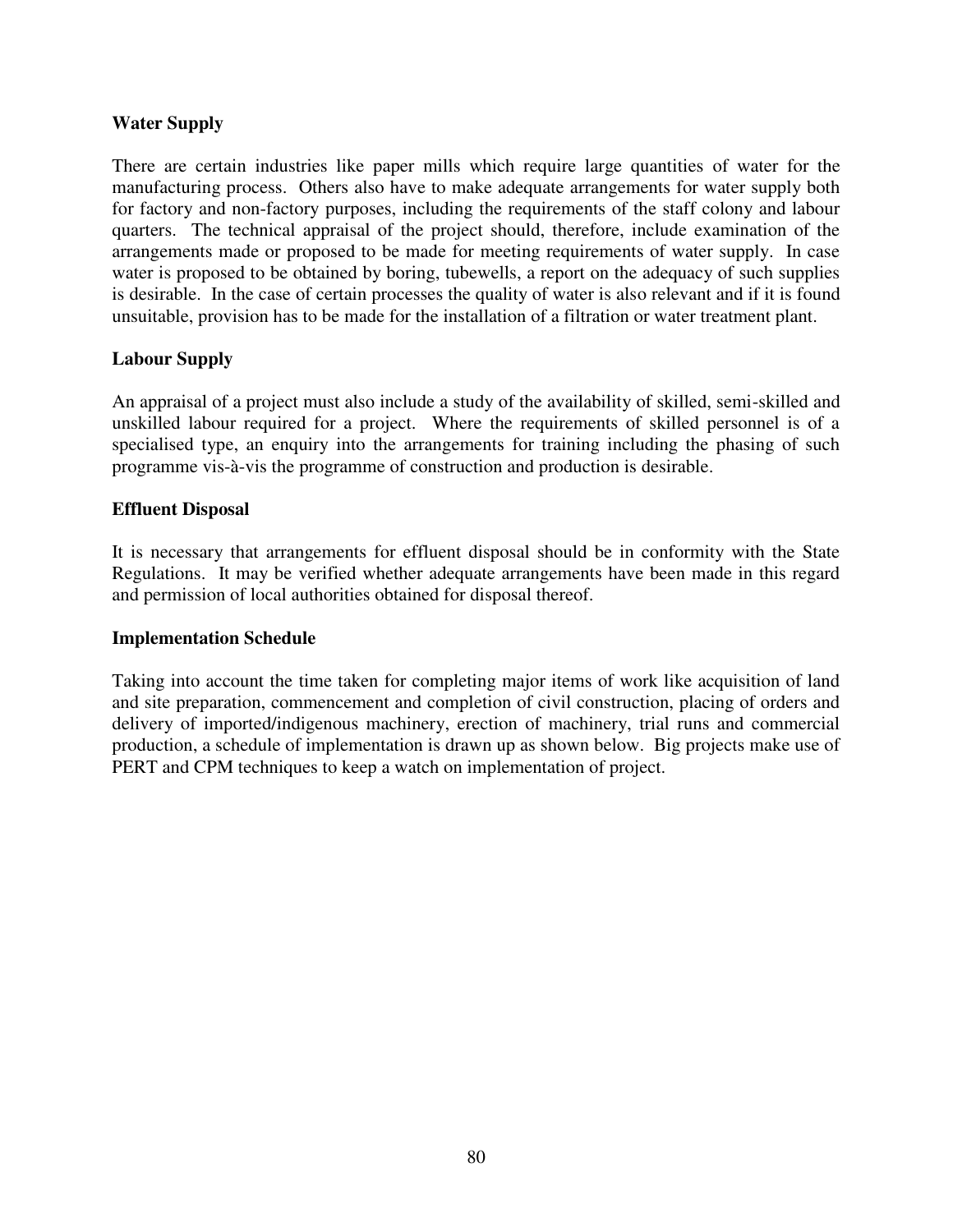## **Water Supply**

There are certain industries like paper mills which require large quantities of water for the manufacturing process. Others also have to make adequate arrangements for water supply both for factory and non-factory purposes, including the requirements of the staff colony and labour quarters. The technical appraisal of the project should, therefore, include examination of the arrangements made or proposed to be made for meeting requirements of water supply. In case water is proposed to be obtained by boring, tubewells, a report on the adequacy of such supplies is desirable. In the case of certain processes the quality of water is also relevant and if it is found unsuitable, provision has to be made for the installation of a filtration or water treatment plant.

## **Labour Supply**

An appraisal of a project must also include a study of the availability of skilled, semi-skilled and unskilled labour required for a project. Where the requirements of skilled personnel is of a specialised type, an enquiry into the arrangements for training including the phasing of such programme vis-à-vis the programme of construction and production is desirable.

## **Effluent Disposal**

It is necessary that arrangements for effluent disposal should be in conformity with the State Regulations. It may be verified whether adequate arrangements have been made in this regard and permission of local authorities obtained for disposal thereof.

## **Implementation Schedule**

Taking into account the time taken for completing major items of work like acquisition of land and site preparation, commencement and completion of civil construction, placing of orders and delivery of imported/indigenous machinery, erection of machinery, trial runs and commercial production, a schedule of implementation is drawn up as shown below. Big projects make use of PERT and CPM techniques to keep a watch on implementation of project.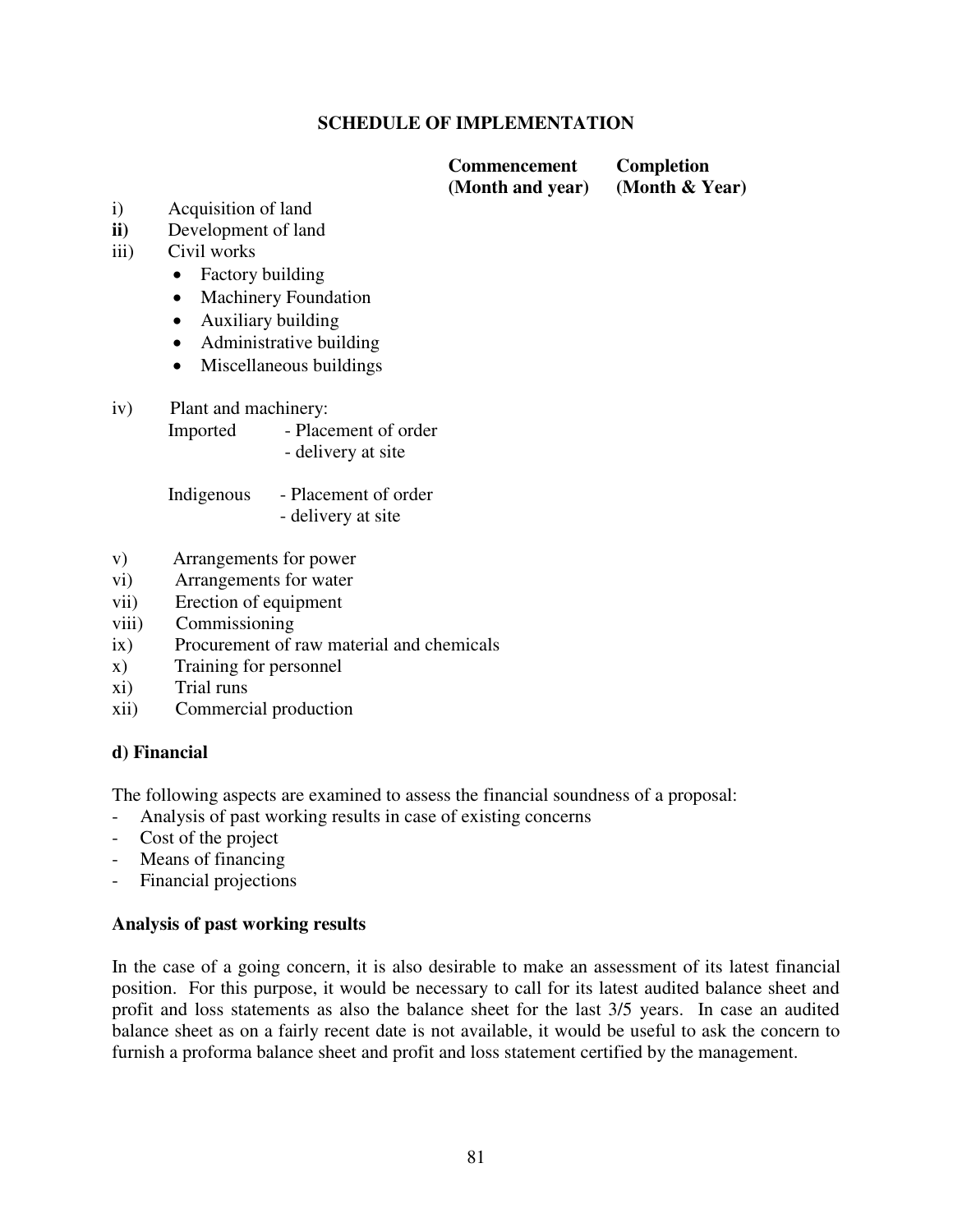## **SCHEDULE OF IMPLEMENTATION**

 **Commencement Completion (Month and year) (Month & Year)** 

- i) Acquisition of land
- **ii)** Development of land
- iii) Civil works
	- Factory building
	- Machinery Foundation
	- Auxiliary building
	- Administrative building
	- Miscellaneous buildings
- iv) Plant and machinery:
	- Imported Placement of order
		- delivery at site

Indigenous - Placement of order - delivery at site

- v) Arrangements for power
- vi) Arrangements for water
- vii) Erection of equipment
- viii) Commissioning
- ix) Procurement of raw material and chemicals
- x) Training for personnel
- xi) Trial runs
- xii) Commercial production

## **d) Financial**

The following aspects are examined to assess the financial soundness of a proposal:

- Analysis of past working results in case of existing concerns
- Cost of the project
- Means of financing
- Financial projections

## **Analysis of past working results**

In the case of a going concern, it is also desirable to make an assessment of its latest financial position. For this purpose, it would be necessary to call for its latest audited balance sheet and profit and loss statements as also the balance sheet for the last 3/5 years. In case an audited balance sheet as on a fairly recent date is not available, it would be useful to ask the concern to furnish a proforma balance sheet and profit and loss statement certified by the management.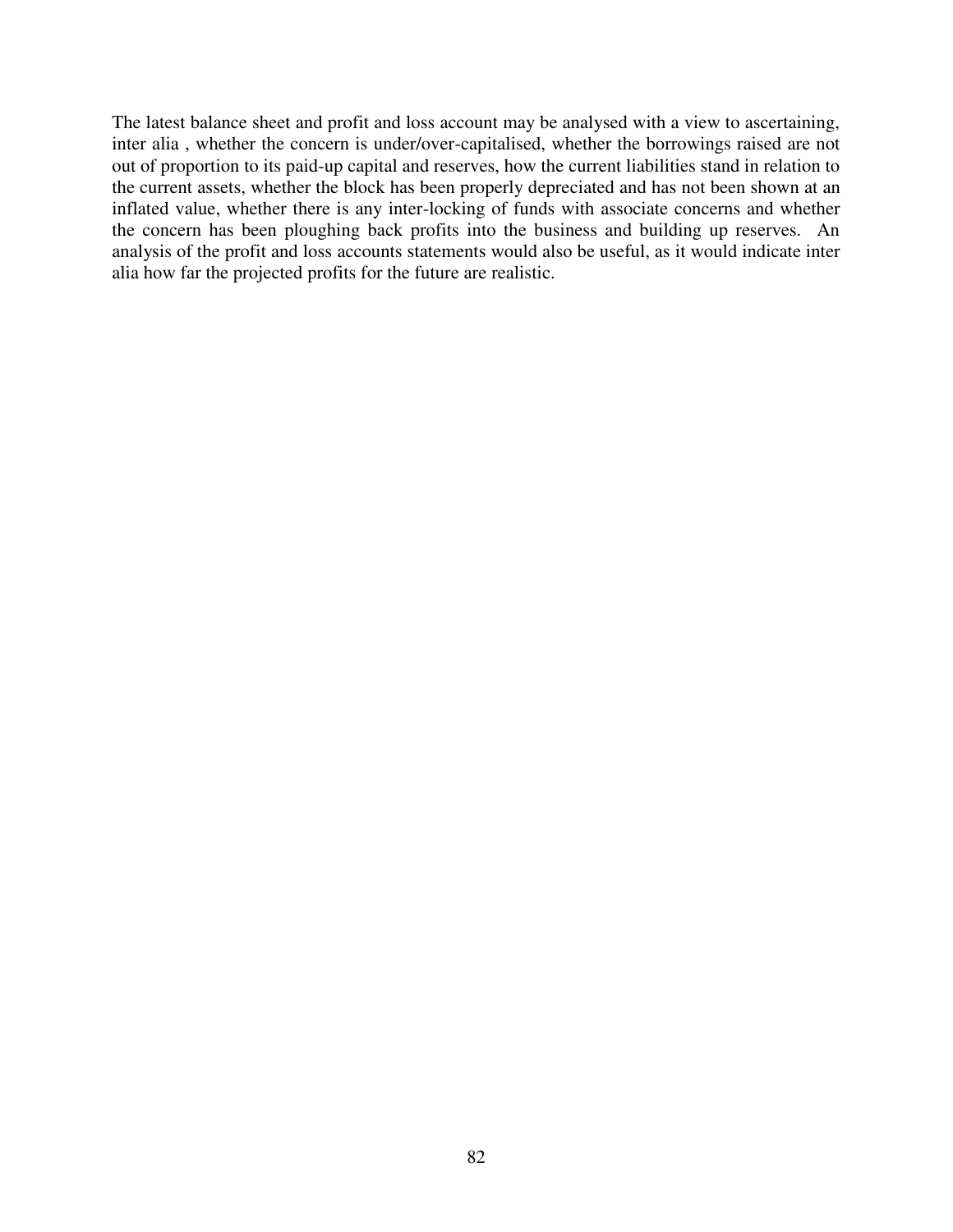The latest balance sheet and profit and loss account may be analysed with a view to ascertaining, inter alia , whether the concern is under/over-capitalised, whether the borrowings raised are not out of proportion to its paid-up capital and reserves, how the current liabilities stand in relation to the current assets, whether the block has been properly depreciated and has not been shown at an inflated value, whether there is any inter-locking of funds with associate concerns and whether the concern has been ploughing back profits into the business and building up reserves. An analysis of the profit and loss accounts statements would also be useful, as it would indicate inter alia how far the projected profits for the future are realistic.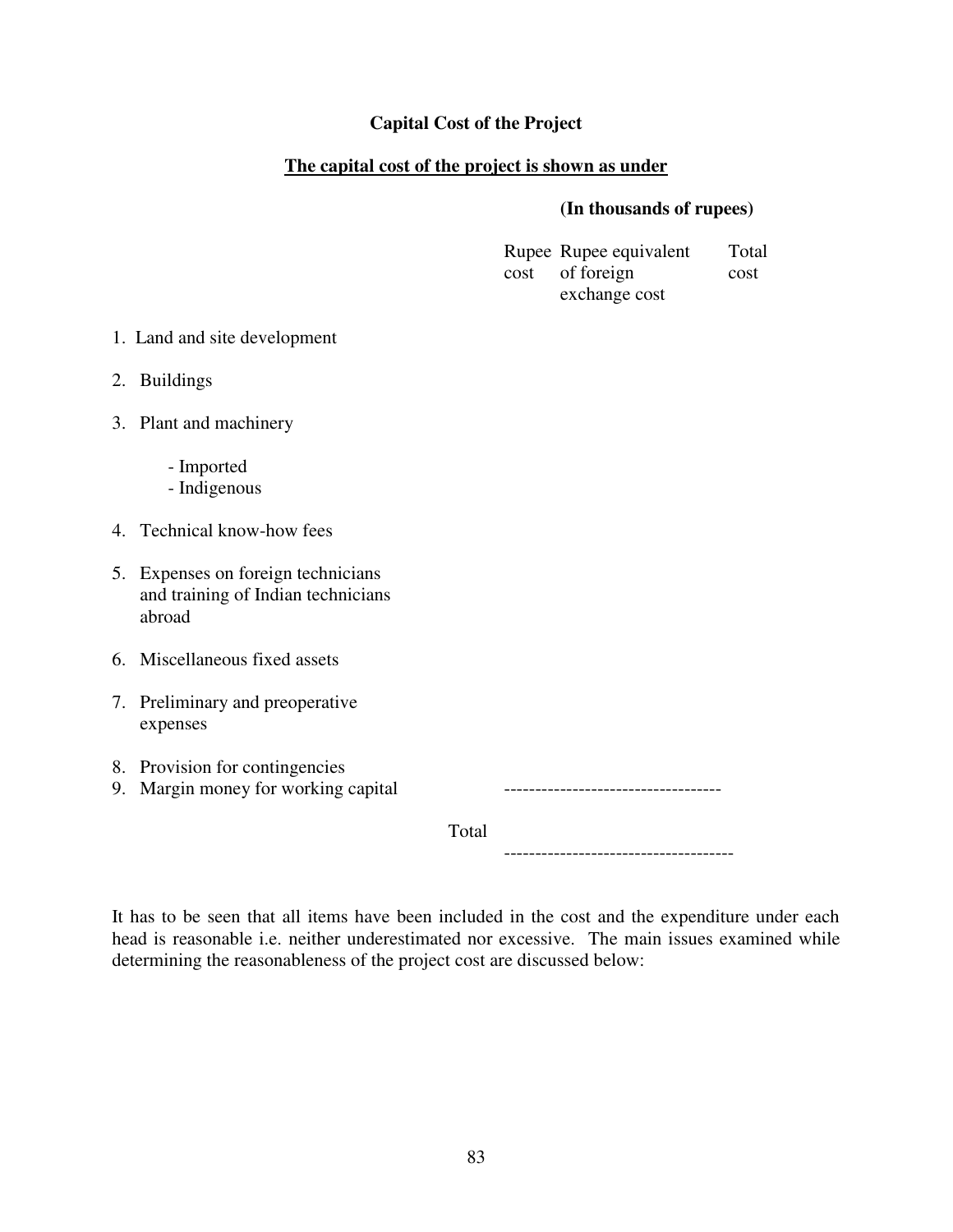# **Capital Cost of the Project**

# **The capital cost of the project is shown as under**

## **(In thousands of rupees)**

Rupee Rupee equivalent Total cost of foreign cost exchange cost

- 1. Land and site development
- 2. Buildings
- 3. Plant and machinery
	- Imported
	- Indigenous
- 4. Technical know-how fees
- 5. Expenses on foreign technicians and training of Indian technicians abroad
- 6. Miscellaneous fixed assets
- 7. Preliminary and preoperative expenses
- 8. Provision for contingencies
- 9. Margin money for working capital

 Total -------------------------------------

It has to be seen that all items have been included in the cost and the expenditure under each head is reasonable i.e. neither underestimated nor excessive. The main issues examined while determining the reasonableness of the project cost are discussed below: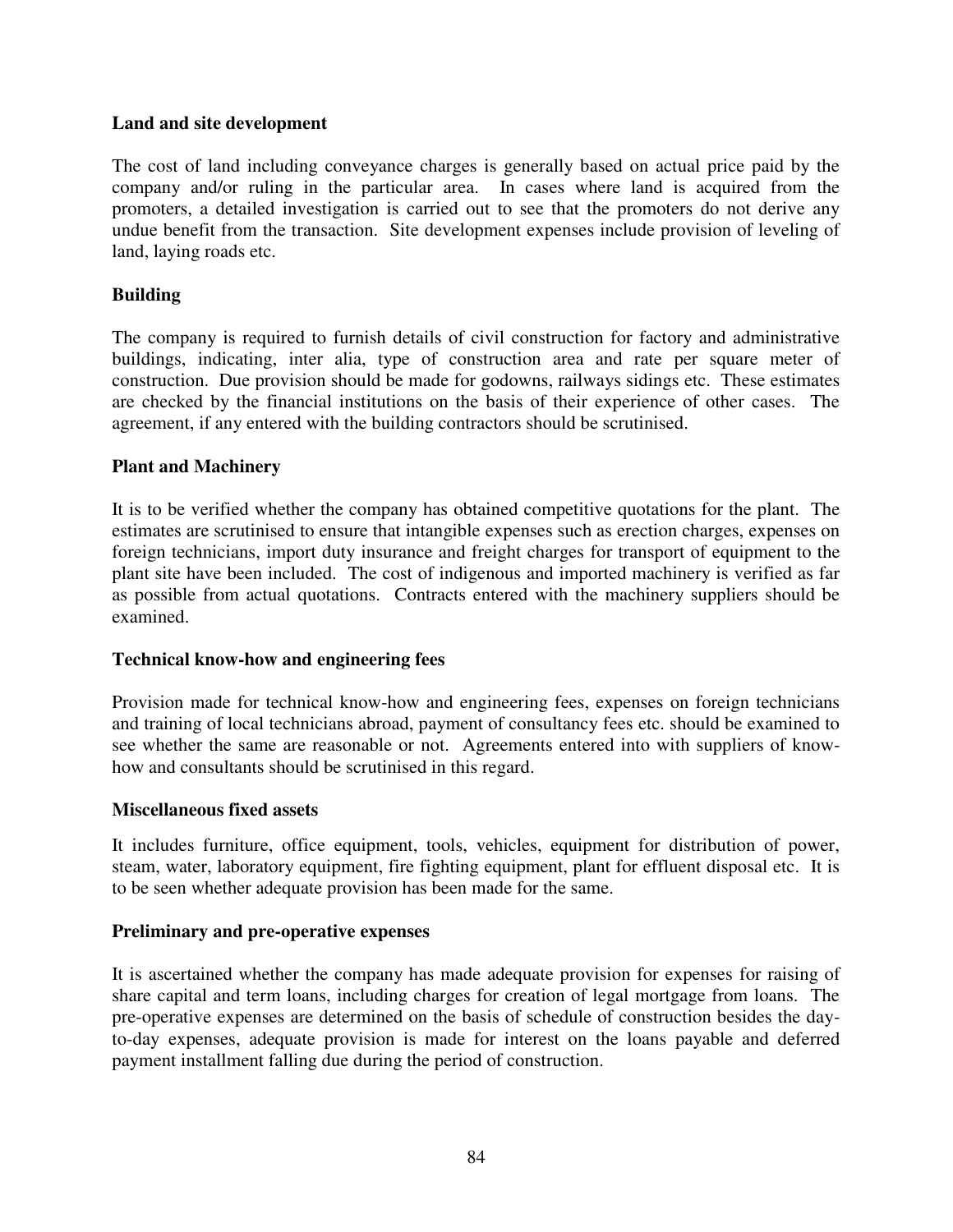## **Land and site development**

The cost of land including conveyance charges is generally based on actual price paid by the company and/or ruling in the particular area. In cases where land is acquired from the promoters, a detailed investigation is carried out to see that the promoters do not derive any undue benefit from the transaction. Site development expenses include provision of leveling of land, laying roads etc.

## **Building**

The company is required to furnish details of civil construction for factory and administrative buildings, indicating, inter alia, type of construction area and rate per square meter of construction. Due provision should be made for godowns, railways sidings etc. These estimates are checked by the financial institutions on the basis of their experience of other cases. The agreement, if any entered with the building contractors should be scrutinised.

## **Plant and Machinery**

It is to be verified whether the company has obtained competitive quotations for the plant. The estimates are scrutinised to ensure that intangible expenses such as erection charges, expenses on foreign technicians, import duty insurance and freight charges for transport of equipment to the plant site have been included. The cost of indigenous and imported machinery is verified as far as possible from actual quotations. Contracts entered with the machinery suppliers should be examined.

## **Technical know-how and engineering fees**

Provision made for technical know-how and engineering fees, expenses on foreign technicians and training of local technicians abroad, payment of consultancy fees etc. should be examined to see whether the same are reasonable or not. Agreements entered into with suppliers of knowhow and consultants should be scrutinised in this regard.

#### **Miscellaneous fixed assets**

It includes furniture, office equipment, tools, vehicles, equipment for distribution of power, steam, water, laboratory equipment, fire fighting equipment, plant for effluent disposal etc. It is to be seen whether adequate provision has been made for the same.

#### **Preliminary and pre-operative expenses**

It is ascertained whether the company has made adequate provision for expenses for raising of share capital and term loans, including charges for creation of legal mortgage from loans. The pre-operative expenses are determined on the basis of schedule of construction besides the dayto-day expenses, adequate provision is made for interest on the loans payable and deferred payment installment falling due during the period of construction.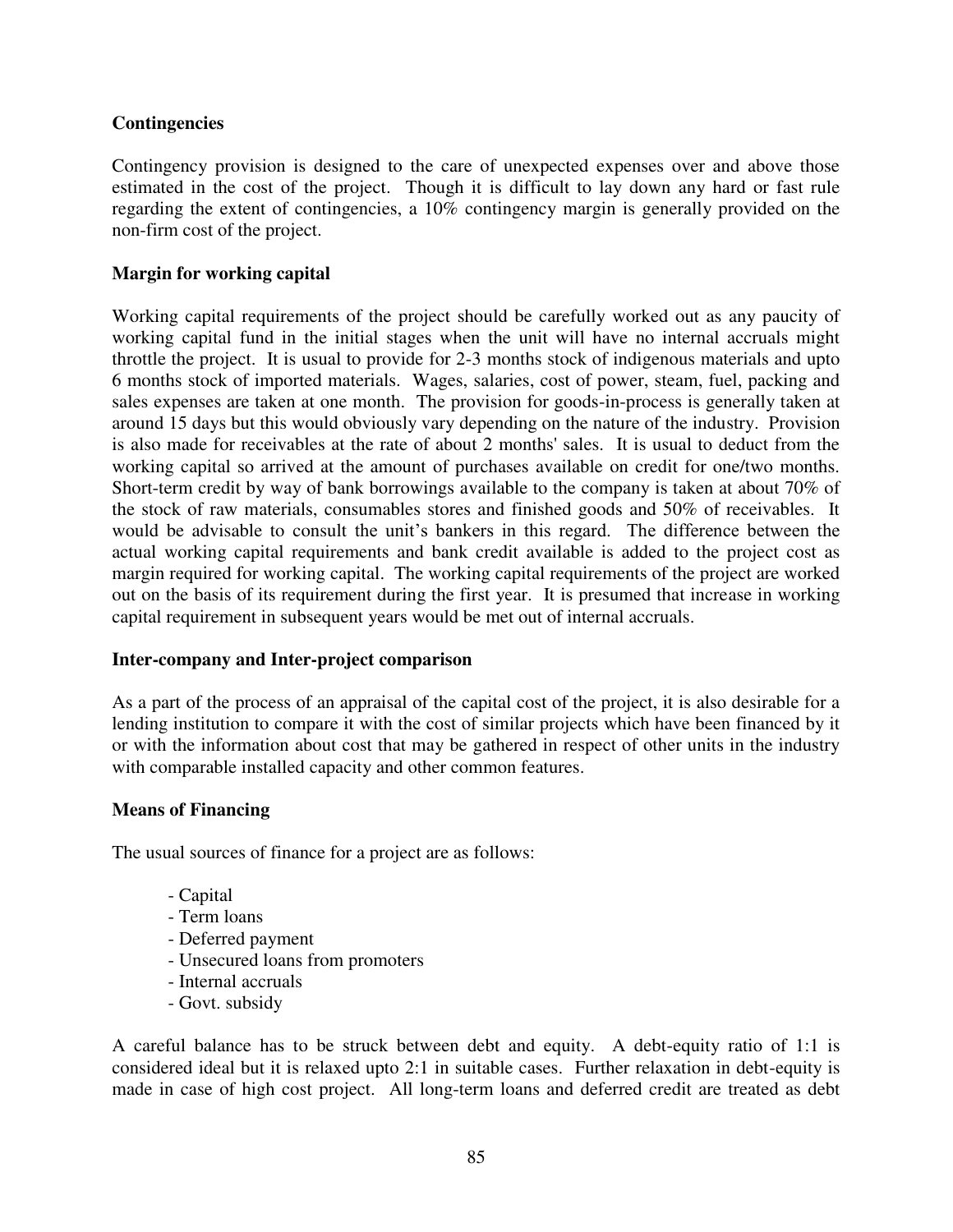## **Contingencies**

Contingency provision is designed to the care of unexpected expenses over and above those estimated in the cost of the project. Though it is difficult to lay down any hard or fast rule regarding the extent of contingencies, a 10% contingency margin is generally provided on the non-firm cost of the project.

## **Margin for working capital**

Working capital requirements of the project should be carefully worked out as any paucity of working capital fund in the initial stages when the unit will have no internal accruals might throttle the project. It is usual to provide for 2-3 months stock of indigenous materials and upto 6 months stock of imported materials. Wages, salaries, cost of power, steam, fuel, packing and sales expenses are taken at one month. The provision for goods-in-process is generally taken at around 15 days but this would obviously vary depending on the nature of the industry. Provision is also made for receivables at the rate of about 2 months' sales. It is usual to deduct from the working capital so arrived at the amount of purchases available on credit for one/two months. Short-term credit by way of bank borrowings available to the company is taken at about 70% of the stock of raw materials, consumables stores and finished goods and 50% of receivables. It would be advisable to consult the unit's bankers in this regard. The difference between the actual working capital requirements and bank credit available is added to the project cost as margin required for working capital. The working capital requirements of the project are worked out on the basis of its requirement during the first year. It is presumed that increase in working capital requirement in subsequent years would be met out of internal accruals.

## **Inter-company and Inter-project comparison**

As a part of the process of an appraisal of the capital cost of the project, it is also desirable for a lending institution to compare it with the cost of similar projects which have been financed by it or with the information about cost that may be gathered in respect of other units in the industry with comparable installed capacity and other common features.

## **Means of Financing**

The usual sources of finance for a project are as follows:

- Capital
- Term loans
- Deferred payment
- Unsecured loans from promoters
- Internal accruals
- Govt. subsidy

A careful balance has to be struck between debt and equity. A debt-equity ratio of 1:1 is considered ideal but it is relaxed upto 2:1 in suitable cases. Further relaxation in debt-equity is made in case of high cost project. All long-term loans and deferred credit are treated as debt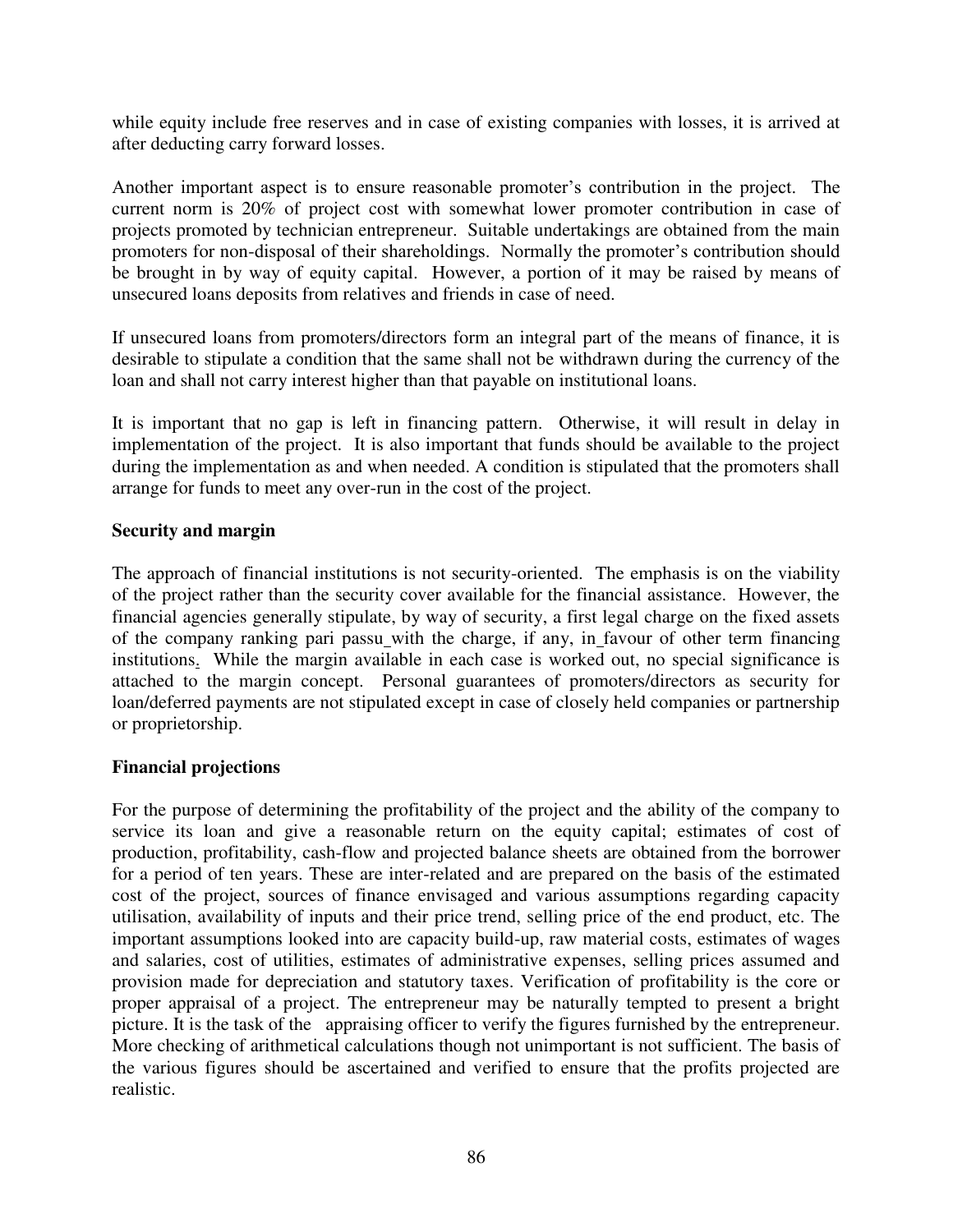while equity include free reserves and in case of existing companies with losses, it is arrived at after deducting carry forward losses.

Another important aspect is to ensure reasonable promoter's contribution in the project. The current norm is 20% of project cost with somewhat lower promoter contribution in case of projects promoted by technician entrepreneur. Suitable undertakings are obtained from the main promoters for non-disposal of their shareholdings. Normally the promoter's contribution should be brought in by way of equity capital. However, a portion of it may be raised by means of unsecured loans deposits from relatives and friends in case of need.

If unsecured loans from promoters/directors form an integral part of the means of finance, it is desirable to stipulate a condition that the same shall not be withdrawn during the currency of the loan and shall not carry interest higher than that payable on institutional loans.

It is important that no gap is left in financing pattern. Otherwise, it will result in delay in implementation of the project. It is also important that funds should be available to the project during the implementation as and when needed. A condition is stipulated that the promoters shall arrange for funds to meet any over-run in the cost of the project.

## **Security and margin**

The approach of financial institutions is not security-oriented. The emphasis is on the viability of the project rather than the security cover available for the financial assistance. However, the financial agencies generally stipulate, by way of security, a first legal charge on the fixed assets of the company ranking pari passu with the charge, if any, in favour of other term financing institutions. While the margin available in each case is worked out, no special significance is attached to the margin concept. Personal guarantees of promoters/directors as security for loan/deferred payments are not stipulated except in case of closely held companies or partnership or proprietorship.

# **Financial projections**

For the purpose of determining the profitability of the project and the ability of the company to service its loan and give a reasonable return on the equity capital; estimates of cost of production, profitability, cash-flow and projected balance sheets are obtained from the borrower for a period of ten years. These are inter-related and are prepared on the basis of the estimated cost of the project, sources of finance envisaged and various assumptions regarding capacity utilisation, availability of inputs and their price trend, selling price of the end product, etc. The important assumptions looked into are capacity build-up, raw material costs, estimates of wages and salaries, cost of utilities, estimates of administrative expenses, selling prices assumed and provision made for depreciation and statutory taxes. Verification of profitability is the core or proper appraisal of a project. The entrepreneur may be naturally tempted to present a bright picture. It is the task of the appraising officer to verify the figures furnished by the entrepreneur. More checking of arithmetical calculations though not unimportant is not sufficient. The basis of the various figures should be ascertained and verified to ensure that the profits projected are realistic.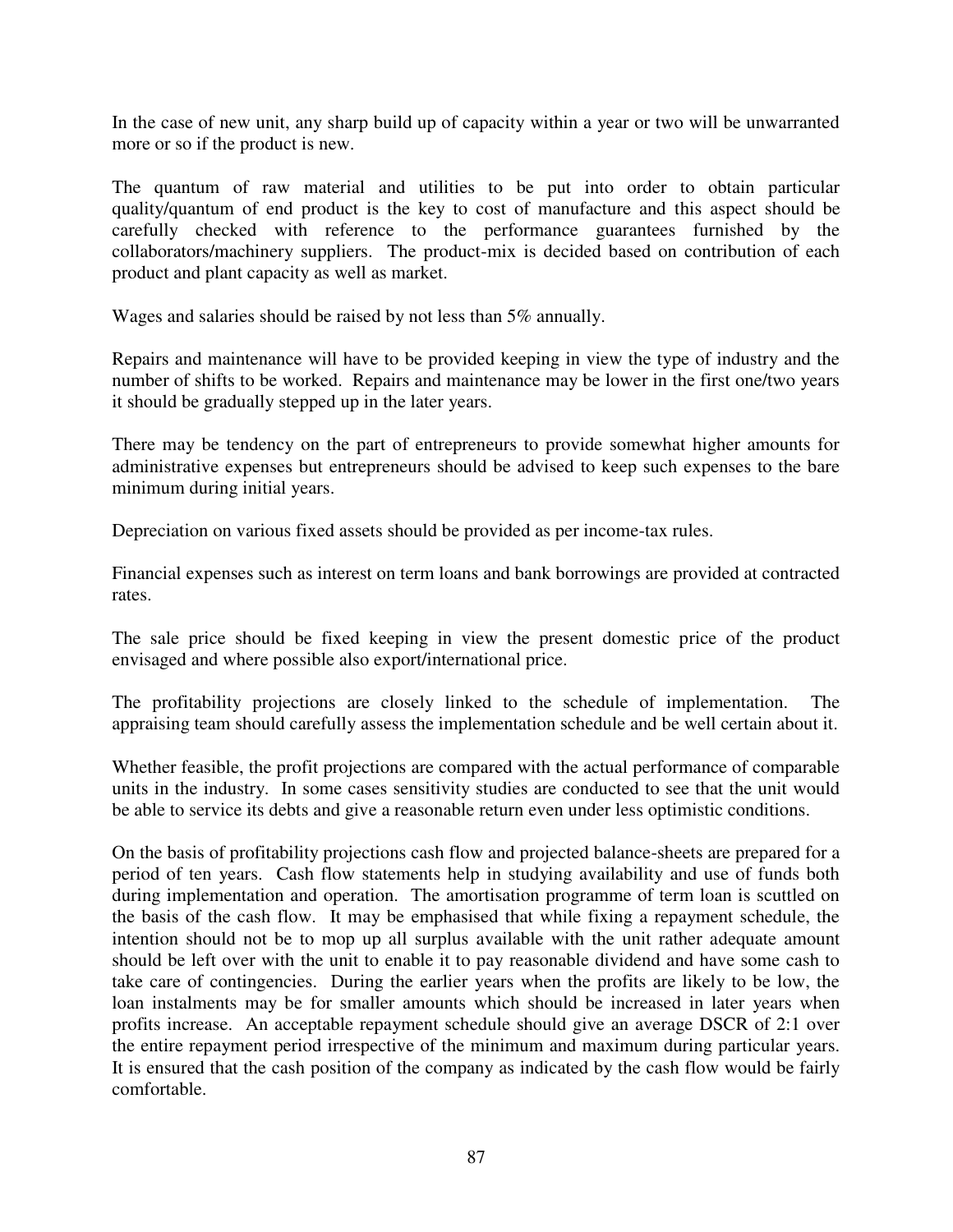In the case of new unit, any sharp build up of capacity within a year or two will be unwarranted more or so if the product is new.

The quantum of raw material and utilities to be put into order to obtain particular quality/quantum of end product is the key to cost of manufacture and this aspect should be carefully checked with reference to the performance guarantees furnished by the collaborators/machinery suppliers. The product-mix is decided based on contribution of each product and plant capacity as well as market.

Wages and salaries should be raised by not less than 5% annually.

Repairs and maintenance will have to be provided keeping in view the type of industry and the number of shifts to be worked. Repairs and maintenance may be lower in the first one/two years it should be gradually stepped up in the later years.

There may be tendency on the part of entrepreneurs to provide somewhat higher amounts for administrative expenses but entrepreneurs should be advised to keep such expenses to the bare minimum during initial years.

Depreciation on various fixed assets should be provided as per income-tax rules.

Financial expenses such as interest on term loans and bank borrowings are provided at contracted rates.

The sale price should be fixed keeping in view the present domestic price of the product envisaged and where possible also export/international price.

The profitability projections are closely linked to the schedule of implementation. The appraising team should carefully assess the implementation schedule and be well certain about it.

Whether feasible, the profit projections are compared with the actual performance of comparable units in the industry. In some cases sensitivity studies are conducted to see that the unit would be able to service its debts and give a reasonable return even under less optimistic conditions.

On the basis of profitability projections cash flow and projected balance-sheets are prepared for a period of ten years. Cash flow statements help in studying availability and use of funds both during implementation and operation. The amortisation programme of term loan is scuttled on the basis of the cash flow. It may be emphasised that while fixing a repayment schedule, the intention should not be to mop up all surplus available with the unit rather adequate amount should be left over with the unit to enable it to pay reasonable dividend and have some cash to take care of contingencies. During the earlier years when the profits are likely to be low, the loan instalments may be for smaller amounts which should be increased in later years when profits increase. An acceptable repayment schedule should give an average DSCR of 2:1 over the entire repayment period irrespective of the minimum and maximum during particular years. It is ensured that the cash position of the company as indicated by the cash flow would be fairly comfortable.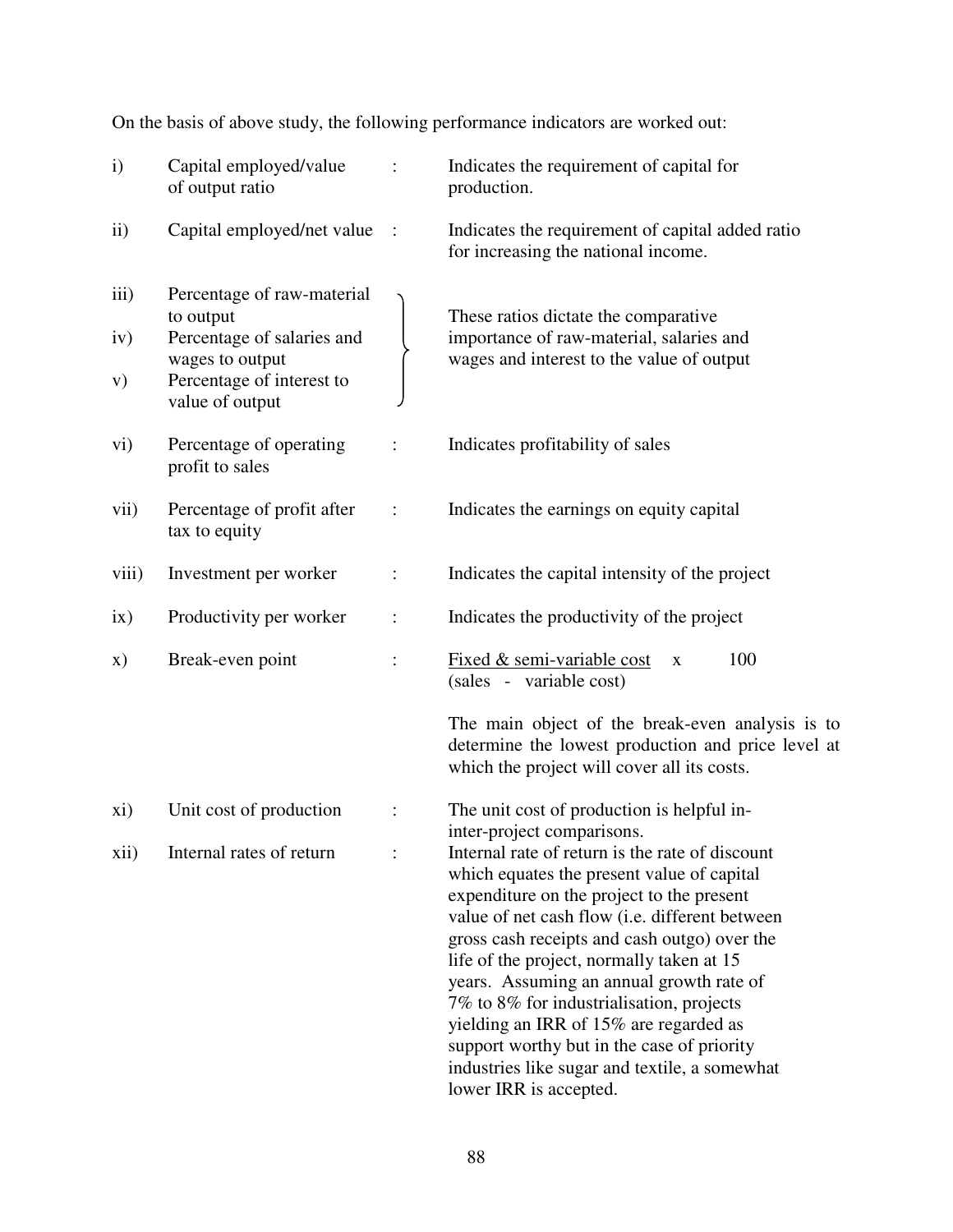On the basis of above study, the following performance indicators are worked out:

| $\mathbf{i}$      | Capital employed/value<br>of output ratio                                                                                                |              | Indicates the requirement of capital for<br>production.                                                                                                                                                                                                                                                                                                                                                                                                                                                                                              |
|-------------------|------------------------------------------------------------------------------------------------------------------------------------------|--------------|------------------------------------------------------------------------------------------------------------------------------------------------------------------------------------------------------------------------------------------------------------------------------------------------------------------------------------------------------------------------------------------------------------------------------------------------------------------------------------------------------------------------------------------------------|
| $\rm ii)$         | Capital employed/net value                                                                                                               | $\therefore$ | Indicates the requirement of capital added ratio<br>for increasing the national income.                                                                                                                                                                                                                                                                                                                                                                                                                                                              |
| iii)<br>iv)<br>V) | Percentage of raw-material<br>to output<br>Percentage of salaries and<br>wages to output<br>Percentage of interest to<br>value of output |              | These ratios dictate the comparative<br>importance of raw-material, salaries and<br>wages and interest to the value of output                                                                                                                                                                                                                                                                                                                                                                                                                        |
| vi)               | Percentage of operating<br>profit to sales                                                                                               |              | Indicates profitability of sales                                                                                                                                                                                                                                                                                                                                                                                                                                                                                                                     |
| vii)              | Percentage of profit after<br>tax to equity                                                                                              |              | Indicates the earnings on equity capital                                                                                                                                                                                                                                                                                                                                                                                                                                                                                                             |
| viii)             | Investment per worker                                                                                                                    |              | Indicates the capital intensity of the project                                                                                                                                                                                                                                                                                                                                                                                                                                                                                                       |
| ix)               | Productivity per worker                                                                                                                  |              | Indicates the productivity of the project                                                                                                                                                                                                                                                                                                                                                                                                                                                                                                            |
| X)                | Break-even point                                                                                                                         |              | 100<br>Fixed & semi-variable cost<br>$\mathbf X$<br>(sales - variable cost)                                                                                                                                                                                                                                                                                                                                                                                                                                                                          |
|                   |                                                                                                                                          |              | The main object of the break-even analysis is to<br>determine the lowest production and price level at<br>which the project will cover all its costs.                                                                                                                                                                                                                                                                                                                                                                                                |
| xi)               | Unit cost of production                                                                                                                  |              | The unit cost of production is helpful in-<br>inter-project comparisons.                                                                                                                                                                                                                                                                                                                                                                                                                                                                             |
| xii)              | Internal rates of return                                                                                                                 |              | Internal rate of return is the rate of discount<br>which equates the present value of capital<br>expenditure on the project to the present<br>value of net cash flow (i.e. different between<br>gross cash receipts and cash outgo) over the<br>life of the project, normally taken at 15<br>years. Assuming an annual growth rate of<br>7% to 8% for industrialisation, projects<br>yielding an IRR of 15% are regarded as<br>support worthy but in the case of priority<br>industries like sugar and textile, a somewhat<br>lower IRR is accepted. |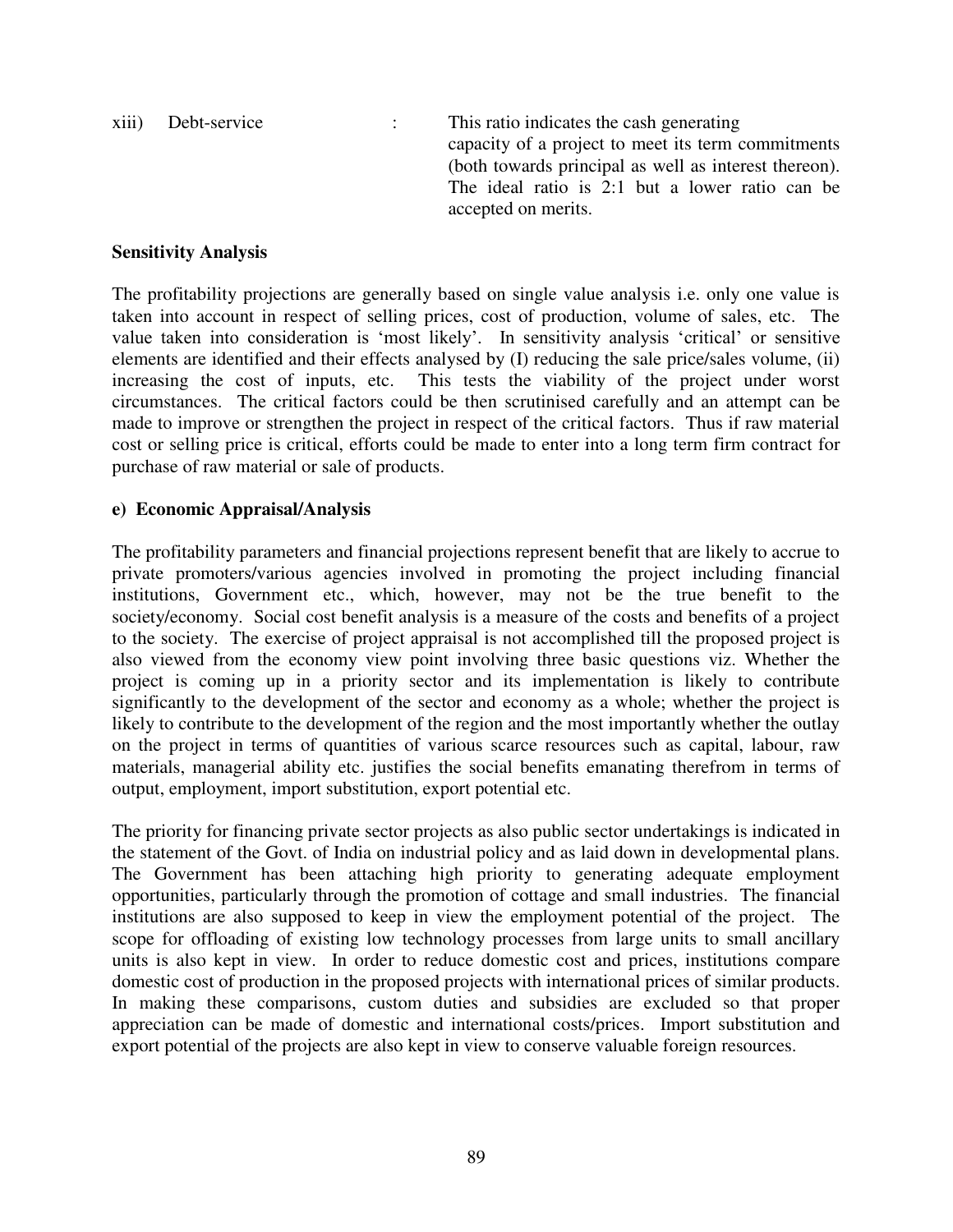xiii) Debt-service : This ratio indicates the cash generating capacity of a project to meet its term commitments (both towards principal as well as interest thereon). The ideal ratio is 2:1 but a lower ratio can be accepted on merits.

## **Sensitivity Analysis**

The profitability projections are generally based on single value analysis i.e. only one value is taken into account in respect of selling prices, cost of production, volume of sales, etc. The value taken into consideration is 'most likely'. In sensitivity analysis 'critical' or sensitive elements are identified and their effects analysed by (I) reducing the sale price/sales volume, (ii) increasing the cost of inputs, etc. This tests the viability of the project under worst circumstances. The critical factors could be then scrutinised carefully and an attempt can be made to improve or strengthen the project in respect of the critical factors. Thus if raw material cost or selling price is critical, efforts could be made to enter into a long term firm contract for purchase of raw material or sale of products.

#### **e) Economic Appraisal/Analysis**

The profitability parameters and financial projections represent benefit that are likely to accrue to private promoters/various agencies involved in promoting the project including financial institutions, Government etc., which, however, may not be the true benefit to the society/economy. Social cost benefit analysis is a measure of the costs and benefits of a project to the society. The exercise of project appraisal is not accomplished till the proposed project is also viewed from the economy view point involving three basic questions viz. Whether the project is coming up in a priority sector and its implementation is likely to contribute significantly to the development of the sector and economy as a whole; whether the project is likely to contribute to the development of the region and the most importantly whether the outlay on the project in terms of quantities of various scarce resources such as capital, labour, raw materials, managerial ability etc. justifies the social benefits emanating therefrom in terms of output, employment, import substitution, export potential etc.

The priority for financing private sector projects as also public sector undertakings is indicated in the statement of the Govt. of India on industrial policy and as laid down in developmental plans. The Government has been attaching high priority to generating adequate employment opportunities, particularly through the promotion of cottage and small industries. The financial institutions are also supposed to keep in view the employment potential of the project. The scope for offloading of existing low technology processes from large units to small ancillary units is also kept in view. In order to reduce domestic cost and prices, institutions compare domestic cost of production in the proposed projects with international prices of similar products. In making these comparisons, custom duties and subsidies are excluded so that proper appreciation can be made of domestic and international costs/prices. Import substitution and export potential of the projects are also kept in view to conserve valuable foreign resources.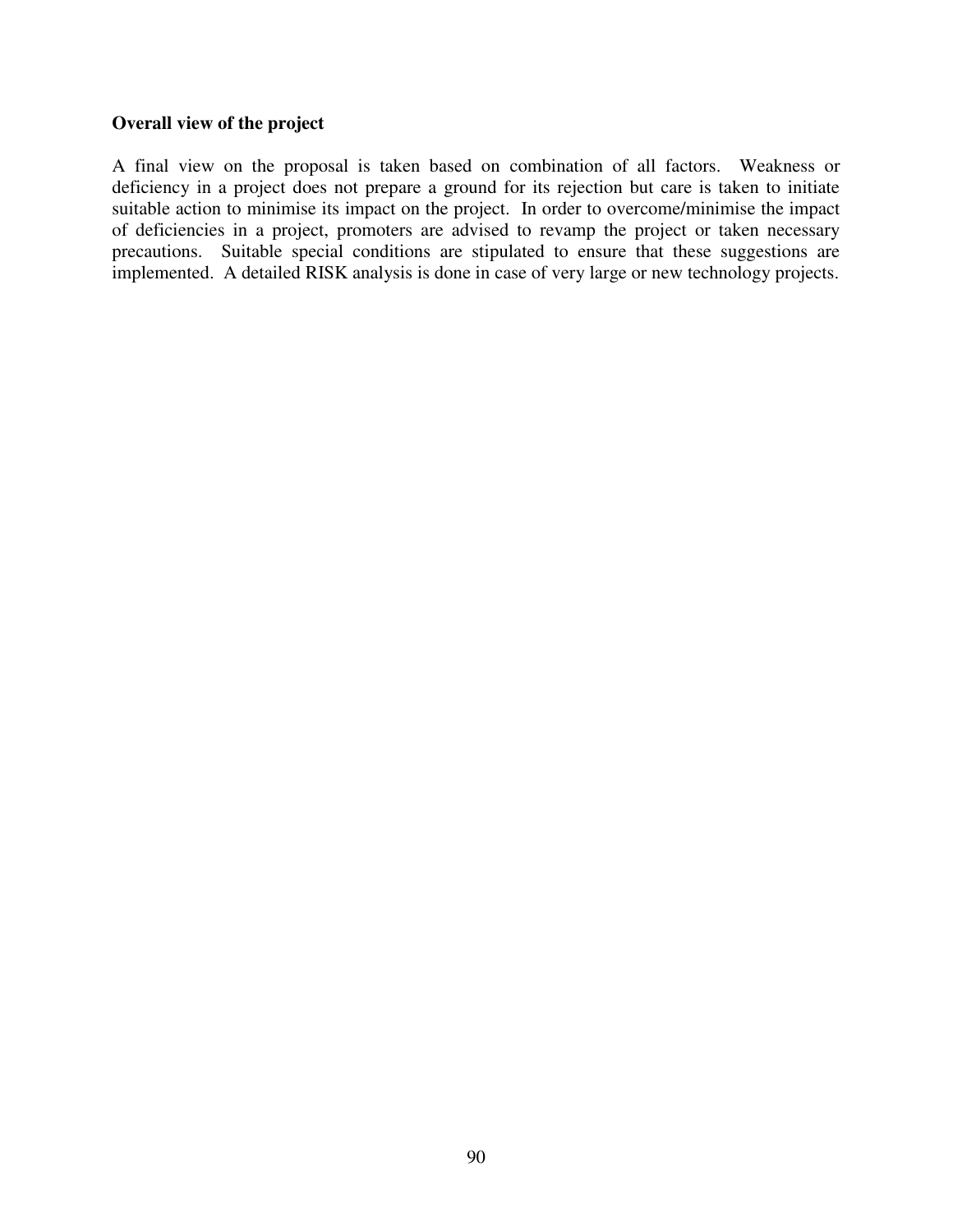## **Overall view of the project**

A final view on the proposal is taken based on combination of all factors. Weakness or deficiency in a project does not prepare a ground for its rejection but care is taken to initiate suitable action to minimise its impact on the project. In order to overcome/minimise the impact of deficiencies in a project, promoters are advised to revamp the project or taken necessary precautions. Suitable special conditions are stipulated to ensure that these suggestions are implemented. A detailed RISK analysis is done in case of very large or new technology projects.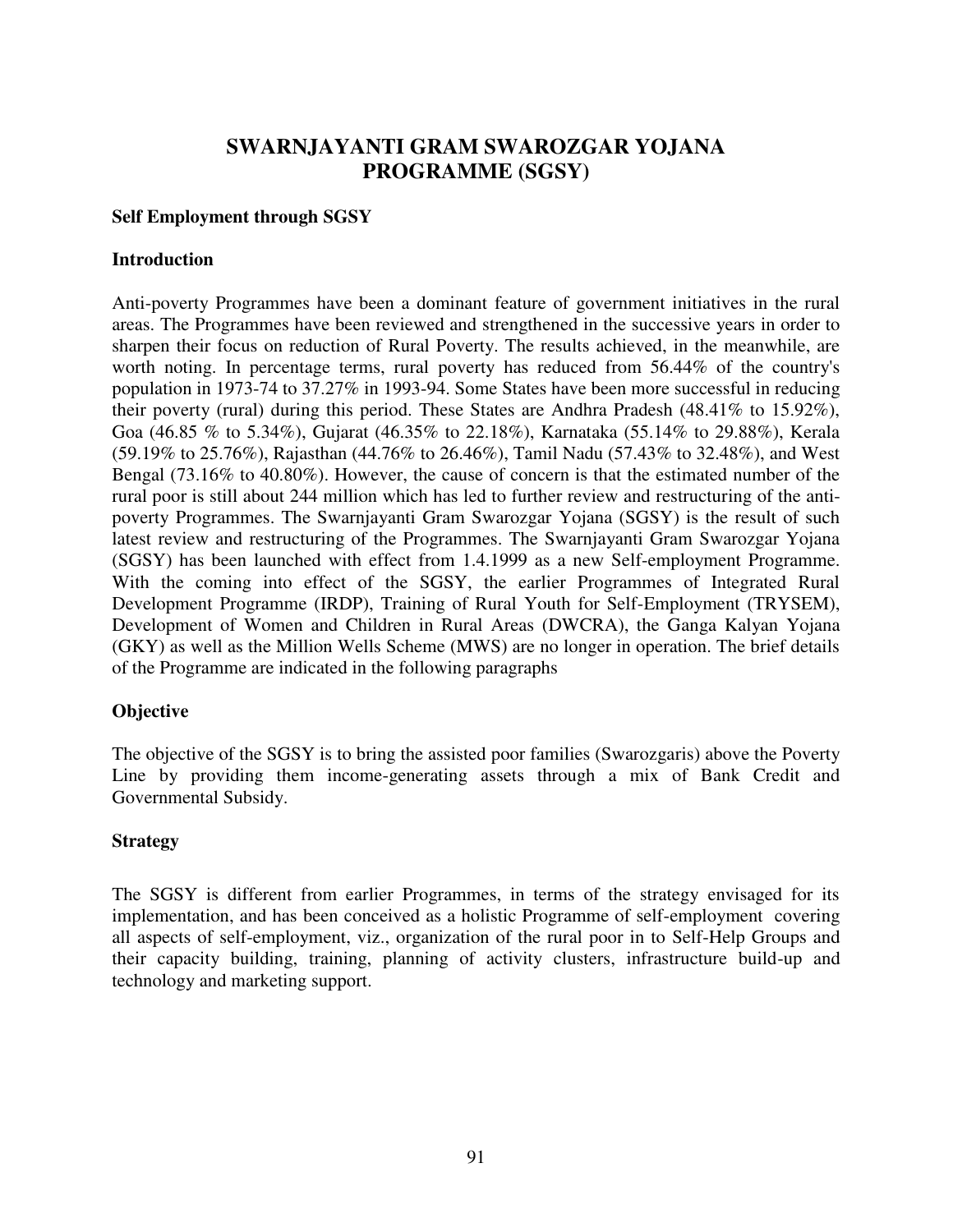# **SWARNJAYANTI GRAM SWAROZGAR YOJANA PROGRAMME (SGSY)**

## **Self Employment through SGSY**

## **Introduction**

Anti-poverty Programmes have been a dominant feature of government initiatives in the rural areas. The Programmes have been reviewed and strengthened in the successive years in order to sharpen their focus on reduction of Rural Poverty. The results achieved, in the meanwhile, are worth noting. In percentage terms, rural poverty has reduced from 56.44% of the country's population in 1973-74 to 37.27% in 1993-94. Some States have been more successful in reducing their poverty (rural) during this period. These States are Andhra Pradesh (48.41% to 15.92%), Goa (46.85 % to 5.34%), Gujarat (46.35% to 22.18%), Karnataka (55.14% to 29.88%), Kerala (59.19% to 25.76%), Rajasthan (44.76% to 26.46%), Tamil Nadu (57.43% to 32.48%), and West Bengal (73.16% to 40.80%). However, the cause of concern is that the estimated number of the rural poor is still about 244 million which has led to further review and restructuring of the antipoverty Programmes. The Swarnjayanti Gram Swarozgar Yojana (SGSY) is the result of such latest review and restructuring of the Programmes. The Swarnjayanti Gram Swarozgar Yojana (SGSY) has been launched with effect from 1.4.1999 as a new Self-employment Programme. With the coming into effect of the SGSY, the earlier Programmes of Integrated Rural Development Programme (IRDP), Training of Rural Youth for Self-Employment (TRYSEM), Development of Women and Children in Rural Areas (DWCRA), the Ganga Kalyan Yojana (GKY) as well as the Million Wells Scheme (MWS) are no longer in operation. The brief details of the Programme are indicated in the following paragraphs

# **Objective**

The objective of the SGSY is to bring the assisted poor families (Swarozgaris) above the Poverty Line by providing them income-generating assets through a mix of Bank Credit and Governmental Subsidy.

## **Strategy**

The SGSY is different from earlier Programmes, in terms of the strategy envisaged for its implementation, and has been conceived as a holistic Programme of self-employment covering all aspects of self-employment, viz., organization of the rural poor in to Self-Help Groups and their capacity building, training, planning of activity clusters, infrastructure build-up and technology and marketing support.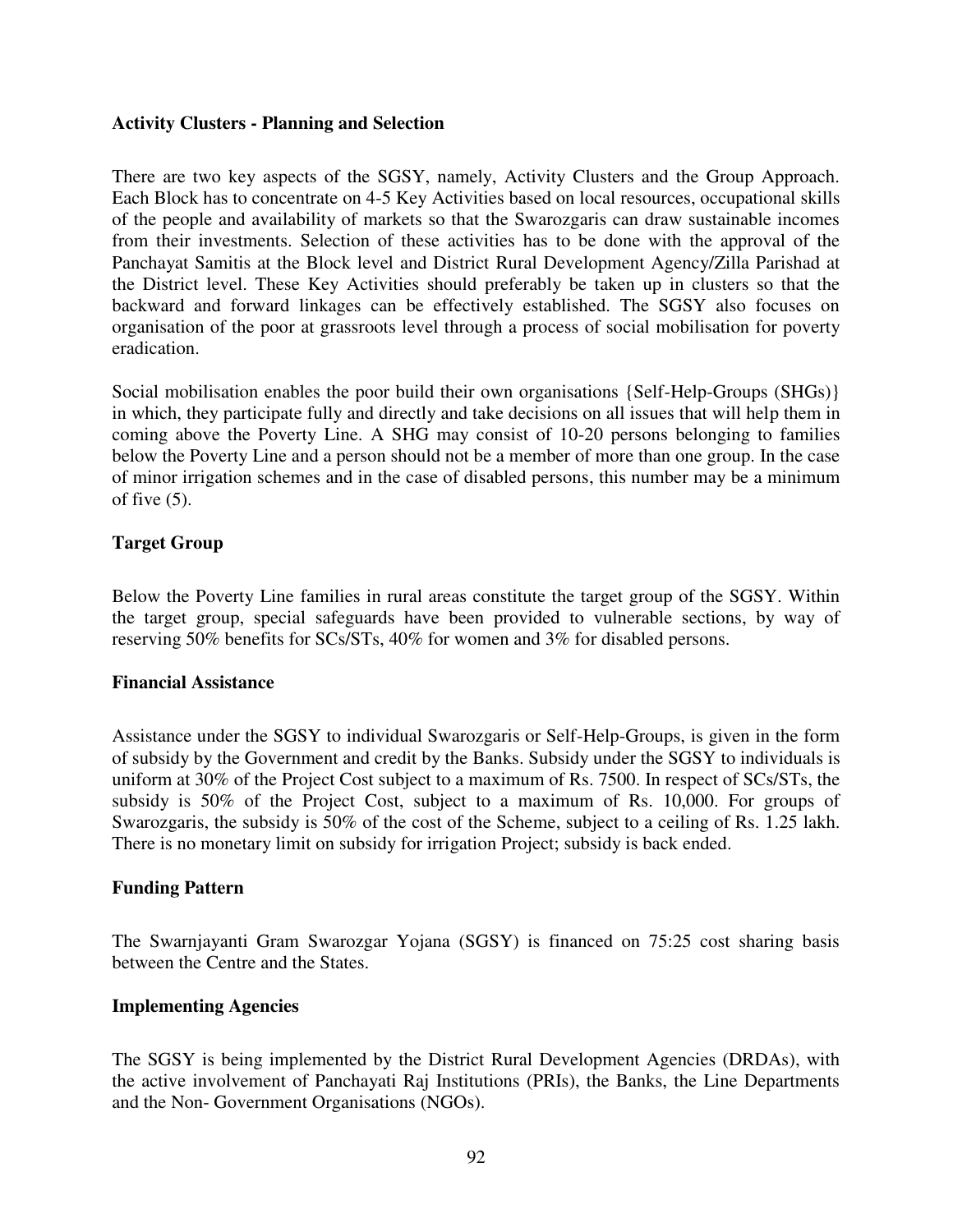## **Activity Clusters - Planning and Selection**

There are two key aspects of the SGSY, namely, Activity Clusters and the Group Approach. Each Block has to concentrate on 4-5 Key Activities based on local resources, occupational skills of the people and availability of markets so that the Swarozgaris can draw sustainable incomes from their investments. Selection of these activities has to be done with the approval of the Panchayat Samitis at the Block level and District Rural Development Agency/Zilla Parishad at the District level. These Key Activities should preferably be taken up in clusters so that the backward and forward linkages can be effectively established. The SGSY also focuses on organisation of the poor at grassroots level through a process of social mobilisation for poverty eradication.

Social mobilisation enables the poor build their own organisations {Self-Help-Groups (SHGs)} in which, they participate fully and directly and take decisions on all issues that will help them in coming above the Poverty Line. A SHG may consist of 10-20 persons belonging to families below the Poverty Line and a person should not be a member of more than one group. In the case of minor irrigation schemes and in the case of disabled persons, this number may be a minimum of five  $(5)$ .

# **Target Group**

Below the Poverty Line families in rural areas constitute the target group of the SGSY. Within the target group, special safeguards have been provided to vulnerable sections, by way of reserving 50% benefits for SCs/STs, 40% for women and 3% for disabled persons.

## **Financial Assistance**

Assistance under the SGSY to individual Swarozgaris or Self-Help-Groups, is given in the form of subsidy by the Government and credit by the Banks. Subsidy under the SGSY to individuals is uniform at 30% of the Project Cost subject to a maximum of Rs. 7500. In respect of SCs/STs, the subsidy is 50% of the Project Cost, subject to a maximum of Rs. 10,000. For groups of Swarozgaris, the subsidy is 50% of the cost of the Scheme, subject to a ceiling of Rs. 1.25 lakh. There is no monetary limit on subsidy for irrigation Project; subsidy is back ended.

## **Funding Pattern**

The Swarnjayanti Gram Swarozgar Yojana (SGSY) is financed on 75:25 cost sharing basis between the Centre and the States.

## **Implementing Agencies**

The SGSY is being implemented by the District Rural Development Agencies (DRDAs), with the active involvement of Panchayati Raj Institutions (PRIs), the Banks, the Line Departments and the Non- Government Organisations (NGOs).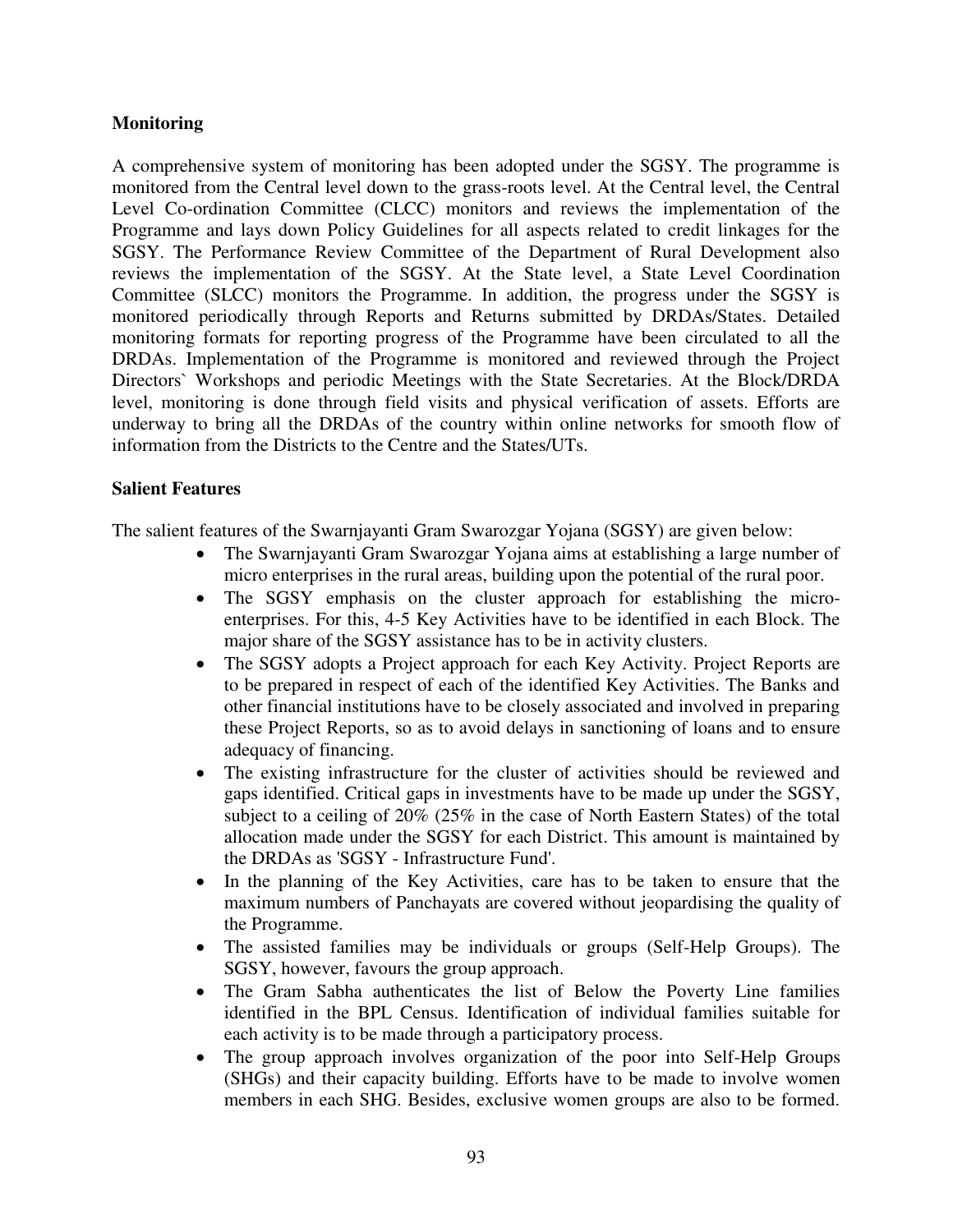## **Monitoring**

A comprehensive system of monitoring has been adopted under the SGSY. The programme is monitored from the Central level down to the grass-roots level. At the Central level, the Central Level Co-ordination Committee (CLCC) monitors and reviews the implementation of the Programme and lays down Policy Guidelines for all aspects related to credit linkages for the SGSY. The Performance Review Committee of the Department of Rural Development also reviews the implementation of the SGSY. At the State level, a State Level Coordination Committee (SLCC) monitors the Programme. In addition, the progress under the SGSY is monitored periodically through Reports and Returns submitted by DRDAs/States. Detailed monitoring formats for reporting progress of the Programme have been circulated to all the DRDAs. Implementation of the Programme is monitored and reviewed through the Project Directors` Workshops and periodic Meetings with the State Secretaries. At the Block/DRDA level, monitoring is done through field visits and physical verification of assets. Efforts are underway to bring all the DRDAs of the country within online networks for smooth flow of information from the Districts to the Centre and the States/UTs.

## **Salient Features**

The salient features of the Swarnjayanti Gram Swarozgar Yojana (SGSY) are given below:

- The Swarnjayanti Gram Swarozgar Yojana aims at establishing a large number of micro enterprises in the rural areas, building upon the potential of the rural poor.
- The SGSY emphasis on the cluster approach for establishing the microenterprises. For this, 4-5 Key Activities have to be identified in each Block. The major share of the SGSY assistance has to be in activity clusters.
- The SGSY adopts a Project approach for each Key Activity. Project Reports are to be prepared in respect of each of the identified Key Activities. The Banks and other financial institutions have to be closely associated and involved in preparing these Project Reports, so as to avoid delays in sanctioning of loans and to ensure adequacy of financing.
- The existing infrastructure for the cluster of activities should be reviewed and gaps identified. Critical gaps in investments have to be made up under the SGSY, subject to a ceiling of 20% (25% in the case of North Eastern States) of the total allocation made under the SGSY for each District. This amount is maintained by the DRDAs as 'SGSY - Infrastructure Fund'.
- In the planning of the Key Activities, care has to be taken to ensure that the maximum numbers of Panchayats are covered without jeopardising the quality of the Programme.
- The assisted families may be individuals or groups (Self-Help Groups). The SGSY, however, favours the group approach.
- The Gram Sabha authenticates the list of Below the Poverty Line families identified in the BPL Census. Identification of individual families suitable for each activity is to be made through a participatory process.
- The group approach involves organization of the poor into Self-Help Groups (SHGs) and their capacity building. Efforts have to be made to involve women members in each SHG. Besides, exclusive women groups are also to be formed.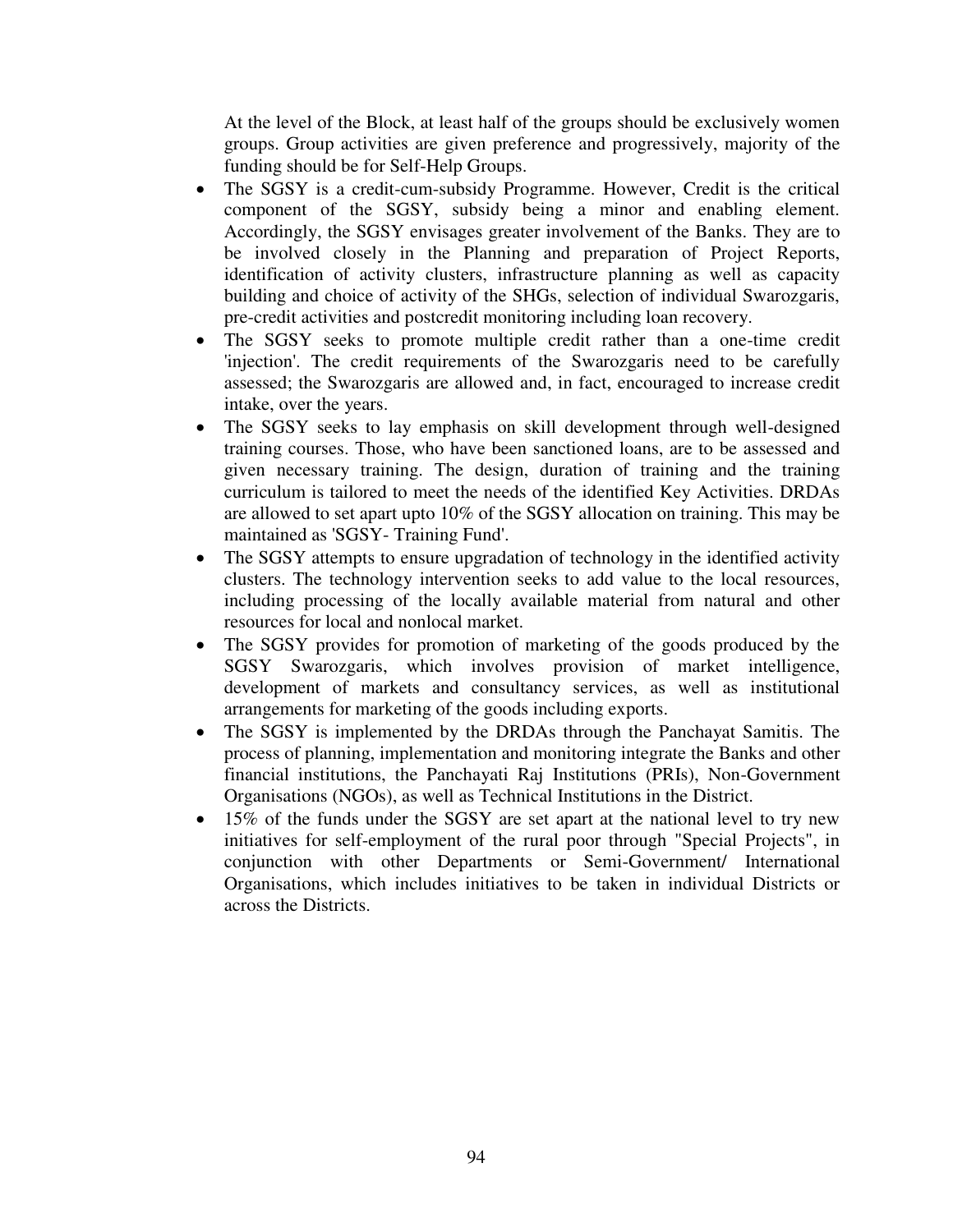At the level of the Block, at least half of the groups should be exclusively women groups. Group activities are given preference and progressively, majority of the funding should be for Self-Help Groups.

- The SGSY is a credit-cum-subsidy Programme. However, Credit is the critical component of the SGSY, subsidy being a minor and enabling element. Accordingly, the SGSY envisages greater involvement of the Banks. They are to be involved closely in the Planning and preparation of Project Reports, identification of activity clusters, infrastructure planning as well as capacity building and choice of activity of the SHGs, selection of individual Swarozgaris, pre-credit activities and postcredit monitoring including loan recovery.
- The SGSY seeks to promote multiple credit rather than a one-time credit 'injection'. The credit requirements of the Swarozgaris need to be carefully assessed; the Swarozgaris are allowed and, in fact, encouraged to increase credit intake, over the years.
- The SGSY seeks to lay emphasis on skill development through well-designed training courses. Those, who have been sanctioned loans, are to be assessed and given necessary training. The design, duration of training and the training curriculum is tailored to meet the needs of the identified Key Activities. DRDAs are allowed to set apart upto 10% of the SGSY allocation on training. This may be maintained as 'SGSY- Training Fund'.
- The SGSY attempts to ensure upgradation of technology in the identified activity clusters. The technology intervention seeks to add value to the local resources, including processing of the locally available material from natural and other resources for local and nonlocal market.
- The SGSY provides for promotion of marketing of the goods produced by the SGSY Swarozgaris, which involves provision of market intelligence, development of markets and consultancy services, as well as institutional arrangements for marketing of the goods including exports.
- The SGSY is implemented by the DRDAs through the Panchayat Samitis. The process of planning, implementation and monitoring integrate the Banks and other financial institutions, the Panchayati Raj Institutions (PRIs), Non-Government Organisations (NGOs), as well as Technical Institutions in the District.
- 15% of the funds under the SGSY are set apart at the national level to try new initiatives for self-employment of the rural poor through "Special Projects", in conjunction with other Departments or Semi-Government/ International Organisations, which includes initiatives to be taken in individual Districts or across the Districts.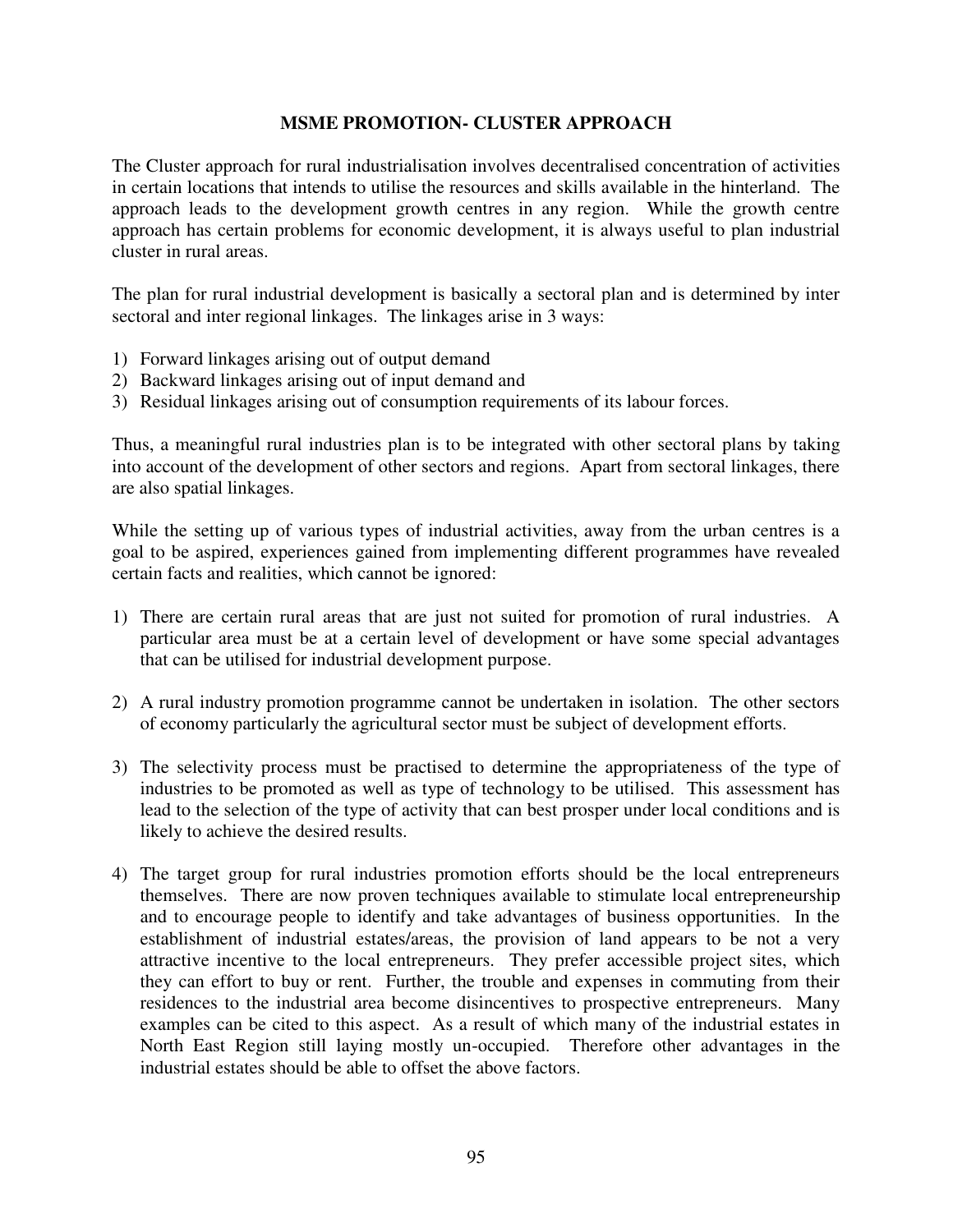## **MSME PROMOTION- CLUSTER APPROACH**

The Cluster approach for rural industrialisation involves decentralised concentration of activities in certain locations that intends to utilise the resources and skills available in the hinterland. The approach leads to the development growth centres in any region. While the growth centre approach has certain problems for economic development, it is always useful to plan industrial cluster in rural areas.

The plan for rural industrial development is basically a sectoral plan and is determined by inter sectoral and inter regional linkages. The linkages arise in 3 ways:

- 1) Forward linkages arising out of output demand
- 2) Backward linkages arising out of input demand and
- 3) Residual linkages arising out of consumption requirements of its labour forces.

Thus, a meaningful rural industries plan is to be integrated with other sectoral plans by taking into account of the development of other sectors and regions. Apart from sectoral linkages, there are also spatial linkages.

While the setting up of various types of industrial activities, away from the urban centres is a goal to be aspired, experiences gained from implementing different programmes have revealed certain facts and realities, which cannot be ignored:

- 1) There are certain rural areas that are just not suited for promotion of rural industries. A particular area must be at a certain level of development or have some special advantages that can be utilised for industrial development purpose.
- 2) A rural industry promotion programme cannot be undertaken in isolation. The other sectors of economy particularly the agricultural sector must be subject of development efforts.
- 3) The selectivity process must be practised to determine the appropriateness of the type of industries to be promoted as well as type of technology to be utilised. This assessment has lead to the selection of the type of activity that can best prosper under local conditions and is likely to achieve the desired results.
- 4) The target group for rural industries promotion efforts should be the local entrepreneurs themselves. There are now proven techniques available to stimulate local entrepreneurship and to encourage people to identify and take advantages of business opportunities. In the establishment of industrial estates/areas, the provision of land appears to be not a very attractive incentive to the local entrepreneurs. They prefer accessible project sites, which they can effort to buy or rent. Further, the trouble and expenses in commuting from their residences to the industrial area become disincentives to prospective entrepreneurs. Many examples can be cited to this aspect. As a result of which many of the industrial estates in North East Region still laying mostly un-occupied. Therefore other advantages in the industrial estates should be able to offset the above factors.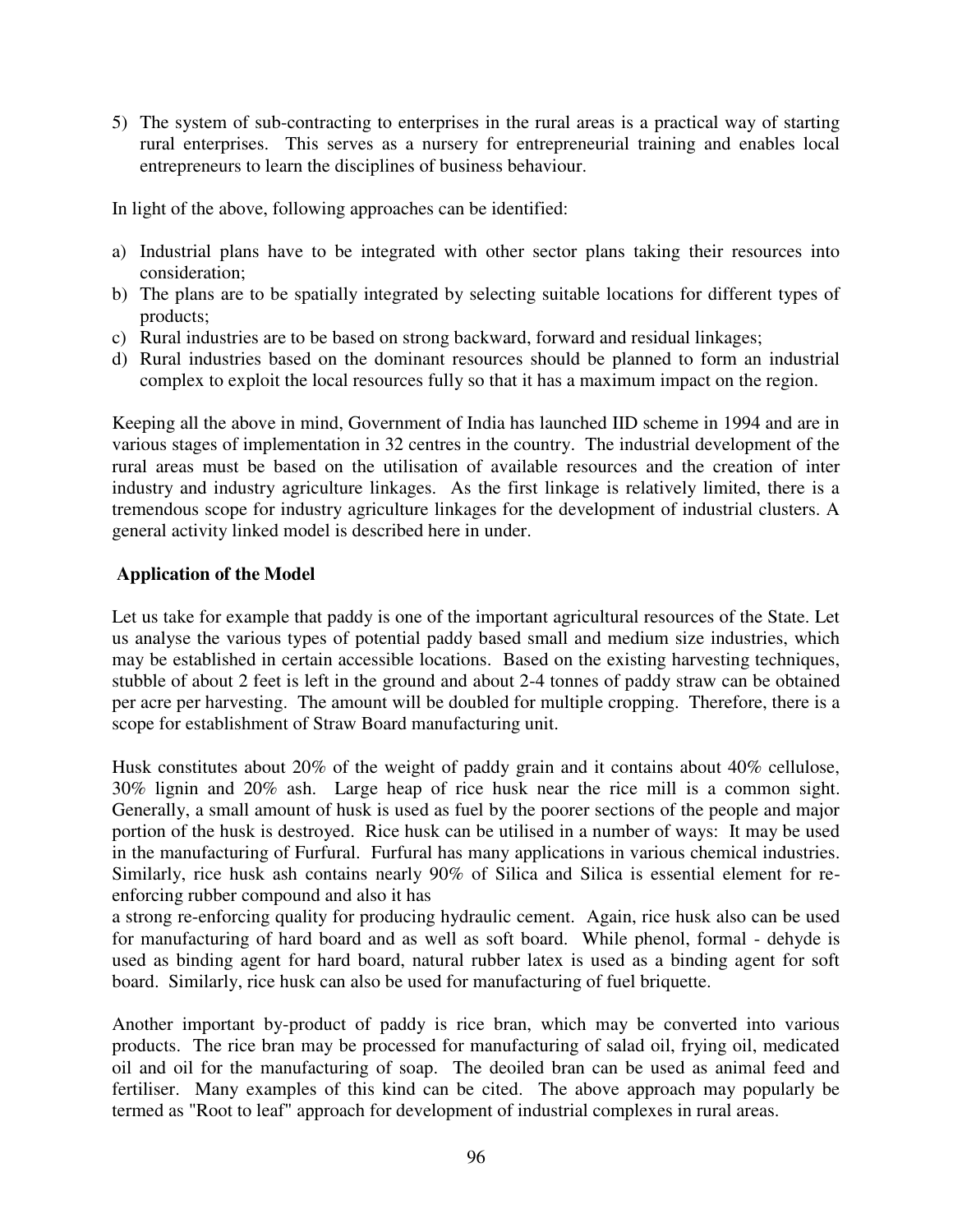5) The system of sub-contracting to enterprises in the rural areas is a practical way of starting rural enterprises. This serves as a nursery for entrepreneurial training and enables local entrepreneurs to learn the disciplines of business behaviour.

In light of the above, following approaches can be identified:

- a) Industrial plans have to be integrated with other sector plans taking their resources into consideration;
- b) The plans are to be spatially integrated by selecting suitable locations for different types of products;
- c) Rural industries are to be based on strong backward, forward and residual linkages;
- d) Rural industries based on the dominant resources should be planned to form an industrial complex to exploit the local resources fully so that it has a maximum impact on the region.

Keeping all the above in mind, Government of India has launched IID scheme in 1994 and are in various stages of implementation in 32 centres in the country. The industrial development of the rural areas must be based on the utilisation of available resources and the creation of inter industry and industry agriculture linkages. As the first linkage is relatively limited, there is a tremendous scope for industry agriculture linkages for the development of industrial clusters. A general activity linked model is described here in under.

## **Application of the Model**

Let us take for example that paddy is one of the important agricultural resources of the State. Let us analyse the various types of potential paddy based small and medium size industries, which may be established in certain accessible locations. Based on the existing harvesting techniques, stubble of about 2 feet is left in the ground and about 2-4 tonnes of paddy straw can be obtained per acre per harvesting. The amount will be doubled for multiple cropping. Therefore, there is a scope for establishment of Straw Board manufacturing unit.

Husk constitutes about 20% of the weight of paddy grain and it contains about 40% cellulose, 30% lignin and 20% ash. Large heap of rice husk near the rice mill is a common sight. Generally, a small amount of husk is used as fuel by the poorer sections of the people and major portion of the husk is destroyed. Rice husk can be utilised in a number of ways: It may be used in the manufacturing of Furfural. Furfural has many applications in various chemical industries. Similarly, rice husk ash contains nearly 90% of Silica and Silica is essential element for reenforcing rubber compound and also it has

a strong re-enforcing quality for producing hydraulic cement. Again, rice husk also can be used for manufacturing of hard board and as well as soft board. While phenol, formal - dehyde is used as binding agent for hard board, natural rubber latex is used as a binding agent for soft board. Similarly, rice husk can also be used for manufacturing of fuel briquette.

Another important by-product of paddy is rice bran, which may be converted into various products. The rice bran may be processed for manufacturing of salad oil, frying oil, medicated oil and oil for the manufacturing of soap. The deoiled bran can be used as animal feed and fertiliser. Many examples of this kind can be cited. The above approach may popularly be termed as "Root to leaf" approach for development of industrial complexes in rural areas.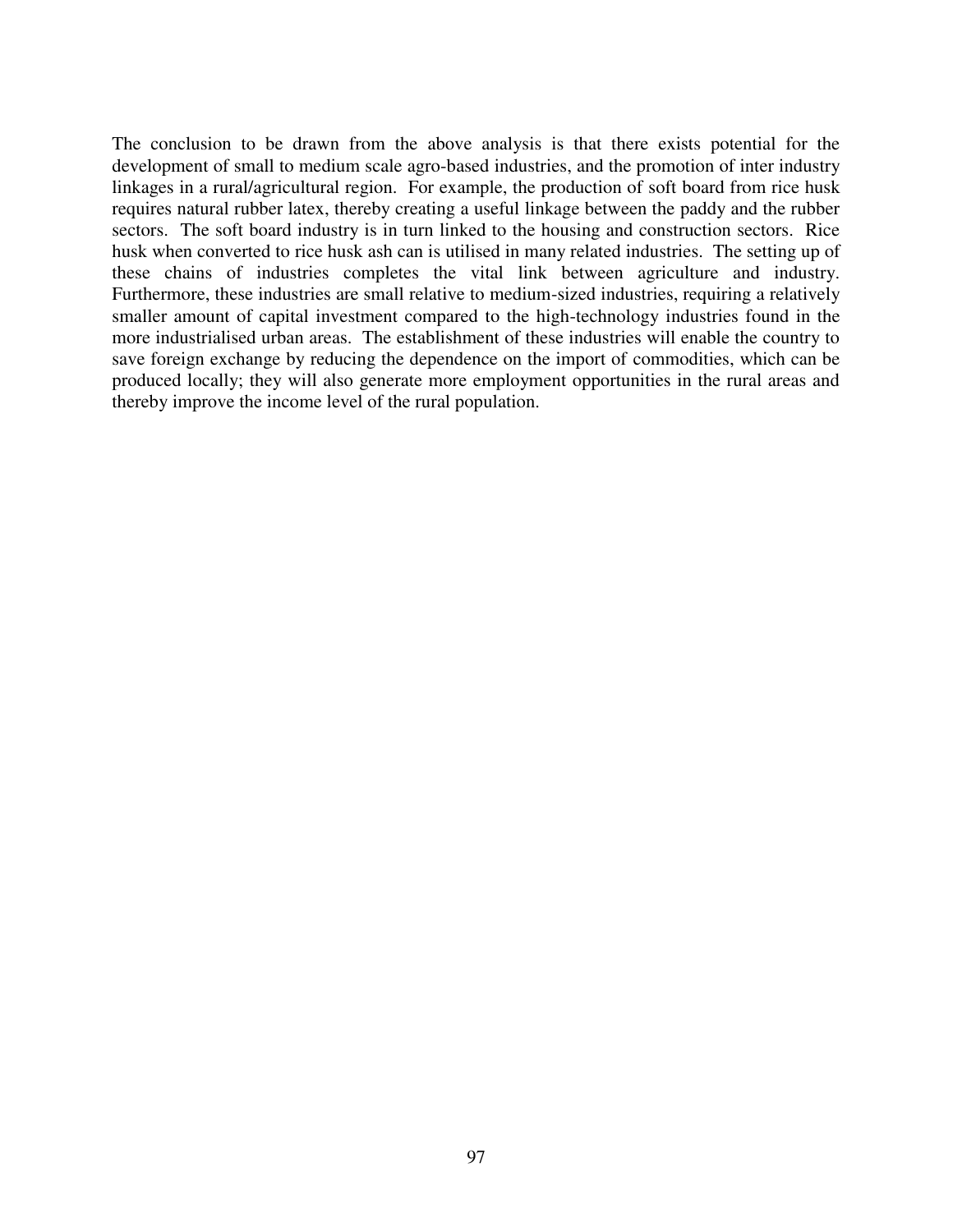The conclusion to be drawn from the above analysis is that there exists potential for the development of small to medium scale agro-based industries, and the promotion of inter industry linkages in a rural/agricultural region. For example, the production of soft board from rice husk requires natural rubber latex, thereby creating a useful linkage between the paddy and the rubber sectors. The soft board industry is in turn linked to the housing and construction sectors. Rice husk when converted to rice husk ash can is utilised in many related industries. The setting up of these chains of industries completes the vital link between agriculture and industry. Furthermore, these industries are small relative to medium-sized industries, requiring a relatively smaller amount of capital investment compared to the high-technology industries found in the more industrialised urban areas. The establishment of these industries will enable the country to save foreign exchange by reducing the dependence on the import of commodities, which can be produced locally; they will also generate more employment opportunities in the rural areas and thereby improve the income level of the rural population.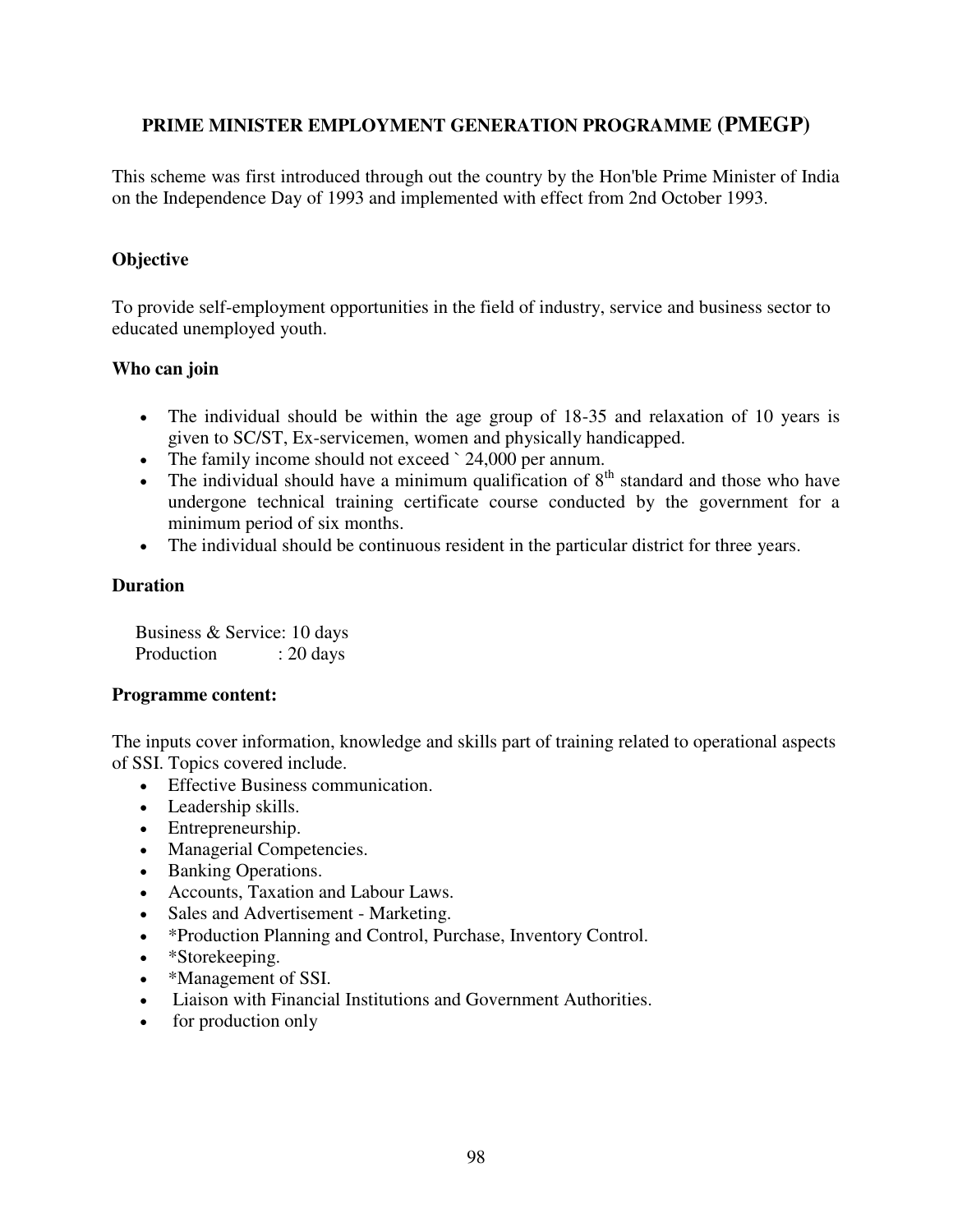# **PRIME MINISTER EMPLOYMENT GENERATION PROGRAMME (PMEGP)**

This scheme was first introduced through out the country by the Hon'ble Prime Minister of India on the Independence Day of 1993 and implemented with effect from 2nd October 1993.

# **Objective**

To provide self-employment opportunities in the field of industry, service and business sector to educated unemployed youth.

# **Who can join**

- The individual should be within the age group of 18-35 and relaxation of 10 years is given to SC/ST, Ex-servicemen, women and physically handicapped.
- The family income should not exceed ` 24,000 per annum.
- The individual should have a minimum qualification of  $8<sup>th</sup>$  standard and those who have undergone technical training certificate course conducted by the government for a minimum period of six months.
- The individual should be continuous resident in the particular district for three years.

# **Duration**

 Business & Service: 10 days Production : 20 days

# **Programme content:**

The inputs cover information, knowledge and skills part of training related to operational aspects of SSI. Topics covered include.

- Effective Business communication.
- Leadership skills.
- Entrepreneurship.
- Managerial Competencies.
- Banking Operations.
- Accounts, Taxation and Labour Laws.
- Sales and Advertisement Marketing.
- \*Production Planning and Control, Purchase, Inventory Control.
- \*Storekeeping.
- \*Management of SSI.
- Liaison with Financial Institutions and Government Authorities.
- for production only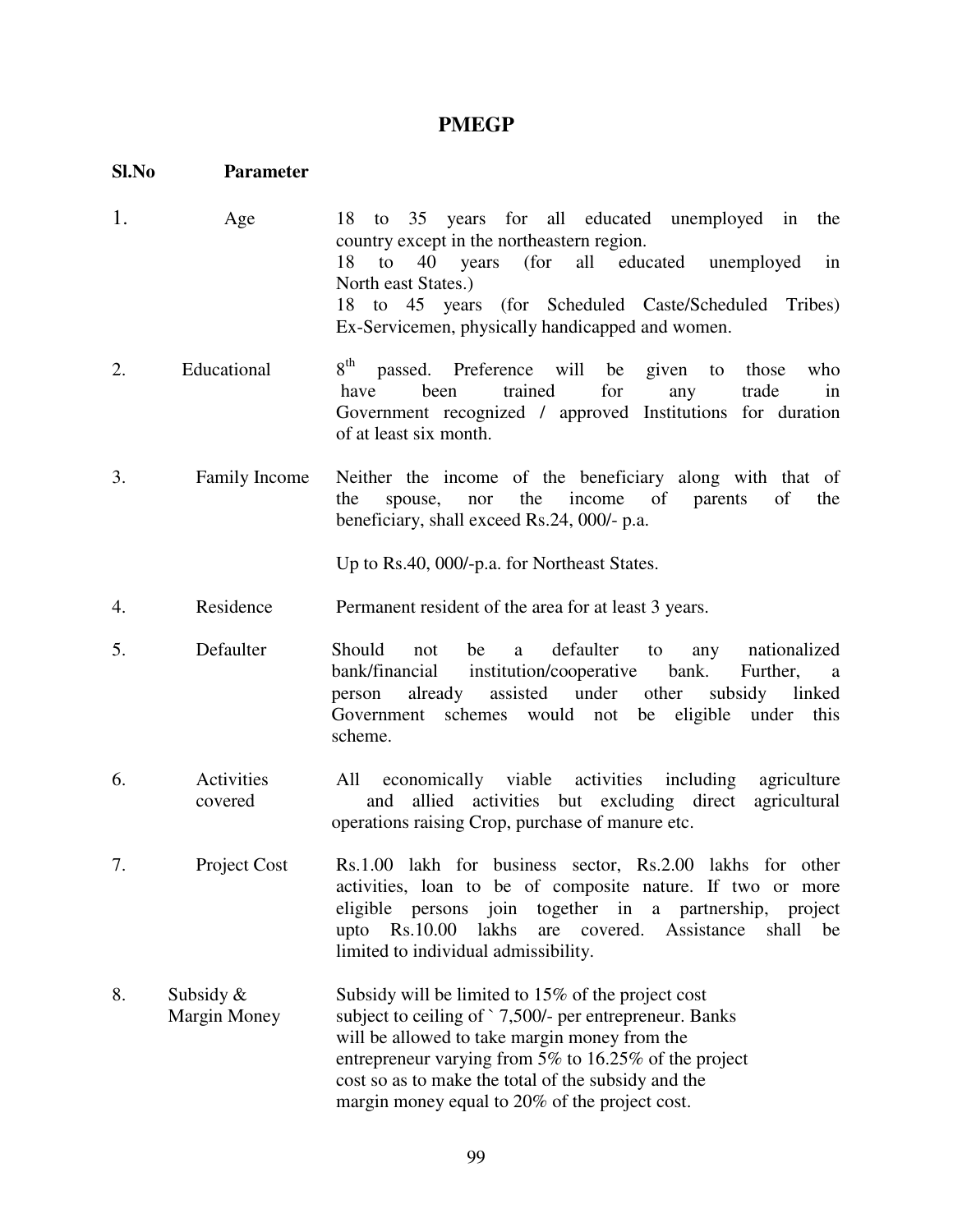# **PMEGP**

# **Sl.No Parameter**

| 1. | Age                              | 18 to 35 years for all educated unemployed in the<br>country except in the northeastern region.                                                                                                                                                                                                                                    |
|----|----------------------------------|------------------------------------------------------------------------------------------------------------------------------------------------------------------------------------------------------------------------------------------------------------------------------------------------------------------------------------|
|    |                                  | (for all educated unemployed<br>40<br>18<br>to<br>years<br>in<br>North east States.)<br>18 to 45 years (for Scheduled Caste/Scheduled Tribes)<br>Ex-Servicemen, physically handicapped and women.                                                                                                                                  |
| 2. | Educational                      | 8 <sup>th</sup> passed. Preference will be given<br>to<br>those<br>who<br>trained<br>for<br>been<br>trade<br>have<br>any<br>in<br>Government recognized / approved Institutions for duration<br>of at least six month.                                                                                                             |
| 3. | <b>Family Income</b>             | Neither the income of the beneficiary along with that of<br>nor the<br>income of parents<br>of<br>the<br>spouse,<br>the<br>beneficiary, shall exceed Rs.24, 000/- p.a.                                                                                                                                                             |
|    |                                  | Up to Rs.40, 000/-p.a. for Northeast States.                                                                                                                                                                                                                                                                                       |
| 4. | Residence                        | Permanent resident of the area for at least 3 years.                                                                                                                                                                                                                                                                               |
| 5. | Defaulter                        | defaulter<br>Should<br>be<br>to<br>any nationalized<br>not<br>a<br>bank/financial<br>institution/cooperative<br>bank.<br>Further,<br>a<br>assisted under other<br>subsidy linked<br>person<br>already<br>Government schemes would not be<br>eligible under this<br>scheme.                                                         |
| 6. | Activities<br>covered            | All economically viable activities including<br>agriculture<br>allied activities but excluding direct<br>agricultural<br>and<br>operations raising Crop, purchase of manure etc.                                                                                                                                                   |
| 7. | Project Cost                     | Rs.1.00 lakh for business sector, Rs.2.00 lakhs for other<br>activities, loan to be of composite nature. If two or more<br>eligible persons join together in a partnership,<br>project<br>upto Rs.10.00 lakhs<br>are covered.<br>Assistance<br>shall<br>be<br>limited to individual admissibility.                                 |
| 8. | Subsidy &<br><b>Margin Money</b> | Subsidy will be limited to 15% of the project cost<br>subject to ceiling of `7,500/- per entrepreneur. Banks<br>will be allowed to take margin money from the<br>entrepreneur varying from $5\%$ to 16.25% of the project<br>cost so as to make the total of the subsidy and the<br>margin money equal to 20% of the project cost. |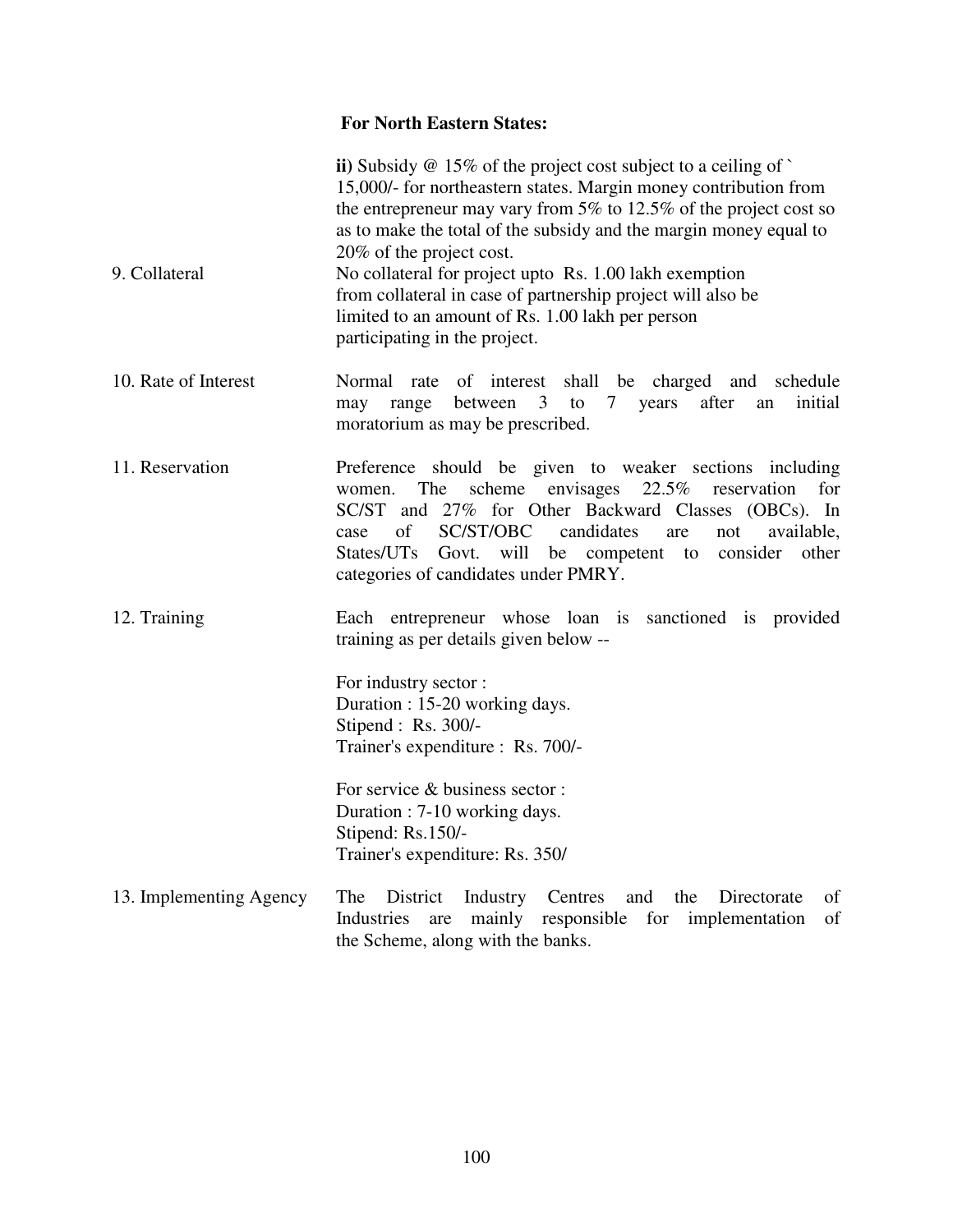# **For North Eastern States:**

| 9. Collateral           | ii) Subsidy $@$ 15% of the project cost subject to a ceiling of $\degree$<br>15,000/- for northeastern states. Margin money contribution from<br>the entrepreneur may vary from 5% to 12.5% of the project cost so<br>as to make the total of the subsidy and the margin money equal to<br>20% of the project cost.<br>No collateral for project upto Rs. 1.00 lakh exemption<br>from collateral in case of partnership project will also be<br>limited to an amount of Rs. 1.00 lakh per person<br>participating in the project. |
|-------------------------|-----------------------------------------------------------------------------------------------------------------------------------------------------------------------------------------------------------------------------------------------------------------------------------------------------------------------------------------------------------------------------------------------------------------------------------------------------------------------------------------------------------------------------------|
| 10. Rate of Interest    | of interest shall be charged and schedule<br>Normal rate<br>between<br>after<br>initial<br>range<br>$\overline{\mathbf{3}}$<br>to<br>7 years<br>an<br>may<br>moratorium as may be prescribed.                                                                                                                                                                                                                                                                                                                                     |
| 11. Reservation         | Preference should be given to weaker sections including<br>scheme<br>22.5%<br>envisages<br>reservation<br>for<br>women.<br>The<br>SC/ST and 27% for Other Backward Classes (OBCs). In<br>SC/ST/OBC<br>of<br>candidates<br>are<br>not<br>available,<br>case<br>Govt. will<br>States/UTs<br>be competent to<br>consider<br>other<br>categories of candidates under PMRY.                                                                                                                                                            |
| 12. Training            | Each entrepreneur whose loan is sanctioned is provided<br>training as per details given below --                                                                                                                                                                                                                                                                                                                                                                                                                                  |
|                         | For industry sector:<br>Duration : 15-20 working days.<br>Stipend : Rs. 300/-<br>Trainer's expenditure : Rs. 700/-                                                                                                                                                                                                                                                                                                                                                                                                                |
|                         | For service & business sector:<br>Duration : 7-10 working days.<br>Stipend: Rs.150/-<br>Trainer's expenditure: Rs. 350/                                                                                                                                                                                                                                                                                                                                                                                                           |
| 13. Implementing Agency | The<br>District<br>Industry<br>Centres<br>and<br>the<br>Directorate<br>of<br>Industries<br>mainly responsible for implementation<br>of<br>are<br>the Scheme, along with the banks.                                                                                                                                                                                                                                                                                                                                                |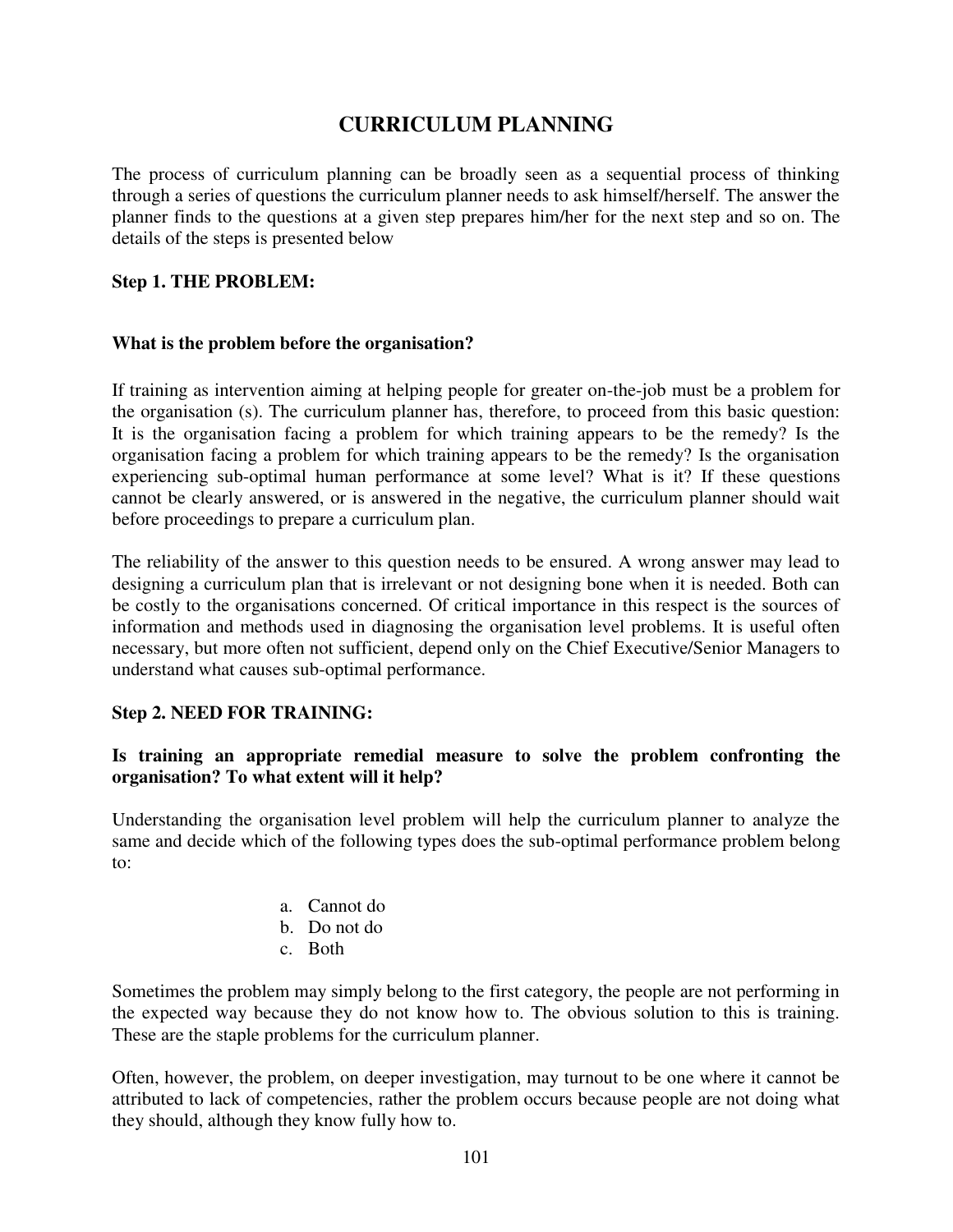# **CURRICULUM PLANNING**

The process of curriculum planning can be broadly seen as a sequential process of thinking through a series of questions the curriculum planner needs to ask himself/herself. The answer the planner finds to the questions at a given step prepares him/her for the next step and so on. The details of the steps is presented below

## **Step 1. THE PROBLEM:**

## **What is the problem before the organisation?**

If training as intervention aiming at helping people for greater on-the-job must be a problem for the organisation (s). The curriculum planner has, therefore, to proceed from this basic question: It is the organisation facing a problem for which training appears to be the remedy? Is the organisation facing a problem for which training appears to be the remedy? Is the organisation experiencing sub-optimal human performance at some level? What is it? If these questions cannot be clearly answered, or is answered in the negative, the curriculum planner should wait before proceedings to prepare a curriculum plan.

The reliability of the answer to this question needs to be ensured. A wrong answer may lead to designing a curriculum plan that is irrelevant or not designing bone when it is needed. Both can be costly to the organisations concerned. Of critical importance in this respect is the sources of information and methods used in diagnosing the organisation level problems. It is useful often necessary, but more often not sufficient, depend only on the Chief Executive/Senior Managers to understand what causes sub-optimal performance.

# **Step 2. NEED FOR TRAINING:**

## **Is training an appropriate remedial measure to solve the problem confronting the organisation? To what extent will it help?**

Understanding the organisation level problem will help the curriculum planner to analyze the same and decide which of the following types does the sub-optimal performance problem belong to:

- a. Cannot do
- b. Do not do
- c. Both

Sometimes the problem may simply belong to the first category, the people are not performing in the expected way because they do not know how to. The obvious solution to this is training. These are the staple problems for the curriculum planner.

Often, however, the problem, on deeper investigation, may turnout to be one where it cannot be attributed to lack of competencies, rather the problem occurs because people are not doing what they should, although they know fully how to.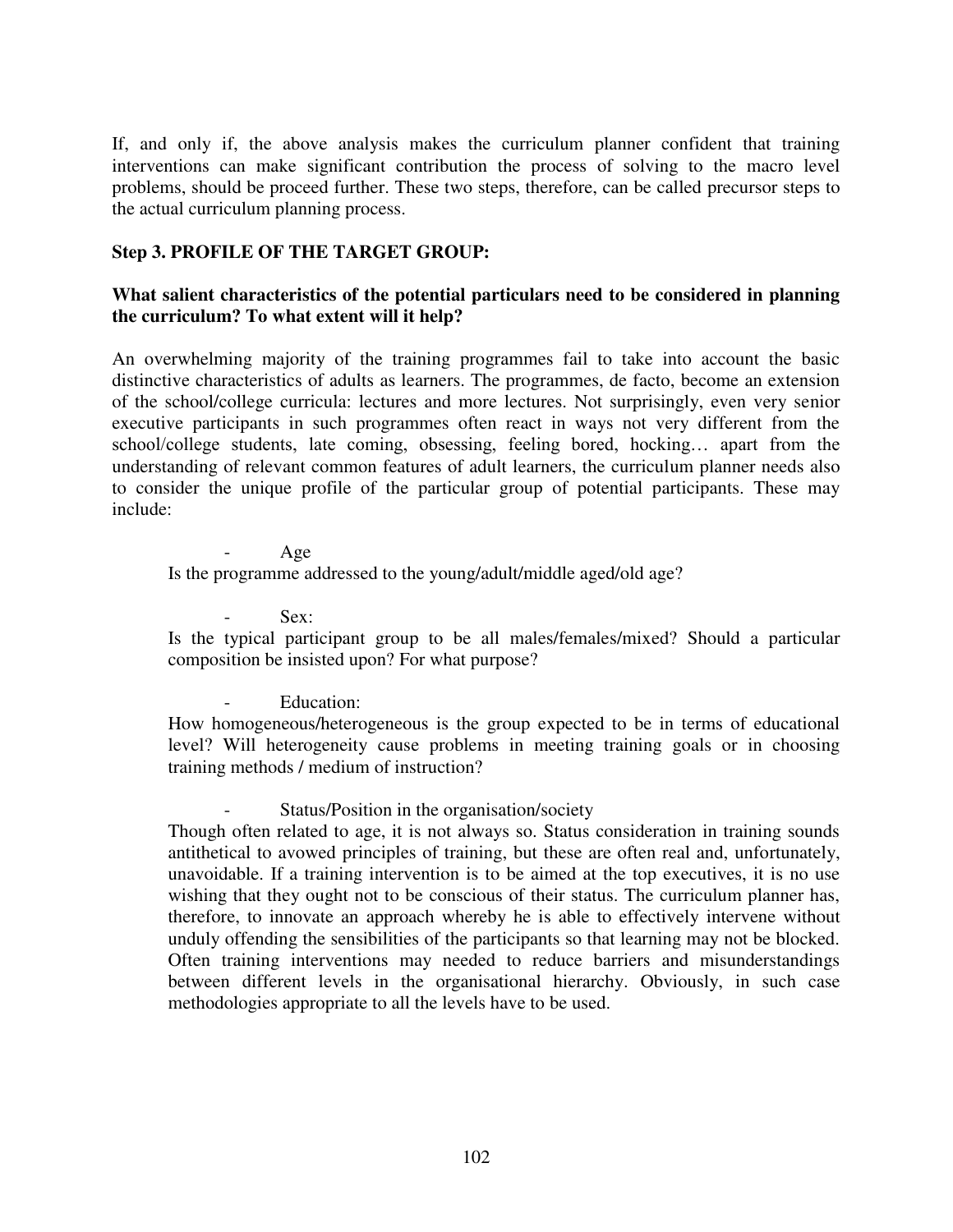If, and only if, the above analysis makes the curriculum planner confident that training interventions can make significant contribution the process of solving to the macro level problems, should be proceed further. These two steps, therefore, can be called precursor steps to the actual curriculum planning process.

## **Step 3. PROFILE OF THE TARGET GROUP:**

## **What salient characteristics of the potential particulars need to be considered in planning the curriculum? To what extent will it help?**

An overwhelming majority of the training programmes fail to take into account the basic distinctive characteristics of adults as learners. The programmes, de facto, become an extension of the school/college curricula: lectures and more lectures. Not surprisingly, even very senior executive participants in such programmes often react in ways not very different from the school/college students, late coming, obsessing, feeling bored, hocking… apart from the understanding of relevant common features of adult learners, the curriculum planner needs also to consider the unique profile of the particular group of potential participants. These may include:

#### Age

Is the programme addressed to the young/adult/middle aged/old age?

#### Sex:

Is the typical participant group to be all males/females/mixed? Should a particular composition be insisted upon? For what purpose?

## Education:

How homogeneous/heterogeneous is the group expected to be in terms of educational level? Will heterogeneity cause problems in meeting training goals or in choosing training methods / medium of instruction?

## - Status/Position in the organisation/society

Though often related to age, it is not always so. Status consideration in training sounds antithetical to avowed principles of training, but these are often real and, unfortunately, unavoidable. If a training intervention is to be aimed at the top executives, it is no use wishing that they ought not to be conscious of their status. The curriculum planner has, therefore, to innovate an approach whereby he is able to effectively intervene without unduly offending the sensibilities of the participants so that learning may not be blocked. Often training interventions may needed to reduce barriers and misunderstandings between different levels in the organisational hierarchy. Obviously, in such case methodologies appropriate to all the levels have to be used.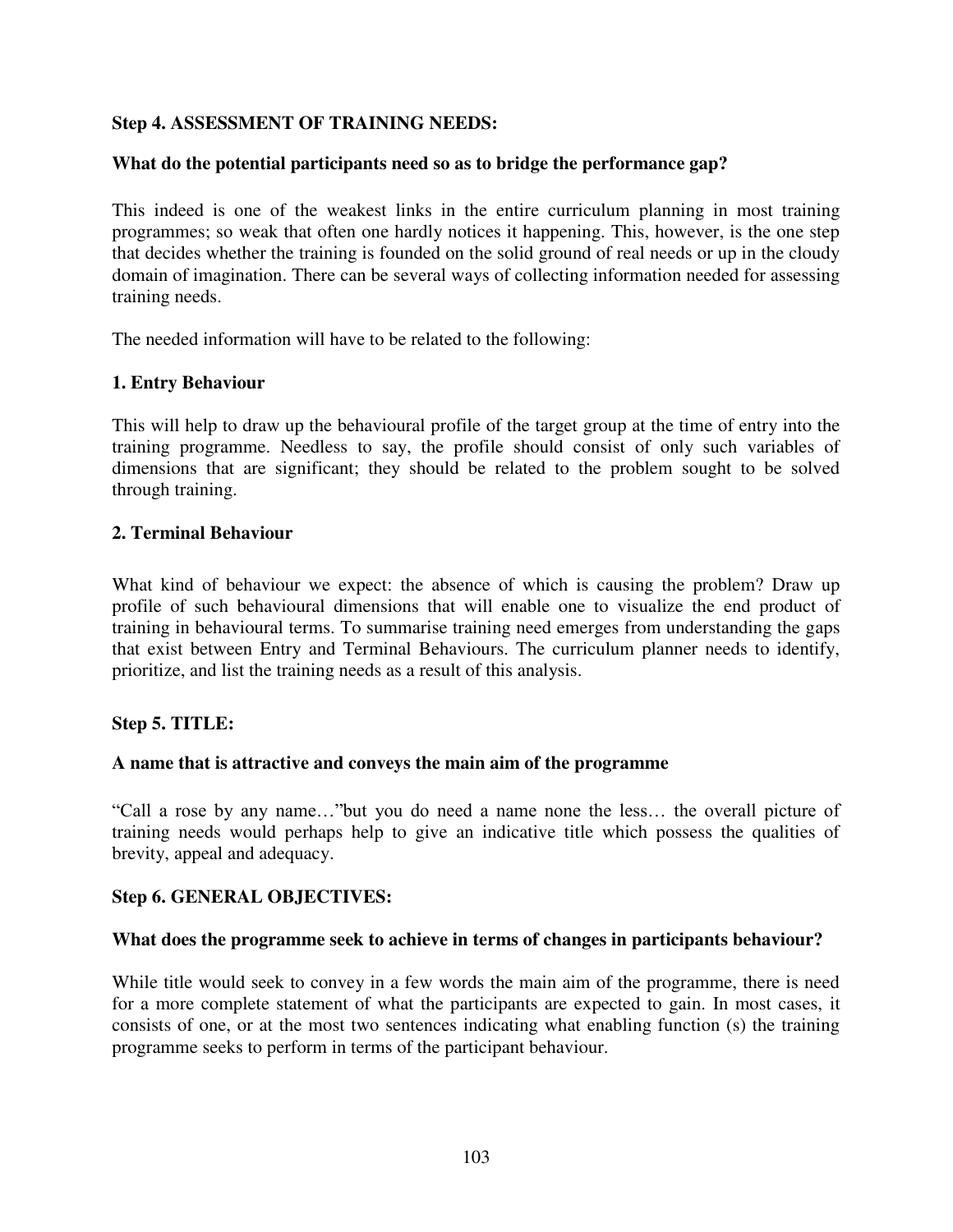## **Step 4. ASSESSMENT OF TRAINING NEEDS:**

## **What do the potential participants need so as to bridge the performance gap?**

This indeed is one of the weakest links in the entire curriculum planning in most training programmes; so weak that often one hardly notices it happening. This, however, is the one step that decides whether the training is founded on the solid ground of real needs or up in the cloudy domain of imagination. There can be several ways of collecting information needed for assessing training needs.

The needed information will have to be related to the following:

## **1. Entry Behaviour**

This will help to draw up the behavioural profile of the target group at the time of entry into the training programme. Needless to say, the profile should consist of only such variables of dimensions that are significant; they should be related to the problem sought to be solved through training.

## **2. Terminal Behaviour**

What kind of behaviour we expect: the absence of which is causing the problem? Draw up profile of such behavioural dimensions that will enable one to visualize the end product of training in behavioural terms. To summarise training need emerges from understanding the gaps that exist between Entry and Terminal Behaviours. The curriculum planner needs to identify, prioritize, and list the training needs as a result of this analysis.

## **Step 5. TITLE:**

## **A name that is attractive and conveys the main aim of the programme**

"Call a rose by any name…"but you do need a name none the less… the overall picture of training needs would perhaps help to give an indicative title which possess the qualities of brevity, appeal and adequacy.

## **Step 6. GENERAL OBJECTIVES:**

## **What does the programme seek to achieve in terms of changes in participants behaviour?**

While title would seek to convey in a few words the main aim of the programme, there is need for a more complete statement of what the participants are expected to gain. In most cases, it consists of one, or at the most two sentences indicating what enabling function (s) the training programme seeks to perform in terms of the participant behaviour.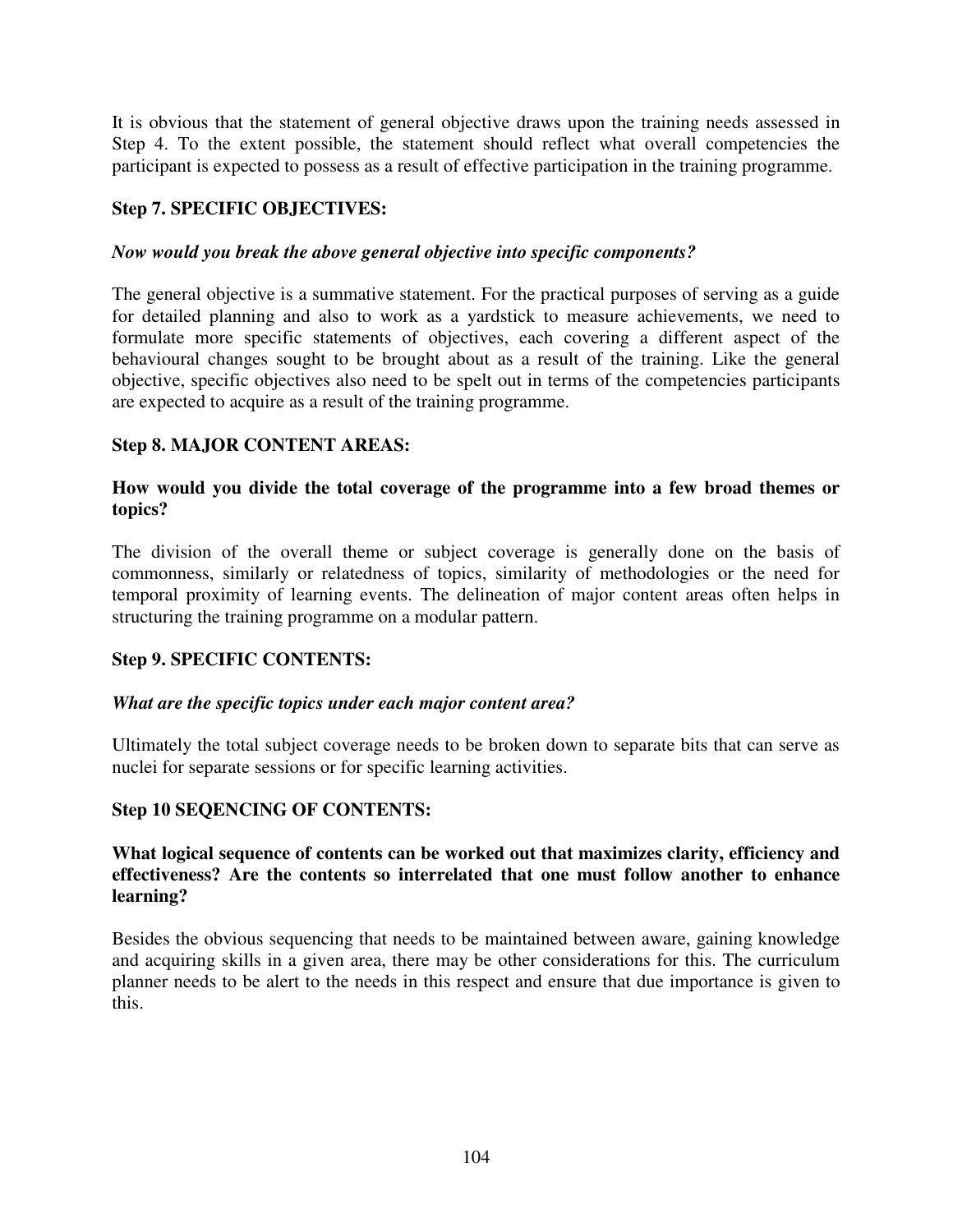It is obvious that the statement of general objective draws upon the training needs assessed in Step 4. To the extent possible, the statement should reflect what overall competencies the participant is expected to possess as a result of effective participation in the training programme.

# **Step 7. SPECIFIC OBJECTIVES:**

## *Now would you break the above general objective into specific components?*

The general objective is a summative statement. For the practical purposes of serving as a guide for detailed planning and also to work as a yardstick to measure achievements, we need to formulate more specific statements of objectives, each covering a different aspect of the behavioural changes sought to be brought about as a result of the training. Like the general objective, specific objectives also need to be spelt out in terms of the competencies participants are expected to acquire as a result of the training programme.

## **Step 8. MAJOR CONTENT AREAS:**

## **How would you divide the total coverage of the programme into a few broad themes or topics?**

The division of the overall theme or subject coverage is generally done on the basis of commonness, similarly or relatedness of topics, similarity of methodologies or the need for temporal proximity of learning events. The delineation of major content areas often helps in structuring the training programme on a modular pattern.

# **Step 9. SPECIFIC CONTENTS:**

## *What are the specific topics under each major content area?*

Ultimately the total subject coverage needs to be broken down to separate bits that can serve as nuclei for separate sessions or for specific learning activities.

## **Step 10 SEQENCING OF CONTENTS:**

## **What logical sequence of contents can be worked out that maximizes clarity, efficiency and effectiveness? Are the contents so interrelated that one must follow another to enhance learning?**

Besides the obvious sequencing that needs to be maintained between aware, gaining knowledge and acquiring skills in a given area, there may be other considerations for this. The curriculum planner needs to be alert to the needs in this respect and ensure that due importance is given to this.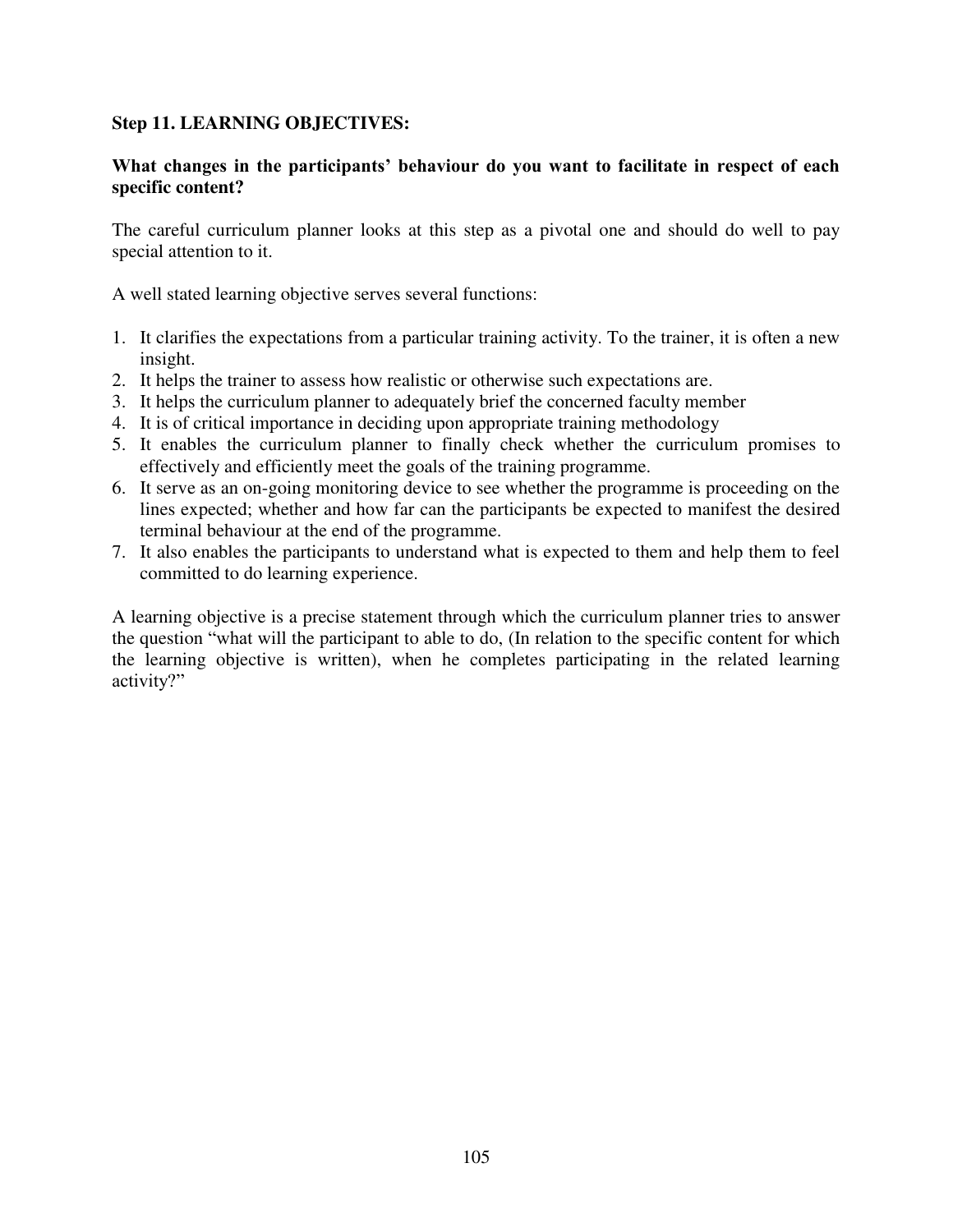## **Step 11. LEARNING OBJECTIVES:**

## **What changes in the participants' behaviour do you want to facilitate in respect of each specific content?**

The careful curriculum planner looks at this step as a pivotal one and should do well to pay special attention to it.

A well stated learning objective serves several functions:

- 1. It clarifies the expectations from a particular training activity. To the trainer, it is often a new insight.
- 2. It helps the trainer to assess how realistic or otherwise such expectations are.
- 3. It helps the curriculum planner to adequately brief the concerned faculty member
- 4. It is of critical importance in deciding upon appropriate training methodology
- 5. It enables the curriculum planner to finally check whether the curriculum promises to effectively and efficiently meet the goals of the training programme.
- 6. It serve as an on-going monitoring device to see whether the programme is proceeding on the lines expected; whether and how far can the participants be expected to manifest the desired terminal behaviour at the end of the programme.
- 7. It also enables the participants to understand what is expected to them and help them to feel committed to do learning experience.

A learning objective is a precise statement through which the curriculum planner tries to answer the question "what will the participant to able to do, (In relation to the specific content for which the learning objective is written), when he completes participating in the related learning activity?"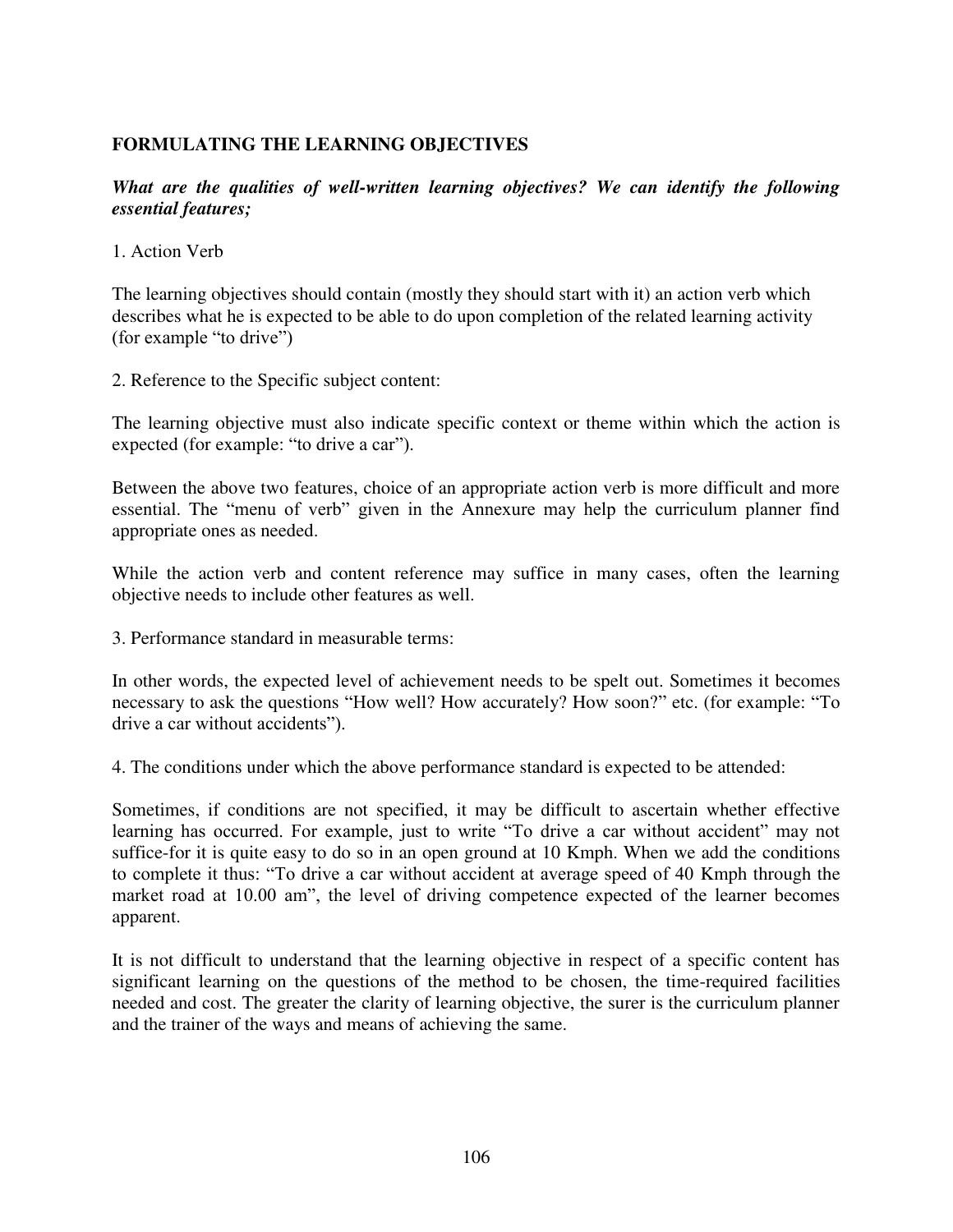# **FORMULATING THE LEARNING OBJECTIVES**

*What are the qualities of well-written learning objectives? We can identify the following essential features;* 

1. Action Verb

The learning objectives should contain (mostly they should start with it) an action verb which describes what he is expected to be able to do upon completion of the related learning activity (for example "to drive")

2. Reference to the Specific subject content:

The learning objective must also indicate specific context or theme within which the action is expected (for example: "to drive a car").

Between the above two features, choice of an appropriate action verb is more difficult and more essential. The "menu of verb" given in the Annexure may help the curriculum planner find appropriate ones as needed.

While the action verb and content reference may suffice in many cases, often the learning objective needs to include other features as well.

3. Performance standard in measurable terms:

In other words, the expected level of achievement needs to be spelt out. Sometimes it becomes necessary to ask the questions "How well? How accurately? How soon?" etc. (for example: "To drive a car without accidents").

4. The conditions under which the above performance standard is expected to be attended:

Sometimes, if conditions are not specified, it may be difficult to ascertain whether effective learning has occurred. For example, just to write "To drive a car without accident" may not suffice-for it is quite easy to do so in an open ground at 10 Kmph. When we add the conditions to complete it thus: "To drive a car without accident at average speed of 40 Kmph through the market road at 10.00 am", the level of driving competence expected of the learner becomes apparent.

It is not difficult to understand that the learning objective in respect of a specific content has significant learning on the questions of the method to be chosen, the time-required facilities needed and cost. The greater the clarity of learning objective, the surer is the curriculum planner and the trainer of the ways and means of achieving the same.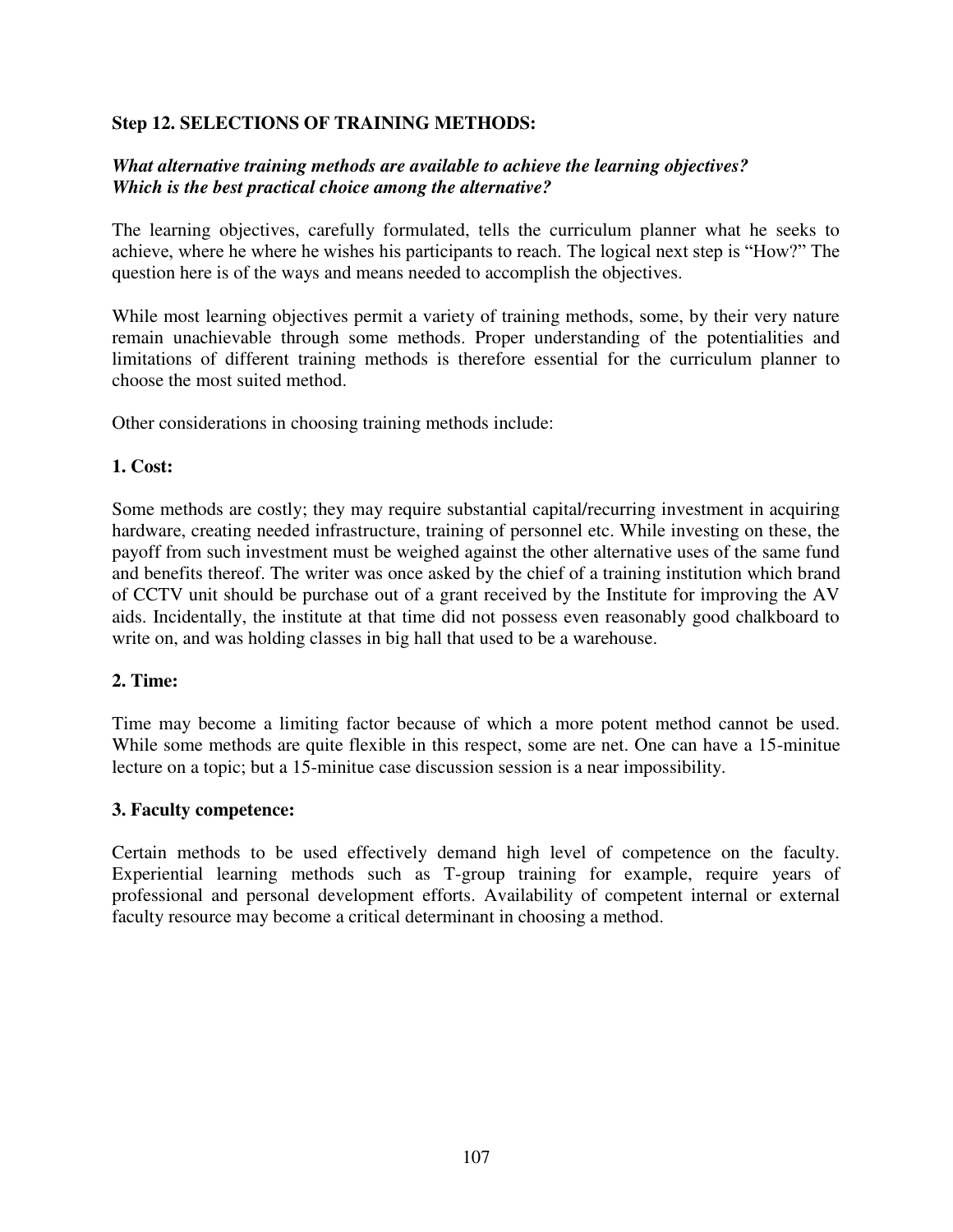## **Step 12. SELECTIONS OF TRAINING METHODS:**

## *What alternative training methods are available to achieve the learning objectives? Which is the best practical choice among the alternative?*

The learning objectives, carefully formulated, tells the curriculum planner what he seeks to achieve, where he where he wishes his participants to reach. The logical next step is "How?" The question here is of the ways and means needed to accomplish the objectives.

While most learning objectives permit a variety of training methods, some, by their very nature remain unachievable through some methods. Proper understanding of the potentialities and limitations of different training methods is therefore essential for the curriculum planner to choose the most suited method.

Other considerations in choosing training methods include:

## **1. Cost:**

Some methods are costly; they may require substantial capital/recurring investment in acquiring hardware, creating needed infrastructure, training of personnel etc. While investing on these, the payoff from such investment must be weighed against the other alternative uses of the same fund and benefits thereof. The writer was once asked by the chief of a training institution which brand of CCTV unit should be purchase out of a grant received by the Institute for improving the AV aids. Incidentally, the institute at that time did not possess even reasonably good chalkboard to write on, and was holding classes in big hall that used to be a warehouse.

## **2. Time:**

Time may become a limiting factor because of which a more potent method cannot be used. While some methods are quite flexible in this respect, some are net. One can have a 15-minitue lecture on a topic; but a 15-minitue case discussion session is a near impossibility.

#### **3. Faculty competence:**

Certain methods to be used effectively demand high level of competence on the faculty. Experiential learning methods such as T-group training for example, require years of professional and personal development efforts. Availability of competent internal or external faculty resource may become a critical determinant in choosing a method.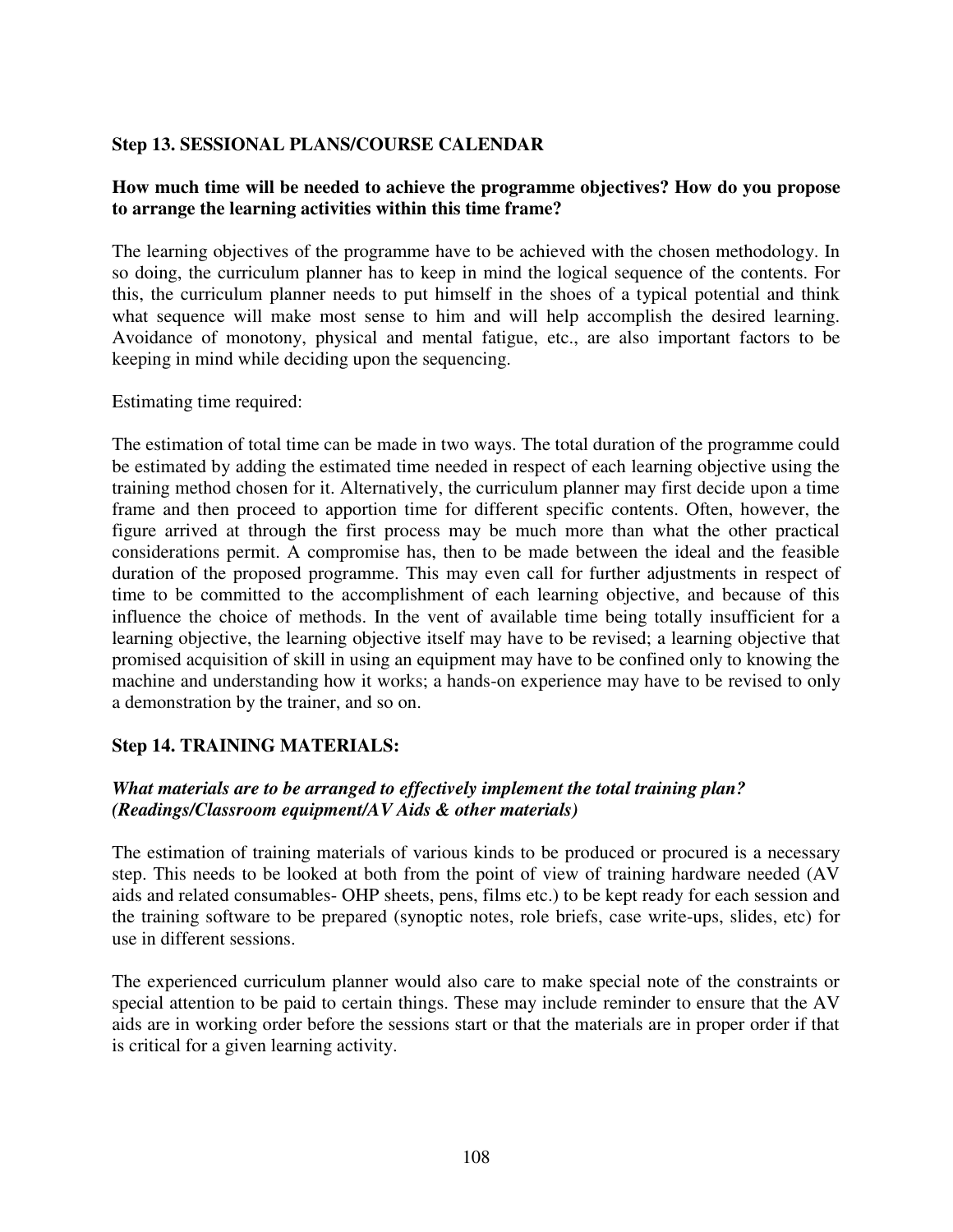# **Step 13. SESSIONAL PLANS/COURSE CALENDAR**

## **How much time will be needed to achieve the programme objectives? How do you propose to arrange the learning activities within this time frame?**

The learning objectives of the programme have to be achieved with the chosen methodology. In so doing, the curriculum planner has to keep in mind the logical sequence of the contents. For this, the curriculum planner needs to put himself in the shoes of a typical potential and think what sequence will make most sense to him and will help accomplish the desired learning. Avoidance of monotony, physical and mental fatigue, etc., are also important factors to be keeping in mind while deciding upon the sequencing.

Estimating time required:

The estimation of total time can be made in two ways. The total duration of the programme could be estimated by adding the estimated time needed in respect of each learning objective using the training method chosen for it. Alternatively, the curriculum planner may first decide upon a time frame and then proceed to apportion time for different specific contents. Often, however, the figure arrived at through the first process may be much more than what the other practical considerations permit. A compromise has, then to be made between the ideal and the feasible duration of the proposed programme. This may even call for further adjustments in respect of time to be committed to the accomplishment of each learning objective, and because of this influence the choice of methods. In the vent of available time being totally insufficient for a learning objective, the learning objective itself may have to be revised; a learning objective that promised acquisition of skill in using an equipment may have to be confined only to knowing the machine and understanding how it works; a hands-on experience may have to be revised to only a demonstration by the trainer, and so on.

## **Step 14. TRAINING MATERIALS:**

# *What materials are to be arranged to effectively implement the total training plan? (Readings/Classroom equipment/AV Aids & other materials)*

The estimation of training materials of various kinds to be produced or procured is a necessary step. This needs to be looked at both from the point of view of training hardware needed (AV aids and related consumables- OHP sheets, pens, films etc.) to be kept ready for each session and the training software to be prepared (synoptic notes, role briefs, case write-ups, slides, etc) for use in different sessions.

The experienced curriculum planner would also care to make special note of the constraints or special attention to be paid to certain things. These may include reminder to ensure that the AV aids are in working order before the sessions start or that the materials are in proper order if that is critical for a given learning activity.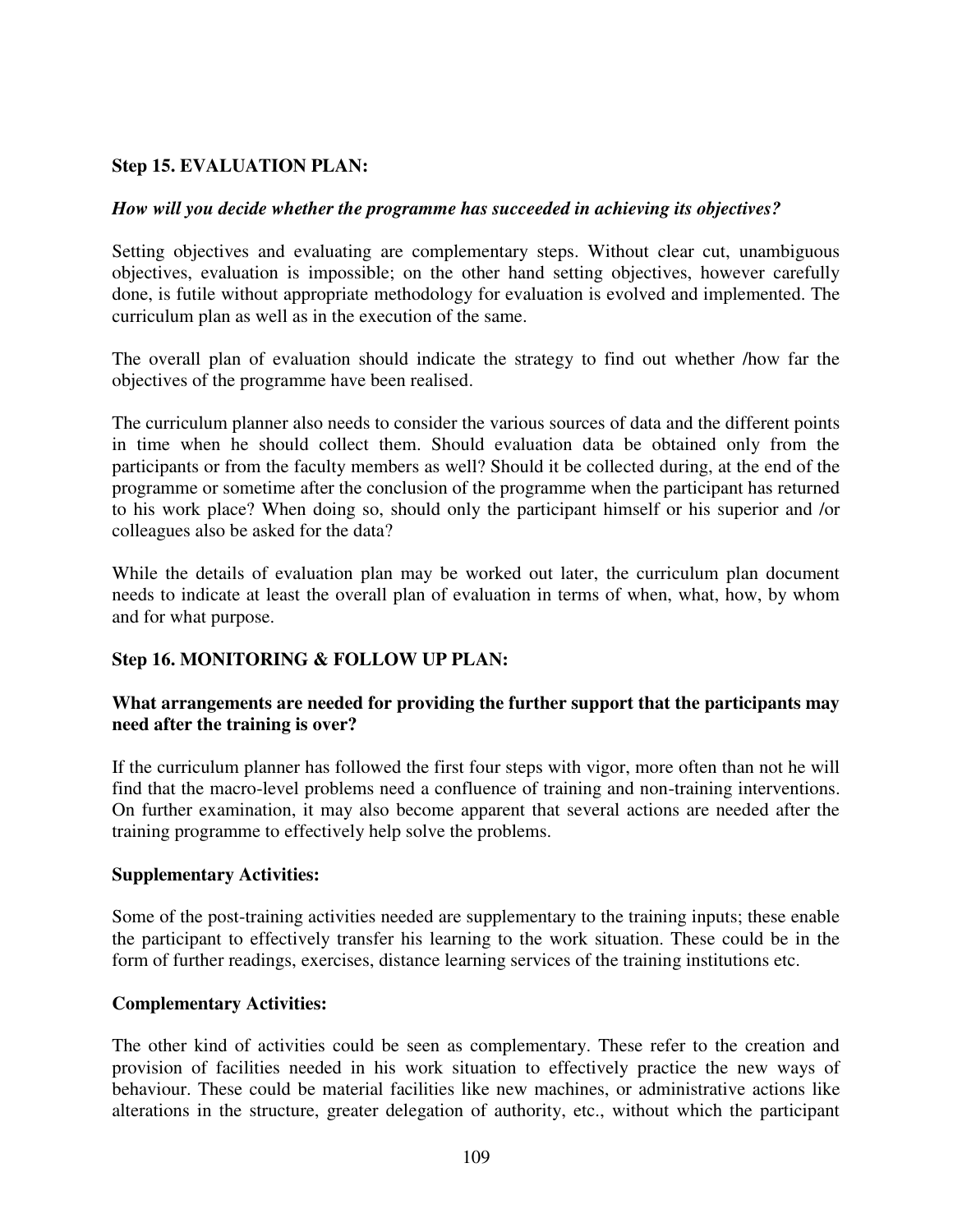### **Step 15. EVALUATION PLAN:**

### *How will you decide whether the programme has succeeded in achieving its objectives?*

Setting objectives and evaluating are complementary steps. Without clear cut, unambiguous objectives, evaluation is impossible; on the other hand setting objectives, however carefully done, is futile without appropriate methodology for evaluation is evolved and implemented. The curriculum plan as well as in the execution of the same.

The overall plan of evaluation should indicate the strategy to find out whether /how far the objectives of the programme have been realised.

The curriculum planner also needs to consider the various sources of data and the different points in time when he should collect them. Should evaluation data be obtained only from the participants or from the faculty members as well? Should it be collected during, at the end of the programme or sometime after the conclusion of the programme when the participant has returned to his work place? When doing so, should only the participant himself or his superior and /or colleagues also be asked for the data?

While the details of evaluation plan may be worked out later, the curriculum plan document needs to indicate at least the overall plan of evaluation in terms of when, what, how, by whom and for what purpose.

### **Step 16. MONITORING & FOLLOW UP PLAN:**

### **What arrangements are needed for providing the further support that the participants may need after the training is over?**

If the curriculum planner has followed the first four steps with vigor, more often than not he will find that the macro-level problems need a confluence of training and non-training interventions. On further examination, it may also become apparent that several actions are needed after the training programme to effectively help solve the problems.

### **Supplementary Activities:**

Some of the post-training activities needed are supplementary to the training inputs; these enable the participant to effectively transfer his learning to the work situation. These could be in the form of further readings, exercises, distance learning services of the training institutions etc.

### **Complementary Activities:**

The other kind of activities could be seen as complementary. These refer to the creation and provision of facilities needed in his work situation to effectively practice the new ways of behaviour. These could be material facilities like new machines, or administrative actions like alterations in the structure, greater delegation of authority, etc., without which the participant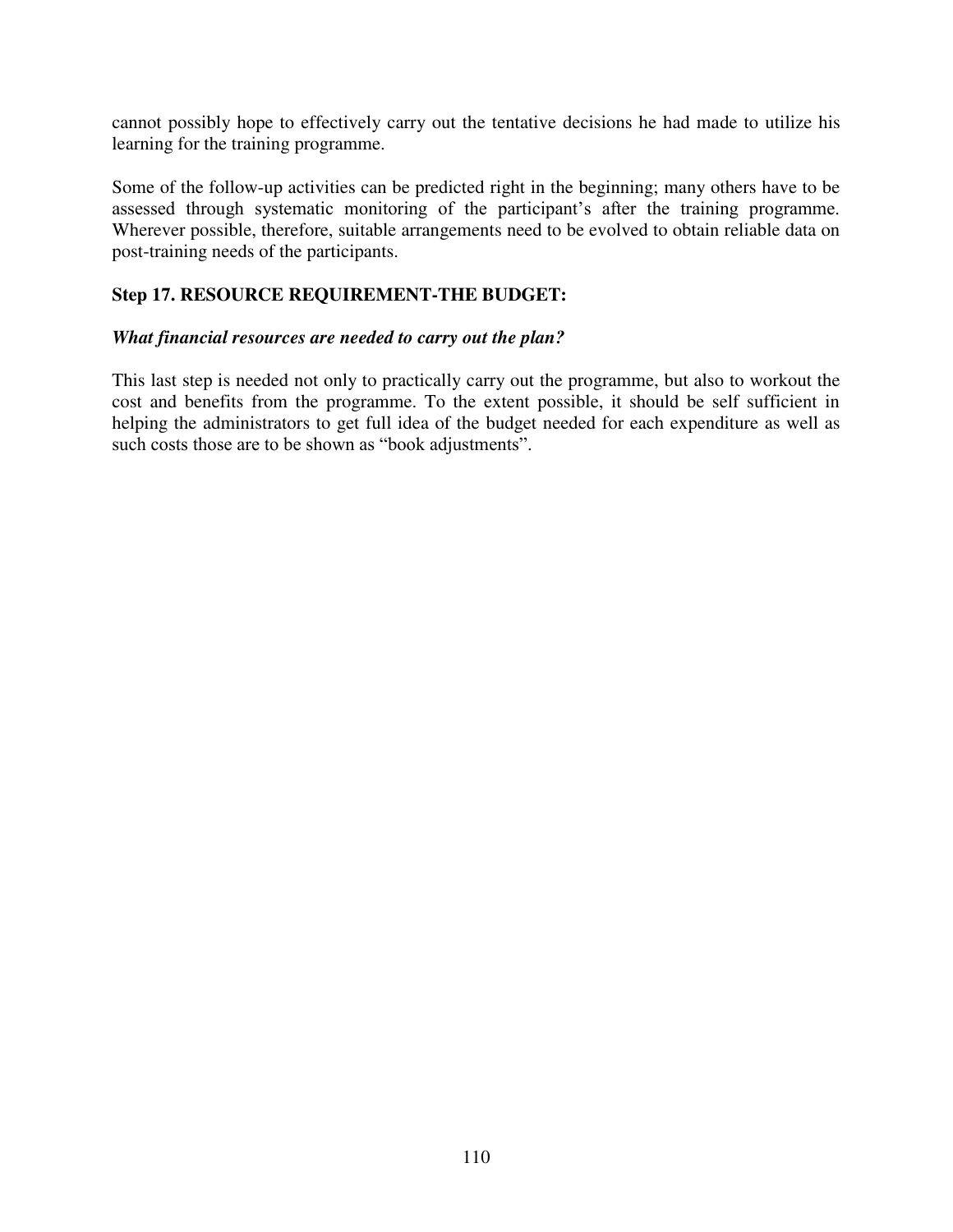cannot possibly hope to effectively carry out the tentative decisions he had made to utilize his learning for the training programme.

Some of the follow-up activities can be predicted right in the beginning; many others have to be assessed through systematic monitoring of the participant's after the training programme. Wherever possible, therefore, suitable arrangements need to be evolved to obtain reliable data on post-training needs of the participants.

### **Step 17. RESOURCE REQUIREMENT-THE BUDGET:**

### *What financial resources are needed to carry out the plan?*

This last step is needed not only to practically carry out the programme, but also to workout the cost and benefits from the programme. To the extent possible, it should be self sufficient in helping the administrators to get full idea of the budget needed for each expenditure as well as such costs those are to be shown as "book adjustments".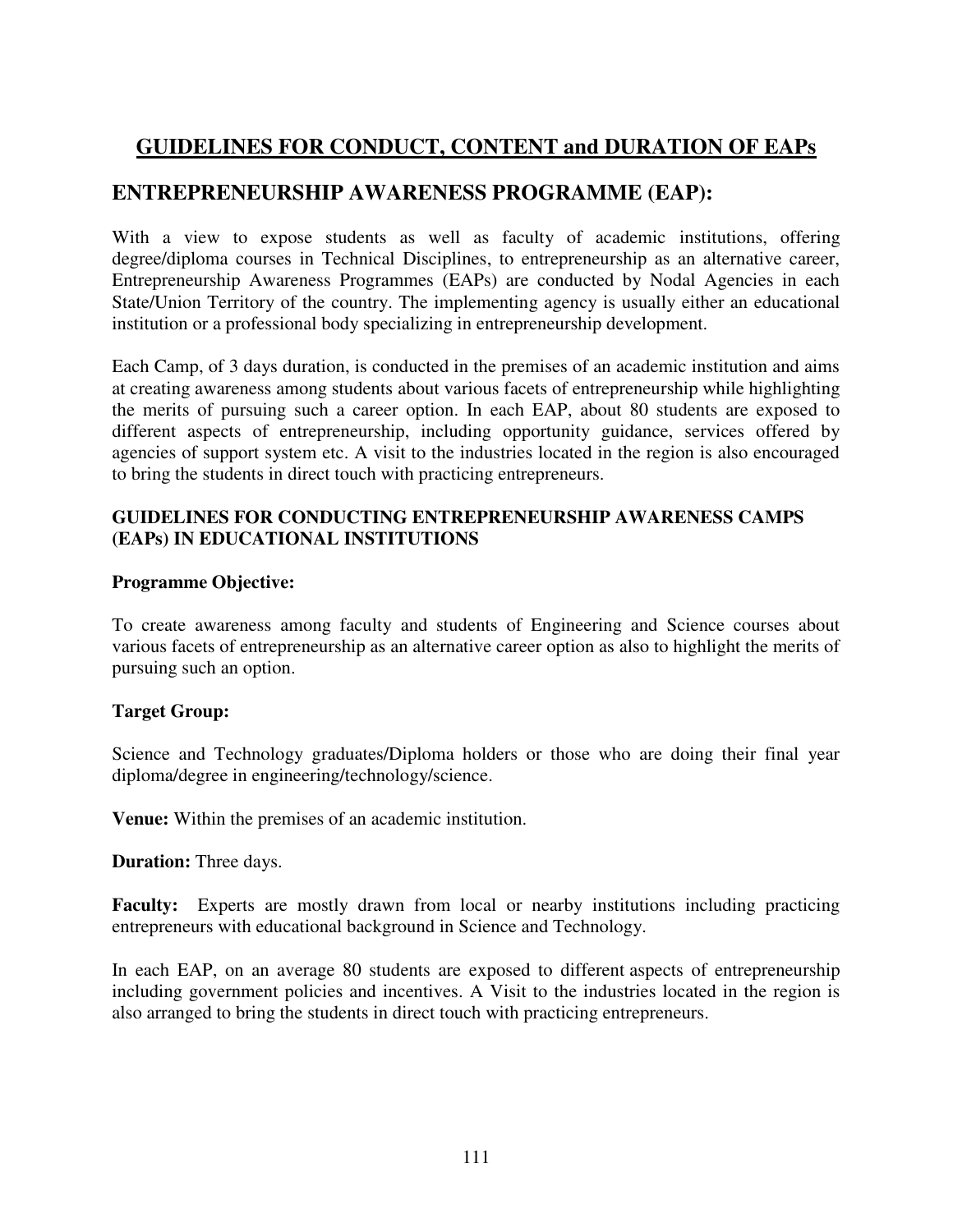# **GUIDELINES FOR CONDUCT, CONTENT and DURATION OF EAPs**

## **ENTREPRENEURSHIP AWARENESS PROGRAMME (EAP):**

With a view to expose students as well as faculty of academic institutions, offering degree/diploma courses in Technical Disciplines, to entrepreneurship as an alternative career, Entrepreneurship Awareness Programmes (EAPs) are conducted by Nodal Agencies in each State/Union Territory of the country. The implementing agency is usually either an educational institution or a professional body specializing in entrepreneurship development.

Each Camp, of 3 days duration, is conducted in the premises of an academic institution and aims at creating awareness among students about various facets of entrepreneurship while highlighting the merits of pursuing such a career option. In each EAP, about 80 students are exposed to different aspects of entrepreneurship, including opportunity guidance, services offered by agencies of support system etc. A visit to the industries located in the region is also encouraged to bring the students in direct touch with practicing entrepreneurs.

### **GUIDELINES FOR CONDUCTING ENTREPRENEURSHIP AWARENESS CAMPS (EAPs) IN EDUCATIONAL INSTITUTIONS**

### **Programme Objective:**

To create awareness among faculty and students of Engineering and Science courses about various facets of entrepreneurship as an alternative career option as also to highlight the merits of pursuing such an option.

### **Target Group:**

Science and Technology graduates/Diploma holders or those who are doing their final year diploma/degree in engineering/technology/science.

**Venue:** Within the premises of an academic institution.

**Duration:** Three days.

**Faculty:** Experts are mostly drawn from local or nearby institutions including practicing entrepreneurs with educational background in Science and Technology.

In each EAP, on an average 80 students are exposed to different aspects of entrepreneurship including government policies and incentives. A Visit to the industries located in the region is also arranged to bring the students in direct touch with practicing entrepreneurs.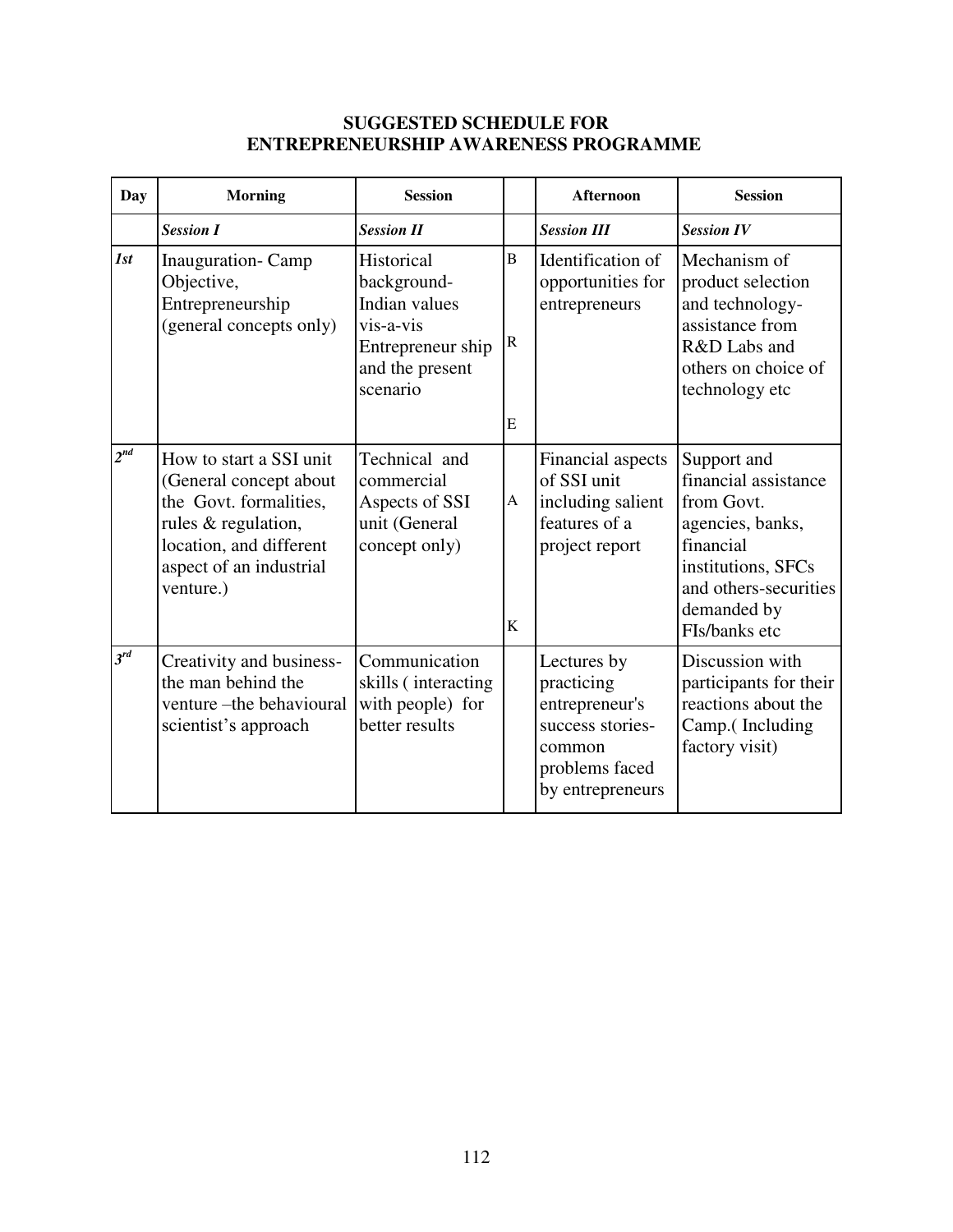### **SUGGESTED SCHEDULE FOR ENTREPRENEURSHIP AWARENESS PROGRAMME**

| Day      | <b>Morning</b>                                                                                                                                                        | <b>Session</b>                                                                                              |                  | <b>Afternoon</b>                                                                                                | <b>Session</b>                                                                                                                                                    |
|----------|-----------------------------------------------------------------------------------------------------------------------------------------------------------------------|-------------------------------------------------------------------------------------------------------------|------------------|-----------------------------------------------------------------------------------------------------------------|-------------------------------------------------------------------------------------------------------------------------------------------------------------------|
|          | <b>Session I</b>                                                                                                                                                      | <b>Session II</b>                                                                                           |                  | <b>Session III</b>                                                                                              | <b>Session IV</b>                                                                                                                                                 |
| 1st      | <b>Inauguration-Camp</b><br>Objective,<br>Entrepreneurship<br>(general concepts only)                                                                                 | Historical<br>background-<br>Indian values<br>vis-a-vis<br>Entrepreneur ship<br>and the present<br>scenario | B<br>${\bf R}$   | Identification of<br>opportunities for<br>entrepreneurs                                                         | Mechanism of<br>product selection<br>and technology-<br>assistance from<br>R&D Labs and<br>others on choice of<br>technology etc                                  |
|          |                                                                                                                                                                       |                                                                                                             | E                |                                                                                                                 |                                                                                                                                                                   |
| $2^{nd}$ | How to start a SSI unit<br>(General concept about<br>the Govt. formalities,<br>rules & regulation,<br>location, and different<br>aspect of an industrial<br>venture.) | Technical and<br>commercial<br>Aspects of SSI<br>unit (General<br>concept only)                             | A<br>$\mathbf K$ | Financial aspects<br>of SSI unit<br>including salient<br>features of a<br>project report                        | Support and<br>financial assistance<br>from Govt.<br>agencies, banks,<br>financial<br>institutions, SFCs<br>and others-securities<br>demanded by<br>FIs/banks etc |
| $3^{rd}$ | Creativity and business-<br>the man behind the<br>venture – the behavioural<br>scientist's approach                                                                   | Communication<br>skills (interacting<br>with people) for<br>better results                                  |                  | Lectures by<br>practicing<br>entrepreneur's<br>success stories-<br>common<br>problems faced<br>by entrepreneurs | Discussion with<br>participants for their<br>reactions about the<br>Camp.(Including<br>factory visit)                                                             |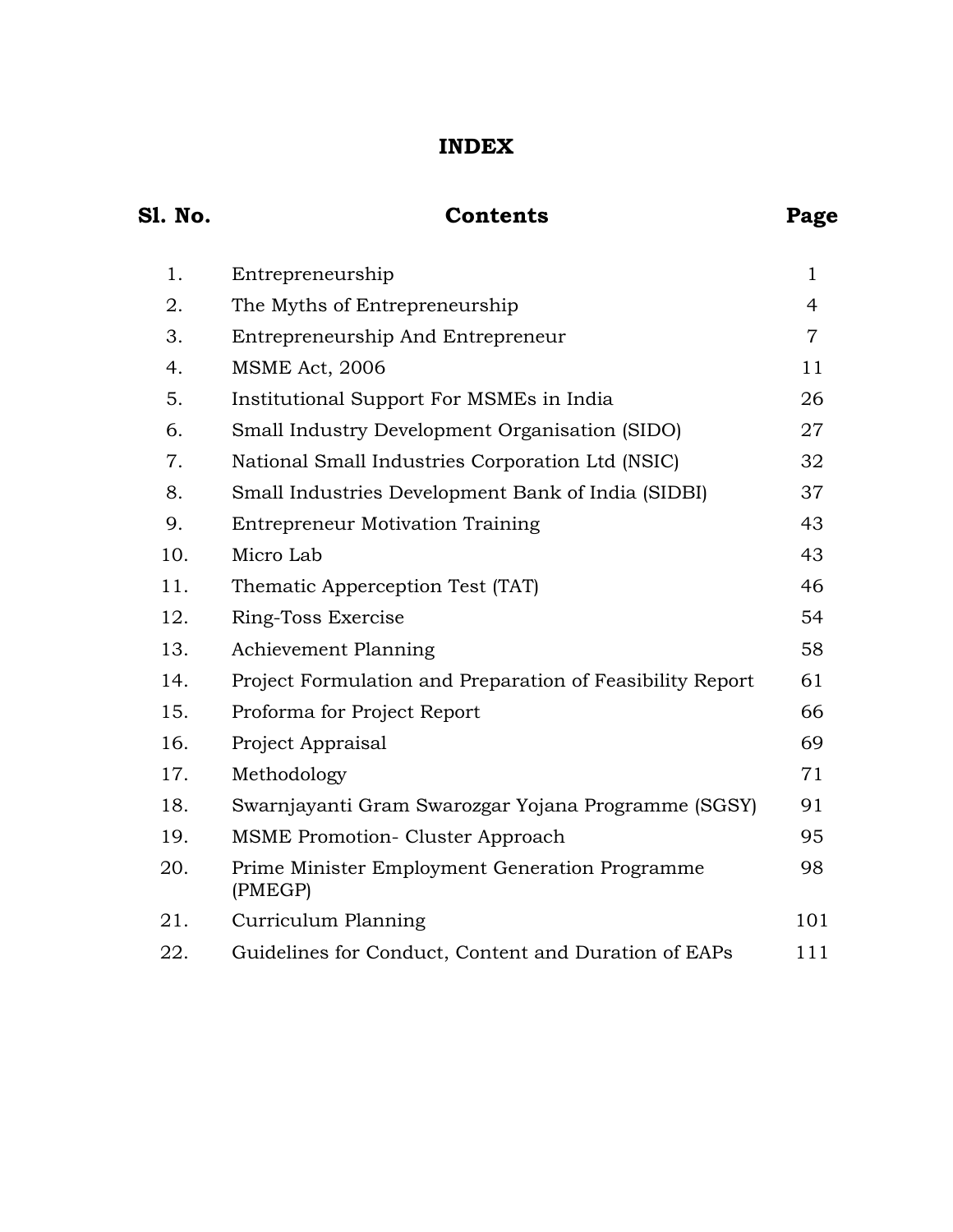# **INDEX**

| Sl. No. | <b>Contents</b>                                           | Page           |
|---------|-----------------------------------------------------------|----------------|
| 1.      | Entrepreneurship                                          | $\mathbf{1}$   |
| 2.      | The Myths of Entrepreneurship                             | $\overline{4}$ |
| 3.      | Entrepreneurship And Entrepreneur                         | $\overline{7}$ |
| 4.      | <b>MSME Act, 2006</b>                                     | 11             |
| 5.      | Institutional Support For MSMEs in India                  | 26             |
| 6.      | Small Industry Development Organisation (SIDO)            | 27             |
| 7.      | National Small Industries Corporation Ltd (NSIC)          | 32             |
| 8.      | Small Industries Development Bank of India (SIDBI)        | 37             |
| 9.      | <b>Entrepreneur Motivation Training</b>                   | 43             |
| 10.     | Micro Lab                                                 | 43             |
| 11.     | Thematic Apperception Test (TAT)                          | 46             |
| 12.     | Ring-Toss Exercise                                        | 54             |
| 13.     | Achievement Planning                                      | 58             |
| 14.     | Project Formulation and Preparation of Feasibility Report | 61             |
| 15.     | Proforma for Project Report                               | 66             |
| 16.     | Project Appraisal                                         | 69             |
| 17.     | Methodology                                               | 71             |
| 18.     | Swarnjayanti Gram Swarozgar Yojana Programme (SGSY)       | 91             |
| 19.     | <b>MSME Promotion- Cluster Approach</b>                   | 95             |
| 20.     | Prime Minister Employment Generation Programme<br>(PMEGP) | 98             |
| 21.     | Curriculum Planning                                       | 101            |
| 22.     | Guidelines for Conduct, Content and Duration of EAPs      | 111            |
|         |                                                           |                |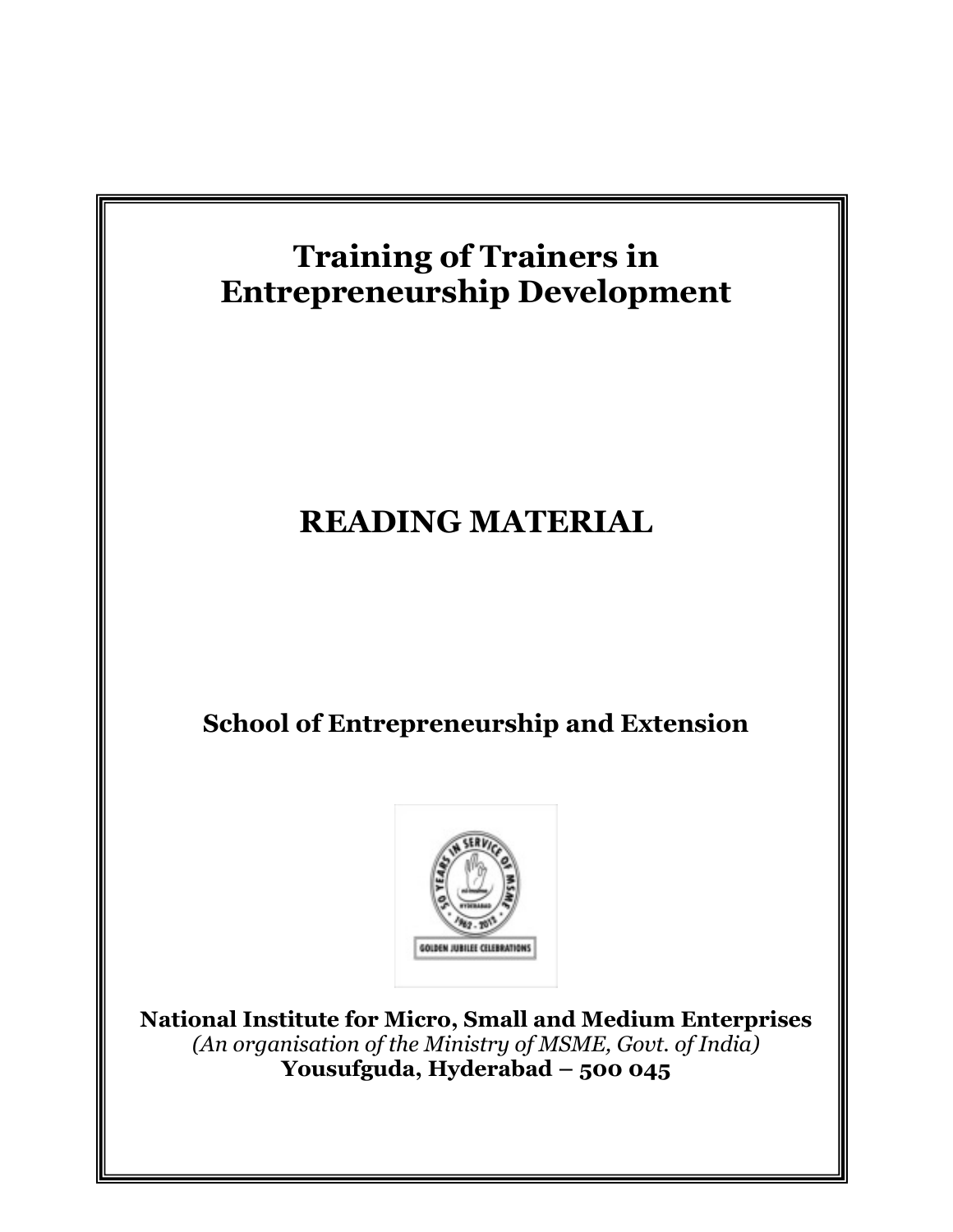

**National Institute for Micro, Small and Medium Enterprises**  *(An organisation of the Ministry of MSME, Govt. of India)*  **Yousufguda, Hyderabad – 500 045**